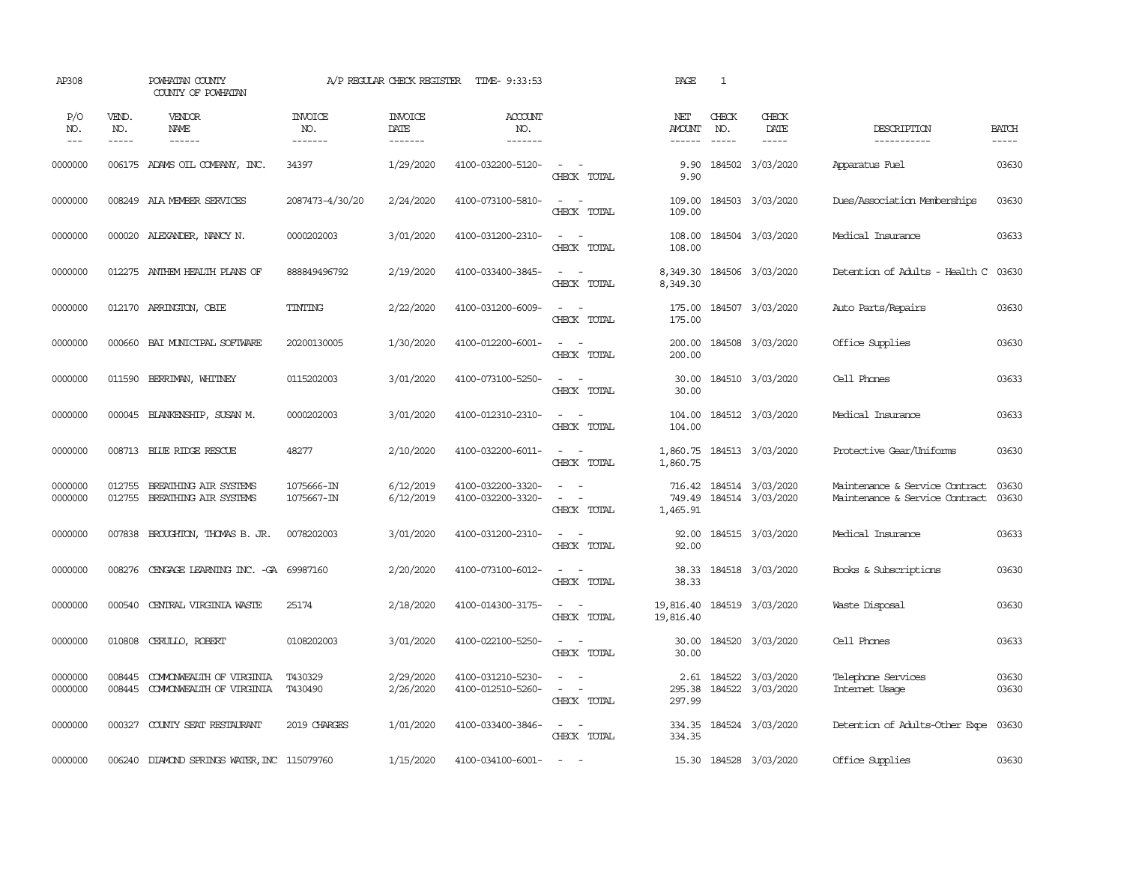| AP308               |                             | POWHATAN COUNTY<br>COUNTY OF POWHATAN              |                                  | A/P REGULAR CHECK REGISTER         | TIME- 9:33:53                          |                                                            | PAGE                                    | $\mathbf{1}$                  |                                             |                                                                  |                                                                                                                                                                                                                                                                                                                                                                                                                                                                         |
|---------------------|-----------------------------|----------------------------------------------------|----------------------------------|------------------------------------|----------------------------------------|------------------------------------------------------------|-----------------------------------------|-------------------------------|---------------------------------------------|------------------------------------------------------------------|-------------------------------------------------------------------------------------------------------------------------------------------------------------------------------------------------------------------------------------------------------------------------------------------------------------------------------------------------------------------------------------------------------------------------------------------------------------------------|
| P/O<br>NO.<br>$---$ | VEND.<br>NO.<br>$- - - - -$ | VENDOR<br>NAME                                     | <b>INVOICE</b><br>NO.<br>------- | <b>INVOICE</b><br>DATE<br>-------- | <b>ACCOUNT</b><br>NO.<br>-------       |                                                            | NET<br><b>AMOUNT</b><br>------          | CHECK<br>NO.<br>$\frac{1}{2}$ | CHECK<br>DATE<br>-----                      | DESCRIPTION<br>-----------                                       | <b>BATCH</b><br>$\begin{tabular}{ccccc} \multicolumn{2}{c }{\multicolumn{2}{c }{\multicolumn{2}{c }{\multicolumn{2}{c}}{\hspace{-2.2cm}}}} \multicolumn{2}{c }{\multicolumn{2}{c }{\hspace{-2.2cm}}\hline} \multicolumn{2}{c }{\hspace{-2.2cm}}\hline \multicolumn{2}{c }{\hspace{-2.2cm}}\hline \multicolumn{2}{c }{\hspace{-2.2cm}}\hline \multicolumn{2}{c }{\hspace{-2.2cm}}\hline \multicolumn{2}{c }{\hspace{-2.2cm}}\hline \multicolumn{2}{c }{\hspace{-2.2cm}}$ |
| 0000000             |                             | 006175 ADAMS OIL COMPANY, INC.                     | 34397                            | 1/29/2020                          | 4100-032200-5120-                      | $\sim$ $ \sim$<br>CHECK TOTAL                              | 9.90<br>9.90                            |                               | 184502 3/03/2020                            | Apparatus Fuel                                                   | 03630                                                                                                                                                                                                                                                                                                                                                                                                                                                                   |
| 0000000             |                             | 008249 ALA MEMBER SERVICES                         | 2087473-4/30/20                  | 2/24/2020                          | 4100-073100-5810-                      | $\sim$ $ \sim$<br>CHECK TOTAL                              | 109.00<br>109.00                        |                               | 184503 3/03/2020                            | Dues/Association Memberships                                     | 03630                                                                                                                                                                                                                                                                                                                                                                                                                                                                   |
| 0000000             |                             | 000020 ALEXANDER, NANCY N.                         | 0000202003                       | 3/01/2020                          | 4100-031200-2310-                      | $\sim$ $ -$<br>CHECK TOTAL                                 | 108.00<br>108.00                        |                               | 184504 3/03/2020                            | Medical Insurance                                                | 03633                                                                                                                                                                                                                                                                                                                                                                                                                                                                   |
| 0000000             |                             | 012275 ANTHEM HEALTH PLANS OF                      | 888849496792                     | 2/19/2020                          | 4100-033400-3845-                      | $\sim$ $\sim$<br>CHECK TOTAL                               | 8,349.30                                |                               | 8,349.30 184506 3/03/2020                   | Detention of Adults - Health C                                   | 03630                                                                                                                                                                                                                                                                                                                                                                                                                                                                   |
| 0000000             |                             | 012170 ARRINGTON, OBIE                             | TINTING                          | 2/22/2020                          | 4100-031200-6009-                      | $\sim$ $ -$<br>CHECK TOTAL                                 | 175.00<br>175.00                        |                               | 184507 3/03/2020                            | Auto Parts/Repairs                                               | 03630                                                                                                                                                                                                                                                                                                                                                                                                                                                                   |
| 0000000             | 000660                      | BAI MUNICIPAL SOFTWARE                             | 20200130005                      | 1/30/2020                          | 4100-012200-6001-                      | $\sim$ $ \sim$<br>CHECK TOTAL                              | 200.00<br>200.00                        |                               | 184508 3/03/2020                            | Office Supplies                                                  | 03630                                                                                                                                                                                                                                                                                                                                                                                                                                                                   |
| 0000000             | 011590                      | BERRIMAN, WHITNEY                                  | 0115202003                       | 3/01/2020                          | 4100-073100-5250-                      | $\sim$<br>$\sim$<br>CHECK TOTAL                            | 30.00<br>30.00                          |                               | 184510 3/03/2020                            | Cell Phones                                                      | 03633                                                                                                                                                                                                                                                                                                                                                                                                                                                                   |
| 0000000             | 000045                      | BLANKENSHIP, SUSAN M.                              | 0000202003                       | 3/01/2020                          | 4100-012310-2310-                      | $\sim$ $ -$<br>CHECK TOTAL                                 | 104.00<br>104.00                        |                               | 184512 3/03/2020                            | Medical Insurance                                                | 03633                                                                                                                                                                                                                                                                                                                                                                                                                                                                   |
| 0000000             |                             | 008713 BLUE RIDGE RESCUE                           | 48277                            | 2/10/2020                          | 4100-032200-6011-                      | $\sim$ $ \sim$<br>CHECK TOTAL                              | 1,860.75<br>1,860.75                    |                               | 184513 3/03/2020                            | Protective Gear/Uniforms                                         | 03630                                                                                                                                                                                                                                                                                                                                                                                                                                                                   |
| 0000000<br>0000000  | 012755<br>012755            | BREATHING AIR SYSTEMS<br>BREATHING AIR SYSTEMS     | 1075666-IN<br>1075667-IN         | 6/12/2019<br>6/12/2019             | 4100-032200-3320-<br>4100-032200-3320- | $\sim$ 100 $\sim$<br>$\sim$<br>$\sim$<br>CHECK TOTAL       | 749.49<br>1,465.91                      |                               | 716.42 184514 3/03/2020<br>184514 3/03/2020 | Maintenance & Service Contract<br>Maintenance & Service Contract | 03630<br>03630                                                                                                                                                                                                                                                                                                                                                                                                                                                          |
| 0000000             |                             | 007838 BROUGHION, THOMAS B. JR.                    | 0078202003                       | 3/01/2020                          | 4100-031200-2310-                      | $\sim$<br>$\sim$<br>CHECK TOTAL                            | 92.00<br>92.00                          |                               | 184515 3/03/2020                            | Medical Insurance                                                | 03633                                                                                                                                                                                                                                                                                                                                                                                                                                                                   |
| 0000000             |                             | 008276 CENGAGE LEARNING INC. -GA 69987160          |                                  | 2/20/2020                          | 4100-073100-6012-                      | $\sim$ $ -$<br>CHECK TOTAL                                 | 38.33<br>38.33                          |                               | 184518 3/03/2020                            | Books & Subscriptions                                            | 03630                                                                                                                                                                                                                                                                                                                                                                                                                                                                   |
| 0000000             | 000540                      | CENTRAL VIRGINIA WASTE                             | 25174                            | 2/18/2020                          | 4100-014300-3175-                      | $\omega_{\rm{max}}$ and $\omega_{\rm{max}}$<br>CHECK TOTAL | 19,816.40 184519 3/03/2020<br>19,816.40 |                               |                                             | Waste Disposal                                                   | 03630                                                                                                                                                                                                                                                                                                                                                                                                                                                                   |
| 0000000             | 010808                      | CERULLO, ROBERT                                    | 0108202003                       | 3/01/2020                          | 4100-022100-5250-                      | $\sim$ $ \sim$<br>CHECK TOTAL                              | 30.00<br>30.00                          |                               | 184520 3/03/2020                            | Cell Phones                                                      | 03633                                                                                                                                                                                                                                                                                                                                                                                                                                                                   |
| 0000000<br>0000000  | 008445<br>008445            | COMONWEALTH OF VIRGINIA<br>COMONWEALTH OF VIRGINIA | T430329<br>T430490               | 2/29/2020<br>2/26/2020             | 4100-031210-5230-<br>4100-012510-5260- | $\sim$<br>$\sim$ $ -$<br>CHECK TOTAL                       | 295.38<br>297.99                        |                               | 2.61 184522 3/03/2020<br>184522 3/03/2020   | Telephone Services<br>Internet Usage                             | 03630<br>03630                                                                                                                                                                                                                                                                                                                                                                                                                                                          |
| 0000000             | 000327                      | COUNTY SEAT RESTAURANT                             | 2019 CHARGES                     | 1/01/2020                          | 4100-033400-3846-                      | $\sim$ $ -$<br>CHECK TOTAL                                 | 334.35                                  |                               | 334.35 184524 3/03/2020                     | Detention of Adults-Other Expe                                   | 03630                                                                                                                                                                                                                                                                                                                                                                                                                                                                   |
| 0000000             | 006240                      | DIAMOND SPRINGS WATER, INC 115079760               |                                  | 1/15/2020                          | 4100-034100-6001-                      | $\sim$                                                     |                                         |                               | 15.30 184528 3/03/2020                      | Office Supplies                                                  | 03630                                                                                                                                                                                                                                                                                                                                                                                                                                                                   |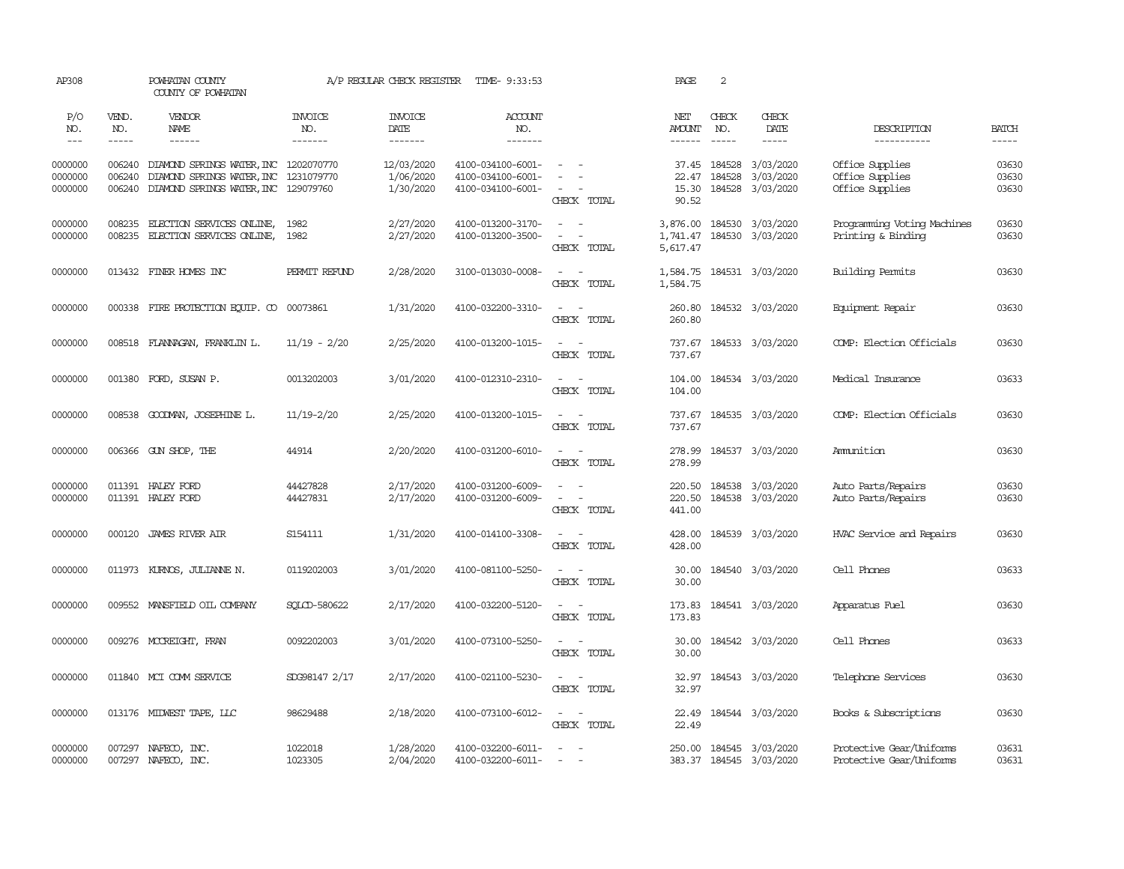| AP308                         |                            | POWHATAN COUNTY<br>COUNTY OF POWHATAN                                                                       |                                  | A/P REGULAR CHECK REGISTER           | TIME- 9:33:53                                               |                                                                                                                             | PAGE                           | 2                           |                                                    |                                                       |                         |
|-------------------------------|----------------------------|-------------------------------------------------------------------------------------------------------------|----------------------------------|--------------------------------------|-------------------------------------------------------------|-----------------------------------------------------------------------------------------------------------------------------|--------------------------------|-----------------------------|----------------------------------------------------|-------------------------------------------------------|-------------------------|
| P/O<br>NO.<br>$\frac{1}{2}$   | VEND.<br>NO.<br>-----      | VENDOR<br>NAME<br>$- - - - - -$                                                                             | <b>INVOICE</b><br>NO.<br>------- | <b>INVOICE</b><br>DATE<br>-------    | <b>ACCOUNT</b><br>NO.<br>-------                            |                                                                                                                             | NET<br>AMOUNT<br>$- - - - - -$ | CHECK<br>NO.<br>$- - - - -$ | CHECK<br>DATE<br>$- - - - -$                       | DESCRIPTION<br>-----------                            | <b>BATCH</b>            |
| 0000000<br>0000000<br>0000000 | 006240<br>006240<br>006240 | DIAMOND SPRINGS WATER, INC 1202070770<br>DIAMOND SPRINGS WATER, INC<br>DIAMOND SPRINGS WATER, INC 129079760 | 1231079770                       | 12/03/2020<br>1/06/2020<br>1/30/2020 | 4100-034100-6001-<br>4100-034100-6001-<br>4100-034100-6001- | $\sim$ $  -$<br>$\sim$<br>$\overline{\phantom{a}}$<br>CHECK TOTAL                                                           | 22.47<br>15.30<br>90.52        | 37.45 184528<br>184528      | 3/03/2020<br>3/03/2020<br>184528 3/03/2020         | Office Supplies<br>Office Supplies<br>Office Supplies | 03630<br>03630<br>03630 |
| 0000000<br>0000000            | 008235                     | 008235 ELECTION SERVICES ONLINE, 1982<br>ELECTION SERVICES ONLINE,                                          | 1982                             | 2/27/2020<br>2/27/2020               | 4100-013200-3170-<br>4100-013200-3500-                      | $\sim$ $\sim$<br>$\sim$ $ -$<br>CHECK TOTAL                                                                                 | 1,741.47<br>5,617.47           |                             | 3,876.00 184530 3/03/2020<br>184530 3/03/2020      | Programming Voting Machines<br>Printing & Binding     | 03630<br>03630          |
| 0000000                       |                            | 013432 FINER HOMES INC                                                                                      | PERMIT REFUND                    | 2/28/2020                            | 3100-013030-0008-                                           | $\sim$ $ \sim$<br>CHECK TOTAL                                                                                               | 1,584.75                       |                             | 1,584.75 184531 3/03/2020                          | Building Permits                                      | 03630                   |
| 0000000                       | 000338                     | FIRE PROTECTION EQUIP. CO 00073861                                                                          |                                  | 1/31/2020                            | 4100-032200-3310-                                           | $\sim$ $ \sim$<br>CHECK TOTAL                                                                                               | 260.80<br>260.80               |                             | 184532 3/03/2020                                   | Equipment Repair                                      | 03630                   |
| 0000000                       |                            | 008518 FLANNAGAN, FRANKLIN L.                                                                               | $11/19 - 2/20$                   | 2/25/2020                            | 4100-013200-1015-                                           | $\sim$<br>$\sim$<br>CHECK TOTAL                                                                                             | 737.67<br>737.67               |                             | 184533 3/03/2020                                   | COMP: Election Officials                              | 03630                   |
| 0000000                       | 001380                     | FORD, SUSAN P.                                                                                              | 0013202003                       | 3/01/2020                            | 4100-012310-2310-                                           | $\sim$<br>$\sim$<br>CHECK TOTAL                                                                                             | 104.00<br>104.00               |                             | 184534 3/03/2020                                   | Medical Insurance                                     | 03633                   |
| 0000000                       |                            | 008538 GOODMAN, JOSEPHINE L.                                                                                | $11/19 - 2/20$                   | 2/25/2020                            | 4100-013200-1015-                                           | $\sim$ $\sim$<br>CHECK TOTAL                                                                                                | 737.67<br>737.67               |                             | 184535 3/03/2020                                   | COMP: Election Officials                              | 03630                   |
| 0000000                       |                            | 006366 GUN SHOP, THE                                                                                        | 44914                            | 2/20/2020                            | 4100-031200-6010-                                           | $\sim$ $ \sim$<br>CHECK TOTAL                                                                                               | 278.99<br>278.99               |                             | 184537 3/03/2020                                   | Amunition                                             | 03630                   |
| 0000000<br>0000000            |                            | 011391 HALEY FORD<br>011391 HALEY FORD                                                                      | 44427828<br>44427831             | 2/17/2020<br>2/17/2020               | 4100-031200-6009-<br>4100-031200-6009-                      | $ -$<br>$\sim$ $\sim$<br>CHECK TOTAL                                                                                        | 220.50<br>220.50<br>441.00     |                             | 184538 3/03/2020<br>184538 3/03/2020               | Auto Parts/Repairs<br>Auto Parts/Repairs              | 03630<br>03630          |
| 0000000                       |                            | 000120 JAMES RIVER AIR                                                                                      | S154111                          | 1/31/2020                            | 4100-014100-3308-                                           | $\sim$<br>$\sim$<br>CHECK TOTAL                                                                                             | 428.00<br>428.00               |                             | 184539 3/03/2020                                   | HVAC Service and Repairs                              | 03630                   |
| 0000000                       |                            | 011973 KURNOS, JULIANNE N.                                                                                  | 0119202003                       | 3/01/2020                            | 4100-081100-5250-                                           | $\sim$ $ \sim$<br>CHECK TOTAL                                                                                               | 30.00<br>30.00                 |                             | 184540 3/03/2020                                   | Cell Phones                                           | 03633                   |
| 0000000                       |                            | 009552 MANSFIELD OIL COMPANY                                                                                | SOLCD-580622                     | 2/17/2020                            | 4100-032200-5120-                                           | $\sim$ $ \sim$<br>CHECK TOTAL                                                                                               | 173.83<br>173.83               |                             | 184541 3/03/2020                                   | Apparatus Fuel                                        | 03630                   |
| 0000000                       |                            | 009276 MCCREIGHT, FRAN                                                                                      | 0092202003                       | 3/01/2020                            | 4100-073100-5250-                                           | $\sim$ $ \sim$<br>CHECK TOTAL                                                                                               | 30.00<br>30.00                 |                             | 184542 3/03/2020                                   | Cell Phones                                           | 03633                   |
| 0000000                       |                            | 011840 MCI COMM SERVICE                                                                                     | SDG98147 2/17                    | 2/17/2020                            | 4100-021100-5230-                                           | $\sim$ $\sim$<br>CHECK TOTAL                                                                                                | 32.97<br>32.97                 |                             | 184543 3/03/2020                                   | Telephone Services                                    | 03630                   |
| 0000000                       |                            | 013176 MIDWEST TAPE, LLC                                                                                    | 98629488                         | 2/18/2020                            | 4100-073100-6012-                                           | $\frac{1}{2} \left( \frac{1}{2} \right) \left( \frac{1}{2} \right) = \frac{1}{2} \left( \frac{1}{2} \right)$<br>CHECK TOTAL | 22.49<br>22.49                 |                             | 184544 3/03/2020                                   | Books & Subscriptions                                 | 03630                   |
| 0000000<br>0000000            |                            | 007297 NAFECO, INC.<br>007297 NAFECO, INC.                                                                  | 1022018<br>1023305               | 1/28/2020<br>2/04/2020               | 4100-032200-6011-<br>4100-032200-6011-                      | $\sim$<br>$\sim$                                                                                                            |                                |                             | 250.00 184545 3/03/2020<br>383.37 184545 3/03/2020 | Protective Gear/Uniforms<br>Protective Gear/Uniforms  | 03631<br>03631          |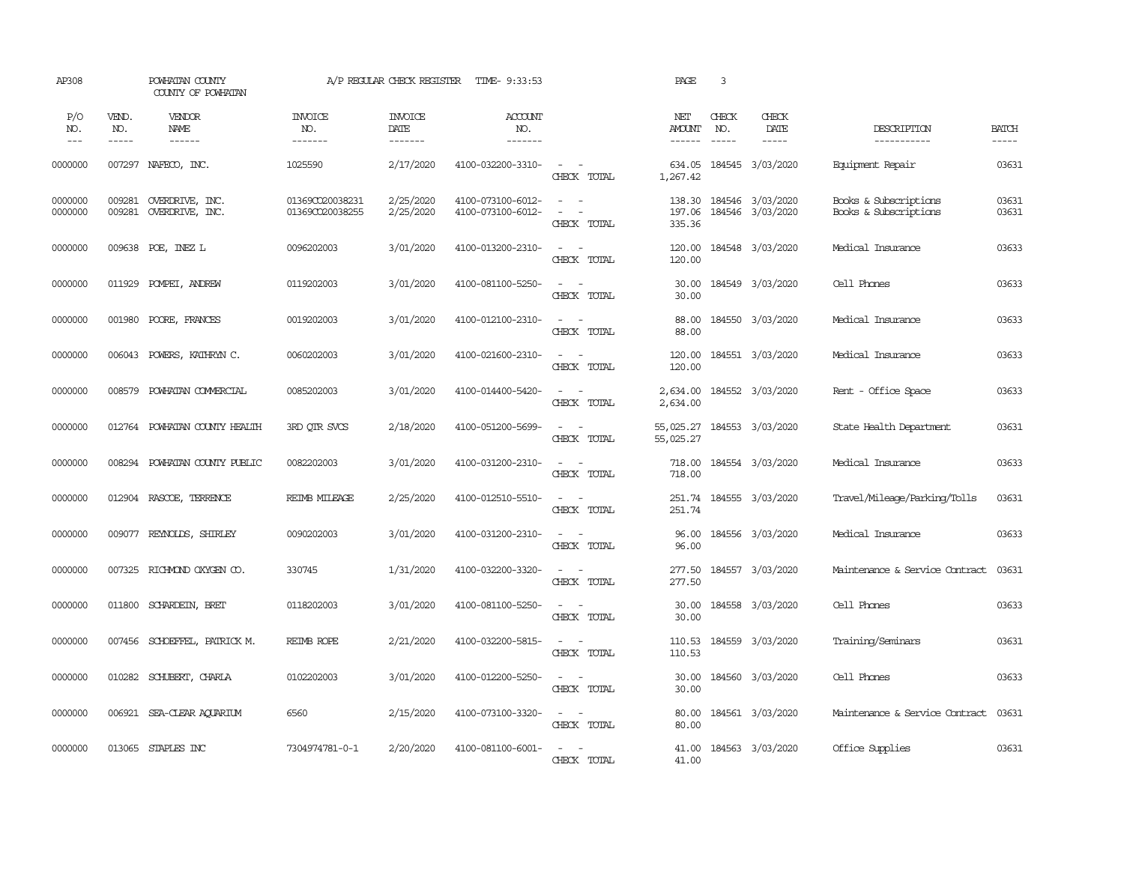| AP308               |                       | POWHATAN COUNTY<br>COUNTY OF POWHATAN                                                                                                                                                                                                                                                                                                                                                                                                            |                                    | A/P REGULAR CHECK REGISTER        | TIME- 9:33:53                          |                                                                                                                                                                       | PAGE                           | 3                             |                                             |                                                |                          |
|---------------------|-----------------------|--------------------------------------------------------------------------------------------------------------------------------------------------------------------------------------------------------------------------------------------------------------------------------------------------------------------------------------------------------------------------------------------------------------------------------------------------|------------------------------------|-----------------------------------|----------------------------------------|-----------------------------------------------------------------------------------------------------------------------------------------------------------------------|--------------------------------|-------------------------------|---------------------------------------------|------------------------------------------------|--------------------------|
| P/O<br>NO.<br>$---$ | VEND.<br>NO.<br>----- | <b>VENDOR</b><br>NAME<br>$\begin{tabular}{ccccc} \multicolumn{2}{c }{\multicolumn{2}{c }{\multicolumn{2}{c }{\multicolumn{2}{c}}}{\multicolumn{2}{c }{\multicolumn{2}{c}}}\end{tabular} \end{tabular} \begin{tabular}{c c }{\multicolumn{2}{c }{\multicolumn{2}{c }{\multicolumn{2}{c}}}{\multicolumn{2}{c }{\multicolumn{2}{c}}}{\multicolumn{2}{c }{\multicolumn{2}{c}}}{\multicolumn{2}{c }{\multicolumn{2}{c}}}{\end{tabular} \end{tabular}$ | <b>INVOICE</b><br>NO.<br>-------   | <b>INVOICE</b><br>DATE<br>------- | ACCOUNT<br>NO.<br>-------              |                                                                                                                                                                       | NET<br><b>AMOUNT</b><br>------ | CHECK<br>NO.<br>$\frac{1}{2}$ | CHECK<br>DATE<br>-----                      | DESCRIPTION<br>-----------                     | <b>BATCH</b><br>$\cdots$ |
| 0000000             |                       | 007297 NAFECO, INC.                                                                                                                                                                                                                                                                                                                                                                                                                              | 1025590                            | 2/17/2020                         | 4100-032200-3310-                      | $\sim$ $ -$<br>CHECK TOTAL                                                                                                                                            | 634.05<br>1,267.42             |                               | 184545 3/03/2020                            | Equipment Repair                               | 03631                    |
| 0000000<br>0000000  | 009281<br>009281      | OVERDRIVE, INC.<br>OVERDRIVE, INC.                                                                                                                                                                                                                                                                                                                                                                                                               | 01369CO20038231<br>01369CO20038255 | 2/25/2020<br>2/25/2020            | 4100-073100-6012-<br>4100-073100-6012- | $\frac{1}{2} \left( \frac{1}{2} \right) \left( \frac{1}{2} \right) = \frac{1}{2} \left( \frac{1}{2} \right)$<br>$\overline{\phantom{a}}$<br>$\sim$ $-$<br>CHECK TOTAL | 197.06<br>335.36               |                               | 138.30 184546 3/03/2020<br>184546 3/03/2020 | Books & Subscriptions<br>Books & Subscriptions | 03631<br>03631           |
| 0000000             |                       | 009638 POE, INEZ L                                                                                                                                                                                                                                                                                                                                                                                                                               | 0096202003                         | 3/01/2020                         | 4100-013200-2310-                      | $\overline{\phantom{a}}$<br>$\sim$<br>CHECK TOTAL                                                                                                                     | 120.00<br>120.00               |                               | 184548 3/03/2020                            | Medical Insurance                              | 03633                    |
| 0000000             |                       | 011929 POMPEI, ANDREW                                                                                                                                                                                                                                                                                                                                                                                                                            | 0119202003                         | 3/01/2020                         | 4100-081100-5250-                      | $\sim$ $ \sim$<br>CHECK TOTAL                                                                                                                                         | 30.00<br>30.00                 |                               | 184549 3/03/2020                            | Cell Phones                                    | 03633                    |
| 0000000             |                       | 001980 POORE, FRANCES                                                                                                                                                                                                                                                                                                                                                                                                                            | 0019202003                         | 3/01/2020                         | 4100-012100-2310-                      | $\sim$ $ \sim$<br>CHECK TOTAL                                                                                                                                         | 88.00<br>88.00                 |                               | 184550 3/03/2020                            | Medical Insurance                              | 03633                    |
| 0000000             |                       | 006043 POWERS, KATHRYN C.                                                                                                                                                                                                                                                                                                                                                                                                                        | 0060202003                         | 3/01/2020                         | 4100-021600-2310-                      | $\sim$ $-$<br>$\sim$<br>CHECK TOTAL                                                                                                                                   | 120.00<br>120.00               |                               | 184551 3/03/2020                            | Medical Insurance                              | 03633                    |
| 0000000             |                       | 008579 POWHATAN COMMERCIAL                                                                                                                                                                                                                                                                                                                                                                                                                       | 0085202003                         | 3/01/2020                         | 4100-014400-5420-                      | $\sim$ $ -$<br>CHECK TOTAL                                                                                                                                            | 2,634.00                       |                               | 2,634.00 184552 3/03/2020                   | Rent - Office Space                            | 03633                    |
| 0000000             |                       | 012764 POWHATAN COUNTY HEALTH                                                                                                                                                                                                                                                                                                                                                                                                                    | 3RD QTR SVCS                       | 2/18/2020                         | 4100-051200-5699-                      | $\omega_{\rm{max}}$ and $\omega_{\rm{max}}$<br>CHECK TOTAL                                                                                                            | 55,025.27                      |                               | 55,025.27 184553 3/03/2020                  | State Health Department                        | 03631                    |
| 0000000             |                       | 008294 POWHATAN COUNTY PUBLIC                                                                                                                                                                                                                                                                                                                                                                                                                    | 0082202003                         | 3/01/2020                         | 4100-031200-2310-                      | $\frac{1}{2} \left( \frac{1}{2} \right) \left( \frac{1}{2} \right) = \frac{1}{2} \left( \frac{1}{2} \right)$<br>CHECK TOTAL                                           | 718.00<br>718.00               |                               | 184554 3/03/2020                            | Medical Insurance                              | 03633                    |
| 0000000             |                       | 012904 RASCOE, TERRENCE                                                                                                                                                                                                                                                                                                                                                                                                                          | REIMB MILEAGE                      | 2/25/2020                         | 4100-012510-5510-                      | $\sim$<br>$\sim$<br>CHECK TOTAL                                                                                                                                       | 251.74<br>251.74               |                               | 184555 3/03/2020                            | Travel/Mileage/Parking/Tolls                   | 03631                    |
| 0000000             | 009077                | REYNOLDS, SHIRLEY                                                                                                                                                                                                                                                                                                                                                                                                                                | 0090202003                         | 3/01/2020                         | 4100-031200-2310-                      | $\sim$<br>$\sim$<br>CHECK TOTAL                                                                                                                                       | 96.00<br>96.00                 |                               | 184556 3/03/2020                            | Medical Insurance                              | 03633                    |
| 0000000             |                       | 007325 RICHMOND OXYGEN CO.                                                                                                                                                                                                                                                                                                                                                                                                                       | 330745                             | 1/31/2020                         | 4100-032200-3320-                      | $\sim$ $\sim$<br>CHECK TOTAL                                                                                                                                          | 277.50<br>277.50               |                               | 184557 3/03/2020                            | Maintenance & Service Contract                 | 03631                    |
| 0000000             |                       | 011800 SCHARDEIN, BRET                                                                                                                                                                                                                                                                                                                                                                                                                           | 0118202003                         | 3/01/2020                         | 4100-081100-5250-                      | $\sim$ $ \sim$<br>CHECK TOTAL                                                                                                                                         | 30.00<br>30.00                 |                               | 184558 3/03/2020                            | Cell Phones                                    | 03633                    |
| 0000000             |                       | 007456 SCHOEFFEL, PATRICK M.                                                                                                                                                                                                                                                                                                                                                                                                                     | REIMB ROPE                         | 2/21/2020                         | 4100-032200-5815-                      | $\omega_{\rm{max}}$<br>CHECK TOTAL                                                                                                                                    | 110.53                         |                               | 110.53 184559 3/03/2020                     | Training/Seminars                              | 03631                    |
| 0000000             |                       | 010282 SCHUBERT, CHARLA                                                                                                                                                                                                                                                                                                                                                                                                                          | 0102202003                         | 3/01/2020                         | 4100-012200-5250-                      | $\sim$ $ \sim$<br>CHECK TOTAL                                                                                                                                         | 30.00<br>30.00                 |                               | 184560 3/03/2020                            | Cell Phones                                    | 03633                    |
| 0000000             |                       | 006921 SEA-CLEAR AQUARIUM                                                                                                                                                                                                                                                                                                                                                                                                                        | 6560                               | 2/15/2020                         | 4100-073100-3320-                      | $\sim$ $ -$<br>CHECK TOTAL                                                                                                                                            | 80.00<br>80.00                 |                               | 184561 3/03/2020                            | Maintenance & Service Contract                 | 03631                    |
| 0000000             |                       | 013065 STAPLES INC                                                                                                                                                                                                                                                                                                                                                                                                                               | 7304974781-0-1                     | 2/20/2020                         | 4100-081100-6001-                      | $\sim$ $ \sim$<br>CHECK TOTAL                                                                                                                                         | 41.00<br>41.00                 |                               | 184563 3/03/2020                            | Office Supplies                                | 03631                    |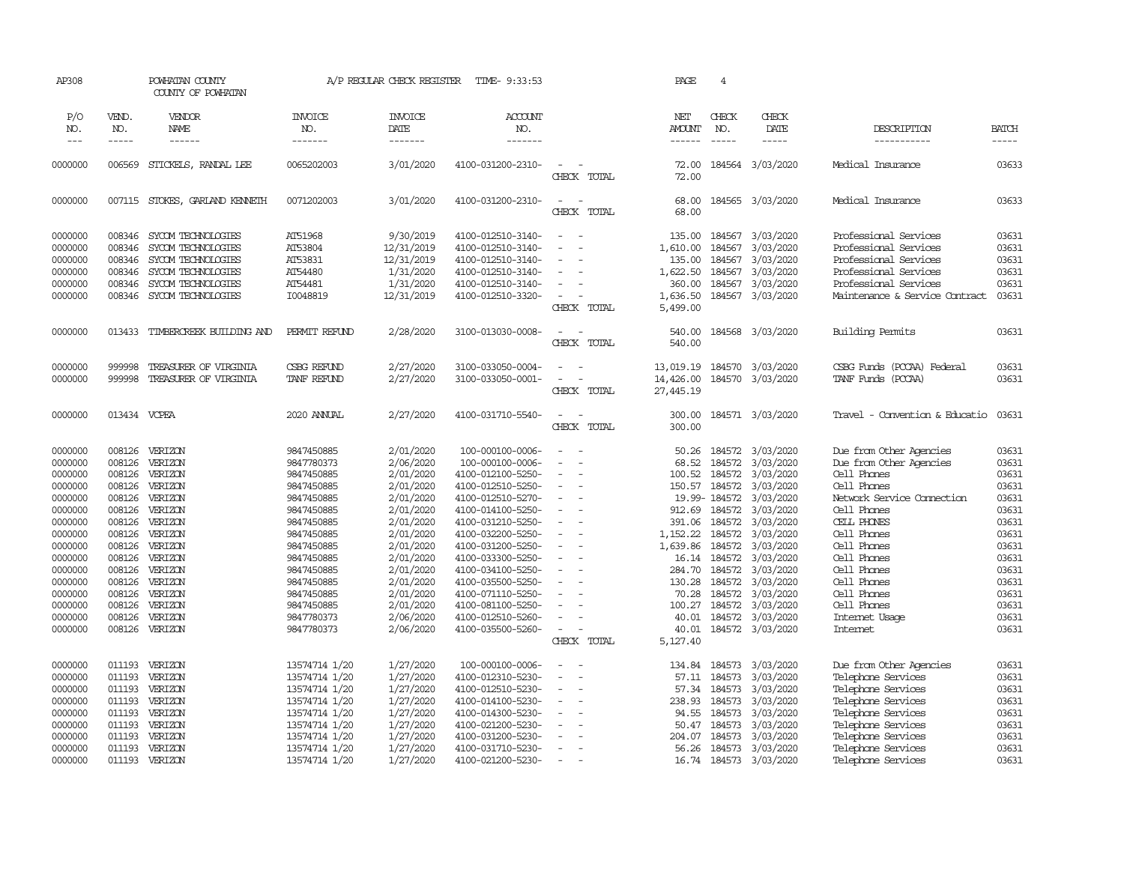| AP308                                                                                                                                                             |                                                                                                                                                    | POWHATAN COUNTY<br>COUNTY OF POWHATAN                                                                                                                             |                                                                                                                                                                                                                | A/P REGULAR CHECK REGISTER                                                                                                                                                                      | TIME- 9:33:53                                                                                                                                                                                                                                                                                                         |                                                                                                                                      | PAGE                                                                                                                          | $\overline{4}$                                                                                                                                                  |                                                                                                                                                                                                 |                                                                                                                                                                                                                                                                         |                                                                                                                                     |
|-------------------------------------------------------------------------------------------------------------------------------------------------------------------|----------------------------------------------------------------------------------------------------------------------------------------------------|-------------------------------------------------------------------------------------------------------------------------------------------------------------------|----------------------------------------------------------------------------------------------------------------------------------------------------------------------------------------------------------------|-------------------------------------------------------------------------------------------------------------------------------------------------------------------------------------------------|-----------------------------------------------------------------------------------------------------------------------------------------------------------------------------------------------------------------------------------------------------------------------------------------------------------------------|--------------------------------------------------------------------------------------------------------------------------------------|-------------------------------------------------------------------------------------------------------------------------------|-----------------------------------------------------------------------------------------------------------------------------------------------------------------|-------------------------------------------------------------------------------------------------------------------------------------------------------------------------------------------------|-------------------------------------------------------------------------------------------------------------------------------------------------------------------------------------------------------------------------------------------------------------------------|-------------------------------------------------------------------------------------------------------------------------------------|
| P/O<br>NO.<br>$---$                                                                                                                                               | VEND.<br>NO.<br>$- - - - -$                                                                                                                        | VENDOR<br>NAME<br>------                                                                                                                                          | <b>INVOICE</b><br>NO.<br>-------                                                                                                                                                                               | <b>INVOICE</b><br>DATE<br>-------                                                                                                                                                               | <b>ACCOUNT</b><br>NO.<br>-------                                                                                                                                                                                                                                                                                      |                                                                                                                                      | NET<br><b>AMOUNT</b><br>------                                                                                                | CHECK<br>NO.<br>$\frac{1}{2}$                                                                                                                                   | CHECK<br>DATE<br>-----                                                                                                                                                                          | DESCRIPTION<br>-----------                                                                                                                                                                                                                                              | <b>BATCH</b><br>$- - - - -$                                                                                                         |
| 0000000                                                                                                                                                           | 006569                                                                                                                                             | STICKELS, RANDAL LEE                                                                                                                                              | 0065202003                                                                                                                                                                                                     | 3/01/2020                                                                                                                                                                                       | 4100-031200-2310-                                                                                                                                                                                                                                                                                                     | $\equiv$<br>CHECK TOTAL                                                                                                              | 72.00<br>72.00                                                                                                                |                                                                                                                                                                 | 184564 3/03/2020                                                                                                                                                                                | Medical Insurance                                                                                                                                                                                                                                                       | 03633                                                                                                                               |
| 0000000                                                                                                                                                           |                                                                                                                                                    | 007115 STOKES, GARLAND KENNETH                                                                                                                                    | 0071202003                                                                                                                                                                                                     | 3/01/2020                                                                                                                                                                                       | 4100-031200-2310-                                                                                                                                                                                                                                                                                                     | $\sim$<br>$\sim$<br>CHECK TOTAL                                                                                                      | 68.00<br>68.00                                                                                                                |                                                                                                                                                                 | 184565 3/03/2020                                                                                                                                                                                | Medical Insurance                                                                                                                                                                                                                                                       | 03633                                                                                                                               |
| 0000000<br>0000000<br>0000000<br>0000000<br>0000000<br>0000000                                                                                                    | 008346<br>008346<br>008346<br>008346<br>008346<br>008346                                                                                           | SYCOM TECHNOLOGIES<br>SYCOM TECHNOLOGIES<br>SYCOM TECHNOLOGIES<br>SYCOM TECHNOLOGIES<br>SYCOM TECHNOLOGIES<br>SYCOM TECHNOLOGIES                                  | AT51968<br>AT53804<br>AT53831<br>AT54480<br>AT54481<br>I0048819                                                                                                                                                | 9/30/2019<br>12/31/2019<br>12/31/2019<br>1/31/2020<br>1/31/2020<br>12/31/2019                                                                                                                   | 4100-012510-3140-<br>4100-012510-3140-<br>4100-012510-3140-<br>4100-012510-3140-<br>4100-012510-3140-<br>4100-012510-3320-                                                                                                                                                                                            | $\equiv$<br>$\overline{a}$<br>$\equiv$<br>$\sim$<br>CHECK TOTAL                                                                      | 135.00<br>1,610.00<br>135.00<br>1,622.50<br>360.00<br>1,636.50<br>5,499.00                                                    | 184567<br>184567<br>184567<br>184567<br>184567<br>184567                                                                                                        | 3/03/2020<br>3/03/2020<br>3/03/2020<br>3/03/2020<br>3/03/2020<br>3/03/2020                                                                                                                      | Professional Services<br>Professional Services<br>Professional Services<br>Professional Services<br>Professional Services<br>Maintenance & Service Contract                                                                                                             | 03631<br>03631<br>03631<br>03631<br>03631<br>03631                                                                                  |
| 0000000                                                                                                                                                           |                                                                                                                                                    | 013433 TIMBERCREEK BUILDING AND                                                                                                                                   | PERMIT REFUND                                                                                                                                                                                                  | 2/28/2020                                                                                                                                                                                       | 3100-013030-0008-                                                                                                                                                                                                                                                                                                     | $\sim$<br>$\sim$<br>CHECK TOTAL                                                                                                      | 540.00<br>540.00                                                                                                              |                                                                                                                                                                 | 184568 3/03/2020                                                                                                                                                                                | <b>Building Permits</b>                                                                                                                                                                                                                                                 | 03631                                                                                                                               |
| 0000000<br>0000000                                                                                                                                                | 999998<br>999998                                                                                                                                   | TREASURER OF VIRGINIA<br>TREASURER OF VIRGINIA                                                                                                                    | CSBG REFUND<br>TANF REFUND                                                                                                                                                                                     | 2/27/2020<br>2/27/2020                                                                                                                                                                          | 3100-033050-0004-<br>3100-033050-0001-                                                                                                                                                                                                                                                                                | $\sim$<br>$\overline{\phantom{a}}$<br>CHECK TOTAL                                                                                    | 13,019.19<br>14,426.00<br>27,445.19                                                                                           |                                                                                                                                                                 | 184570 3/03/2020<br>184570 3/03/2020                                                                                                                                                            | CSBG Funds (PCCAA) Federal<br>TANF Funds (PCCAA)                                                                                                                                                                                                                        | 03631<br>03631                                                                                                                      |
| 0000000                                                                                                                                                           | 013434 VCPEA                                                                                                                                       |                                                                                                                                                                   | 2020 ANNUAL                                                                                                                                                                                                    | 2/27/2020                                                                                                                                                                                       | 4100-031710-5540-                                                                                                                                                                                                                                                                                                     | $\sim$<br>CHECK TOTAL                                                                                                                | 300.00<br>300.00                                                                                                              |                                                                                                                                                                 | 184571 3/03/2020                                                                                                                                                                                | Travel - Convention & Educatio                                                                                                                                                                                                                                          | 03631                                                                                                                               |
| 0000000<br>0000000<br>0000000<br>0000000<br>0000000<br>0000000<br>0000000<br>0000000<br>0000000<br>0000000<br>0000000<br>0000000<br>0000000<br>0000000<br>0000000 | 008126<br>008126<br>008126<br>008126<br>008126<br>008126<br>008126<br>008126<br>008126<br>008126<br>008126<br>008126<br>008126<br>008126<br>008126 | VERIZON<br>VERIZON<br>VERIZON<br>VERIZON<br>VERIZON<br>VERIZON<br>VERIZON<br>VERIZON<br>VERIZON<br>VERIZON<br>VERIZON<br>VERIZON<br>VERIZON<br>VERIZON<br>VERIZON | 9847450885<br>9847780373<br>9847450885<br>9847450885<br>9847450885<br>9847450885<br>9847450885<br>9847450885<br>9847450885<br>9847450885<br>9847450885<br>9847450885<br>9847450885<br>9847450885<br>9847780373 | 2/01/2020<br>2/06/2020<br>2/01/2020<br>2/01/2020<br>2/01/2020<br>2/01/2020<br>2/01/2020<br>2/01/2020<br>2/01/2020<br>2/01/2020<br>2/01/2020<br>2/01/2020<br>2/01/2020<br>2/01/2020<br>2/06/2020 | 100-000100-0006-<br>100-000100-0006-<br>4100-012100-5250-<br>4100-012510-5250-<br>4100-012510-5270-<br>4100-014100-5250-<br>4100-031210-5250-<br>4100-032200-5250-<br>4100-031200-5250-<br>4100-033300-5250-<br>4100-034100-5250-<br>4100-035500-5250-<br>4100-071110-5250-<br>4100-081100-5250-<br>4100-012510-5260- | $\sim$<br>$\overline{\phantom{a}}$<br>$\equiv$<br>$\equiv$<br>$\equiv$<br>$\sim$<br>$\equiv$<br>$\sim$<br>$\overline{a}$<br>$\equiv$ | 50.26<br>68.52<br>100.52<br>150.57<br>391.06<br>1,152.22<br>1,639.86<br>16.14<br>284.70<br>130.28<br>70.28<br>100.27<br>40.01 | 184572<br>184572<br>184572<br>184572<br>19.99-184572<br>912.69 184572<br>184572<br>184572<br>184572<br>184572<br>184572<br>184572<br>184572<br>184572<br>184572 | 3/03/2020<br>3/03/2020<br>3/03/2020<br>3/03/2020<br>3/03/2020<br>3/03/2020<br>3/03/2020<br>3/03/2020<br>3/03/2020<br>3/03/2020<br>3/03/2020<br>3/03/2020<br>3/03/2020<br>3/03/2020<br>3/03/2020 | Due from Other Agencies<br>Due from Other Agencies<br>Cell Phones<br>Cell Phones<br>Network Service Connection<br>Cell Phones<br>CELL PHONES<br>Cell Phones<br>Cell Phones<br>Cell Phones<br>Cell Phones<br>Cell Phones<br>Cell Phones<br>Cell Phones<br>Internet Usage | 03631<br>03631<br>03631<br>03631<br>03631<br>03631<br>03631<br>03631<br>03631<br>03631<br>03631<br>03631<br>03631<br>03631<br>03631 |
| 0000000                                                                                                                                                           | 008126                                                                                                                                             | VERIZON                                                                                                                                                           | 9847780373                                                                                                                                                                                                     | 2/06/2020                                                                                                                                                                                       | 4100-035500-5260-                                                                                                                                                                                                                                                                                                     | $\overline{\phantom{a}}$<br>CHECK TOTAL                                                                                              | 40.01<br>5,127.40                                                                                                             |                                                                                                                                                                 | 184572 3/03/2020                                                                                                                                                                                | Internet                                                                                                                                                                                                                                                                | 03631                                                                                                                               |
| 0000000<br>0000000<br>0000000<br>0000000<br>0000000<br>0000000<br>0000000<br>0000000<br>0000000                                                                   | 011193<br>011193<br>011193<br>011193<br>011193<br>011193<br>011193<br>011193                                                                       | VERIZON<br>VERIZON<br>VERIZON<br>VERIZON<br>VERIZON<br>VERIZON<br>VERIZON<br>VERIZON<br>011193 VERIZON                                                            | 13574714 1/20<br>13574714 1/20<br>13574714 1/20<br>13574714 1/20<br>13574714 1/20<br>13574714 1/20<br>13574714 1/20<br>13574714 1/20<br>13574714 1/20                                                          | 1/27/2020<br>1/27/2020<br>1/27/2020<br>1/27/2020<br>1/27/2020<br>1/27/2020<br>1/27/2020<br>1/27/2020<br>1/27/2020                                                                               | 100-000100-0006-<br>4100-012310-5230-<br>4100-012510-5230-<br>4100-014100-5230-<br>4100-014300-5230-<br>4100-021200-5230-<br>4100-031200-5230-<br>4100-031710-5230-<br>4100-021200-5230-                                                                                                                              | $\equiv$<br>$\equiv$<br>$\sim$<br>$\sim$<br>$\equiv$<br>$\sim$<br>$\overline{\phantom{a}}$                                           | 134.84<br>57.11<br>57.34<br>238.93<br>94.55<br>50.47<br>204.07<br>56.26                                                       | 184573<br>184573<br>184573<br>184573<br>184573<br>184573<br>184573<br>184573                                                                                    | 3/03/2020<br>3/03/2020<br>3/03/2020<br>3/03/2020<br>3/03/2020<br>3/03/2020<br>3/03/2020<br>3/03/2020<br>16.74 184573 3/03/2020                                                                  | Due from Other Agencies<br>Telephone Services<br>Telephone Services<br>Telephone Services<br>Telephone Services<br>Telephone Services<br>Telephone Services<br>Telephone Services<br>Telephone Services                                                                 | 03631<br>03631<br>03631<br>03631<br>03631<br>03631<br>03631<br>03631<br>03631                                                       |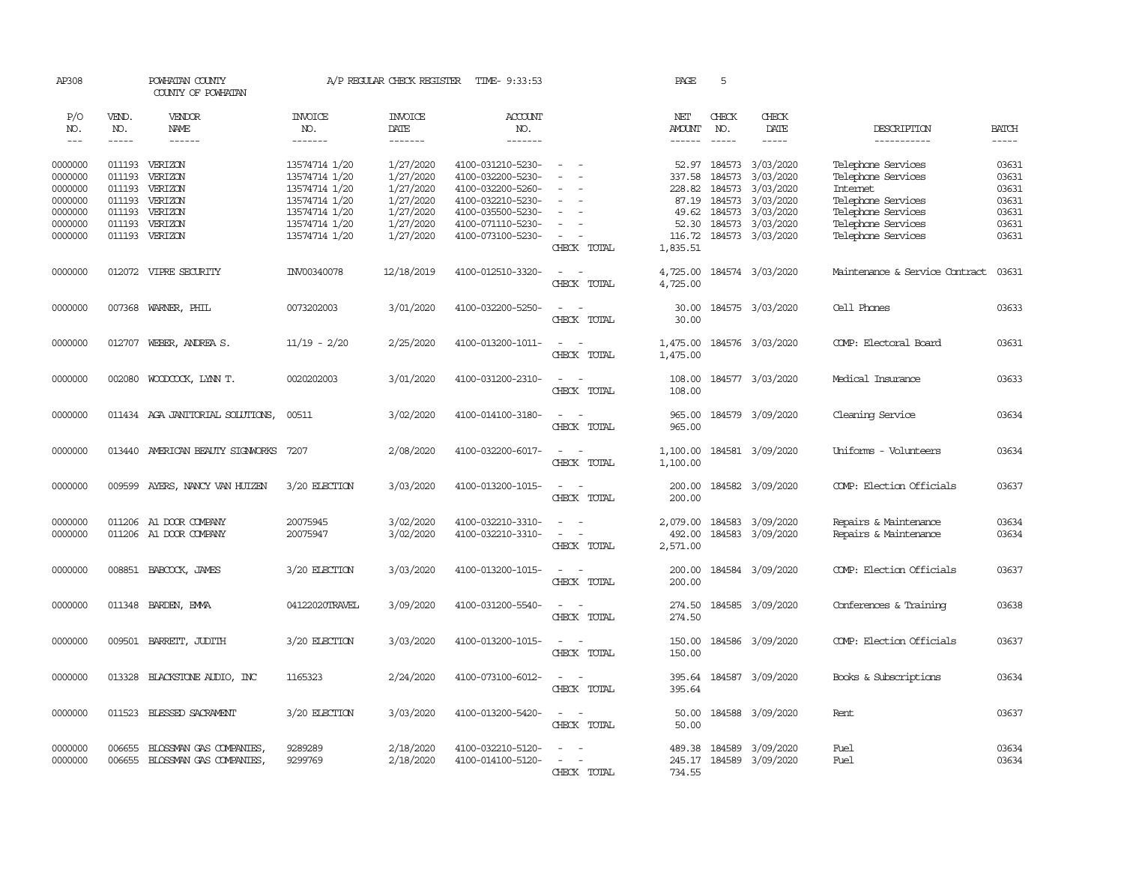| AP308                             |                             | POWHATAN COUNTY<br>COUNTY OF POWHATAN  |                                  | A/P REGULAR CHECK REGISTER         | TIME- 9:33:53                          |                                                                                                                             | PAGE                    | 5                                                                                                                                                                                                                                                                                                                                                                                                            |                              |                                          |                |
|-----------------------------------|-----------------------------|----------------------------------------|----------------------------------|------------------------------------|----------------------------------------|-----------------------------------------------------------------------------------------------------------------------------|-------------------------|--------------------------------------------------------------------------------------------------------------------------------------------------------------------------------------------------------------------------------------------------------------------------------------------------------------------------------------------------------------------------------------------------------------|------------------------------|------------------------------------------|----------------|
| P/O<br>NO.<br>$\qquad \qquad - -$ | VEND.<br>NO.<br>$- - - - -$ | VENDOR<br><b>NAME</b><br>$- - - - - -$ | <b>INVOICE</b><br>NO.<br>------- | <b>INVOICE</b><br>DATE<br>-------- | <b>ACCOUNT</b><br>NO.<br>-------       |                                                                                                                             | NET<br>AMOUNT<br>------ | CHECK<br>NO.<br>$\frac{1}{2} \frac{1}{2} \frac{1}{2} \frac{1}{2} \frac{1}{2} \frac{1}{2} \frac{1}{2} \frac{1}{2} \frac{1}{2} \frac{1}{2} \frac{1}{2} \frac{1}{2} \frac{1}{2} \frac{1}{2} \frac{1}{2} \frac{1}{2} \frac{1}{2} \frac{1}{2} \frac{1}{2} \frac{1}{2} \frac{1}{2} \frac{1}{2} \frac{1}{2} \frac{1}{2} \frac{1}{2} \frac{1}{2} \frac{1}{2} \frac{1}{2} \frac{1}{2} \frac{1}{2} \frac{1}{2} \frac{$ | CHECK<br>DATE<br>$- - - - -$ | DESCRIPTION                              | <b>BATCH</b>   |
|                                   |                             |                                        |                                  |                                    |                                        |                                                                                                                             |                         |                                                                                                                                                                                                                                                                                                                                                                                                              |                              | -----------                              |                |
| 0000000<br>0000000                | 011193                      | 011193 VERIZON<br>VERIZON              | 13574714 1/20<br>13574714 1/20   | 1/27/2020<br>1/27/2020             | 4100-031210-5230-<br>4100-032200-5230- | $\equiv$                                                                                                                    | 337.58                  | 52.97 184573<br>184573                                                                                                                                                                                                                                                                                                                                                                                       | 3/03/2020<br>3/03/2020       | Telephone Services<br>Telephone Services | 03631<br>03631 |
| 0000000                           | 011193                      | VERIZON                                | 13574714 1/20                    | 1/27/2020                          | 4100-032200-5260-                      |                                                                                                                             | 228.82                  | 184573                                                                                                                                                                                                                                                                                                                                                                                                       | 3/03/2020                    | <b>Internet</b>                          | 03631          |
| 0000000                           | 011193                      | VERIZON                                | 13574714 1/20                    | 1/27/2020                          | 4100-032210-5230-                      |                                                                                                                             |                         | 87.19 184573                                                                                                                                                                                                                                                                                                                                                                                                 | 3/03/2020                    | Telephone Services                       | 03631          |
| 0000000                           | 011193                      | VERIZON                                | 13574714 1/20                    | 1/27/2020                          | 4100-035500-5230-                      |                                                                                                                             |                         | 49.62 184573                                                                                                                                                                                                                                                                                                                                                                                                 | 3/03/2020                    | Telephone Services                       | 03631          |
| 0000000                           | 011193                      | VERIZON                                | 13574714 1/20                    | 1/27/2020                          | 4100-071110-5230-                      |                                                                                                                             | 52.30                   | 184573                                                                                                                                                                                                                                                                                                                                                                                                       | 3/03/2020                    | Telephone Services                       | 03631          |
| 0000000                           |                             | 011193 VERIZON                         | 13574714 1/20                    | 1/27/2020                          | 4100-073100-5230-                      | $\sim$                                                                                                                      |                         |                                                                                                                                                                                                                                                                                                                                                                                                              | 116.72 184573 3/03/2020      | Telephone Services                       | 03631          |
|                                   |                             |                                        |                                  |                                    |                                        | CHECK TOTAL                                                                                                                 | 1,835.51                |                                                                                                                                                                                                                                                                                                                                                                                                              |                              |                                          |                |
| 0000000                           |                             | 012072 VIPRE SECURITY                  | INV00340078                      | 12/18/2019                         | 4100-012510-3320-                      | $\overline{\phantom{a}}$<br>$\sim$                                                                                          | 4,725.00                |                                                                                                                                                                                                                                                                                                                                                                                                              | 184574 3/03/2020             | Maintenance & Service Contract           | 03631          |
|                                   |                             |                                        |                                  |                                    |                                        | CHECK TOTAL                                                                                                                 | 4,725.00                |                                                                                                                                                                                                                                                                                                                                                                                                              |                              |                                          |                |
| 0000000                           |                             | 007368 WARNER, PHIL                    | 0073202003                       | 3/01/2020                          | 4100-032200-5250-                      | $\sim$<br>$\sim$                                                                                                            | 30.00                   |                                                                                                                                                                                                                                                                                                                                                                                                              | 184575 3/03/2020             | Cell Phones                              | 03633          |
|                                   |                             |                                        |                                  |                                    |                                        | CHECK TOTAL                                                                                                                 | 30.00                   |                                                                                                                                                                                                                                                                                                                                                                                                              |                              |                                          |                |
| 0000000                           |                             | 012707 WEBER, ANDREA S.                | $11/19 - 2/20$                   | 2/25/2020                          | 4100-013200-1011-                      | $\overline{\phantom{a}}$<br>$\sim$                                                                                          | 1,475.00                |                                                                                                                                                                                                                                                                                                                                                                                                              | 184576 3/03/2020             | COMP: Electoral Board                    | 03631          |
|                                   |                             |                                        |                                  |                                    |                                        | CHECK TOTAL                                                                                                                 | 1,475.00                |                                                                                                                                                                                                                                                                                                                                                                                                              |                              |                                          |                |
| 0000000                           | 002080                      | WOODCOCK, LYNN T.                      | 0020202003                       | 3/01/2020                          | 4100-031200-2310-                      | $\frac{1}{2} \left( \frac{1}{2} \right) \left( \frac{1}{2} \right) = \frac{1}{2} \left( \frac{1}{2} \right)$                | 108.00                  |                                                                                                                                                                                                                                                                                                                                                                                                              | 184577 3/03/2020             | Medical Insurance                        | 03633          |
|                                   |                             |                                        |                                  |                                    |                                        | CHECK TOTAL                                                                                                                 | 108.00                  |                                                                                                                                                                                                                                                                                                                                                                                                              |                              |                                          |                |
| 0000000                           |                             | 011434 AGA JANITORIAL SOLUTIONS,       | 00511                            | 3/02/2020                          | 4100-014100-3180-                      | $\frac{1}{2} \left( \frac{1}{2} \right) \left( \frac{1}{2} \right) = \frac{1}{2} \left( \frac{1}{2} \right)$<br>CHECK TOTAL | 965.00<br>965.00        |                                                                                                                                                                                                                                                                                                                                                                                                              | 184579 3/09/2020             | Cleaning Service                         | 03634          |
|                                   |                             |                                        |                                  |                                    |                                        |                                                                                                                             |                         |                                                                                                                                                                                                                                                                                                                                                                                                              |                              |                                          |                |
| 0000000                           | 013440                      | AMERICAN BEAUTY SIGNWORKS              | 7207                             | 2/08/2020                          | 4100-032200-6017-                      | $\sim$<br>$\sim$<br>CHECK TOTAL                                                                                             | 1,100.00<br>1,100.00    |                                                                                                                                                                                                                                                                                                                                                                                                              | 184581 3/09/2020             | Uniforms - Volunteers                    | 03634          |
|                                   |                             |                                        |                                  |                                    |                                        |                                                                                                                             |                         |                                                                                                                                                                                                                                                                                                                                                                                                              |                              |                                          |                |
| 0000000                           | 009599                      | AYERS, NANCY VAN HUIZEN                | 3/20 ELECTION                    | 3/03/2020                          | 4100-013200-1015-                      | $\sim$<br>$\sim$<br>CHECK TOTAL                                                                                             | 200.00<br>200.00        |                                                                                                                                                                                                                                                                                                                                                                                                              | 184582 3/09/2020             | COMP: Election Officials                 | 03637          |
|                                   |                             |                                        |                                  |                                    |                                        |                                                                                                                             |                         |                                                                                                                                                                                                                                                                                                                                                                                                              |                              |                                          |                |
| 0000000                           |                             | 011206 A1 DOOR COMPANY                 | 20075945                         | 3/02/2020                          | 4100-032210-3310-                      | $\sim$<br>$\sim$                                                                                                            | 2,079.00                |                                                                                                                                                                                                                                                                                                                                                                                                              | 184583 3/09/2020             | Repairs & Maintenance                    | 03634          |
| 0000000                           |                             | 011206 A1 DOOR COMPANY                 | 20075947                         | 3/02/2020                          | 4100-032210-3310-                      | $\sim$                                                                                                                      | 492.00                  |                                                                                                                                                                                                                                                                                                                                                                                                              | 184583 3/09/2020             | Repairs & Maintenance                    | 03634          |
|                                   |                             |                                        |                                  |                                    |                                        | CHECK TOTAL                                                                                                                 | 2,571.00                |                                                                                                                                                                                                                                                                                                                                                                                                              |                              |                                          |                |
| 0000000                           |                             | 008851 BABCOCK, JAMES                  | 3/20 ELECTION                    | 3/03/2020                          | 4100-013200-1015-                      | $\sim$ $\sim$                                                                                                               | 200.00                  |                                                                                                                                                                                                                                                                                                                                                                                                              | 184584 3/09/2020             | COMP: Election Officials                 | 03637          |
|                                   |                             |                                        |                                  |                                    |                                        | CHECK TOTAL                                                                                                                 | 200.00                  |                                                                                                                                                                                                                                                                                                                                                                                                              |                              |                                          |                |
| 0000000                           | 011348                      | BARDEN, EMMA                           | 04122020TRAVEL                   | 3/09/2020                          | 4100-031200-5540-                      | $\overline{\phantom{a}}$<br>$\sim$                                                                                          | 274.50                  |                                                                                                                                                                                                                                                                                                                                                                                                              | 184585 3/09/2020             | Conferences & Training                   | 03638          |
|                                   |                             |                                        |                                  |                                    |                                        | CHECK TOTAL                                                                                                                 | 274.50                  |                                                                                                                                                                                                                                                                                                                                                                                                              |                              |                                          |                |
| 0000000                           |                             | 009501 BARRETT, JUDITH                 | 3/20 ELECTION                    | 3/03/2020                          | 4100-013200-1015-                      | $\sim$<br>$\sim$                                                                                                            |                         |                                                                                                                                                                                                                                                                                                                                                                                                              | 150.00 184586 3/09/2020      | COMP: Election Officials                 | 03637          |
|                                   |                             |                                        |                                  |                                    |                                        | CHECK TOTAL                                                                                                                 | 150.00                  |                                                                                                                                                                                                                                                                                                                                                                                                              |                              |                                          |                |
| 0000000                           | 013328                      | BLACKSTONE AUDIO, INC                  | 1165323                          | 2/24/2020                          | 4100-073100-6012-                      | $\sim$ $\sim$                                                                                                               | 395.64                  |                                                                                                                                                                                                                                                                                                                                                                                                              | 184587 3/09/2020             | Books & Subscriptions                    | 03634          |
|                                   |                             |                                        |                                  |                                    |                                        | CHECK TOTAL                                                                                                                 | 395.64                  |                                                                                                                                                                                                                                                                                                                                                                                                              |                              |                                          |                |
| 0000000                           | 011523                      | BLESSED SACRAMENT                      | 3/20 ELECTION                    | 3/03/2020                          | 4100-013200-5420-                      | $\frac{1}{2} \left( \frac{1}{2} \right) \left( \frac{1}{2} \right) = \frac{1}{2} \left( \frac{1}{2} \right)$                | 50.00                   |                                                                                                                                                                                                                                                                                                                                                                                                              | 184588 3/09/2020             | Rent                                     | 03637          |
|                                   |                             |                                        |                                  |                                    |                                        | CHECK TOTAL                                                                                                                 | 50.00                   |                                                                                                                                                                                                                                                                                                                                                                                                              |                              |                                          |                |
| 0000000                           | 006655                      | BLOSSMAN GAS COMPANIES,                | 9289289                          | 2/18/2020                          | 4100-032210-5120-                      |                                                                                                                             | 489.38                  |                                                                                                                                                                                                                                                                                                                                                                                                              | 184589 3/09/2020             | Fuel                                     | 03634          |
| 0000000                           |                             | 006655 BLOSSMAN GAS COMPANIES,         | 9299769                          | 2/18/2020                          | 4100-014100-5120-                      | $\sim$                                                                                                                      |                         |                                                                                                                                                                                                                                                                                                                                                                                                              | 245.17 184589 3/09/2020      | Fuel                                     | 03634          |
|                                   |                             |                                        |                                  |                                    |                                        | CHECK TOTAL                                                                                                                 | 734.55                  |                                                                                                                                                                                                                                                                                                                                                                                                              |                              |                                          |                |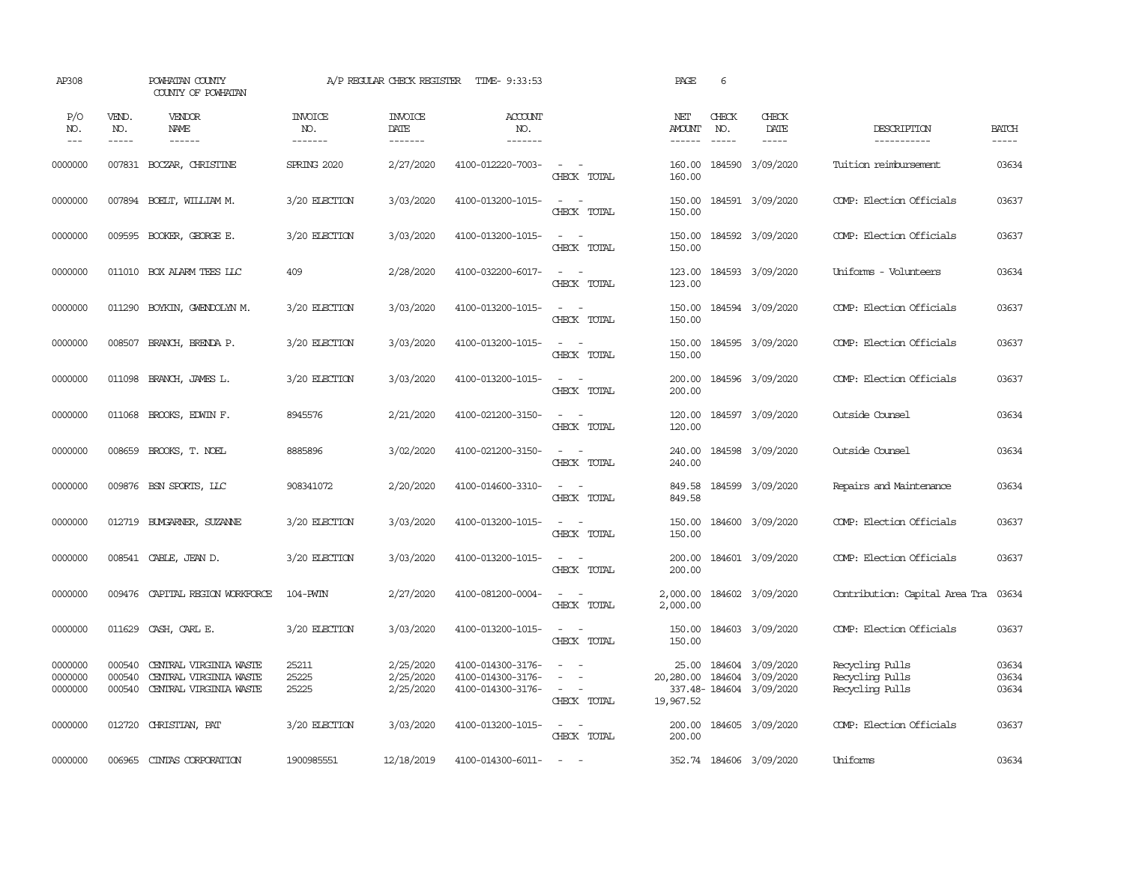| AP308                         |                            | POWHATAN COUNTY<br>COUNTY OF POWHATAN                                      |                                  | A/P REGULAR CHECK REGISTER          | TIME- 9:33:53                                               |                                                                                                                             | PAGE                            | 6                             |                                                                 |                                                       |                         |
|-------------------------------|----------------------------|----------------------------------------------------------------------------|----------------------------------|-------------------------------------|-------------------------------------------------------------|-----------------------------------------------------------------------------------------------------------------------------|---------------------------------|-------------------------------|-----------------------------------------------------------------|-------------------------------------------------------|-------------------------|
| P/O<br>NO.<br>$--$            | VEND.<br>NO.<br>-----      | VENDOR<br>NAME<br>$- - - - - -$                                            | <b>INVOICE</b><br>NO.<br>------- | <b>INVOICE</b><br>DATE<br>-------   | <b>ACCOUNT</b><br>NO.<br>-------                            |                                                                                                                             | NET<br>AMOUNT<br>$- - - - - -$  | CHECK<br>NO.<br>$\frac{1}{2}$ | CHECK<br>DATE<br>-----                                          | DESCRIPTION<br>-----------                            | <b>BATCH</b><br>-----   |
| 0000000                       |                            | 007831 BOCZAR, CHRISTINE                                                   | SPRING 2020                      | 2/27/2020                           | 4100-012220-7003-                                           | $\sim$ $\sim$<br>CHECK TOTAL                                                                                                | 160.00<br>160.00                | 184590                        | 3/09/2020                                                       | Tuition reimbursement                                 | 03634                   |
| 0000000                       |                            | 007894 BOELT, WILLIAM M.                                                   | 3/20 ELECTION                    | 3/03/2020                           | 4100-013200-1015-                                           | $\sim$ $ -$<br>CHECK TOTAL                                                                                                  | 150.00<br>150.00                |                               | 184591 3/09/2020                                                | COMP: Election Officials                              | 03637                   |
| 0000000                       | 009595                     | BOOKER, GEORGE E.                                                          | 3/20 ELECTION                    | 3/03/2020                           | 4100-013200-1015-                                           | $\sim$<br>$\sim$ $-$<br>CHECK TOTAL                                                                                         | 150.00<br>150.00                |                               | 184592 3/09/2020                                                | COMP: Election Officials                              | 03637                   |
| 0000000                       |                            | 011010 BOX ALARM TEES LLC                                                  | 409                              | 2/28/2020                           | 4100-032200-6017-                                           | $\sim$ 100 $\sim$<br>CHECK TOTAL                                                                                            | 123.00<br>123.00                |                               | 184593 3/09/2020                                                | Uniforms - Volunteers                                 | 03634                   |
| 0000000                       | 011290                     | BOYKIN, GWENDOLYN M.                                                       | 3/20 ELECTION                    | 3/03/2020                           | 4100-013200-1015-                                           | $\sim$<br>$\sim$ $-$<br>CHECK TOTAL                                                                                         | 150.00<br>150.00                |                               | 184594 3/09/2020                                                | COMP: Election Officials                              | 03637                   |
| 0000000                       | 008507                     | BRANCH, BRENDA P.                                                          | 3/20 ELECTION                    | 3/03/2020                           | 4100-013200-1015-                                           | $\sim$ $ -$<br>CHECK TOTAL                                                                                                  | 150.00<br>150.00                |                               | 184595 3/09/2020                                                | COMP: Election Officials                              | 03637                   |
| 0000000                       | 011098                     | BRANCH, JAMES L.                                                           | 3/20 ELECTION                    | 3/03/2020                           | 4100-013200-1015-                                           | $\sim$<br>$\sim$<br>CHECK TOTAL                                                                                             | 200.00<br>200.00                |                               | 184596 3/09/2020                                                | COMP: Election Officials                              | 03637                   |
| 0000000                       |                            | 011068 BROOKS, EDWIN F.                                                    | 8945576                          | 2/21/2020                           | 4100-021200-3150-                                           | $\sim$ $ -$<br>CHECK TOTAL                                                                                                  | 120.00<br>120.00                |                               | 184597 3/09/2020                                                | Outside Counsel                                       | 03634                   |
| 0000000                       |                            | 008659 BROOKS, T. NOEL                                                     | 8885896                          | 3/02/2020                           | 4100-021200-3150-                                           | $\sim$ $ -$<br>CHECK TOTAL                                                                                                  | 240.00<br>240.00                |                               | 184598 3/09/2020                                                | Outside Counsel                                       | 03634                   |
| 0000000                       |                            | 009876 BSN SPORTS, LLC                                                     | 908341072                        | 2/20/2020                           | 4100-014600-3310-                                           | $\sim$ $ -$<br>CHECK TOTAL                                                                                                  | 849.58<br>849.58                |                               | 184599 3/09/2020                                                | Repairs and Maintenance                               | 03634                   |
| 0000000                       |                            | 012719 BUNGARNER, SUZANNE                                                  | 3/20 ELECTION                    | 3/03/2020                           | 4100-013200-1015-                                           | $\sim$ $ \sim$<br>CHECK TOTAL                                                                                               | 150.00<br>150.00                |                               | 184600 3/09/2020                                                | COMP: Election Officials                              | 03637                   |
| 0000000                       |                            | 008541 CABLE, JEAN D.                                                      | 3/20 ELECTION                    | 3/03/2020                           | 4100-013200-1015-                                           | $\sim$ $ \sim$<br>CHECK TOTAL                                                                                               | 200.00<br>200.00                |                               | 184601 3/09/2020                                                | COMP: Election Officials                              | 03637                   |
| 0000000                       | 009476                     | CAPITAL REGION WORKFORCE                                                   | 104-PWIN                         | 2/27/2020                           | 4100-081200-0004-                                           | $\frac{1}{2} \left( \frac{1}{2} \right) \left( \frac{1}{2} \right) = \frac{1}{2} \left( \frac{1}{2} \right)$<br>CHECK TOTAL | 2,000.00<br>2,000.00            |                               | 184602 3/09/2020                                                | Contribution: Capital Area Tra                        | 03634                   |
| 0000000                       | 011629                     | CASH, CARL E.                                                              | 3/20 ELECTION                    | 3/03/2020                           | 4100-013200-1015-                                           | $\overline{\phantom{a}}$<br>CHECK TOTAL                                                                                     | 150.00<br>150.00                |                               | 184603 3/09/2020                                                | COMP: Election Officials                              | 03637                   |
| 0000000<br>0000000<br>0000000 | 000540<br>000540<br>000540 | CENTRAL VIRGINIA WASTE<br>CENTRAL VIRGINIA WASTE<br>CENTRAL VIRGINIA WASTE | 25211<br>25225<br>25225          | 2/25/2020<br>2/25/2020<br>2/25/2020 | 4100-014300-3176-<br>4100-014300-3176-<br>4100-014300-3176- | $\sim$<br>$\sim$<br>$\sim$<br>$\overline{\phantom{a}}$<br>CHECK TOTAL                                                       | 25.00<br>20,280.00<br>19,967.52 |                               | 184604 3/09/2020<br>184604 3/09/2020<br>337.48-184604 3/09/2020 | Recycling Pulls<br>Recycling Pulls<br>Recycling Pulls | 03634<br>03634<br>03634 |
| 0000000                       |                            | 012720 CHRISTIAN, PAT                                                      | 3/20 ELECTION                    | 3/03/2020                           | 4100-013200-1015-                                           | $\sim$ $ -$<br>CHECK TOTAL                                                                                                  | 200.00<br>200.00                |                               | 184605 3/09/2020                                                | COMP: Election Officials                              | 03637                   |
| 0000000                       | 006965                     | CINIAS CORPORATION                                                         | 1900985551                       | 12/18/2019                          | 4100-014300-6011-                                           | -- -                                                                                                                        |                                 |                               | 352.74 184606 3/09/2020                                         | Uniforms                                              | 03634                   |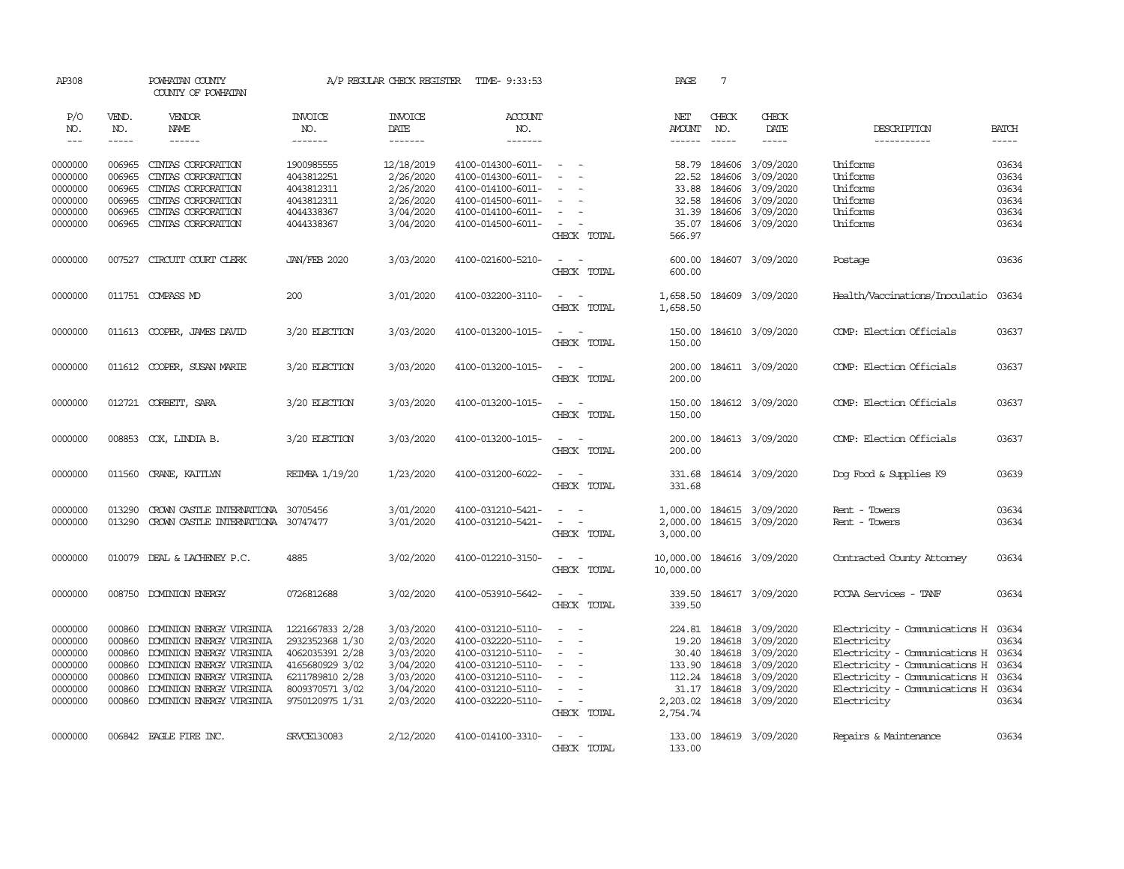| AP308                       |                       | POWHATAN COUNTY<br>COUNTY OF POWHATAN                                    |                                  | A/P REGULAR CHECK REGISTER        | TIME- 9:33:53                          |                                                                                                                             | PAGE                           | $7\phantom{.0}$               |                                      |                                     |                             |
|-----------------------------|-----------------------|--------------------------------------------------------------------------|----------------------------------|-----------------------------------|----------------------------------------|-----------------------------------------------------------------------------------------------------------------------------|--------------------------------|-------------------------------|--------------------------------------|-------------------------------------|-----------------------------|
| P/O<br>NO.<br>$\frac{1}{2}$ | VEND.<br>NO.<br>----- | VENDOR<br>NAME<br>$- - - - - -$                                          | <b>INVOICE</b><br>NO.<br>------- | <b>INVOICE</b><br>DATE<br>------- | ACCOUNT<br>NO.<br>-------              |                                                                                                                             | NET<br>AMOUNT<br>$- - - - - -$ | CHECK<br>NO.<br>$\frac{1}{2}$ | CHECK<br>DATE<br>$- - - - -$         | DESCRIPTION<br>-----------          | <b>BATCH</b><br>$- - - - -$ |
| 0000000                     | 006965                | CINIAS CORPORATION                                                       | 1900985555                       | 12/18/2019                        | 4100-014300-6011-                      | $\overline{\phantom{a}}$                                                                                                    | 58.79                          | 184606                        | 3/09/2020                            | Uniforms                            | 03634                       |
| 0000000                     | 006965                | CINIAS CORPORATION                                                       | 4043812251                       | 2/26/2020                         | 4100-014300-6011-                      |                                                                                                                             | 22.52                          | 184606                        | 3/09/2020                            | Uniforms                            | 03634                       |
| 0000000                     | 006965                | CINIAS CORPORATION                                                       | 4043812311                       | 2/26/2020                         | 4100-014100-6011-                      | $\equiv$                                                                                                                    | 33.88                          | 184606                        | 3/09/2020                            | Uniforms                            | 03634                       |
| 0000000                     | 006965                | CINIAS CORPORATION                                                       | 4043812311                       | 2/26/2020                         | 4100-014500-6011-                      |                                                                                                                             | 32.58                          | 184606                        | 3/09/2020                            | Uniforms                            | 03634                       |
| 0000000                     | 006965                | CINIAS CORPORATION                                                       | 4044338367                       | 3/04/2020                         | 4100-014100-6011-                      |                                                                                                                             | 31.39                          | 184606                        | 3/09/2020                            | Uniforms                            | 03634                       |
| 0000000                     | 006965                | CINIAS CORPORATION                                                       | 4044338367                       | 3/04/2020                         | 4100-014500-6011-                      | $\sim$<br>CHECK TOTAL                                                                                                       | 35.07<br>566.97                |                               | 184606 3/09/2020                     | Uniforms                            | 03634                       |
| 0000000                     | 007527                | CIRCUIT COURT CLERK                                                      | <b>JAN/FEB 2020</b>              | 3/03/2020                         | 4100-021600-5210-                      | $\sim$<br>$\sim$<br>CHECK TOTAL                                                                                             | 600.00<br>600.00               |                               | 184607 3/09/2020                     | Postage                             | 03636                       |
| 0000000                     |                       | 011751 COMPASS MD                                                        | 200                              | 3/01/2020                         | 4100-032200-3110-                      | $\sim$ $ \sim$<br>CHECK TOTAL                                                                                               | 1,658.50<br>1,658.50           |                               | 184609 3/09/2020                     | Health/Vaccinations/Inoculatio      | 03634                       |
| 0000000                     |                       | 011613 COOPER, JAMES DAVID                                               | 3/20 ELECTION                    | 3/03/2020                         | 4100-013200-1015-                      | $\sim$ $\sim$<br>CHECK TOTAL                                                                                                | 150.00<br>150.00               |                               | 184610 3/09/2020                     | COMP: Election Officials            | 03637                       |
| 0000000                     |                       | 011612 COOPER, SUSAN MARIE                                               | 3/20 ELECTION                    | 3/03/2020                         | 4100-013200-1015-                      | $\omega_{\rm{max}}$ and $\omega_{\rm{max}}$<br>CHECK TOTAL                                                                  | 200.00                         |                               | 200.00 184611 3/09/2020              | COMP: Election Officials            | 03637                       |
| 0000000                     |                       | 012721 CORBETT, SARA                                                     | 3/20 ELECTION                    | 3/03/2020                         | 4100-013200-1015-                      | $\sim$ $ \sim$<br>CHECK TOTAL                                                                                               | 150.00<br>150.00               |                               | 184612 3/09/2020                     | COMP: Election Officials            | 03637                       |
| 0000000                     |                       | 008853 COX, LINDIA B.                                                    | 3/20 ELECTION                    | 3/03/2020                         | 4100-013200-1015-                      | $\frac{1}{2} \left( \frac{1}{2} \right) \left( \frac{1}{2} \right) = \frac{1}{2} \left( \frac{1}{2} \right)$<br>CHECK TOTAL | 200.00<br>200.00               |                               | 184613 3/09/2020                     | COMP: Election Officials            | 03637                       |
| 0000000                     | 011560                | CRANE, KAITLYN                                                           | REIMBA 1/19/20                   | 1/23/2020                         | 4100-031200-6022-                      | $\sim$<br>$\sim$<br>CHECK TOTAL                                                                                             | 331.68<br>331.68               |                               | 184614 3/09/2020                     | Dog Food & Supplies K9              | 03639                       |
| 0000000<br>0000000          | 013290<br>013290      | CROWN CASTLE INTERNATIONA 30705456<br>CROWN CASTLE INTERNATIONA 30747477 |                                  | 3/01/2020<br>3/01/2020            | 4100-031210-5421-<br>4100-031210-5421- | $\overline{\phantom{a}}$<br>$\sim$<br>$\sim$<br>$\sim$                                                                      | 1,000.00<br>2,000.00           |                               | 184615 3/09/2020<br>184615 3/09/2020 | Rent - Towers<br>Rent - Towers      | 03634<br>03634              |
|                             |                       |                                                                          |                                  |                                   |                                        | CHECK TOTAL                                                                                                                 | 3,000.00                       |                               |                                      |                                     |                             |
| 0000000                     |                       | 010079 DEAL & LACHENEY P.C.                                              | 4885                             | 3/02/2020                         | 4100-012210-3150-                      | $\sim$ $ -$<br>CHECK TOTAL                                                                                                  | 10,000.00<br>10,000.00         |                               | 184616 3/09/2020                     | Contracted County Attorney          | 03634                       |
| 0000000                     |                       | 008750 DOMINION ENERGY                                                   | 0726812688                       | 3/02/2020                         | 4100-053910-5642-                      | $\sim$ $\sim$<br>CHECK TOTAL                                                                                                | 339.50<br>339.50               |                               | 184617 3/09/2020                     | PCCAA Services - TANF               | 03634                       |
| 0000000                     | 000860                | DOMINION ENERGY VIRGINIA                                                 | 1221667833 2/28                  | 3/03/2020                         | 4100-031210-5110-                      | $\sim$<br>$\sim$                                                                                                            |                                |                               | 224.81 184618 3/09/2020              | Electricity - Comunications H 03634 |                             |
| 0000000                     | 000860                | DOMINION ENERGY VIRGINIA                                                 | 2932352368 1/30                  | 2/03/2020                         | 4100-032220-5110-                      | $\sim$<br>$\sim$                                                                                                            | 19.20                          | 184618                        | 3/09/2020                            | Electricity                         | 03634                       |
| 0000000                     | 000860                | DOMINION ENERGY VIRGINIA                                                 | 4062035391 2/28                  | 3/03/2020                         | 4100-031210-5110-                      | $\equiv$                                                                                                                    | 30.40                          | 184618                        | 3/09/2020                            | Electricity - Comunications H       | 03634                       |
| 0000000                     | 000860                | DOMINION ENERGY VIRGINIA                                                 | 4165680929 3/02                  | 3/04/2020                         | 4100-031210-5110-                      | $\equiv$                                                                                                                    | 133.90                         | 184618                        | 3/09/2020                            | Electricity - Comunications H 03634 |                             |
| 0000000                     | 000860                | DOMINION ENERGY VIRGINIA                                                 | 6211789810 2/28                  | 3/03/2020                         | 4100-031210-5110-                      | $\sim$<br>$\overline{\phantom{a}}$                                                                                          |                                | 112.24 184618                 | 3/09/2020                            | Electricity - Comunications H 03634 |                             |
| 0000000                     | 000860                | DOMINION ENERGY VIRGINIA                                                 | 8009370571 3/02                  | 3/04/2020                         | 4100-031210-5110-                      |                                                                                                                             | 31.17                          | 184618                        | 3/09/2020                            | Electricity - Comunications H 03634 |                             |
| 0000000                     | 000860                | DOMINION ENERGY VIRGINIA                                                 | 9750120975 1/31                  | 2/03/2020                         | 4100-032220-5110-                      | $\sim$<br>$\sim$<br>CHECK TOTAL                                                                                             | 2,203.02<br>2,754.74           |                               | 184618 3/09/2020                     | Electricity                         | 03634                       |
| 0000000                     |                       | 006842 EAGLE FIRE INC.                                                   | <b>SRVCE130083</b>               | 2/12/2020                         | 4100-014100-3310-                      | $\overline{\phantom{a}}$<br>$\sim$<br>CHECK TOTAL                                                                           | 133.00<br>133.00               |                               | 184619 3/09/2020                     | Repairs & Maintenance               | 03634                       |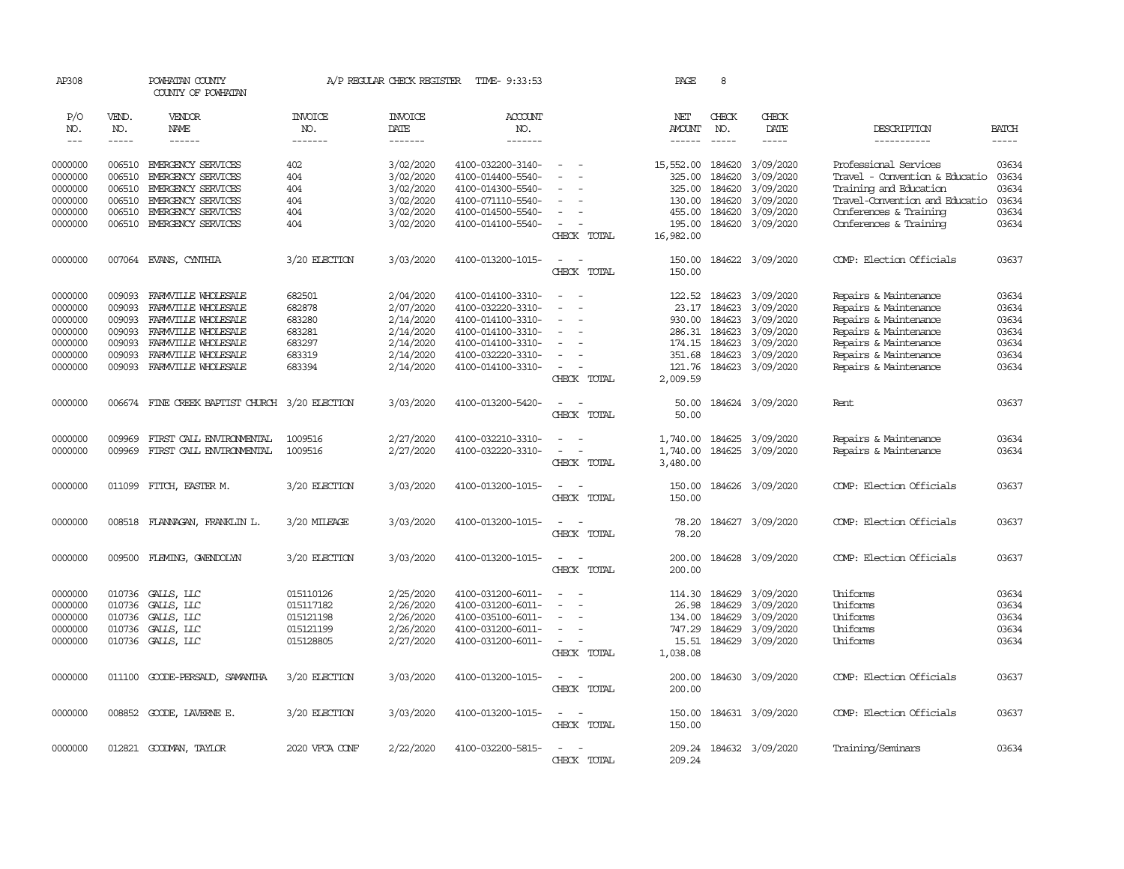| AP308      |              | POWHATAN COUNTY<br>COUNTY OF POWHATAN          |                       | A/P REGULAR CHECK REGISTER | TIME- 9:33:53     |                                                      | PAGE                 | 8             |                  |                                |              |
|------------|--------------|------------------------------------------------|-----------------------|----------------------------|-------------------|------------------------------------------------------|----------------------|---------------|------------------|--------------------------------|--------------|
| P/O<br>NO. | VEND.<br>NO. | VENDOR<br>NAME                                 | <b>INVOICE</b><br>NO. | <b>INVOICE</b><br>DATE     | ACCOUNT<br>NO.    |                                                      | NET<br><b>AMOUNT</b> | CHECK<br>NO.  | CHECK<br>DATE    | DESCRIPTION                    | <b>BATCH</b> |
| $---$      | -----        | ------                                         | -------               | -------                    | -------           |                                                      | -------              | $\frac{1}{2}$ | $- - - - -$      | -----------                    | $- - - - -$  |
|            |              |                                                |                       |                            |                   |                                                      |                      |               |                  |                                |              |
| 0000000    | 006510       | EMERGENCY SERVICES                             | 402                   | 3/02/2020                  | 4100-032200-3140- | $\sim$<br>$\sim$                                     | 15,552.00            | 184620        | 3/09/2020        | Professional Services          | 03634        |
| 0000000    | 006510       | EMERGENCY SERVICES                             | 404                   | 3/02/2020                  | 4100-014400-5540- |                                                      | 325.00               | 184620        | 3/09/2020        | Travel - Convention & Educatio | 03634        |
| 0000000    | 006510       | EMERGENCY SERVICES                             | 404                   | 3/02/2020                  | 4100-014300-5540- |                                                      | 325.00               | 184620        | 3/09/2020        | Training and Education         | 03634        |
| 0000000    | 006510       | EMERGENCY SERVICES                             | 404                   | 3/02/2020                  | 4100-071110-5540- |                                                      | 130.00               | 184620        | 3/09/2020        | Travel-Convention and Educatio | 03634        |
| 0000000    | 006510       | EMERGENCY SERVICES                             | 404                   | 3/02/2020                  | 4100-014500-5540- |                                                      | 455.00               | 184620        | 3/09/2020        | Conferences & Training         | 03634        |
| 0000000    | 006510       | EMERGENCY SERVICES                             | 404                   | 3/02/2020                  | 4100-014100-5540- | $\overline{\phantom{a}}$<br>$\overline{\phantom{a}}$ | 195.00               | 184620        | 3/09/2020        | Conferences & Training         | 03634        |
|            |              |                                                |                       |                            |                   | CHECK TOTAL                                          | 16,982.00            |               |                  |                                |              |
| 0000000    |              | 007064 EVANS, CYNTHIA                          | 3/20 ELECTION         | 3/03/2020                  | 4100-013200-1015- | $\overline{\phantom{a}}$<br>$\sim$                   | 150.00               |               | 184622 3/09/2020 | COMP: Election Officials       | 03637        |
|            |              |                                                |                       |                            |                   | CHECK TOTAL                                          | 150.00               |               |                  |                                |              |
| 0000000    | 009093       | FARMVILLE WHOLESALE                            | 682501                | 2/04/2020                  | 4100-014100-3310- | $\overline{\phantom{a}}$<br>$\sim$                   | 122.52               | 184623        | 3/09/2020        | Repairs & Maintenance          | 03634        |
| 0000000    | 009093       | FARMVILLE WHOLESALE                            | 682878                | 2/07/2020                  | 4100-032220-3310- |                                                      | 23.17                | 184623        | 3/09/2020        | Repairs & Maintenance          | 03634        |
| 0000000    | 009093       | FARMVILLE WHOLESALE                            | 683280                | 2/14/2020                  | 4100-014100-3310- |                                                      | 930.00               | 184623        | 3/09/2020        | Repairs & Maintenance          | 03634        |
| 0000000    | 009093       | FARMVILLE WHOLESALE                            | 683281                | 2/14/2020                  | 4100-014100-3310- | $\equiv$                                             | 286.31               | 184623        | 3/09/2020        | Repairs & Maintenance          | 03634        |
| 0000000    | 009093       | FARMVILLE WHOLESALE                            | 683297                | 2/14/2020                  | 4100-014100-3310- |                                                      | 174.15               | 184623        | 3/09/2020        | Repairs & Maintenance          | 03634        |
| 0000000    | 009093       | FARMVILLE WHOLESALE                            | 683319                | 2/14/2020                  | 4100-032220-3310- | $\equiv$                                             | 351.68               | 184623        | 3/09/2020        | Repairs & Maintenance          | 03634        |
| 0000000    | 009093       | FARMVILLE WHOLESALE                            | 683394                | 2/14/2020                  | 4100-014100-3310- | $\overline{\phantom{a}}$<br>$\sim$                   | 121.76               |               | 184623 3/09/2020 | Repairs & Maintenance          | 03634        |
|            |              |                                                |                       |                            |                   | CHECK TOTAL                                          | 2,009.59             |               |                  |                                |              |
| 0000000    |              | 006674 FINE CREEK BAPTIST CHURCH 3/20 ELECTION |                       | 3/03/2020                  | 4100-013200-5420- | $\sim$<br>$\sim$                                     | 50.00                |               | 184624 3/09/2020 | Rent.                          | 03637        |
|            |              |                                                |                       |                            |                   | CHECK TOTAL                                          | 50.00                |               |                  |                                |              |
| 0000000    | 009969       | FIRST CALL ENVIRONENTAL                        | 1009516               | 2/27/2020                  | 4100-032210-3310- | $\overline{\phantom{a}}$<br>$\sim$                   | 1,740.00             | 184625        | 3/09/2020        | Repairs & Maintenance          | 03634        |
| 0000000    | 009969       | FIRST CALL ENVIRONENTAL                        | 1009516               | 2/27/2020                  | 4100-032220-3310- |                                                      | 1,740.00             | 184625        | 3/09/2020        | Repairs & Maintenance          | 03634        |
|            |              |                                                |                       |                            |                   | CHECK TOTAL                                          | 3,480.00             |               |                  |                                |              |
| 0000000    | 011099       | FITCH, EASTER M.                               | 3/20 ELECTION         | 3/03/2020                  | 4100-013200-1015- |                                                      | 150.00               |               | 184626 3/09/2020 | COMP: Election Officials       | 03637        |
|            |              |                                                |                       |                            |                   | CHECK TOTAL                                          | 150.00               |               |                  |                                |              |
| 0000000    |              | 008518 FLANNAGAN, FRANKLIN L.                  | 3/20 MILEAGE          | 3/03/2020                  | 4100-013200-1015- | $\equiv$<br>$\sim$                                   | 78.20                |               | 184627 3/09/2020 | COMP: Election Officials       | 03637        |
|            |              |                                                |                       |                            |                   | CHECK TOTAL                                          | 78.20                |               |                  |                                |              |
| 0000000    | 009500       | FLEMING, GWENDOLYN                             | 3/20 ELECTION         | 3/03/2020                  | 4100-013200-1015- | $\overline{\phantom{a}}$<br>$\sim$                   | 200.00               |               | 184628 3/09/2020 | COMP: Election Officials       | 03637        |
|            |              |                                                |                       |                            |                   | CHECK TOTAL                                          | 200.00               |               |                  |                                |              |
| 0000000    | 010736       | GALLS, LLC                                     | 015110126             | 2/25/2020                  | 4100-031200-6011- | $\sim$                                               | 114.30               | 184629        | 3/09/2020        | Uniforms                       | 03634        |
| 0000000    | 010736       | GALLS, LLC                                     | 015117182             | 2/26/2020                  | 4100-031200-6011- |                                                      | 26.98                | 184629        | 3/09/2020        | Uniforms                       | 03634        |
| 0000000    | 010736       | GALLS, LLC                                     | 015121198             | 2/26/2020                  | 4100-035100-6011- |                                                      | 134.00               | 184629        | 3/09/2020        | Uniforms                       | 03634        |
| 0000000    | 010736       | GALLS, LLC                                     | 015121199             | 2/26/2020                  | 4100-031200-6011- | $\overline{\phantom{a}}$                             | 747.29               | 184629        | 3/09/2020        | Uniforms                       | 03634        |
| 0000000    | 010736       | GALLS, LLC                                     | 015128805             | 2/27/2020                  | 4100-031200-6011- | $\overline{\phantom{a}}$<br>$\overline{\phantom{a}}$ | 15.51                | 184629        | 3/09/2020        | Uniforms                       | 03634        |
|            |              |                                                |                       |                            |                   | CHECK TOTAL                                          | 1,038.08             |               |                  |                                |              |
| 0000000    |              | 011100 GOODE-PERSAUD, SAMANTHA                 | 3/20 ELECTION         | 3/03/2020                  | 4100-013200-1015- | $\overline{\phantom{a}}$<br>- -                      | 200.00               |               | 184630 3/09/2020 | COMP: Election Officials       | 03637        |
|            |              |                                                |                       |                            |                   | CHECK TOTAL                                          | 200.00               |               |                  |                                |              |
| 0000000    |              | 008852 GOODE, LAVERNE E.                       | 3/20 ELECTION         | 3/03/2020                  | 4100-013200-1015- | $\sim$<br>$\sim$                                     | 150.00               |               | 184631 3/09/2020 | COMP: Election Officials       | 03637        |
|            |              |                                                |                       |                            |                   | CHECK TOTAL                                          | 150.00               |               |                  |                                |              |
| 0000000    | 012821       | GOODMAN, TAYLOR                                | 2020 VFCA CONF        | 2/22/2020                  | 4100-032200-5815- | $\sim$<br>$\sim$                                     | 209.24               |               | 184632 3/09/2020 | Training/Seminars              | 03634        |
|            |              |                                                |                       |                            |                   | CHECK TOTAL                                          | 209.24               |               |                  |                                |              |
|            |              |                                                |                       |                            |                   |                                                      |                      |               |                  |                                |              |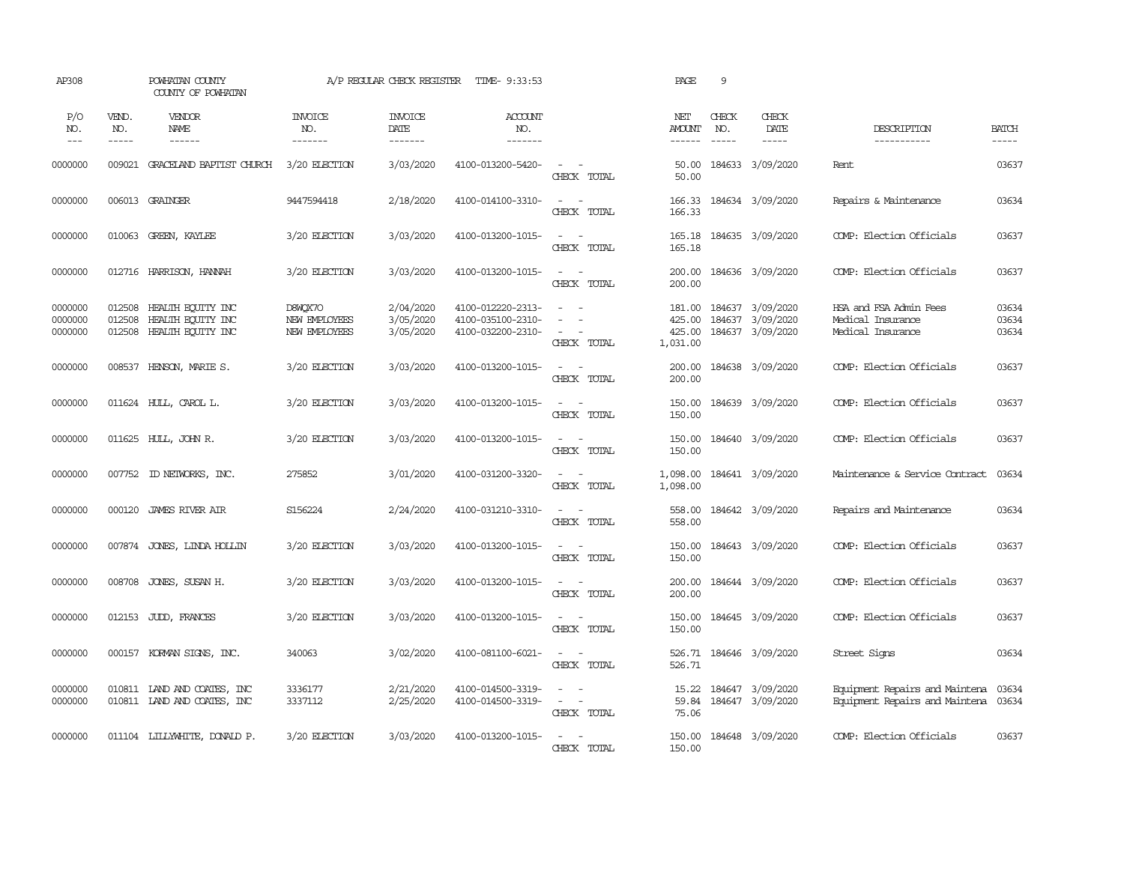| AP308                         |                               | POWHATAN COUNTY<br>COUNTY OF POWHATAN                       |                                           | A/P REGULAR CHECK REGISTER          | TIME- 9:33:53                                               |                                                                                                                                                             | PAGE                                  | 9                             |                                                                 |                                                                        |                         |
|-------------------------------|-------------------------------|-------------------------------------------------------------|-------------------------------------------|-------------------------------------|-------------------------------------------------------------|-------------------------------------------------------------------------------------------------------------------------------------------------------------|---------------------------------------|-------------------------------|-----------------------------------------------------------------|------------------------------------------------------------------------|-------------------------|
| P/O<br>NO.<br>$---$           | VEND.<br>NO.<br>$\frac{1}{2}$ | VENDOR<br>NAME<br>------                                    | <b>INVOICE</b><br>NO.<br>-------          | <b>INVOICE</b><br>DATE<br>-------   | <b>ACCOUNT</b><br>NO.<br>--------                           |                                                                                                                                                             | NET<br><b>AMOUNT</b><br>$- - - - - -$ | CHECK<br>NO.<br>$\frac{1}{2}$ | CHECK<br>DATE<br>$\frac{1}{2}$                                  | DESCRIPTION<br>-----------                                             | <b>BATCH</b><br>-----   |
| 0000000                       | 009021                        | GRACELAND BAPTIST CHURCH                                    | 3/20 ELECTION                             | 3/03/2020                           | 4100-013200-5420-                                           | $\sim$<br>$\sim$<br>CHECK TOTAL                                                                                                                             | 50.00<br>50.00                        |                               | 184633 3/09/2020                                                | Rent                                                                   | 03637                   |
| 0000000                       |                               | 006013 GRAINGER                                             | 9447594418                                | 2/18/2020                           | 4100-014100-3310-                                           | $\sim$<br>$\sim$<br>CHECK TOTAL                                                                                                                             | 166.33<br>166.33                      |                               | 184634 3/09/2020                                                | Repairs & Maintenance                                                  | 03634                   |
| 0000000                       |                               | 010063 GREEN, KAYLEE                                        | 3/20 ELECTION                             | 3/03/2020                           | 4100-013200-1015-                                           | $\sim$<br>$\sim$ $-$<br>CHECK TOTAL                                                                                                                         | 165.18<br>165.18                      |                               | 184635 3/09/2020                                                | COMP: Election Officials                                               | 03637                   |
| 0000000                       |                               | 012716 HARRISON, HANNAH                                     | 3/20 ELECTION                             | 3/03/2020                           | 4100-013200-1015-                                           | $\sim$ $  -$<br>CHECK TOTAL                                                                                                                                 | 200.00<br>200.00                      |                               | 184636 3/09/2020                                                | COMP: Election Officials                                               | 03637                   |
| 0000000<br>0000000<br>0000000 | 012508<br>012508<br>012508    | HEALTH EQUITY INC<br>HEALTH EQUITY INC<br>HEALTH EQUITY INC | D8WQX7O<br>NEW EMPLOYEES<br>NEW EMPLOYEES | 2/04/2020<br>3/05/2020<br>3/05/2020 | 4100-012220-2313-<br>4100-035100-2310-<br>4100-032200-2310- | $\frac{1}{2} \left( \frac{1}{2} \right) \left( \frac{1}{2} \right) = \frac{1}{2} \left( \frac{1}{2} \right)$<br>$\equiv$<br>$\sim$<br>$\sim$<br>CHECK TOTAL | 425.00<br>425.00<br>1,031.00          |                               | 181.00 184637 3/09/2020<br>184637 3/09/2020<br>184637 3/09/2020 | HSA and FSA Admin Fees<br>Medical Insurance<br>Medical Insurance       | 03634<br>03634<br>03634 |
| 0000000                       |                               | 008537 HENSON, MARIE S.                                     | 3/20 ELECTION                             | 3/03/2020                           | 4100-013200-1015-                                           | $\sim$<br>$\sim$<br>CHECK TOTAL                                                                                                                             | 200.00<br>200.00                      |                               | 184638 3/09/2020                                                | COMP: Election Officials                                               | 03637                   |
| 0000000                       |                               | 011624 HULL, CAROL L.                                       | 3/20 ELECTION                             | 3/03/2020                           | 4100-013200-1015-                                           | $\overline{\phantom{a}}$<br>$\overline{\phantom{a}}$<br>CHECK TOTAL                                                                                         | 150.00<br>150.00                      |                               | 184639 3/09/2020                                                | COMP: Election Officials                                               | 03637                   |
| 0000000                       |                               | 011625 HULL, JOHN R.                                        | 3/20 ELECTION                             | 3/03/2020                           | 4100-013200-1015-                                           | $\overline{\phantom{a}}$<br>. —<br>CHECK TOTAL                                                                                                              | 150.00<br>150.00                      |                               | 184640 3/09/2020                                                | COMP: Election Officials                                               | 03637                   |
| 0000000                       |                               | 007752 ID NEIWORKS, INC.                                    | 275852                                    | 3/01/2020                           | 4100-031200-3320-                                           | $\sim$<br>$\sim$<br>CHECK TOTAL                                                                                                                             | 1,098.00<br>1,098.00                  |                               | 184641 3/09/2020                                                | Maintenance & Service Contract                                         | 03634                   |
| 0000000                       | 000120                        | <b>JAMES RIVER AIR</b>                                      | S156224                                   | 2/24/2020                           | 4100-031210-3310-                                           | $\sim$<br>$\sim$<br>CHECK TOTAL                                                                                                                             | 558.00<br>558.00                      |                               | 184642 3/09/2020                                                | Repairs and Maintenance                                                | 03634                   |
| 0000000                       |                               | 007874 JONES, LINDA HOLLIN                                  | 3/20 ELECTION                             | 3/03/2020                           | 4100-013200-1015-                                           | $\frac{1}{2} \left( \frac{1}{2} \right) \left( \frac{1}{2} \right) = \frac{1}{2} \left( \frac{1}{2} \right)$<br>CHECK TOTAL                                 | 150.00<br>150.00                      |                               | 184643 3/09/2020                                                | COMP: Election Officials                                               | 03637                   |
| 0000000                       | 008708                        | JONES, SUSAN H.                                             | 3/20 ELECTION                             | 3/03/2020                           | 4100-013200-1015-                                           | $\omega_{\rm{max}}$ and $\omega_{\rm{max}}$<br>CHECK TOTAL                                                                                                  | 200.00<br>200.00                      |                               | 184644 3/09/2020                                                | COMP: Election Officials                                               | 03637                   |
| 0000000                       |                               | 012153 JUDD, FRANCES                                        | 3/20 ELECTION                             | 3/03/2020                           | 4100-013200-1015-                                           | $\sim$<br>$\sim$<br>CHECK TOTAL                                                                                                                             | 150.00<br>150.00                      |                               | 184645 3/09/2020                                                | COMP: Election Officials                                               | 03637                   |
| 0000000                       |                               | 000157 KORMAN SIGNS, INC.                                   | 340063                                    | 3/02/2020                           | 4100-081100-6021-                                           | $\sim$ $ \sim$<br>CHECK TOTAL                                                                                                                               | 526.71<br>526.71                      |                               | 184646 3/09/2020                                                | Street Signs                                                           | 03634                   |
| 0000000<br>0000000            |                               | 010811 LAND AND COATES, INC<br>010811 IAND AND COATES, INC  | 3336177<br>3337112                        | 2/21/2020<br>2/25/2020              | 4100-014500-3319-<br>4100-014500-3319-                      | $\overline{\phantom{a}}$<br>$\sim$<br>$\sim$ $ \sim$<br>CHECK TOTAL                                                                                         | 15.22<br>59.84<br>75.06               |                               | 184647 3/09/2020<br>184647 3/09/2020                            | Equipment Repairs and Maintena<br>Equipment Repairs and Maintena 03634 | 03634                   |
| 0000000                       |                               | 011104 LILLYWHITE, DONALD P.                                | 3/20 ELECTION                             | 3/03/2020                           | 4100-013200-1015-                                           | $\overline{\phantom{a}}$<br>$\sim$<br>CHECK TOTAL                                                                                                           | 150.00<br>150.00                      |                               | 184648 3/09/2020                                                | COMP: Election Officials                                               | 03637                   |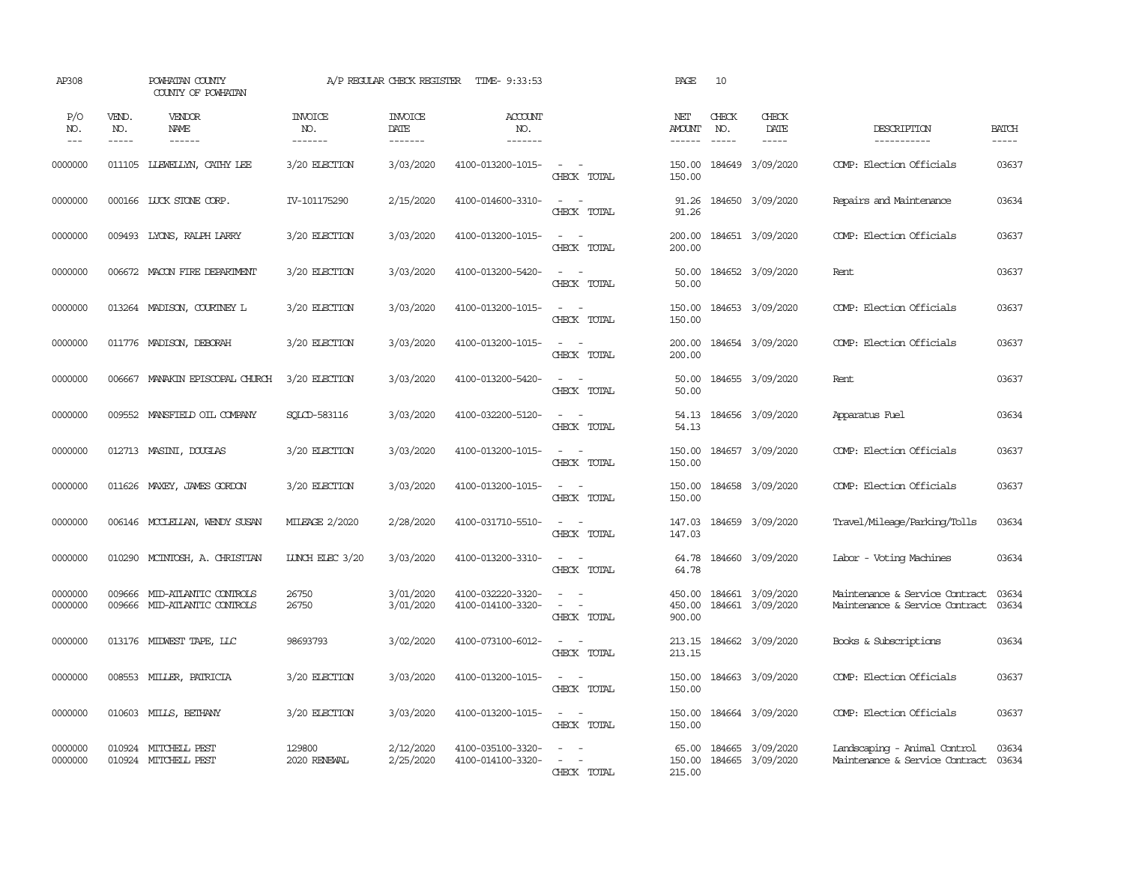| AP308               |                             | POWHATAN COUNTY<br>COUNTY OF POWHATAN                 |                                  | A/P REGULAR CHECK REGISTER        | TIME- 9:33:53                          |                                                                                                                             | PAGE                       | 10                            |                                      |                                                                      |                       |
|---------------------|-----------------------------|-------------------------------------------------------|----------------------------------|-----------------------------------|----------------------------------------|-----------------------------------------------------------------------------------------------------------------------------|----------------------------|-------------------------------|--------------------------------------|----------------------------------------------------------------------|-----------------------|
| P/O<br>NO.<br>$---$ | VEND.<br>NO.<br>$- - - - -$ | VENDOR<br>NAME                                        | <b>INVOICE</b><br>NO.<br>------- | <b>INVOICE</b><br>DATE<br>------- | <b>ACCOUNT</b><br>NO.<br>-------       |                                                                                                                             | NET<br>AMOUNT<br>------    | CHECK<br>NO.<br>$\frac{1}{2}$ | CHECK<br>DATE<br>-----               | DESCRIPTION<br>-----------                                           | <b>BATCH</b><br>----- |
| 0000000             |                             | 011105 LIEWELLYN, CATHY LEE                           | 3/20 ELECTION                    | 3/03/2020                         | 4100-013200-1015-                      | $\sim$ $ \sim$<br>CHECK TOTAL                                                                                               | 150.00<br>150.00           |                               | 184649 3/09/2020                     | COMP: Election Officials                                             | 03637                 |
| 0000000             |                             | 000166 LUCK STONE CORP.                               | IV-101175290                     | 2/15/2020                         | 4100-014600-3310-                      | $\sim$ $\sim$<br>CHECK TOTAL                                                                                                | 91.26<br>91.26             |                               | 184650 3/09/2020                     | Repairs and Maintenance                                              | 03634                 |
| 0000000             | 009493                      | LYONS, RALPH LARRY                                    | 3/20 ELECTION                    | 3/03/2020                         | 4100-013200-1015-                      | $\sim$ $ \sim$<br>CHECK TOTAL                                                                                               | 200.00<br>200.00           |                               | 184651 3/09/2020                     | COMP: Election Officials                                             | 03637                 |
| 0000000             |                             | 006672 MACON FIRE DEPARIMENT                          | 3/20 ELECTION                    | 3/03/2020                         | 4100-013200-5420-                      | $\sim$<br>$\sim$<br>CHECK TOTAL                                                                                             | 50.00<br>50.00             |                               | 184652 3/09/2020                     | Rent                                                                 | 03637                 |
| 0000000             |                             | 013264 MADISON, COURINEY L                            | 3/20 ELECTION                    | 3/03/2020                         | 4100-013200-1015-                      | $\sim$ $\sim$<br>CHECK TOTAL                                                                                                | 150.00<br>150.00           |                               | 184653 3/09/2020                     | COMP: Election Officials                                             | 03637                 |
| 0000000             |                             | 011776 MADISON, DEBORAH                               | 3/20 ELECTION                    | 3/03/2020                         | 4100-013200-1015-                      | $\sim$ $ -$<br>CHECK TOTAL                                                                                                  | 200.00<br>200.00           |                               | 184654 3/09/2020                     | COMP: Election Officials                                             | 03637                 |
| 0000000             | 006667                      | MANAKIN EPISCOPAL CHURCH                              | 3/20 ELECTION                    | 3/03/2020                         | 4100-013200-5420-                      | $\sim$ $ -$<br>CHECK TOTAL                                                                                                  | 50.00<br>50.00             |                               | 184655 3/09/2020                     | Rent                                                                 | 03637                 |
| 0000000             |                             | 009552 MANSFIELD OIL COMPANY                          | SOLCD-583116                     | 3/03/2020                         | 4100-032200-5120-                      | $\sim$ $ \sim$<br>CHECK TOTAL                                                                                               | 54.13<br>54.13             |                               | 184656 3/09/2020                     | Apparatus Fuel                                                       | 03634                 |
| 0000000             |                             | 012713 MASINI, DOUGLAS                                | 3/20 ELECTION                    | 3/03/2020                         | 4100-013200-1015-                      | $\frac{1}{2} \left( \frac{1}{2} \right) \left( \frac{1}{2} \right) = \frac{1}{2} \left( \frac{1}{2} \right)$<br>CHECK TOTAL | 150.00<br>150.00           |                               | 184657 3/09/2020                     | COMP: Election Officials                                             | 03637                 |
| 0000000             | 011626                      | MAXEY, JAMES GORDON                                   | 3/20 ELECTION                    | 3/03/2020                         | 4100-013200-1015-                      | $\sim$<br>$\sim$<br>CHECK TOTAL                                                                                             | 150.00<br>150.00           |                               | 184658 3/09/2020                     | COMP: Election Officials                                             | 03637                 |
| 0000000             |                             | 006146 MCCLELLAN, WENDY SUSAN                         | <b>MILEAGE 2/2020</b>            | 2/28/2020                         | 4100-031710-5510-                      | $\sim$<br>$\sim$<br>CHECK TOTAL                                                                                             | 147.03<br>147.03           |                               | 184659 3/09/2020                     | Travel/Mileage/Parking/Tolls                                         | 03634                 |
| 0000000             |                             | 010290 MCINTOSH, A. CHRISTIAN                         | LUNCH ELEC 3/20                  | 3/03/2020                         | 4100-013200-3310-                      | $\sim$ $ \sim$<br>CHECK TOTAL                                                                                               | 64.78<br>64.78             |                               | 184660 3/09/2020                     | Labor - Voting Machines                                              | 03634                 |
| 0000000<br>0000000  | 009666                      | MID-ATLANTIC CONTROLS<br>009666 MID-ATLANTIC CONTROLS | 26750<br>26750                   | 3/01/2020<br>3/01/2020            | 4100-032220-3320-<br>4100-014100-3320- | $ -$<br>$\sim$<br>$\sim$<br>CHECK TOTAL                                                                                     | 450.00<br>450.00<br>900.00 |                               | 184661 3/09/2020<br>184661 3/09/2020 | Maintenance & Service Contract<br>Maintenance & Service Contract     | 03634<br>03634        |
| 0000000             |                             | 013176 MIDWEST TAPE, LLC                              | 98693793                         | 3/02/2020                         | 4100-073100-6012-                      | $\sim$<br>$\sim$ $-$<br>CHECK TOTAL                                                                                         | 213.15<br>213.15           |                               | 184662 3/09/2020                     | Books & Subscriptions                                                | 03634                 |
| 0000000             |                             | 008553 MILLER, PATRICIA                               | 3/20 ELECTION                    | 3/03/2020                         | 4100-013200-1015-                      | $\sim$ $\sim$<br>CHECK TOTAL                                                                                                | 150.00<br>150.00           |                               | 184663 3/09/2020                     | COMP: Election Officials                                             | 03637                 |
| 0000000             | 010603                      | MILLS, BEIHANY                                        | 3/20 ELECTION                    | 3/03/2020                         | 4100-013200-1015-                      | $\frac{1}{2} \left( \frac{1}{2} \right) \left( \frac{1}{2} \right) \left( \frac{1}{2} \right)$<br>CHECK TOTAL               | 150.00<br>150.00           |                               | 184664 3/09/2020                     | COMP: Election Officials                                             | 03637                 |
| 0000000<br>0000000  |                             | 010924 MITCHELL PEST<br>010924 MITCHELL PEST          | 129800<br>2020 RENEWAL           | 2/12/2020<br>2/25/2020            | 4100-035100-3320-<br>4100-014100-3320- | $\sim$<br>$\sim$<br>$\sim$<br>CHECK TOTAL                                                                                   | 65.00<br>150.00<br>215.00  |                               | 184665 3/09/2020<br>184665 3/09/2020 | Landscaping - Animal Control<br>Maintenance & Service Contract 03634 | 03634                 |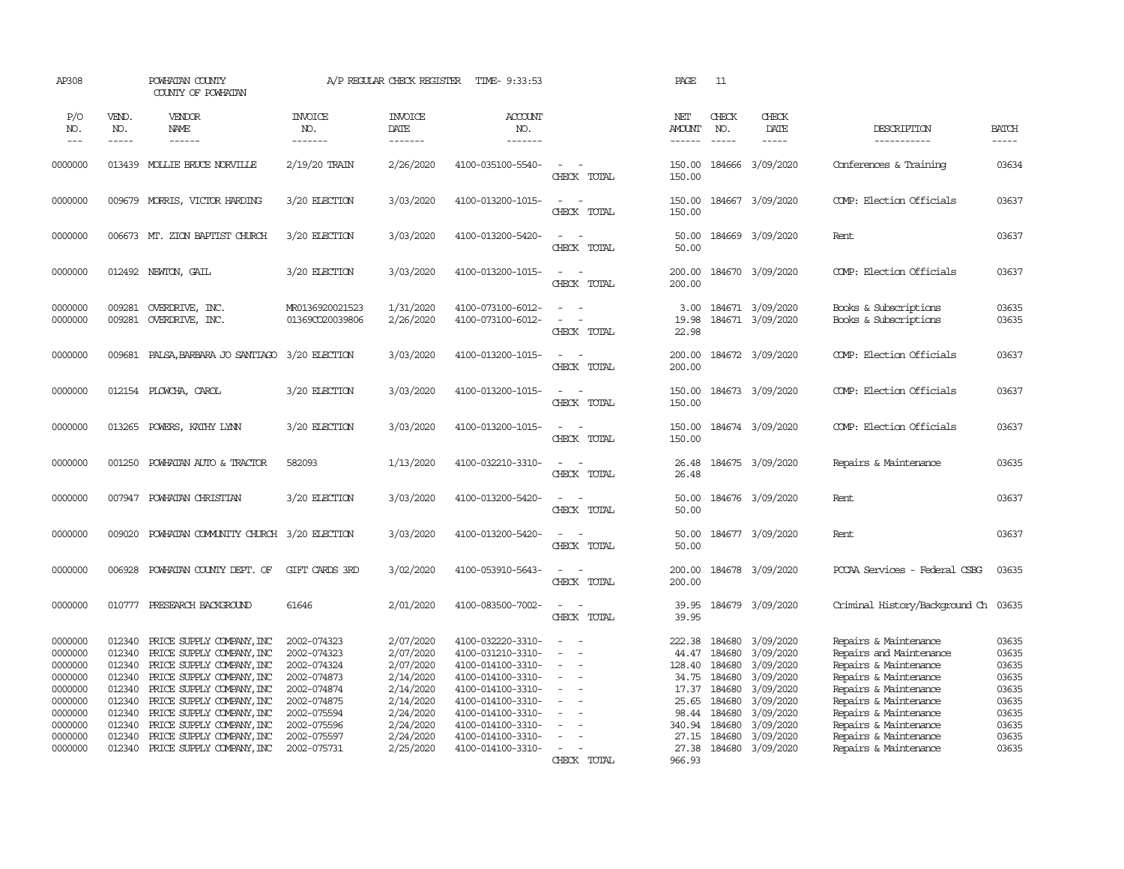| AP308                                                                                                      |                                                                                                  | POWHATAN COUNTY<br>COUNTY OF POWHATAN                                                                                                                                                                                                                                                          |                                                                                                                                                    | A/P REGULAR CHECK REGISTER                                                                                                     | TIME- 9:33:53                                                                                                                                                                                                  |                                                                                                                                               | PAGE                                                                                                | 11                                                                                                                                                                                                                                                                                                                                                                                                                                                                                         |                                                                                                                                       |                                                                                                                                                                                                                                                          |                                                                                        |
|------------------------------------------------------------------------------------------------------------|--------------------------------------------------------------------------------------------------|------------------------------------------------------------------------------------------------------------------------------------------------------------------------------------------------------------------------------------------------------------------------------------------------|----------------------------------------------------------------------------------------------------------------------------------------------------|--------------------------------------------------------------------------------------------------------------------------------|----------------------------------------------------------------------------------------------------------------------------------------------------------------------------------------------------------------|-----------------------------------------------------------------------------------------------------------------------------------------------|-----------------------------------------------------------------------------------------------------|--------------------------------------------------------------------------------------------------------------------------------------------------------------------------------------------------------------------------------------------------------------------------------------------------------------------------------------------------------------------------------------------------------------------------------------------------------------------------------------------|---------------------------------------------------------------------------------------------------------------------------------------|----------------------------------------------------------------------------------------------------------------------------------------------------------------------------------------------------------------------------------------------------------|----------------------------------------------------------------------------------------|
| P/O<br>NO.<br>$---$                                                                                        | VEND.<br>NO.<br>$- - - - -$                                                                      | VENDOR<br>NAME<br>------                                                                                                                                                                                                                                                                       | <b>INVOICE</b><br>NO.<br>-------                                                                                                                   | <b>INVOICE</b><br>DATE<br>-------                                                                                              | <b>ACCOUNT</b><br>NO.<br>-------                                                                                                                                                                               |                                                                                                                                               | NET<br><b>AMOUNT</b><br>$- - - - - -$                                                               | CHECK<br>NO.<br>$\frac{1}{2} \left( \frac{1}{2} \right) \left( \frac{1}{2} \right) \left( \frac{1}{2} \right) \left( \frac{1}{2} \right) \left( \frac{1}{2} \right) \left( \frac{1}{2} \right) \left( \frac{1}{2} \right) \left( \frac{1}{2} \right) \left( \frac{1}{2} \right) \left( \frac{1}{2} \right) \left( \frac{1}{2} \right) \left( \frac{1}{2} \right) \left( \frac{1}{2} \right) \left( \frac{1}{2} \right) \left( \frac{1}{2} \right) \left( \frac{1}{2} \right) \left( \frac$ | CHECK<br>DATE<br>$- - - - -$                                                                                                          | DESCRIPTION<br>-----------                                                                                                                                                                                                                               | <b>BATCH</b><br>-----                                                                  |
| 0000000                                                                                                    |                                                                                                  | 013439 MOLLIE BRUCE NORVILLE                                                                                                                                                                                                                                                                   | 2/19/20 TRAIN                                                                                                                                      | 2/26/2020                                                                                                                      | 4100-035100-5540-                                                                                                                                                                                              | $\sim$<br>$\overline{\phantom{a}}$<br>CHECK TOTAL                                                                                             | 150.00<br>150.00                                                                                    |                                                                                                                                                                                                                                                                                                                                                                                                                                                                                            | 184666 3/09/2020                                                                                                                      | Conferences & Training                                                                                                                                                                                                                                   | 03634                                                                                  |
| 0000000                                                                                                    |                                                                                                  | 009679 MORRIS, VICTOR HARDING                                                                                                                                                                                                                                                                  | 3/20 ELECTION                                                                                                                                      | 3/03/2020                                                                                                                      | 4100-013200-1015-                                                                                                                                                                                              | $\sim$<br>$\sim$<br>CHECK TOTAL                                                                                                               | 150.00<br>150.00                                                                                    |                                                                                                                                                                                                                                                                                                                                                                                                                                                                                            | 184667 3/09/2020                                                                                                                      | COMP: Election Officials                                                                                                                                                                                                                                 | 03637                                                                                  |
| 0000000                                                                                                    |                                                                                                  | 006673 MT. ZION BAPTIST CHURCH                                                                                                                                                                                                                                                                 | 3/20 ELECTION                                                                                                                                      | 3/03/2020                                                                                                                      | 4100-013200-5420-                                                                                                                                                                                              | $\sim$ $ \sim$<br>CHECK TOTAL                                                                                                                 | 50.00<br>50.00                                                                                      |                                                                                                                                                                                                                                                                                                                                                                                                                                                                                            | 184669 3/09/2020                                                                                                                      | Rent                                                                                                                                                                                                                                                     | 03637                                                                                  |
| 0000000                                                                                                    |                                                                                                  | 012492 NEWTON, GAIL                                                                                                                                                                                                                                                                            | 3/20 ELECTION                                                                                                                                      | 3/03/2020                                                                                                                      | 4100-013200-1015-                                                                                                                                                                                              | $\sim$<br>$\sim$<br>CHECK TOTAL                                                                                                               | 200.00<br>200.00                                                                                    |                                                                                                                                                                                                                                                                                                                                                                                                                                                                                            | 184670 3/09/2020                                                                                                                      | COMP: Election Officials                                                                                                                                                                                                                                 | 03637                                                                                  |
| 0000000<br>0000000                                                                                         | 009281<br>009281                                                                                 | OVERDRIVE, INC.<br>OVERDRIVE, INC.                                                                                                                                                                                                                                                             | MR0136920021523<br>01369CO20039806                                                                                                                 | 1/31/2020<br>2/26/2020                                                                                                         | 4100-073100-6012-<br>4100-073100-6012-                                                                                                                                                                         | $\sim$<br>$\sim$<br>$\sim$<br>- 11<br>CHECK TOTAL                                                                                             | 3.00<br>19.98<br>22.98                                                                              |                                                                                                                                                                                                                                                                                                                                                                                                                                                                                            | 184671 3/09/2020<br>184671 3/09/2020                                                                                                  | Books & Subscriptions<br>Books & Subscriptions                                                                                                                                                                                                           | 03635<br>03635                                                                         |
| 0000000                                                                                                    | 009681                                                                                           | PALSA, BARBARA JO SANTIAGO                                                                                                                                                                                                                                                                     | 3/20 ELECTION                                                                                                                                      | 3/03/2020                                                                                                                      | 4100-013200-1015-                                                                                                                                                                                              | $\overline{\phantom{a}}$<br>$\sim$<br>CHECK TOTAL                                                                                             | 200.00<br>200.00                                                                                    |                                                                                                                                                                                                                                                                                                                                                                                                                                                                                            | 184672 3/09/2020                                                                                                                      | COMP: Election Officials                                                                                                                                                                                                                                 | 03637                                                                                  |
| 0000000                                                                                                    |                                                                                                  | 012154 PLOWCHA, CAROL                                                                                                                                                                                                                                                                          | 3/20 ELECTION                                                                                                                                      | 3/03/2020                                                                                                                      | 4100-013200-1015-                                                                                                                                                                                              | CHECK TOTAL                                                                                                                                   | 150.00<br>150.00                                                                                    |                                                                                                                                                                                                                                                                                                                                                                                                                                                                                            | 184673 3/09/2020                                                                                                                      | COMP: Election Officials                                                                                                                                                                                                                                 | 03637                                                                                  |
| 0000000                                                                                                    | 013265                                                                                           | POWERS, KATHY LYNN                                                                                                                                                                                                                                                                             | 3/20 ELECTION                                                                                                                                      | 3/03/2020                                                                                                                      | 4100-013200-1015-                                                                                                                                                                                              | $\sim$<br>$\sim$<br>CHECK TOTAL                                                                                                               | 150.00<br>150.00                                                                                    |                                                                                                                                                                                                                                                                                                                                                                                                                                                                                            | 184674 3/09/2020                                                                                                                      | COMP: Election Officials                                                                                                                                                                                                                                 | 03637                                                                                  |
| 0000000                                                                                                    | 001250                                                                                           | POWHATAN AUTO & TRACTOR                                                                                                                                                                                                                                                                        | 582093                                                                                                                                             | 1/13/2020                                                                                                                      | 4100-032210-3310-                                                                                                                                                                                              | $\overline{\phantom{a}}$<br>CHECK TOTAL                                                                                                       | 26.48<br>26.48                                                                                      |                                                                                                                                                                                                                                                                                                                                                                                                                                                                                            | 184675 3/09/2020                                                                                                                      | Repairs & Maintenance                                                                                                                                                                                                                                    | 03635                                                                                  |
| 0000000                                                                                                    |                                                                                                  | 007947 POWHATAN CHRISTIAN                                                                                                                                                                                                                                                                      | 3/20 ELECTION                                                                                                                                      | 3/03/2020                                                                                                                      | 4100-013200-5420-                                                                                                                                                                                              | $\sim$<br>$\sim$<br>CHECK TOTAL                                                                                                               | 50.00<br>50.00                                                                                      |                                                                                                                                                                                                                                                                                                                                                                                                                                                                                            | 184676 3/09/2020                                                                                                                      | Rent                                                                                                                                                                                                                                                     | 03637                                                                                  |
| 0000000                                                                                                    | 009020                                                                                           | POWHATAN COMMUNITY CHURCH 3/20 ELECTION                                                                                                                                                                                                                                                        |                                                                                                                                                    | 3/03/2020                                                                                                                      | 4100-013200-5420-                                                                                                                                                                                              | $\sim$<br>$\sim$<br>CHECK TOTAL                                                                                                               | 50.00<br>50.00                                                                                      |                                                                                                                                                                                                                                                                                                                                                                                                                                                                                            | 184677 3/09/2020                                                                                                                      | Rent                                                                                                                                                                                                                                                     | 03637                                                                                  |
| 0000000                                                                                                    | 006928                                                                                           | POWHATAN COUNTY DEPT. OF                                                                                                                                                                                                                                                                       | GIFT CARDS 3RD                                                                                                                                     | 3/02/2020                                                                                                                      | 4100-053910-5643-                                                                                                                                                                                              | $\sim$<br>$\sim$<br>CHECK TOTAL                                                                                                               | 200.00<br>200.00                                                                                    |                                                                                                                                                                                                                                                                                                                                                                                                                                                                                            | 184678 3/09/2020                                                                                                                      | POCAA Services - Federal CSBG                                                                                                                                                                                                                            | 03635                                                                                  |
| 0000000                                                                                                    | 010777                                                                                           | PRESEARCH BACKGROUND                                                                                                                                                                                                                                                                           | 61646                                                                                                                                              | 2/01/2020                                                                                                                      | 4100-083500-7002-                                                                                                                                                                                              | $\sim$<br>$\sim$<br>CHECK TOTAL                                                                                                               | 39.95<br>39.95                                                                                      |                                                                                                                                                                                                                                                                                                                                                                                                                                                                                            | 184679 3/09/2020                                                                                                                      | Criminal History/Background Ch                                                                                                                                                                                                                           | 03635                                                                                  |
| 0000000<br>0000000<br>0000000<br>0000000<br>0000000<br>0000000<br>0000000<br>0000000<br>0000000<br>0000000 | 012340<br>012340<br>012340<br>012340<br>012340<br>012340<br>012340<br>012340<br>012340<br>012340 | PRICE SUPPLY COMPANY, INC<br>PRICE SUPPLY COMPANY, INC<br>PRICE SUPPLY COMPANY, INC<br>PRICE SUPPLY COMPANY, INC<br>PRICE SUPPLY COMPANY, INC<br>PRICE SUPPLY COMPANY, INC<br>PRICE SUPPLY COMPANY, INC<br>PRICE SUPPLY COMPANY, INC<br>PRICE SUPPLY COMPANY, INC<br>PRICE SUPPLY COMPANY, INC | 2002-074323<br>2002-074323<br>2002-074324<br>2002-074873<br>2002-074874<br>2002-074875<br>2002-075594<br>2002-075596<br>2002-075597<br>2002-075731 | 2/07/2020<br>2/07/2020<br>2/07/2020<br>2/14/2020<br>2/14/2020<br>2/14/2020<br>2/24/2020<br>2/24/2020<br>2/24/2020<br>2/25/2020 | 4100-032220-3310-<br>4100-031210-3310-<br>4100-014100-3310-<br>4100-014100-3310-<br>4100-014100-3310-<br>4100-014100-3310-<br>4100-014100-3310-<br>4100-014100-3310-<br>4100-014100-3310-<br>4100-014100-3310- | $\overline{\phantom{a}}$<br>$\sim$<br>$\sim$<br>$\sim$<br>$\equiv$<br>$\equiv$<br>$\sim$<br>$\overline{\phantom{a}}$<br>$\sim$<br>CHECK TOTAL | 222.38<br>44.47<br>128.40<br>34.75<br>17.37<br>25.65<br>98.44<br>340.94<br>27.15<br>27.38<br>966.93 | 184680<br>184680<br>184680<br>184680<br>184680<br>184680<br>184680<br>184680<br>184680                                                                                                                                                                                                                                                                                                                                                                                                     | 3/09/2020<br>3/09/2020<br>3/09/2020<br>3/09/2020<br>3/09/2020<br>3/09/2020<br>3/09/2020<br>3/09/2020<br>3/09/2020<br>184680 3/09/2020 | Repairs & Maintenance<br>Repairs and Maintenance<br>Repairs & Maintenance<br>Repairs & Maintenance<br>Repairs & Maintenance<br>Repairs & Maintenance<br>Repairs & Maintenance<br>Repairs & Maintenance<br>Repairs & Maintenance<br>Repairs & Maintenance | 03635<br>03635<br>03635<br>03635<br>03635<br>03635<br>03635<br>03635<br>03635<br>03635 |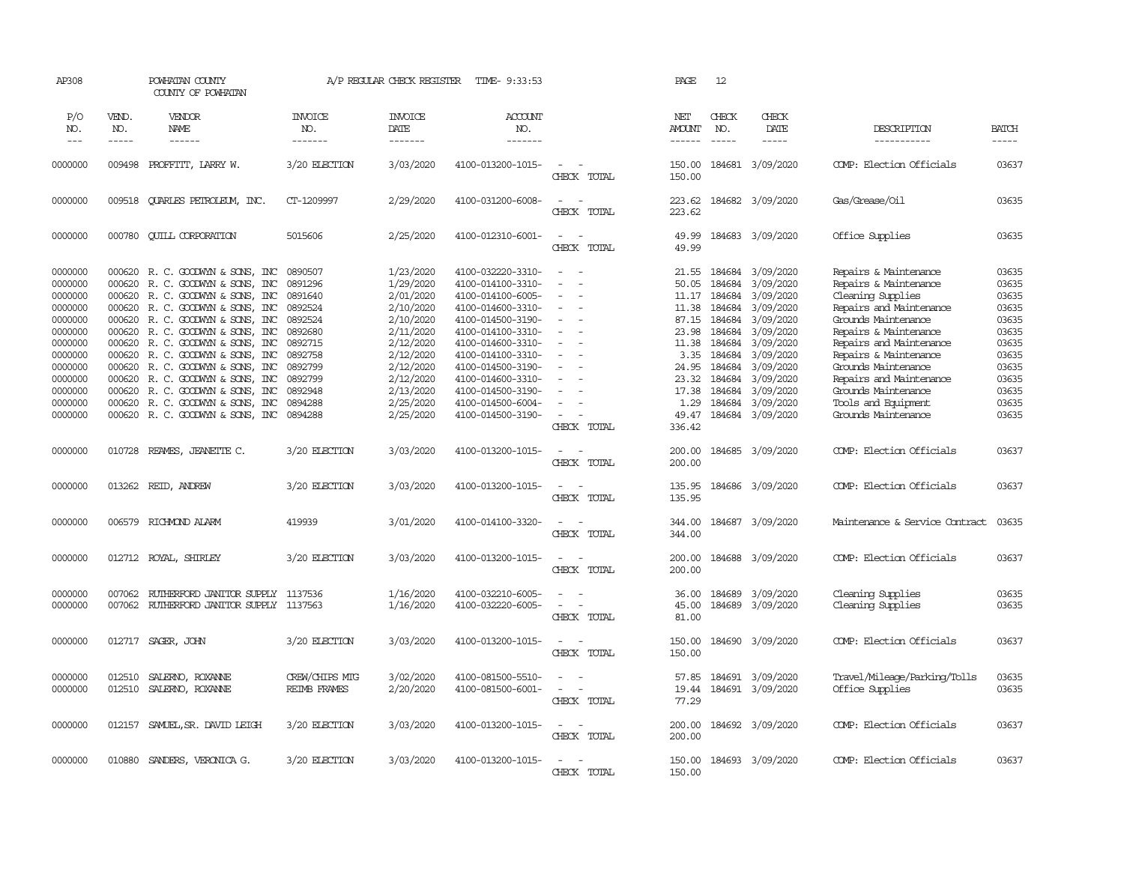| AP308                         |                  | POWHATAN COUNTY<br>COUNTY OF POWHATAN                                                                    |                                       | A/P REGULAR CHECK REGISTER          | TIME- 9:33:53                                               |                                                                  | PAGE                    | 12                         |                                     |                                                                         |                         |
|-------------------------------|------------------|----------------------------------------------------------------------------------------------------------|---------------------------------------|-------------------------------------|-------------------------------------------------------------|------------------------------------------------------------------|-------------------------|----------------------------|-------------------------------------|-------------------------------------------------------------------------|-------------------------|
| P/O<br>NO.                    | VEND.<br>NO.     | VENDOR<br>NAME                                                                                           | <b>INVOICE</b><br>NO.                 | <b>INVOICE</b><br>DATE              | ACCOUNT<br>NO.                                              |                                                                  | NET<br><b>AMOUNT</b>    | CHECK<br>NO.               | CHECK<br>DATE                       | DESCRIPTION                                                             | <b>BATCH</b>            |
| $---$                         | -----            | $- - - - - -$                                                                                            | -------                               | --------                            | -------                                                     |                                                                  | $- - - - - -$           | $\frac{1}{2}$              | -----                               | -----------                                                             | $- - - - -$             |
| 0000000                       | 009498           | PROFFITT, LARRY W.                                                                                       | 3/20 ELECTION                         | 3/03/2020                           | 4100-013200-1015-                                           | $\overline{\phantom{a}}$<br>$\sim$<br>CHECK TOTAL                | 150.00<br>150.00        |                            | 184681 3/09/2020                    | COMP: Election Officials                                                | 03637                   |
| 0000000                       |                  | 009518 CUARLES PETROLEUM, INC.                                                                           | CT-1209997                            | 2/29/2020                           | 4100-031200-6008-                                           | $\overline{\phantom{a}}$<br>$\sim$<br>CHECK TOTAL                | 223.62<br>223.62        |                            | 184682 3/09/2020                    | Gas/Grease/0il                                                          | 03635                   |
| 0000000                       | 000780           | <b>CUILL CORPORATION</b>                                                                                 | 5015606                               | 2/25/2020                           | 4100-012310-6001-                                           | $\sim$<br>$\sim$<br>CHECK TOTAL                                  | 49.99<br>49.99          |                            | 184683 3/09/2020                    | Office Supplies                                                         | 03635                   |
| 0000000<br>0000000            | 000620           | 000620 R. C. GOODWIN & SONS, INC<br>R. C. GOODWIN & SONS, INC                                            | 0890507<br>0891296                    | 1/23/2020<br>1/29/2020              | 4100-032220-3310-<br>4100-014100-3310-                      | $\sim$<br>$\equiv$                                               | 21.55<br>50.05          | 184684<br>184684           | 3/09/2020<br>3/09/2020              | Repairs & Maintenance<br>Repairs & Maintenance                          | 03635<br>03635          |
| 0000000<br>0000000            | 000620           | 000620 R. C. GOODWIN & SONS, INC<br>R. C. GOODWYN & SONS, INC                                            | 0891640<br>0892524                    | 2/01/2020<br>2/10/2020              | 4100-014100-6005-<br>4100-014600-3310-                      | $\sim$<br>$\equiv$                                               | 11.17<br>11.38          | 184684<br>184684           | 3/09/2020<br>3/09/2020              | Cleaning Supplies<br>Repairs and Maintenance                            | 03635<br>03635          |
| 0000000<br>0000000<br>0000000 |                  | 000620 R. C. GOODWIN & SONS, INC<br>000620 R. C. GOODWYN & SONS, INC<br>000620 R. C. GOODWYN & SONS, INC | 0892524<br>0892680<br>0892715         | 2/10/2020<br>2/11/2020<br>2/12/2020 | 4100-014500-3190-<br>4100-014100-3310-<br>4100-014600-3310- | $\overline{\phantom{a}}$<br>$\sim$<br>$\sim$                     | 87.15<br>23.98<br>11.38 | 184684<br>184684<br>184684 | 3/09/2020<br>3/09/2020<br>3/09/2020 | Grounds Maintenance<br>Repairs & Maintenance<br>Repairs and Maintenance | 03635<br>03635<br>03635 |
| 0000000<br>0000000            | 000620           | R. C. GOODWYN & SONS, INC<br>000620 R. C. GOODWIN & SONS, INC                                            | 0892758<br>0892799                    | 2/12/2020<br>2/12/2020              | 4100-014100-3310-<br>4100-014500-3190-                      | $\equiv$                                                         | 3.35<br>24.95           | 184684<br>184684           | 3/09/2020<br>3/09/2020              | Repairs & Maintenance<br>Grounds Maintenance                            | 03635<br>03635          |
| 0000000<br>0000000<br>0000000 | 000620           | 000620 R. C. GOODWIN & SONS, INC<br>000620 R.C. GOODWYN & SONS, INC<br>R. C. GOODWIN & SONS, INC         | 0892799<br>0892948<br>0894288         | 2/12/2020<br>2/13/2020<br>2/25/2020 | 4100-014600-3310-<br>4100-014500-3190-<br>4100-014500-6004- | $\equiv$                                                         | 23.32<br>17.38<br>1.29  | 184684<br>184684<br>184684 | 3/09/2020<br>3/09/2020<br>3/09/2020 | Repairs and Maintenance<br>Grounds Maintenance<br>Tools and Equipment   | 03635<br>03635<br>03635 |
| 0000000                       |                  | 000620 R. C. GOODWIN & SONS, INC                                                                         | 0894288                               | 2/25/2020                           | 4100-014500-3190-                                           | $\sim$<br>CHECK TOTAL                                            | 49.47<br>336.42         |                            | 184684 3/09/2020                    | Grounds Maintenance                                                     | 03635                   |
| 0000000                       | 010728           | REAMES, JEANETTE C.                                                                                      | 3/20 ELECTION                         | 3/03/2020                           | 4100-013200-1015-                                           | $\sim$<br>- 11<br>CHECK TOTAL                                    | 200.00<br>200.00        |                            | 184685 3/09/2020                    | COMP: Election Officials                                                | 03637                   |
| 0000000                       | 013262           | REID, ANDREW                                                                                             | 3/20 ELECTION                         | 3/03/2020                           | 4100-013200-1015-                                           | $\equiv$<br>CHECK TOTAL                                          | 135.95<br>135.95        |                            | 184686 3/09/2020                    | COMP: Election Officials                                                | 03637                   |
| 0000000                       | 006579           | RICHMOND ALARM                                                                                           | 419939                                | 3/01/2020                           | 4100-014100-3320-                                           | $\sim$<br>$\overline{\phantom{a}}$<br>CHECK TOTAL                | 344.00<br>344.00        |                            | 184687 3/09/2020                    | Maintenance & Service Contract                                          | 03635                   |
| 0000000                       |                  | 012712 ROYAL, SHIRLEY                                                                                    | 3/20 ELECTION                         | 3/03/2020                           | 4100-013200-1015-                                           | $\sim$<br>$\sim$<br>CHECK TOTAL                                  | 200.00<br>200.00        |                            | 184688 3/09/2020                    | COMP: Election Officials                                                | 03637                   |
| 0000000<br>0000000            | 007062<br>007062 | RUIHERFORD JANITOR SUPPLY 1137536<br>RUIHERFORD JANITOR SUPPLY                                           | 1137563                               | 1/16/2020<br>1/16/2020              | 4100-032210-6005-<br>4100-032220-6005-                      | ÷<br>$\sim$<br>$\sim$<br>$\overline{\phantom{a}}$<br>CHECK TOTAL | 36.00<br>45.00<br>81.00 | 184689                     | 3/09/2020<br>184689 3/09/2020       | Cleaning Supplies<br>Cleaning Supplies                                  | 03635<br>03635          |
| 0000000                       |                  | 012717 SAGER, JOHN                                                                                       | 3/20 ELECTION                         | 3/03/2020                           | 4100-013200-1015-                                           | $\sim$<br>$\overline{\phantom{a}}$<br>CHECK TOTAL                | 150.00<br>150.00        |                            | 184690 3/09/2020                    | COMP: Election Officials                                                | 03637                   |
| 0000000<br>0000000            | 012510<br>012510 | SALERNO, ROXANNE<br>SALERNO, ROXANNE                                                                     | CREW/CHIPS MTG<br><b>REIMB FRAMES</b> | 3/02/2020<br>2/20/2020              | 4100-081500-5510-<br>4100-081500-6001-                      | $\equiv$<br>$\sim$<br>$\sim$<br>CHECK TOTAL                      | 57.85<br>19.44<br>77.29 | 184691                     | 3/09/2020<br>184691 3/09/2020       | Travel/Mileage/Parking/Tolls<br>Office Supplies                         | 03635<br>03635          |
| 0000000                       | 012157           | SAMUEL, SR. DAVID LEIGH                                                                                  | 3/20 ELECTION                         | 3/03/2020                           | 4100-013200-1015-                                           | $\overline{\phantom{a}}$<br>$\sim$<br>CHECK TOTAL                | 200.00<br>200.00        |                            | 184692 3/09/2020                    | COMP: Election Officials                                                | 03637                   |
| 0000000                       | 010880           | SANDERS, VERONICA G.                                                                                     | 3/20 ELECTION                         | 3/03/2020                           | 4100-013200-1015-                                           | $\overline{\phantom{a}}$<br>$\sim$<br>CHECK TOTAL                | 150.00<br>150.00        |                            | 184693 3/09/2020                    | COMP: Election Officials                                                | 03637                   |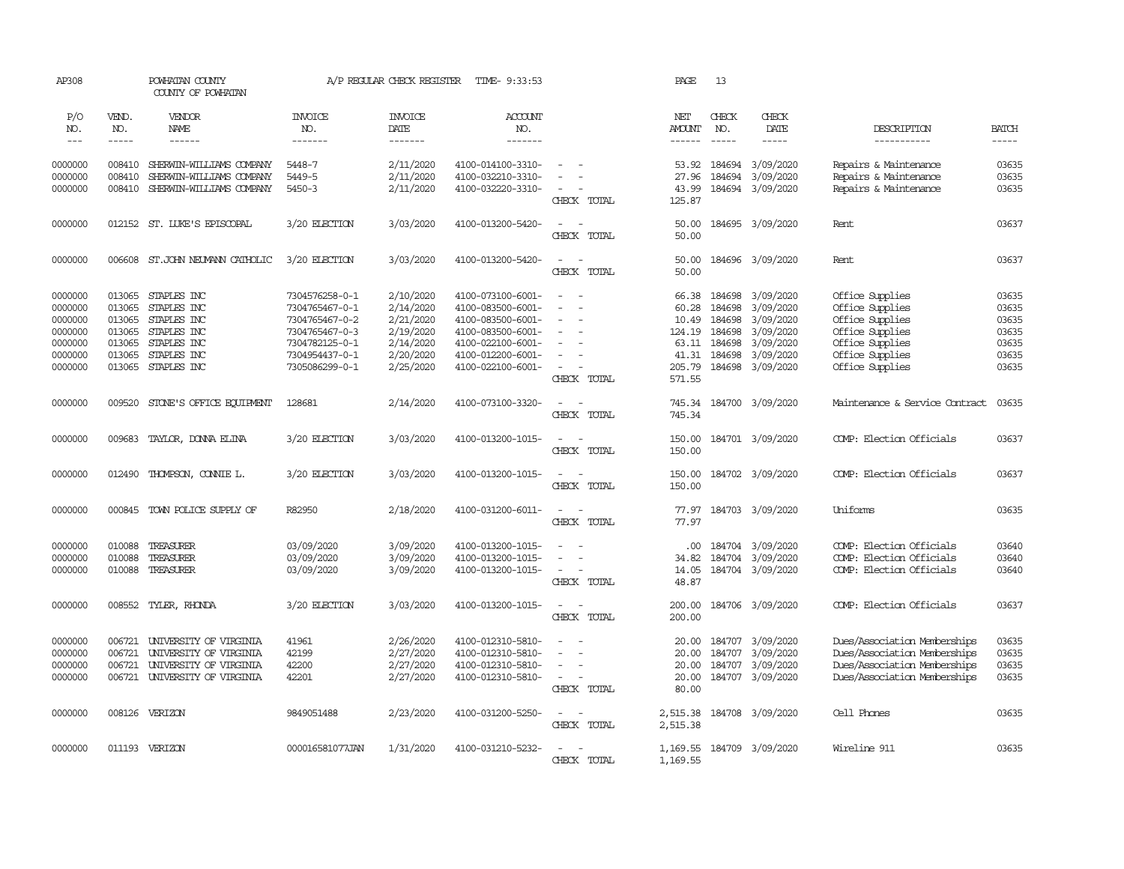| AP308                                                                     | POWHATAN COUNTY<br>COUNTY OF POWHATAN                    |                                                                                                              |                                                                                                                            | A/P REGULAR CHECK REGISTER                                                              | TIME- 9:33:53                                                                                                                                   |                                                                           | PAGE                                                                    | 13                                                       |                                                                                                |                                                                                                                                   |                                                             |
|---------------------------------------------------------------------------|----------------------------------------------------------|--------------------------------------------------------------------------------------------------------------|----------------------------------------------------------------------------------------------------------------------------|-----------------------------------------------------------------------------------------|-------------------------------------------------------------------------------------------------------------------------------------------------|---------------------------------------------------------------------------|-------------------------------------------------------------------------|----------------------------------------------------------|------------------------------------------------------------------------------------------------|-----------------------------------------------------------------------------------------------------------------------------------|-------------------------------------------------------------|
| P/O<br>NO.<br>$\frac{1}{2}$                                               | VEND.<br>NO.<br>$- - - - -$                              | VENDOR<br><b>NAME</b><br>------                                                                              | <b>INVOICE</b><br>NO.<br>-------                                                                                           | <b>INVOICE</b><br>DATE<br>-------                                                       | ACCOUNT<br>NO.<br>-------                                                                                                                       |                                                                           | NET<br>AMOUNT<br>------                                                 | CHECK<br>NO.                                             | CHECK<br>DATE<br>-----                                                                         | DESCRIPTION<br>-----------                                                                                                        | <b>BATCH</b><br>$- - - - -$                                 |
| 0000000<br>0000000<br>0000000                                             | 008410<br>008410<br>008410                               | SHERWIN-WILLTAMS COMPANY<br>SHERWIN-WILLIAMS COMPANY<br>SHERWIN-WILLIAMS COMPANY                             | 5448-7<br>5449-5<br>$5450 - 3$                                                                                             | 2/11/2020<br>2/11/2020<br>2/11/2020                                                     | 4100-014100-3310-<br>4100-032210-3310-<br>4100-032220-3310-                                                                                     | CHECK TOTAL                                                               | 53.92<br>27.96<br>43.99<br>125.87                                       | 184694<br>184694                                         | 3/09/2020<br>3/09/2020<br>184694 3/09/2020                                                     | Repairs & Maintenance<br>Repairs & Maintenance<br>Repairs & Maintenance                                                           | 03635<br>03635<br>03635                                     |
| 0000000                                                                   |                                                          | 012152 ST. LUKE'S EPISCOPAL                                                                                  | 3/20 ELECTION                                                                                                              | 3/03/2020                                                                               | 4100-013200-5420-                                                                                                                               | $\sim$<br>$\equiv$<br>CHECK TOTAL                                         | 50.00<br>50.00                                                          |                                                          | 184695 3/09/2020                                                                               | Rent                                                                                                                              | 03637                                                       |
| 0000000                                                                   | 006608                                                   | ST.JOHN NEUMANN CATHOLIC                                                                                     | 3/20 ELECTION                                                                                                              | 3/03/2020                                                                               | 4100-013200-5420-                                                                                                                               | $\sim$<br>$\overline{\phantom{a}}$<br>CHECK TOTAL                         | 50.00<br>50.00                                                          |                                                          | 184696 3/09/2020                                                                               | Rent                                                                                                                              | 03637                                                       |
| 0000000<br>0000000<br>0000000<br>0000000<br>0000000<br>0000000<br>0000000 | 013065<br>013065<br>013065<br>013065<br>013065<br>013065 | STAPLES INC<br>STAPLES INC<br>STAPLES INC<br>STAPLES INC<br>STAPLES INC<br>STAPLES INC<br>013065 STAPLES INC | 7304576258-0-1<br>7304765467-0-1<br>7304765467-0-2<br>7304765467-0-3<br>7304782125-0-1<br>7304954437-0-1<br>7305086299-0-1 | 2/10/2020<br>2/14/2020<br>2/21/2020<br>2/19/2020<br>2/14/2020<br>2/20/2020<br>2/25/2020 | 4100-073100-6001-<br>4100-083500-6001-<br>4100-083500-6001-<br>4100-083500-6001-<br>4100-022100-6001-<br>4100-012200-6001-<br>4100-022100-6001- | $\sim$<br>$\sim$<br>$\equiv$<br>$\sim$<br>$\sim$<br>$\sim$<br>CHECK TOTAL | 66.38<br>60.28<br>10.49<br>124.19<br>63.11<br>41.31<br>205.79<br>571.55 | 184698<br>184698<br>184698<br>184698<br>184698<br>184698 | 3/09/2020<br>3/09/2020<br>3/09/2020<br>3/09/2020<br>3/09/2020<br>3/09/2020<br>184698 3/09/2020 | Office Supplies<br>Office Supplies<br>Office Supplies<br>Office Supplies<br>Office Supplies<br>Office Supplies<br>Office Supplies | 03635<br>03635<br>03635<br>03635<br>03635<br>03635<br>03635 |
| 0000000                                                                   | 009520                                                   | STONE'S OFFICE EQUIPMENT                                                                                     | 128681                                                                                                                     | 2/14/2020                                                                               | 4100-073100-3320-                                                                                                                               | $\sim$<br>$\overline{a}$<br>CHECK TOTAL                                   | 745.34<br>745.34                                                        |                                                          | 184700 3/09/2020                                                                               | Maintenance & Service Contract                                                                                                    | 03635                                                       |
| 0000000                                                                   | 009683                                                   | TAYLOR, DONNA ELINA                                                                                          | 3/20 ELECTION                                                                                                              | 3/03/2020                                                                               | 4100-013200-1015-                                                                                                                               | $\sim$<br>$\sim$<br>CHECK TOTAL                                           | 150.00<br>150.00                                                        |                                                          | 184701 3/09/2020                                                                               | COMP: Election Officials                                                                                                          | 03637                                                       |
| 0000000                                                                   | 012490                                                   | THOMPSON, CONNIE L.                                                                                          | 3/20 ELECTION                                                                                                              | 3/03/2020                                                                               | 4100-013200-1015-                                                                                                                               | $\sim$<br>$\sim$<br>CHECK TOTAL                                           | 150.00<br>150.00                                                        |                                                          | 184702 3/09/2020                                                                               | COMP: Election Officials                                                                                                          | 03637                                                       |
| 0000000                                                                   | 000845                                                   | TOWN POLICE SUPPLY OF                                                                                        | R82950                                                                                                                     | 2/18/2020                                                                               | 4100-031200-6011-                                                                                                                               | $\overline{\phantom{a}}$<br>$\sim$<br>CHECK TOTAL                         | 77.97<br>77.97                                                          |                                                          | 184703 3/09/2020                                                                               | Uniforms                                                                                                                          | 03635                                                       |
| 0000000<br>0000000<br>0000000                                             | 010088<br>010088<br>010088                               | TREASURER<br>TREASURER<br>TREASURER                                                                          | 03/09/2020<br>03/09/2020<br>03/09/2020                                                                                     | 3/09/2020<br>3/09/2020<br>3/09/2020                                                     | 4100-013200-1015-<br>4100-013200-1015-<br>4100-013200-1015-                                                                                     | $\sim$<br>$\equiv$<br>$\sim$<br>$\sim$<br>CHECK TOTAL                     | .00.<br>34.82<br>14.05<br>48.87                                         | 184704                                                   | 184704 3/09/2020<br>3/09/2020<br>184704 3/09/2020                                              | COMP: Election Officials<br>COMP: Election Officials<br>COMP: Election Officials                                                  | 03640<br>03640<br>03640                                     |
| 0000000                                                                   | 008552                                                   | TYLER, RHONDA                                                                                                | 3/20 ELECTION                                                                                                              | 3/03/2020                                                                               | 4100-013200-1015-                                                                                                                               | $\overline{\phantom{a}}$<br>$\sim$<br>CHECK TOTAL                         | 200.00<br>200.00                                                        |                                                          | 184706 3/09/2020                                                                               | COMP: Election Officials                                                                                                          | 03637                                                       |
| 0000000<br>0000000<br>0000000<br>0000000                                  | 006721<br>006721<br>006721<br>006721                     | UNIVERSITY OF VIRGINIA<br>UNIVERSITY OF VIRGINIA<br>UNIVERSITY OF VIRGINIA<br>UNIVERSITY OF VIRGINIA         | 41961<br>42199<br>42200<br>42201                                                                                           | 2/26/2020<br>2/27/2020<br>2/27/2020<br>2/27/2020                                        | 4100-012310-5810-<br>4100-012310-5810-<br>4100-012310-5810-<br>4100-012310-5810-                                                                | $\sim$<br>$\sim$<br>CHECK TOTAL                                           | 20.00<br>20.00<br>20.00<br>20.00<br>80.00                               | 184707<br>184707<br>184707<br>184707                     | 3/09/2020<br>3/09/2020<br>3/09/2020<br>3/09/2020                                               | Dues/Association Memberships<br>Dues/Association Memberships<br>Dues/Association Memberships<br>Dues/Association Memberships      | 03635<br>03635<br>03635<br>03635                            |
| 0000000                                                                   |                                                          | 008126 VERIZON                                                                                               | 9849051488                                                                                                                 | 2/23/2020                                                                               | 4100-031200-5250-                                                                                                                               | $\sim$<br>$\sim$<br>CHECK TOTAL                                           | 2,515.38<br>2,515.38                                                    |                                                          | 184708 3/09/2020                                                                               | Cell Phones                                                                                                                       | 03635                                                       |
| 0000000                                                                   |                                                          | 011193 VERIZON                                                                                               | 000016581077JAN                                                                                                            | 1/31/2020                                                                               | 4100-031210-5232-                                                                                                                               | $\sim$<br>CHECK TOTAL                                                     | 1,169.55<br>1,169.55                                                    |                                                          | 184709 3/09/2020                                                                               | Wireline 911                                                                                                                      | 03635                                                       |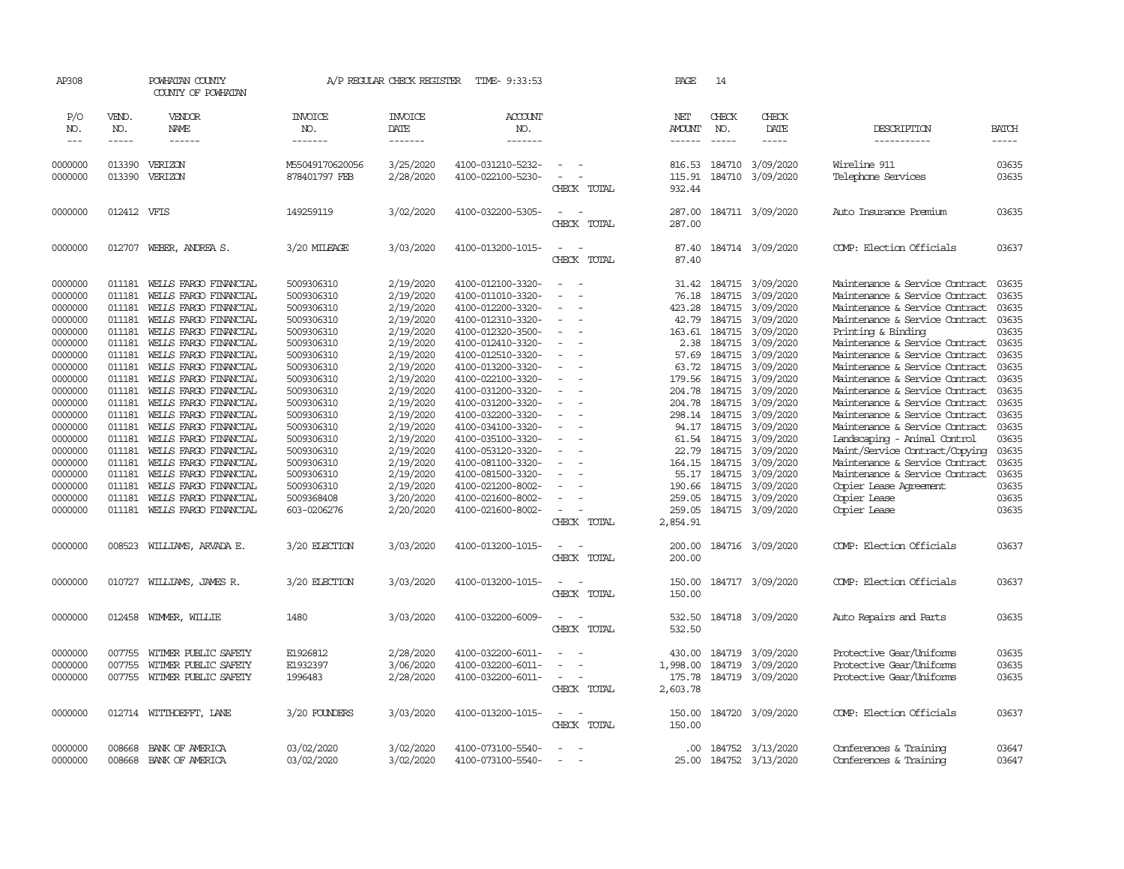| AP308               |                       | POWHATAN COUNTY<br>COUNTY OF POWHATAN |                                  | A/P REGULAR CHECK REGISTER        | TIME- 9:33:53                    |                                            | PAGE                    | 14                                                                                                                                                                                                                                                                                                                                                                                                           |                         |                                |                       |
|---------------------|-----------------------|---------------------------------------|----------------------------------|-----------------------------------|----------------------------------|--------------------------------------------|-------------------------|--------------------------------------------------------------------------------------------------------------------------------------------------------------------------------------------------------------------------------------------------------------------------------------------------------------------------------------------------------------------------------------------------------------|-------------------------|--------------------------------|-----------------------|
| P/O<br>NO.<br>$---$ | VEND.<br>NO.<br>----- | VENDOR<br>NAME<br>------              | <b>INVOICE</b><br>NO.<br>------- | <b>INVOICE</b><br>DATE<br>------- | <b>ACCOUNT</b><br>NO.<br>------- |                                            | NET<br>AMOUNT<br>------ | CHECK<br>NO.<br>$\frac{1}{2} \frac{1}{2} \frac{1}{2} \frac{1}{2} \frac{1}{2} \frac{1}{2} \frac{1}{2} \frac{1}{2} \frac{1}{2} \frac{1}{2} \frac{1}{2} \frac{1}{2} \frac{1}{2} \frac{1}{2} \frac{1}{2} \frac{1}{2} \frac{1}{2} \frac{1}{2} \frac{1}{2} \frac{1}{2} \frac{1}{2} \frac{1}{2} \frac{1}{2} \frac{1}{2} \frac{1}{2} \frac{1}{2} \frac{1}{2} \frac{1}{2} \frac{1}{2} \frac{1}{2} \frac{1}{2} \frac{$ | CHECK<br>DATE<br>-----  | DESCRIPTION<br>-----------     | <b>BATCH</b><br>----- |
| 0000000             | 013390                | VERIZON                               | M55049170620056                  | 3/25/2020                         | 4100-031210-5232-                | $\equiv$                                   | 816.53                  | 184710                                                                                                                                                                                                                                                                                                                                                                                                       | 3/09/2020               | Wireline 911                   | 03635                 |
| 0000000             | 013390                | VERIZON                               | 878401797 FEB                    | 2/28/2020                         | 4100-022100-5230-                | $\sim$<br>÷.<br>CHECK TOTAL                | 932.44                  |                                                                                                                                                                                                                                                                                                                                                                                                              | 115.91 184710 3/09/2020 | Telephone Services             | 03635                 |
|                     |                       |                                       |                                  |                                   |                                  |                                            |                         |                                                                                                                                                                                                                                                                                                                                                                                                              |                         |                                |                       |
| 0000000             | 012412                | VFIS                                  | 149259119                        | 3/02/2020                         | 4100-032200-5305-                | $\sim$<br>CHECK TOTAL                      | 287.00<br>287.00        |                                                                                                                                                                                                                                                                                                                                                                                                              | 184711 3/09/2020        | Auto Insurance Premium         | 03635                 |
| 0000000             | 012707                | WEBER, ANDREA S.                      | 3/20 MILEAGE                     | 3/03/2020                         | 4100-013200-1015-                | $\sim$<br>$\overline{\phantom{a}}$         | 87.40                   |                                                                                                                                                                                                                                                                                                                                                                                                              | 184714 3/09/2020        | COMP: Election Officials       | 03637                 |
|                     |                       |                                       |                                  |                                   |                                  | CHECK TOTAL                                | 87.40                   |                                                                                                                                                                                                                                                                                                                                                                                                              |                         |                                |                       |
| 0000000             | 011181                | WELLS FARGO FINANCIAL                 | 5009306310                       | 2/19/2020                         | 4100-012100-3320-                | $\sim$                                     | 31.42                   | 184715                                                                                                                                                                                                                                                                                                                                                                                                       | 3/09/2020               | Maintenance & Service Contract | 03635                 |
| 0000000             | 011181                | WELLS FARGO FINANCIAL                 | 5009306310                       | 2/19/2020                         | 4100-011010-3320-                |                                            | 76.18                   | 184715                                                                                                                                                                                                                                                                                                                                                                                                       | 3/09/2020               | Maintenance & Service Contract | 03635                 |
| 0000000             | 011181                | WELLS FARGO FINANCIAL                 | 5009306310                       | 2/19/2020                         | 4100-012200-3320-                |                                            | 423.28                  | 184715                                                                                                                                                                                                                                                                                                                                                                                                       | 3/09/2020               | Maintenance & Service Contract | 03635                 |
| 0000000             | 011181                | WELLS FARGO FINANCIAL                 | 5009306310                       | 2/19/2020                         | 4100-012310-3320-                | $\sim$                                     | 42.79                   | 184715                                                                                                                                                                                                                                                                                                                                                                                                       | 3/09/2020               | Maintenance & Service Contract | 03635                 |
| 0000000             | 011181                | WELLS FARGO FINANCIAL                 | 5009306310                       | 2/19/2020                         | 4100-012320-3500-                | $\sim$                                     | 163.61                  | 184715                                                                                                                                                                                                                                                                                                                                                                                                       | 3/09/2020               | Printing & Binding             | 03635                 |
| 0000000             | 011181                | WELLS FARGO FINANCIAL                 | 5009306310                       | 2/19/2020                         | 4100-012410-3320-                |                                            | 2.38                    | 184715                                                                                                                                                                                                                                                                                                                                                                                                       | 3/09/2020               | Maintenance & Service Contract | 03635                 |
| 0000000             | 011181                | WELLS FARGO FINANCIAL                 | 5009306310                       | 2/19/2020                         | 4100-012510-3320-                | $\sim$                                     |                         | 57.69 184715                                                                                                                                                                                                                                                                                                                                                                                                 | 3/09/2020               | Maintenance & Service Contract | 03635                 |
| 0000000             | 011181                | WELLS FARGO FINANCIAL                 | 5009306310                       | 2/19/2020                         | 4100-013200-3320-                | $\sim$                                     | 63.72                   | 184715                                                                                                                                                                                                                                                                                                                                                                                                       | 3/09/2020               | Maintenance & Service Contract | 03635                 |
| 0000000             | 011181                | WELLS FARGO FINANCIAL                 | 5009306310                       | 2/19/2020                         | 4100-022100-3320-                | $\equiv$                                   | 179.56                  | 184715                                                                                                                                                                                                                                                                                                                                                                                                       | 3/09/2020               | Maintenance & Service Contract | 03635                 |
| 0000000             | 011181                | WELLS FARGO FINANCIAL                 | 5009306310                       | 2/19/2020                         | 4100-031200-3320-                | $\sim$                                     | 204.78                  | 184715                                                                                                                                                                                                                                                                                                                                                                                                       | 3/09/2020               | Maintenance & Service Contract | 03635                 |
| 0000000             | 011181                | WELLS FARGO FINANCIAL                 | 5009306310                       | 2/19/2020                         | 4100-031200-3320-                | $\equiv$                                   | 204.78                  | 184715                                                                                                                                                                                                                                                                                                                                                                                                       | 3/09/2020               | Maintenance & Service Contract | 03635                 |
| 0000000             | 011181                | WELLS FARGO FINANCIAL                 | 5009306310                       | 2/19/2020                         | 4100-032200-3320-                | $\equiv$                                   |                         | 298.14 184715                                                                                                                                                                                                                                                                                                                                                                                                | 3/09/2020               | Maintenance & Service Contract | 03635                 |
| 0000000             | 011181                | WELLS FARGO FINANCIAL                 | 5009306310                       | 2/19/2020                         | 4100-034100-3320-                |                                            |                         | 94.17 184715                                                                                                                                                                                                                                                                                                                                                                                                 | 3/09/2020               | Maintenance & Service Contract | 03635                 |
| 0000000             | 011181                | WELLS FARGO FINANCIAL                 | 5009306310                       | 2/19/2020                         | 4100-035100-3320-                | $\blacksquare$<br>$\overline{\phantom{a}}$ |                         | 61.54 184715                                                                                                                                                                                                                                                                                                                                                                                                 | 3/09/2020               | Landscaping - Animal Control   | 03635                 |
| 0000000             | 011181                |                                       | 5009306310                       | 2/19/2020                         | 4100-053120-3320-                | $\equiv$                                   | 22.79                   | 184715                                                                                                                                                                                                                                                                                                                                                                                                       | 3/09/2020               | Maint/Service Contract/Copying | 03635                 |
|                     |                       | WELLS FARGO FINANCIAL                 |                                  |                                   |                                  |                                            |                         |                                                                                                                                                                                                                                                                                                                                                                                                              |                         |                                |                       |
| 0000000             | 011181                | WELLS FARGO FINANCIAL                 | 5009306310                       | 2/19/2020                         | 4100-081100-3320-                |                                            |                         | 164.15 184715                                                                                                                                                                                                                                                                                                                                                                                                | 3/09/2020               | Maintenance & Service Contract | 03635                 |
| 0000000             | 011181                | WELLS FARGO FINANCIAL                 | 5009306310                       | 2/19/2020                         | 4100-081500-3320-                |                                            |                         | 55.17 184715                                                                                                                                                                                                                                                                                                                                                                                                 | 3/09/2020               | Maintenance & Service Contract | 03635                 |
| 0000000             | 011181                | WELLS FARGO FINANCIAL                 | 5009306310                       | 2/19/2020                         | 4100-021200-8002-                |                                            | 190.66                  | 184715                                                                                                                                                                                                                                                                                                                                                                                                       | 3/09/2020               | Copier Lease Agreement         | 03635                 |
| 0000000             | 011181                | WELLS FARGO FINANCIAL                 | 5009368408                       | 3/20/2020                         | 4100-021600-8002-                |                                            | 259.05                  | 184715                                                                                                                                                                                                                                                                                                                                                                                                       | 3/09/2020               | Copier Lease                   | 03635                 |
| 0000000             |                       | 011181 WELLS FARGO FINANCIAL          | 603-0206276                      | 2/20/2020                         | 4100-021600-8002-                | $\equiv$                                   | 259.05                  |                                                                                                                                                                                                                                                                                                                                                                                                              | 184715 3/09/2020        | Copier Lease                   | 03635                 |
|                     |                       |                                       |                                  |                                   |                                  | CHECK TOTAL                                | 2,854.91                |                                                                                                                                                                                                                                                                                                                                                                                                              |                         |                                |                       |
| 0000000             | 008523                | WILLIAMS, ARVADA E.                   | 3/20 ELECTION                    | 3/03/2020                         | 4100-013200-1015-                | $\sim$<br>$\sim$                           | 200.00                  |                                                                                                                                                                                                                                                                                                                                                                                                              | 184716 3/09/2020        | COMP: Election Officials       | 03637                 |
|                     |                       |                                       |                                  |                                   |                                  | CHECK TOTAL                                | 200.00                  |                                                                                                                                                                                                                                                                                                                                                                                                              |                         |                                |                       |
| 0000000             | 010727                | WILLIAMS, JAMES R.                    | 3/20 ELECTION                    | 3/03/2020                         | 4100-013200-1015-                | $\equiv$<br>$\overline{\phantom{a}}$       | 150.00                  |                                                                                                                                                                                                                                                                                                                                                                                                              | 184717 3/09/2020        | COMP: Election Officials       | 03637                 |
|                     |                       |                                       |                                  |                                   |                                  | CHECK TOTAL                                | 150.00                  |                                                                                                                                                                                                                                                                                                                                                                                                              |                         |                                |                       |
| 0000000             | 012458                | WIMMER, WILLIE                        | 1480                             | 3/03/2020                         | 4100-032200-6009-                | $\sim$<br>$\sim$                           | 532.50                  |                                                                                                                                                                                                                                                                                                                                                                                                              | 184718 3/09/2020        | Auto Repairs and Parts         | 03635                 |
|                     |                       |                                       |                                  |                                   |                                  | CHECK TOTAL                                | 532.50                  |                                                                                                                                                                                                                                                                                                                                                                                                              |                         |                                |                       |
| 0000000             | 007755                | WITMER PUBLIC SAFETY                  | E1926812                         | 2/28/2020                         | 4100-032200-6011-                |                                            | 430.00                  | 184719                                                                                                                                                                                                                                                                                                                                                                                                       | 3/09/2020               | Protective Gear/Uniforms       | 03635                 |
| 0000000             | 007755                | WITMER PUBLIC SAFETY                  | E1932397                         | 3/06/2020                         | 4100-032200-6011-                |                                            | 1,998.00                | 184719                                                                                                                                                                                                                                                                                                                                                                                                       | 3/09/2020               | Protective Gear/Uniforms       | 03635                 |
| 0000000             |                       | 007755 WITMER PUBLIC SAFETY           | 1996483                          | 2/28/2020                         | 4100-032200-6011-                | $\equiv$                                   | 175.78                  |                                                                                                                                                                                                                                                                                                                                                                                                              | 184719 3/09/2020        | Protective Gear/Uniforms       | 03635                 |
|                     |                       |                                       |                                  |                                   |                                  | CHECK TOTAL                                | 2,603.78                |                                                                                                                                                                                                                                                                                                                                                                                                              |                         |                                |                       |
| 0000000             |                       | 012714 WITTHOEFFT, LANE               | 3/20 FOUNDERS                    | 3/03/2020                         | 4100-013200-1015-                | $\sim$<br>$\sim$                           | 150.00                  |                                                                                                                                                                                                                                                                                                                                                                                                              | 184720 3/09/2020        | COMP: Election Officials       | 03637                 |
|                     |                       |                                       |                                  |                                   |                                  | CHECK TOTAL                                | 150.00                  |                                                                                                                                                                                                                                                                                                                                                                                                              |                         |                                |                       |
| 0000000             | 008668                | BANK OF AMERICA                       | 03/02/2020                       | 3/02/2020                         | 4100-073100-5540-                | $\overline{\phantom{a}}$<br><u>. на п</u>  | $.00 \cdot$             |                                                                                                                                                                                                                                                                                                                                                                                                              | 184752 3/13/2020        | Conferences & Training         | 03647                 |
| 0000000             | 008668                | BANK OF AMERICA                       | 03/02/2020                       | 3/02/2020                         | 4100-073100-5540-                |                                            | 25.00                   |                                                                                                                                                                                                                                                                                                                                                                                                              | 184752 3/13/2020        | Conferences & Training         | 03647                 |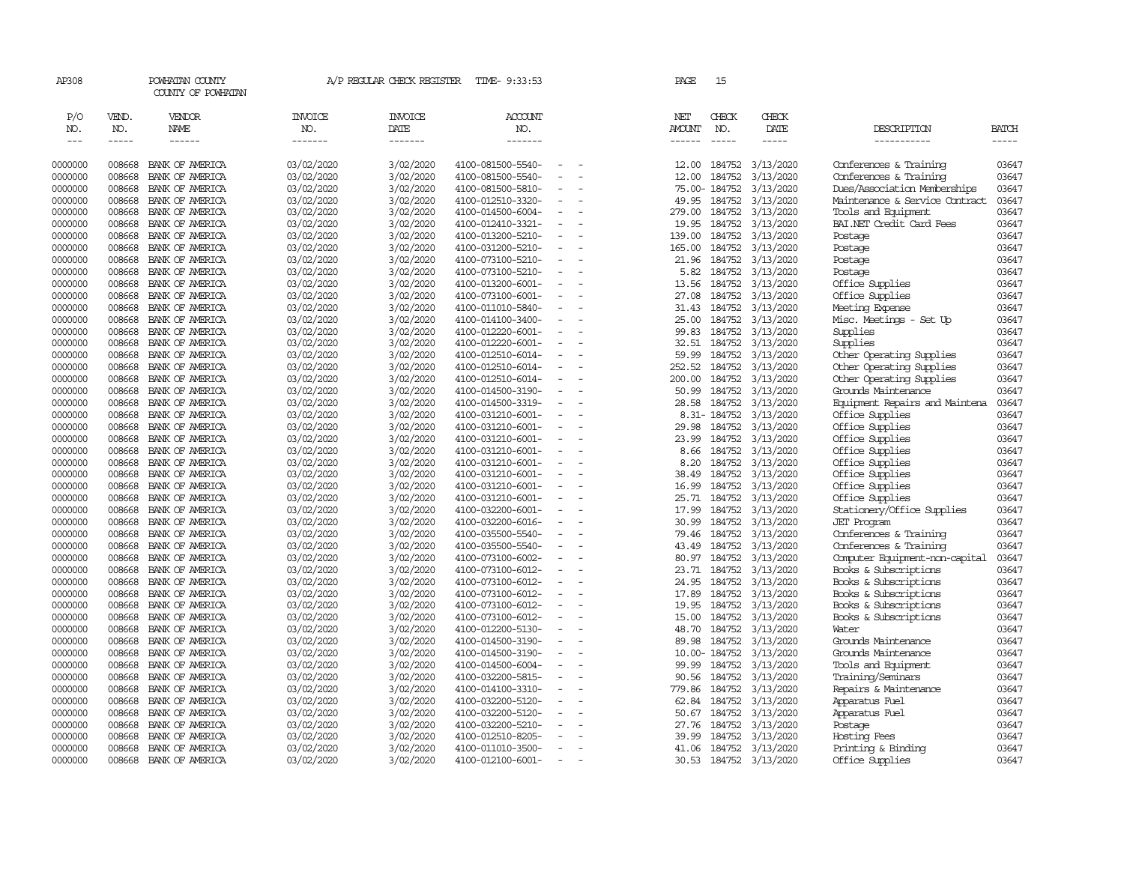| AP308                       |                             | POWHATAN COUNTY<br>COUNTY OF POWHATAN |                                  | A/P REGULAR CHECK REGISTER        | TIME- 9:33:53                          |                          | PAGE                                  | 15                            |                        |                                |                |
|-----------------------------|-----------------------------|---------------------------------------|----------------------------------|-----------------------------------|----------------------------------------|--------------------------|---------------------------------------|-------------------------------|------------------------|--------------------------------|----------------|
| P/O<br>NO.<br>$\frac{1}{2}$ | VEND.<br>NO.<br>$- - - - -$ | VENDOR<br>NAME<br>$- - - - - -$       | <b>INVOICE</b><br>NO.<br>------- | <b>INVOICE</b><br>DATE<br>------- | ACCOUNT<br>NO.<br>-------              |                          | NET<br><b>AMOUNT</b><br>$- - - - - -$ | CHECK<br>NO.<br>$\frac{1}{2}$ | CHECK<br>DATE<br>----- | DESCRIPTION<br>-----------     | BATCH<br>----- |
| 0000000                     | 008668                      | BANK OF AMERICA                       | 03/02/2020                       | 3/02/2020                         | 4100-081500-5540-                      |                          | 12.00                                 | 184752                        | 3/13/2020              | Conferences & Training         | 03647          |
| 0000000                     | 008668                      | BANK OF AMERICA                       | 03/02/2020                       | 3/02/2020                         | 4100-081500-5540-                      | $\equiv$                 | 12.00                                 | 184752                        | 3/13/2020              | Conferences & Training         | 03647          |
| 0000000                     | 008668                      | BANK OF AMERICA                       | 03/02/2020                       | 3/02/2020                         | 4100-081500-5810-                      |                          |                                       | 75.00-184752                  | 3/13/2020              | Dues/Association Memberships   | 03647          |
| 0000000                     | 008668                      | BANK OF AMERICA                       | 03/02/2020                       | 3/02/2020                         | 4100-012510-3320-                      | $\equiv$                 | 49.95                                 | 184752                        | 3/13/2020              | Maintenance & Service Contract | 03647          |
| 0000000                     | 008668                      | BANK OF AMERICA                       | 03/02/2020                       | 3/02/2020                         | 4100-014500-6004-                      |                          | 279.00                                | 184752                        | 3/13/2020              | Tools and Equipment            | 03647          |
| 0000000                     | 008668                      | BANK OF AMERICA                       | 03/02/2020                       | 3/02/2020                         | 4100-012410-3321-                      | $\equiv$                 | 19.95                                 | 184752                        | 3/13/2020              | BAI.NET Credit Card Fees       | 03647          |
| 0000000                     | 008668                      | BANK OF AMERICA                       | 03/02/2020                       | 3/02/2020                         | 4100-013200-5210-                      |                          | 139.00                                | 184752                        | 3/13/2020              | Postage                        | 03647          |
| 0000000                     | 008668                      | BANK OF AMERICA                       | 03/02/2020                       | 3/02/2020                         | 4100-031200-5210-                      |                          | 165.00                                | 184752                        | 3/13/2020              | Postage                        | 03647          |
| 0000000                     | 008668                      | BANK OF AMERICA                       | 03/02/2020                       | 3/02/2020                         | 4100-073100-5210-                      | $\overline{\phantom{a}}$ | 21.96                                 | 184752                        | 3/13/2020              | Postage                        | 03647          |
| 0000000                     | 008668                      | BANK OF AMERICA                       | 03/02/2020                       | 3/02/2020                         | 4100-073100-5210-                      | $\overline{\phantom{a}}$ | 5.82                                  | 184752                        | 3/13/2020              | Postage                        | 03647          |
| 0000000                     | 008668                      | BANK OF AMERICA                       | 03/02/2020                       | 3/02/2020                         | 4100-013200-6001-                      | $\equiv$                 | 13.56                                 | 184752                        | 3/13/2020              | Office Supplies                | 03647          |
| 0000000                     | 008668                      | BANK OF AMERICA                       | 03/02/2020                       | 3/02/2020                         | 4100-073100-6001-                      |                          | 27.08                                 | 184752                        | 3/13/2020              | Office Supplies                | 03647          |
| 0000000                     | 008668                      | BANK OF AMERICA                       | 03/02/2020                       | 3/02/2020                         | 4100-011010-5840-                      | $\equiv$                 | 31.43                                 | 184752                        | 3/13/2020              | Meeting Expense                | 03647          |
| 0000000                     | 008668                      | BANK OF AMERICA                       | 03/02/2020                       | 3/02/2020                         | 4100-014100-3400-                      | $\sim$                   | 25.00                                 | 184752                        | 3/13/2020              | Misc. Meetings - Set Up        | 03647          |
| 0000000                     | 008668                      | BANK OF AMERICA                       | 03/02/2020                       | 3/02/2020                         | 4100-012220-6001-                      | $\sim$                   | 99.83                                 | 184752                        | 3/13/2020              | Supplies                       | 03647          |
| 0000000                     | 008668                      | BANK OF AMERICA                       | 03/02/2020                       | 3/02/2020                         | 4100-012220-6001-                      | $\sim$                   |                                       | 32.51 184752                  | 3/13/2020              | Supplies                       | 03647          |
| 0000000                     | 008668                      | BANK OF AMERICA                       | 03/02/2020                       | 3/02/2020                         | 4100-012510-6014-                      | $\overline{\phantom{a}}$ | 59.99                                 | 184752                        | 3/13/2020              | Other Operating Supplies       | 03647          |
| 0000000                     | 008668                      | BANK OF AMERICA                       | 03/02/2020                       | 3/02/2020                         | 4100-012510-6014-                      | $\equiv$                 | 252.52                                | 184752                        | 3/13/2020              | Other Operating Supplies       | 03647          |
| 0000000                     | 008668                      | BANK OF AMERICA                       | 03/02/2020                       | 3/02/2020                         | 4100-012510-6014-                      |                          | 200.00                                | 184752                        | 3/13/2020              | Other Operating Supplies       | 03647          |
| 0000000                     | 008668                      | BANK OF AMERICA                       | 03/02/2020                       | 3/02/2020                         | 4100-014500-3190-                      | $\overline{\phantom{a}}$ | 50.99                                 | 184752                        | 3/13/2020              | Grounds Maintenance            | 03647          |
| 0000000                     | 008668                      | BANK OF AMERICA                       | 03/02/2020                       | 3/02/2020                         | 4100-014500-3319-                      |                          | 28.58                                 | 184752                        | 3/13/2020              | Equipment Repairs and Maintena | 03647          |
| 0000000                     | 008668                      | BANK OF AMERICA                       | 03/02/2020                       | 3/02/2020                         | 4100-031210-6001-                      | $\equiv$                 |                                       | 8.31-184752                   | 3/13/2020              | Office Supplies                | 03647          |
| 0000000                     | 008668                      | BANK OF AMERICA                       | 03/02/2020                       | 3/02/2020                         | 4100-031210-6001-                      |                          | 29.98                                 | 184752                        | 3/13/2020              | Office Supplies                | 03647          |
| 0000000                     | 008668                      | BANK OF AMERICA                       | 03/02/2020                       | 3/02/2020                         | 4100-031210-6001-                      | $\equiv$                 | 23.99                                 | 184752                        | 3/13/2020              | Office Supplies                | 03647          |
| 0000000                     | 008668                      | BANK OF AMERICA                       | 03/02/2020                       | 3/02/2020                         | 4100-031210-6001-                      | $\overline{\phantom{a}}$ | 8.66                                  | 184752                        | 3/13/2020              | Office Supplies                | 03647          |
| 0000000                     | 008668                      | BANK OF AMERICA                       | 03/02/2020                       | 3/02/2020                         | 4100-031210-6001-                      |                          | 8.20                                  | 184752                        | 3/13/2020              | Office Supplies                | 03647          |
| 0000000                     | 008668                      | BANK OF AMERICA                       | 03/02/2020                       | 3/02/2020                         | 4100-031210-6001-                      | $\overline{\phantom{a}}$ | 38.49                                 | 184752                        | 3/13/2020              | Office Supplies                | 03647          |
| 0000000                     | 008668                      | BANK OF AMERICA                       | 03/02/2020                       | 3/02/2020                         | 4100-031210-6001-                      | $\overline{\phantom{a}}$ | 16.99                                 | 184752                        | 3/13/2020              | Office Supplies                | 03647          |
| 0000000                     | 008668                      | BANK OF AMERICA                       | 03/02/2020                       | 3/02/2020                         | 4100-031210-6001-                      | $\equiv$                 | 25.71                                 | 184752                        | 3/13/2020              | Office Supplies                | 03647          |
| 0000000                     | 008668                      | BANK OF AMERICA                       | 03/02/2020                       | 3/02/2020                         | 4100-032200-6001-                      |                          | 17.99                                 | 184752                        | 3/13/2020              | Stationery/Office Supplies     | 03647          |
| 0000000                     | 008668                      | BANK OF AMERICA                       | 03/02/2020                       | 3/02/2020                         | 4100-032200-6016-                      | $\sim$                   | 30.99                                 | 184752                        | 3/13/2020              | <b>JET</b> Program             | 03647          |
| 0000000                     | 008668                      | BANK OF AMERICA                       | 03/02/2020                       | 3/02/2020                         | 4100-035500-5540-                      | $\sim$                   | 79.46                                 | 184752                        | 3/13/2020              | Conferences & Training         | 03647          |
| 0000000                     | 008668                      | BANK OF AMERICA                       | 03/02/2020                       | 3/02/2020                         | 4100-035500-5540-                      |                          | 43.49                                 | 184752                        | 3/13/2020              | Conferences & Training         | 03647          |
| 0000000                     | 008668                      | BANK OF AMERICA                       | 03/02/2020                       | 3/02/2020                         | 4100-073100-6002-                      | $\equiv$                 | 80.97                                 | 184752                        | 3/13/2020              | Computer Equipment-non-capital | 03647          |
| 0000000                     | 008668                      | BANK OF AMERICA                       | 03/02/2020                       | 3/02/2020                         | 4100-073100-6012-                      |                          |                                       | 23.71 184752                  | 3/13/2020              | Books & Subscriptions          | 03647          |
| 0000000                     | 008668                      | BANK OF AMERICA                       | 03/02/2020                       | 3/02/2020                         | 4100-073100-6012-                      | $\equiv$                 | 24.95                                 | 184752                        | 3/13/2020              | Books & Subscriptions          | 03647          |
| 0000000                     | 008668                      | BANK OF AMERICA                       | 03/02/2020                       | 3/02/2020                         | 4100-073100-6012-                      |                          | 17.89                                 | 184752                        | 3/13/2020              | Books & Subscriptions          | 03647          |
| 0000000                     | 008668                      | BANK OF AMERICA                       | 03/02/2020                       | 3/02/2020                         | 4100-073100-6012-                      | $\equiv$                 | 19.95                                 | 184752                        | 3/13/2020              | Books & Subscriptions          | 03647          |
| 0000000                     | 008668                      | BANK OF AMERICA                       | 03/02/2020                       | 3/02/2020                         | 4100-073100-6012-                      | $\sim$<br>$\equiv$       | 15.00                                 | 184752                        | 3/13/2020              | Books & Subscriptions          | 03647          |
| 0000000                     | 008668                      | BANK OF AMERICA                       | 03/02/2020                       | 3/02/2020                         | 4100-012200-5130-                      |                          | 48.70                                 | 184752                        | 3/13/2020              | Water                          | 03647          |
| 0000000                     | 008668                      | BANK OF AMERICA                       | 03/02/2020                       | 3/02/2020                         | 4100-014500-3190-                      | $\overline{\phantom{a}}$ | 89.98                                 | 184752                        | 3/13/2020              | Grounds Maintenance            | 03647          |
| 0000000                     | 008668                      | BANK OF AMERICA                       | 03/02/2020                       | 3/02/2020                         | 4100-014500-3190-                      |                          |                                       | 10.00-184752                  | 3/13/2020              | Grounds Maintenance            | 03647          |
| 0000000                     | 008668                      | BANK OF AMERICA                       | 03/02/2020                       | 3/02/2020                         | 4100-014500-6004-                      | $\sim$                   | 99.99                                 | 184752                        | 3/13/2020              | Tools and Equipment            | 03647          |
| 0000000                     | 008668                      | BANK OF AMERICA                       | 03/02/2020                       | 3/02/2020                         | 4100-032200-5815-                      | $\equiv$                 | 90.56                                 | 184752                        | 3/13/2020              | Training/Seminars              | 03647          |
| 0000000                     | 008668                      | BANK OF AMERICA                       | 03/02/2020                       | 3/02/2020                         | 4100-014100-3310-                      |                          | 779.86                                | 184752                        | 3/13/2020              | Repairs & Maintenance          | 03647          |
| 0000000<br>0000000          | 008668<br>008668            | BANK OF AMERICA<br>BANK OF AMERICA    | 03/02/2020<br>03/02/2020         | 3/02/2020<br>3/02/2020            | 4100-032200-5120-<br>4100-032200-5120- |                          | 62.84<br>50.67                        | 184752<br>184752              | 3/13/2020<br>3/13/2020 | Apparatus Fuel                 | 03647<br>03647 |
| 0000000                     | 008668                      |                                       |                                  | 3/02/2020                         | 4100-032200-5210-                      |                          | 27.76                                 | 184752                        | 3/13/2020              | Apparatus Fuel<br>Postage      | 03647          |
| 0000000                     | 008668                      | BANK OF AMERICA<br>BANK OF AMERICA    | 03/02/2020<br>03/02/2020         | 3/02/2020                         | 4100-012510-8205-                      |                          | 39.99                                 | 184752                        | 3/13/2020              | Hosting Fees                   | 03647          |
| 0000000                     | 008668                      | BANK OF AMERICA                       | 03/02/2020                       | 3/02/2020                         | 4100-011010-3500-                      | $\equiv$                 | 41.06                                 | 184752                        | 3/13/2020              | Printing & Binding             | 03647          |
| 0000000                     | 008668                      | BANK OF AMERICA                       | 03/02/2020                       | 3/02/2020                         | 4100-012100-6001-                      | $\overline{\phantom{a}}$ | 30.53                                 |                               | 184752 3/13/2020       | Office Supplies                | 03647          |
|                             |                             |                                       |                                  |                                   |                                        |                          |                                       |                               |                        |                                |                |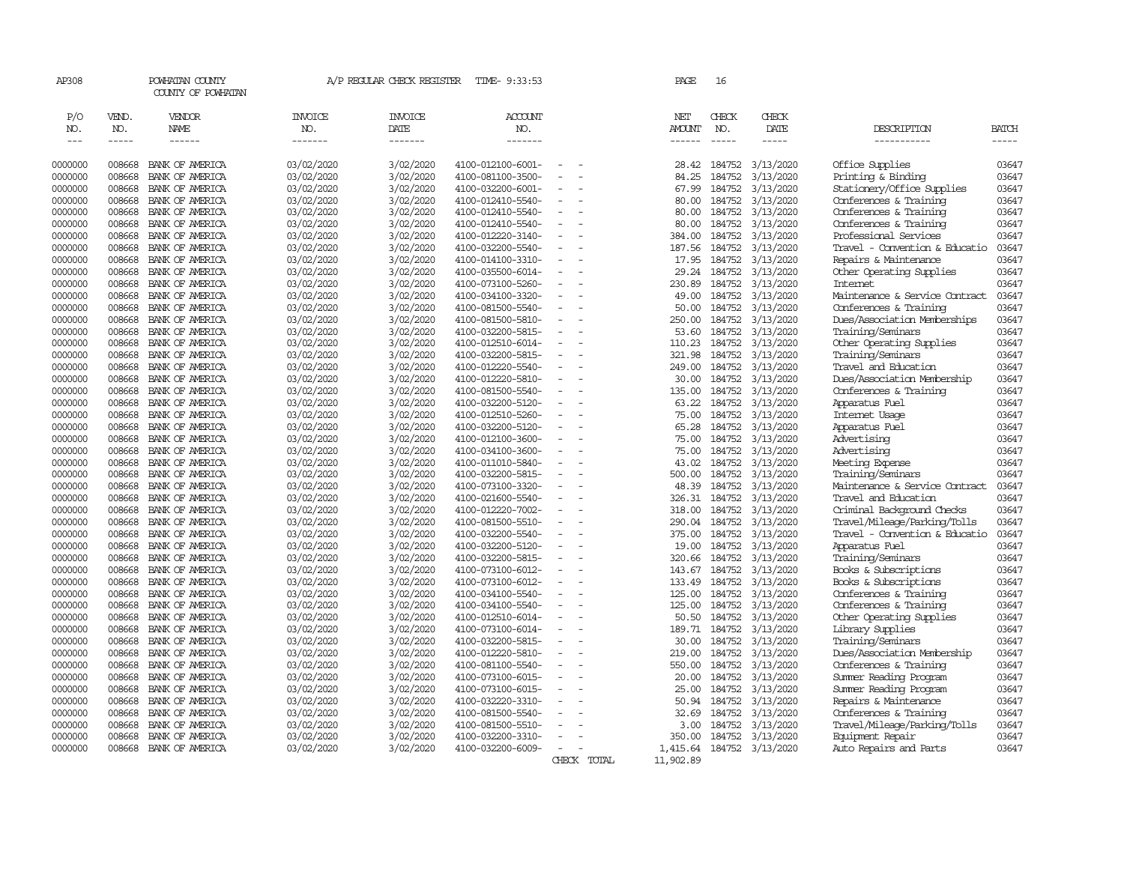| AP308                |                    | POWHATAN COUNTY<br>COUNTY OF POWHATAN                                                                                                                                                                                                                                                                                                                                                                                                                                                  |                          | A/P REGULAR CHECK REGISTER | TIME- 9:33:53                          |                          |             | PAGE             | 16               |                        |                                                    |                       |
|----------------------|--------------------|----------------------------------------------------------------------------------------------------------------------------------------------------------------------------------------------------------------------------------------------------------------------------------------------------------------------------------------------------------------------------------------------------------------------------------------------------------------------------------------|--------------------------|----------------------------|----------------------------------------|--------------------------|-------------|------------------|------------------|------------------------|----------------------------------------------------|-----------------------|
| P/O                  | VEND.              | VENDOR                                                                                                                                                                                                                                                                                                                                                                                                                                                                                 | <b>INVOICE</b>           | INVOICE                    | ACCOUNT                                |                          |             | NET              | CHECK            | CHECK                  |                                                    |                       |
| NO.<br>$\frac{1}{2}$ | NO.<br>$- - - - -$ | NAME                                                                                                                                                                                                                                                                                                                                                                                                                                                                                   | NO.<br>-------           | DATE                       | NO.<br>-------                         |                          |             | AMOUNT           | NO.              | DATE                   | DESCRIPTION                                        | <b>BATCH</b><br>----- |
|                      |                    | $\begin{array}{cccccccccc} \multicolumn{2}{c}{} & \multicolumn{2}{c}{} & \multicolumn{2}{c}{} & \multicolumn{2}{c}{} & \multicolumn{2}{c}{} & \multicolumn{2}{c}{} & \multicolumn{2}{c}{} & \multicolumn{2}{c}{} & \multicolumn{2}{c}{} & \multicolumn{2}{c}{} & \multicolumn{2}{c}{} & \multicolumn{2}{c}{} & \multicolumn{2}{c}{} & \multicolumn{2}{c}{} & \multicolumn{2}{c}{} & \multicolumn{2}{c}{} & \multicolumn{2}{c}{} & \multicolumn{2}{c}{} & \multicolumn{2}{c}{} & \mult$ |                          | -------                    |                                        |                          |             | ------           | $\frac{1}{2}$    | -----                  | -----------                                        |                       |
| 0000000              | 008668             | BANK OF AMERICA                                                                                                                                                                                                                                                                                                                                                                                                                                                                        | 03/02/2020               | 3/02/2020                  | 4100-012100-6001-                      |                          |             | 28.42            | 184752           | 3/13/2020              | Office Supplies                                    | 03647                 |
| 0000000              | 008668             | BANK OF AMERICA                                                                                                                                                                                                                                                                                                                                                                                                                                                                        | 03/02/2020               | 3/02/2020                  | 4100-081100-3500-                      | $\equiv$<br>$\sim$       |             | 84.25            | 184752           | 3/13/2020              | Printing & Binding                                 | 03647                 |
| 0000000              | 008668             | BANK OF AMERICA                                                                                                                                                                                                                                                                                                                                                                                                                                                                        | 03/02/2020               | 3/02/2020                  | 4100-032200-6001-                      | $\sim$                   |             | 67.99            | 184752           | 3/13/2020              | Stationery/Office Supplies                         | 03647                 |
| 0000000              | 008668             | BANK OF AMERICA                                                                                                                                                                                                                                                                                                                                                                                                                                                                        | 03/02/2020               | 3/02/2020                  | 4100-012410-5540-                      |                          |             | 80.00            | 184752           | 3/13/2020              | Conferences & Training                             | 03647                 |
| 0000000              | 008668             | BANK OF AMERICA                                                                                                                                                                                                                                                                                                                                                                                                                                                                        | 03/02/2020               | 3/02/2020                  | 4100-012410-5540-                      | $\blacksquare$           |             | 80.00            | 184752           | 3/13/2020              | Conferences & Training                             | 03647                 |
| 0000000              | 008668             | BANK OF AMERICA                                                                                                                                                                                                                                                                                                                                                                                                                                                                        | 03/02/2020               | 3/02/2020                  | 4100-012410-5540-                      |                          |             | 80.00            | 184752           | 3/13/2020              | Conferences & Training                             | 03647                 |
| 0000000              | 008668             | BANK OF AMERICA                                                                                                                                                                                                                                                                                                                                                                                                                                                                        | 03/02/2020               | 3/02/2020                  | 4100-012220-3140-                      |                          |             | 384.00           | 184752           | 3/13/2020              | Professional Services                              | 03647                 |
| 0000000              | 008668             | BANK OF AMERICA                                                                                                                                                                                                                                                                                                                                                                                                                                                                        | 03/02/2020               | 3/02/2020                  | 4100-032200-5540-                      |                          |             | 187.56           | 184752           | 3/13/2020              | Travel - Convention & Educatio                     | 03647                 |
| 0000000              | 008668             | BANK OF AMERICA                                                                                                                                                                                                                                                                                                                                                                                                                                                                        | 03/02/2020               | 3/02/2020                  | 4100-014100-3310-                      | $\blacksquare$           |             | 17.95            | 184752           | 3/13/2020              | Repairs & Maintenance                              | 03647                 |
| 0000000              | 008668             | BANK OF AMERICA                                                                                                                                                                                                                                                                                                                                                                                                                                                                        | 03/02/2020               | 3/02/2020                  | 4100-035500-6014-                      |                          |             | 29.24            | 184752           | 3/13/2020              | Other Operating Supplies                           | 03647                 |
| 0000000              | 008668             | BANK OF AMERICA                                                                                                                                                                                                                                                                                                                                                                                                                                                                        | 03/02/2020               | 3/02/2020                  | 4100-073100-5260-                      | $\blacksquare$           |             | 230.89           | 184752           | 3/13/2020              | <b>Internet</b>                                    | 03647                 |
| 0000000              | 008668             | BANK OF AMERICA                                                                                                                                                                                                                                                                                                                                                                                                                                                                        | 03/02/2020               | 3/02/2020                  | 4100-034100-3320-                      |                          |             | 49.00            | 184752           | 3/13/2020              | Maintenance & Service Contract                     | 03647                 |
| 0000000              | 008668             | BANK OF AMERICA                                                                                                                                                                                                                                                                                                                                                                                                                                                                        | 03/02/2020               | 3/02/2020                  | 4100-081500-5540-                      | $\overline{\phantom{a}}$ |             | 50.00            | 184752           | 3/13/2020              | Conferences & Training                             | 03647                 |
| 0000000              | 008668             | BANK OF AMERICA                                                                                                                                                                                                                                                                                                                                                                                                                                                                        | 03/02/2020               | 3/02/2020                  | 4100-081500-5810-                      | $\overline{\phantom{a}}$ |             | 250.00           | 184752           | 3/13/2020              | Dues/Association Memberships                       | 03647                 |
| 0000000              | 008668             | BANK OF AMERICA                                                                                                                                                                                                                                                                                                                                                                                                                                                                        | 03/02/2020               | 3/02/2020                  | 4100-032200-5815-                      |                          |             | 53.60            | 184752           | 3/13/2020              | Training/Seminars                                  | 03647                 |
| 0000000              | 008668             | BANK OF AMERICA                                                                                                                                                                                                                                                                                                                                                                                                                                                                        | 03/02/2020               | 3/02/2020                  | 4100-012510-6014-                      | $\equiv$                 |             | 110.23           | 184752           | 3/13/2020              | Other Operating Supplies                           | 03647                 |
| 0000000              | 008668             | BANK OF AMERICA                                                                                                                                                                                                                                                                                                                                                                                                                                                                        | 03/02/2020               | 3/02/2020                  | 4100-032200-5815-                      |                          |             | 321.98           | 184752           | 3/13/2020              | Training/Seminars                                  | 03647                 |
| 0000000              | 008668             | BANK OF AMERICA                                                                                                                                                                                                                                                                                                                                                                                                                                                                        | 03/02/2020               | 3/02/2020                  | 4100-012220-5540-                      | $\equiv$                 |             | 249.00           | 184752           | 3/13/2020              | Travel and Education                               | 03647                 |
| 0000000              | 008668             | BANK OF AMERICA                                                                                                                                                                                                                                                                                                                                                                                                                                                                        | 03/02/2020               | 3/02/2020                  | 4100-012220-5810-                      |                          |             | 30.00            | 184752           | 3/13/2020              | Dues/Association Membership                        | 03647                 |
| 0000000              | 008668             | BANK OF AMERICA                                                                                                                                                                                                                                                                                                                                                                                                                                                                        | 03/02/2020               | 3/02/2020                  | 4100-081500-5540-                      | $\equiv$                 |             | 135.00           | 184752           | 3/13/2020              | Conferences & Training                             | 03647                 |
| 0000000              | 008668             | BANK OF AMERICA                                                                                                                                                                                                                                                                                                                                                                                                                                                                        | 03/02/2020               | 3/02/2020                  | 4100-032200-5120-                      | $\equiv$                 |             | 63.22            | 184752           | 3/13/2020              | Apparatus Fuel                                     | 03647                 |
| 0000000              | 008668             | BANK OF AMERICA                                                                                                                                                                                                                                                                                                                                                                                                                                                                        | 03/02/2020               | 3/02/2020                  | 4100-012510-5260-                      |                          |             | 75.00            | 184752           | 3/13/2020              | Internet Usage                                     | 03647                 |
| 0000000              | 008668             | BANK OF AMERICA                                                                                                                                                                                                                                                                                                                                                                                                                                                                        | 03/02/2020               | 3/02/2020                  | 4100-032200-5120-                      | $\overline{a}$           |             | 65.28            | 184752           | 3/13/2020              | Apparatus Fuel                                     | 03647                 |
| 0000000              | 008668             | BANK OF AMERICA                                                                                                                                                                                                                                                                                                                                                                                                                                                                        | 03/02/2020               | 3/02/2020                  | 4100-012100-3600-                      | $\overline{a}$           |             | 75.00            | 184752           | 3/13/2020              | Advertising                                        | 03647                 |
| 0000000              | 008668             | BANK OF AMERICA                                                                                                                                                                                                                                                                                                                                                                                                                                                                        | 03/02/2020               | 3/02/2020                  | 4100-034100-3600-                      | $\blacksquare$           |             | 75.00            | 184752           | 3/13/2020              | Advertising                                        | 03647                 |
| 0000000              | 008668             | BANK OF AMERICA                                                                                                                                                                                                                                                                                                                                                                                                                                                                        | 03/02/2020               | 3/02/2020                  | 4100-011010-5840-                      | $\equiv$                 |             | 43.02            | 184752           | 3/13/2020              | Meeting Expense                                    | 03647<br>03647        |
| 0000000              | 008668             | BANK OF AMERICA                                                                                                                                                                                                                                                                                                                                                                                                                                                                        | 03/02/2020               | 3/02/2020                  | 4100-032200-5815-                      |                          |             | 500.00           | 184752           | 3/13/2020              | Training/Seminars                                  |                       |
| 0000000              | 008668             | BANK OF AMERICA                                                                                                                                                                                                                                                                                                                                                                                                                                                                        | 03/02/2020               | 3/02/2020                  | 4100-073100-3320-                      | $\overline{a}$           |             | 48.39            | 184752           | 3/13/2020              | Maintenance & Service Contract                     | 03647                 |
| 0000000<br>0000000   | 008668<br>008668   | BANK OF AMERICA<br>BANK OF AMERICA                                                                                                                                                                                                                                                                                                                                                                                                                                                     | 03/02/2020               | 3/02/2020                  | 4100-021600-5540-<br>4100-012220-7002- |                          |             | 326.31<br>318.00 | 184752<br>184752 | 3/13/2020<br>3/13/2020 | Travel and Education<br>Criminal Background Checks | 03647<br>03647        |
|                      | 008668             | BANK OF AMERICA                                                                                                                                                                                                                                                                                                                                                                                                                                                                        | 03/02/2020<br>03/02/2020 | 3/02/2020<br>3/02/2020     | 4100-081500-5510-                      | $\equiv$                 |             | 290.04           | 184752           | 3/13/2020              | Travel/Mileage/Parking/Tolls                       | 03647                 |
| 0000000<br>0000000   | 008668             | BANK OF AMERICA                                                                                                                                                                                                                                                                                                                                                                                                                                                                        | 03/02/2020               | 3/02/2020                  | 4100-032200-5540-                      | $\equiv$                 |             | 375.00           | 184752           | 3/13/2020              | Travel - Convention & Educatio                     | 03647                 |
| 0000000              | 008668             | BANK OF AMERICA                                                                                                                                                                                                                                                                                                                                                                                                                                                                        | 03/02/2020               | 3/02/2020                  | 4100-032200-5120-                      |                          |             | 19.00            | 184752           | 3/13/2020              | Apparatus Fuel                                     | 03647                 |
| 0000000              | 008668             | BANK OF AMERICA                                                                                                                                                                                                                                                                                                                                                                                                                                                                        | 03/02/2020               | 3/02/2020                  | 4100-032200-5815-                      | $\equiv$                 |             | 320.66           | 184752           | 3/13/2020              | Training/Seminars                                  | 03647                 |
| 0000000              | 008668             | BANK OF AMERICA                                                                                                                                                                                                                                                                                                                                                                                                                                                                        | 03/02/2020               | 3/02/2020                  | 4100-073100-6012-                      |                          |             | 143.67           | 184752           | 3/13/2020              | Books & Subscriptions                              | 03647                 |
| 0000000              | 008668             | BANK OF AMERICA                                                                                                                                                                                                                                                                                                                                                                                                                                                                        | 03/02/2020               | 3/02/2020                  | 4100-073100-6012-                      | $\blacksquare$           |             | 133.49           | 184752           | 3/13/2020              | Books & Subscriptions                              | 03647                 |
| 0000000              | 008668             | BANK OF AMERICA                                                                                                                                                                                                                                                                                                                                                                                                                                                                        | 03/02/2020               | 3/02/2020                  | 4100-034100-5540-                      |                          |             | 125.00           | 184752           | 3/13/2020              | Conferences & Training                             | 03647                 |
| 0000000              | 008668             | BANK OF AMERICA                                                                                                                                                                                                                                                                                                                                                                                                                                                                        | 03/02/2020               | 3/02/2020                  | 4100-034100-5540-                      | $\equiv$                 |             | 125.00           | 184752           | 3/13/2020              | Conferences & Training                             | 03647                 |
| 0000000              | 008668             | BANK OF AMERICA                                                                                                                                                                                                                                                                                                                                                                                                                                                                        | 03/02/2020               | 3/02/2020                  | 4100-012510-6014-                      |                          |             | 50.50            | 184752           | 3/13/2020              | Other Operating Supplies                           | 03647                 |
| 0000000              | 008668             | BANK OF AMERICA                                                                                                                                                                                                                                                                                                                                                                                                                                                                        | 03/02/2020               | 3/02/2020                  | 4100-073100-6014-                      | $\blacksquare$           |             | 189.71           | 184752           | 3/13/2020              | Library Supplies                                   | 03647                 |
| 0000000              | 008668             | BANK OF AMERICA                                                                                                                                                                                                                                                                                                                                                                                                                                                                        | 03/02/2020               | 3/02/2020                  | 4100-032200-5815-                      | $\equiv$                 |             | 30.00            | 184752           | 3/13/2020              | Training/Seminars                                  | 03647                 |
| 0000000              | 008668             | BANK OF AMERICA                                                                                                                                                                                                                                                                                                                                                                                                                                                                        | 03/02/2020               | 3/02/2020                  | 4100-012220-5810-                      | $\overline{\phantom{a}}$ |             | 219.00           | 184752           | 3/13/2020              | Dues/Association Membership                        | 03647                 |
| 0000000              | 008668             | BANK OF AMERICA                                                                                                                                                                                                                                                                                                                                                                                                                                                                        | 03/02/2020               | 3/02/2020                  | 4100-081100-5540-                      |                          |             | 550.00           | 184752           | 3/13/2020              | Conferences & Training                             | 03647                 |
| 0000000              | 008668             | BANK OF AMERICA                                                                                                                                                                                                                                                                                                                                                                                                                                                                        | 03/02/2020               | 3/02/2020                  | 4100-073100-6015-                      |                          |             | 20.00            | 184752           | 3/13/2020              | Summer Reading Program                             | 03647                 |
| 0000000              | 008668             | BANK OF AMERICA                                                                                                                                                                                                                                                                                                                                                                                                                                                                        | 03/02/2020               | 3/02/2020                  | 4100-073100-6015-                      |                          |             | 25.00            | 184752           | 3/13/2020              | Summer Reading Program                             | 03647                 |
| 0000000              | 008668             | BANK OF AMERICA                                                                                                                                                                                                                                                                                                                                                                                                                                                                        | 03/02/2020               | 3/02/2020                  | 4100-032220-3310-                      |                          |             | 50.94            | 184752           | 3/13/2020              | Repairs & Maintenance                              | 03647                 |
| 0000000              | 008668             | BANK OF AMERICA                                                                                                                                                                                                                                                                                                                                                                                                                                                                        | 03/02/2020               | 3/02/2020                  | 4100-081500-5540-                      |                          |             | 32.69            | 184752           | 3/13/2020              | Conferences & Training                             | 03647                 |
| 0000000              | 008668             | BANK OF AMERICA                                                                                                                                                                                                                                                                                                                                                                                                                                                                        | 03/02/2020               | 3/02/2020                  | 4100-081500-5510-                      |                          |             | 3.00             | 184752           | 3/13/2020              | Travel/Mileage/Parking/Tolls                       | 03647                 |
| 0000000              | 008668             | BANK OF AMERICA                                                                                                                                                                                                                                                                                                                                                                                                                                                                        | 03/02/2020               | 3/02/2020                  | 4100-032200-3310-                      | $\overline{\phantom{a}}$ |             | 350.00           | 184752           | 3/13/2020              | Equipment Repair                                   | 03647                 |
| 0000000              | 008668             | BANK OF AMERICA                                                                                                                                                                                                                                                                                                                                                                                                                                                                        | 03/02/2020               | 3/02/2020                  | 4100-032200-6009-                      | $\overline{\phantom{a}}$ |             | 1,415.64         |                  | 184752 3/13/2020       | Auto Repairs and Parts                             | 03647                 |
|                      |                    |                                                                                                                                                                                                                                                                                                                                                                                                                                                                                        |                          |                            |                                        |                          | CHECK TOTAL | 11,902.89        |                  |                        |                                                    |                       |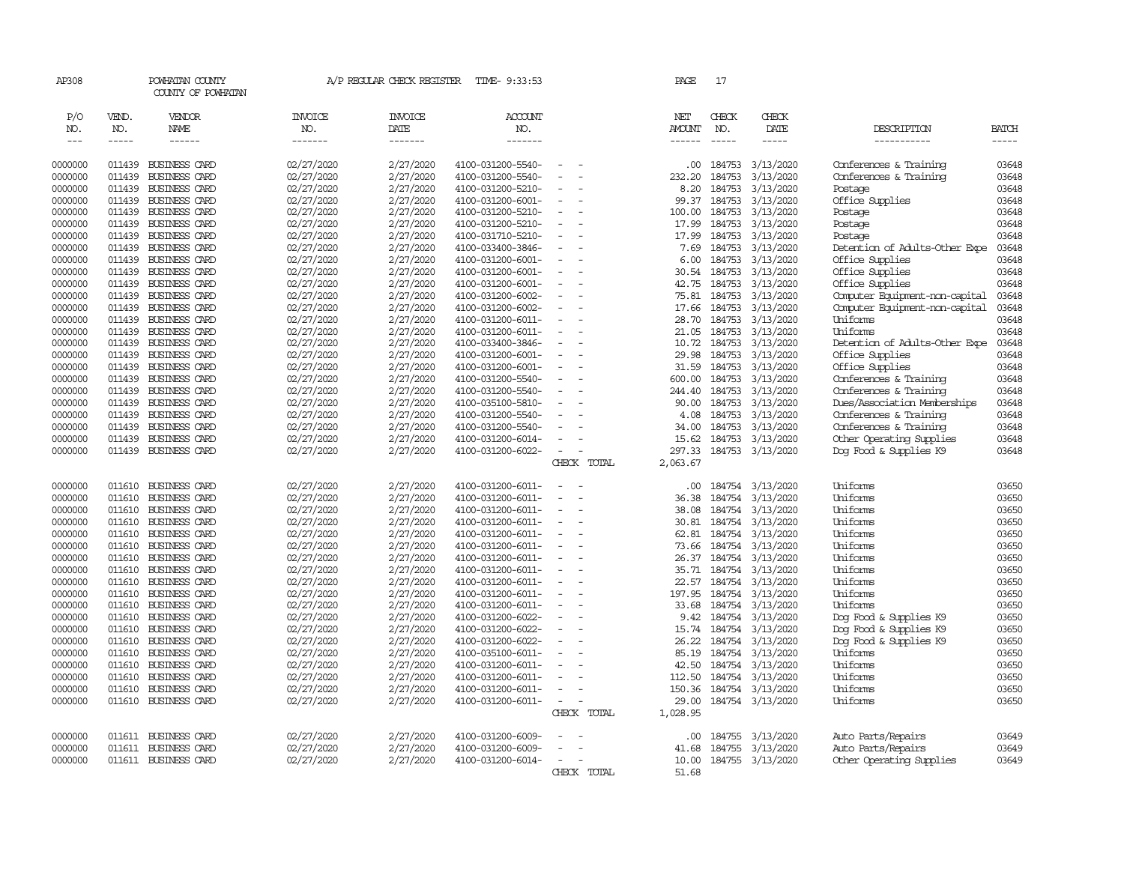| AP308        |                    | POWHATAN COUNTY<br>COUNTY OF POWHATAN |                | A/P REGULAR CHECK REGISTER | TIME- 9:33:53          |                          |             | PAGE             | 17                   |                  |                                |                               |
|--------------|--------------------|---------------------------------------|----------------|----------------------------|------------------------|--------------------------|-------------|------------------|----------------------|------------------|--------------------------------|-------------------------------|
| P/O          | VEND.              | VENDOR                                | <b>INVOICE</b> | <b>INVOICE</b>             | <b>ACCOUNT</b>         |                          |             | NET              | CHECK                | CHECK            |                                |                               |
| NO.<br>$---$ | NO.<br>$- - - - -$ | NAME                                  | NO.<br>------- | DATE<br>-------            | NO.<br>$- - - - - - -$ |                          |             | AMOUNT<br>------ | NO.<br>$\frac{1}{2}$ | DATE<br>-----    | DESCRIPTION<br>-----------     | <b>BATCH</b><br>$\frac{1}{2}$ |
|              |                    |                                       |                |                            |                        |                          |             |                  |                      |                  |                                |                               |
| 0000000      | 011439             | BUSINESS CARD                         | 02/27/2020     | 2/27/2020                  | 4100-031200-5540-      |                          |             | .00.             | 184753               | 3/13/2020        | Conferences & Training         | 03648                         |
| 0000000      | 011439             | <b>BUSINESS CARD</b>                  | 02/27/2020     | 2/27/2020                  | 4100-031200-5540-      |                          |             | 232.20           | 184753               | 3/13/2020        | Conferences & Training         | 03648                         |
| 0000000      | 011439             | BUSINESS CARD                         | 02/27/2020     | 2/27/2020                  | 4100-031200-5210-      |                          |             | 8.20             | 184753               | 3/13/2020        | Postage                        | 03648                         |
| 0000000      | 011439             | BUSINESS CARD                         | 02/27/2020     | 2/27/2020                  | 4100-031200-6001-      |                          |             | 99.37            | 184753               | 3/13/2020        | Office Supplies                | 03648                         |
| 0000000      | 011439             | <b>BUSINESS CARD</b>                  | 02/27/2020     | 2/27/2020                  | 4100-031200-5210-      |                          |             | 100.00           | 184753               | 3/13/2020        | Postage                        | 03648                         |
| 0000000      | 011439             | BUSINESS CARD                         | 02/27/2020     | 2/27/2020                  | 4100-031200-5210-      |                          |             | 17.99            | 184753               | 3/13/2020        | Postage                        | 03648                         |
| 0000000      | 011439             | <b>BUSINESS CARD</b>                  | 02/27/2020     | 2/27/2020                  | 4100-031710-5210-      |                          |             | 17.99            | 184753               | 3/13/2020        | Postage                        | 03648                         |
| 0000000      | 011439             | <b>BUSINESS CARD</b>                  | 02/27/2020     | 2/27/2020                  | 4100-033400-3846-      |                          |             | 7.69             | 184753               | 3/13/2020        | Detention of Adults-Other Expe | 03648                         |
| 0000000      | 011439             | <b>BUSINESS CARD</b>                  | 02/27/2020     | 2/27/2020                  | 4100-031200-6001-      | $\sim$                   |             | 6.00             | 184753               | 3/13/2020        | Office Supplies                | 03648                         |
| 0000000      | 011439             | <b>BUSINESS CARD</b>                  | 02/27/2020     | 2/27/2020                  | 4100-031200-6001-      |                          |             | 30.54            | 184753               | 3/13/2020        | Office Supplies                | 03648                         |
| 0000000      | 011439             | <b>BUSINESS CARD</b>                  | 02/27/2020     | 2/27/2020                  | 4100-031200-6001-      |                          |             | 42.75            | 184753               | 3/13/2020        | Office Supplies                | 03648                         |
| 0000000      | 011439             | BUSINESS CARD                         | 02/27/2020     | 2/27/2020                  | 4100-031200-6002-      |                          |             | 75.81            | 184753               | 3/13/2020        | Computer Equipment-non-capital | 03648                         |
| 0000000      | 011439             | <b>BUSINESS CARD</b>                  | 02/27/2020     | 2/27/2020                  | 4100-031200-6002-      |                          |             | 17.66            | 184753               | 3/13/2020        | Computer Equipment-non-capital | 03648                         |
| 0000000      | 011439             | <b>BUSINESS CARD</b>                  | 02/27/2020     | 2/27/2020                  | 4100-031200-6011-      |                          |             | 28.70            | 184753               | 3/13/2020        | Uniforms                       | 03648                         |
| 0000000      | 011439             | <b>BUSINESS CARD</b>                  | 02/27/2020     | 2/27/2020                  | 4100-031200-6011-      |                          |             | 21.05            | 184753               | 3/13/2020        | Uniforms                       | 03648                         |
| 0000000      | 011439             | BUSINESS CARD                         | 02/27/2020     | 2/27/2020                  | 4100-033400-3846-      |                          |             | 10.72            | 184753               | 3/13/2020        | Detention of Adults-Other Expe | 03648                         |
| 0000000      | 011439             | BUSINESS CARD                         | 02/27/2020     | 2/27/2020                  | 4100-031200-6001-      |                          |             | 29.98            | 184753               | 3/13/2020        | Office Supplies                | 03648                         |
| 0000000      | 011439             | <b>BUSINESS CARD</b>                  | 02/27/2020     | 2/27/2020                  | 4100-031200-6001-      |                          |             | 31.59            | 184753               | 3/13/2020        | Office Supplies                | 03648                         |
| 0000000      | 011439             | <b>BUSINESS CARD</b>                  | 02/27/2020     | 2/27/2020                  | 4100-031200-5540-      |                          |             | 600.00           | 184753               | 3/13/2020        | Conferences & Training         | 03648                         |
| 0000000      | 011439             | BUSINESS CARD                         | 02/27/2020     | 2/27/2020                  | 4100-031200-5540-      | $\overline{\phantom{a}}$ |             | 244.40           | 184753               | 3/13/2020        | Conferences & Training         | 03648                         |
| 0000000      | 011439             | <b>BUSINESS CARD</b>                  | 02/27/2020     | 2/27/2020                  | 4100-035100-5810-      |                          |             | 90.00            | 184753               | 3/13/2020        | Dues/Association Memberships   | 03648                         |
| 0000000      | 011439             | BUSINESS CARD                         | 02/27/2020     | 2/27/2020                  | 4100-031200-5540-      |                          |             | 4.08             | 184753               | 3/13/2020        | Conferences & Training         | 03648                         |
| 0000000      | 011439             | <b>BUSINESS CARD</b>                  | 02/27/2020     | 2/27/2020                  | 4100-031200-5540-      |                          |             | 34.00            | 184753               | 3/13/2020        | Conferences & Training         | 03648                         |
| 0000000      | 011439             | <b>BUSINESS CARD</b>                  | 02/27/2020     | 2/27/2020                  | 4100-031200-6014-      |                          |             | 15.62            | 184753               | 3/13/2020        | Other Operating Supplies       | 03648                         |
| 0000000      | 011439             | <b>BUSINESS CARD</b>                  | 02/27/2020     | 2/27/2020                  | 4100-031200-6022-      | $\equiv$                 |             | 297.33           | 184753               | 3/13/2020        | Dog Food & Supplies K9         | 03648                         |
|              |                    |                                       |                |                            |                        |                          | CHECK TOTAL | 2,063.67         |                      |                  |                                |                               |
| 0000000      | 011610             | BUSINESS CARD                         | 02/27/2020     | 2/27/2020                  | 4100-031200-6011-      |                          |             | .00.             |                      | 184754 3/13/2020 | Uniforms                       | 03650                         |
| 0000000      | 011610             | BUSINESS CARD                         | 02/27/2020     | 2/27/2020                  | 4100-031200-6011-      |                          |             | 36.38            | 184754               | 3/13/2020        | Uniforms                       | 03650                         |
| 0000000      | 011610             | <b>BUSINESS CARD</b>                  | 02/27/2020     | 2/27/2020                  | 4100-031200-6011-      |                          |             | 38.08            | 184754               | 3/13/2020        | Uniforms                       | 03650                         |
| 0000000      | 011610             | <b>BUSINESS CARD</b>                  | 02/27/2020     | 2/27/2020                  | 4100-031200-6011-      | $\equiv$                 |             | 30.81            | 184754               | 3/13/2020        | Uniforms                       | 03650                         |
| 0000000      | 011610             | <b>BUSINESS CARD</b>                  | 02/27/2020     | 2/27/2020                  | 4100-031200-6011-      |                          |             | 62.81            | 184754               | 3/13/2020        | Uniforms                       | 03650                         |
| 0000000      | 011610             | BUSINESS CARD                         | 02/27/2020     | 2/27/2020                  | 4100-031200-6011-      |                          |             | 73.66            | 184754               | 3/13/2020        | Uniforms                       | 03650                         |
| 0000000      | 011610             | <b>BUSINESS CARD</b>                  | 02/27/2020     | 2/27/2020                  | 4100-031200-6011-      |                          |             | 26.37            | 184754               | 3/13/2020        | Uniforms                       | 03650                         |
| 0000000      | 011610             | <b>BUSINESS CARD</b>                  | 02/27/2020     | 2/27/2020                  | 4100-031200-6011-      |                          |             |                  | 35.71 184754         | 3/13/2020        | Uniforms                       | 03650                         |
| 0000000      | 011610             | BUSINESS CARD                         | 02/27/2020     | 2/27/2020                  | 4100-031200-6011-      | $\sim$                   |             | 22.57            | 184754               | 3/13/2020        | Uniforms                       | 03650                         |
| 0000000      | 011610             | <b>BUSINESS CARD</b>                  | 02/27/2020     | 2/27/2020                  | 4100-031200-6011-      |                          |             | 197.95           | 184754               | 3/13/2020        | Uniforms                       | 03650                         |
| 0000000      | 011610             | <b>BUSINESS CARD</b>                  | 02/27/2020     | 2/27/2020                  | 4100-031200-6011-      | $\overline{\phantom{a}}$ |             | 33.68            | 184754               | 3/13/2020        | Uniforms                       | 03650                         |
| 0000000      | 011610             | <b>BUSINESS CARD</b>                  | 02/27/2020     | 2/27/2020                  | 4100-031200-6022-      |                          |             | 9.42             | 184754               | 3/13/2020        | Dog Food & Supplies K9         | 03650                         |
| 0000000      | 011610             | <b>BUSINESS CARD</b>                  | 02/27/2020     | 2/27/2020                  | 4100-031200-6022-      |                          |             | 15.74            | 184754               | 3/13/2020        | Dog Food & Supplies K9         | 03650                         |
| 0000000      | 011610             | <b>BUSINESS CARD</b>                  | 02/27/2020     | 2/27/2020                  | 4100-031200-6022-      |                          |             | 26.22            | 184754               | 3/13/2020        | Dog Food & Supplies K9         | 03650                         |
| 0000000      | 011610             | <b>BUSINESS CARD</b>                  | 02/27/2020     | 2/27/2020                  | 4100-035100-6011-      | $\overline{\phantom{a}}$ |             | 85.19            | 184754               | 3/13/2020        | Uniforms                       | 03650                         |
| 0000000      | 011610             | BUSINESS CARD                         | 02/27/2020     | 2/27/2020                  | 4100-031200-6011-      |                          |             | 42.50            | 184754               | 3/13/2020        | Uniforms                       | 03650                         |
| 0000000      | 011610             | <b>BUSINESS CARD</b>                  | 02/27/2020     | 2/27/2020                  | 4100-031200-6011-      |                          |             | 112.50           | 184754               | 3/13/2020        | Uniforms                       | 03650                         |
| 0000000      | 011610             | BUSINESS CARD                         | 02/27/2020     | 2/27/2020                  | 4100-031200-6011-      |                          |             | 150.36           | 184754               | 3/13/2020        | Uniforms                       | 03650                         |
| 0000000      | 011610             | <b>BUSINESS CARD</b>                  | 02/27/2020     | 2/27/2020                  | 4100-031200-6011-      |                          |             | 29.00            |                      | 184754 3/13/2020 | Uniforms                       | 03650                         |
|              |                    |                                       |                |                            |                        |                          | CHECK TOTAL | 1,028.95         |                      |                  |                                |                               |
| 0000000      | 011611             | BUSINESS CARD                         | 02/27/2020     | 2/27/2020                  | 4100-031200-6009-      |                          |             | .00.             | 184755               | 3/13/2020        | Auto Parts/Repairs             | 03649                         |
| 0000000      | 011611             | BUSINESS CARD                         | 02/27/2020     | 2/27/2020                  | 4100-031200-6009-      |                          |             | 41.68            | 184755               | 3/13/2020        | Auto Parts/Repairs             | 03649                         |
| 0000000      |                    | 011611 BUSINESS CARD                  | 02/27/2020     | 2/27/2020                  | 4100-031200-6014-      | $\equiv$                 |             | 10.00            |                      | 184755 3/13/2020 | Other Operating Supplies       | 03649                         |
|              |                    |                                       |                |                            |                        |                          | CHECK TOTAL | 51.68            |                      |                  |                                |                               |
|              |                    |                                       |                |                            |                        |                          |             |                  |                      |                  |                                |                               |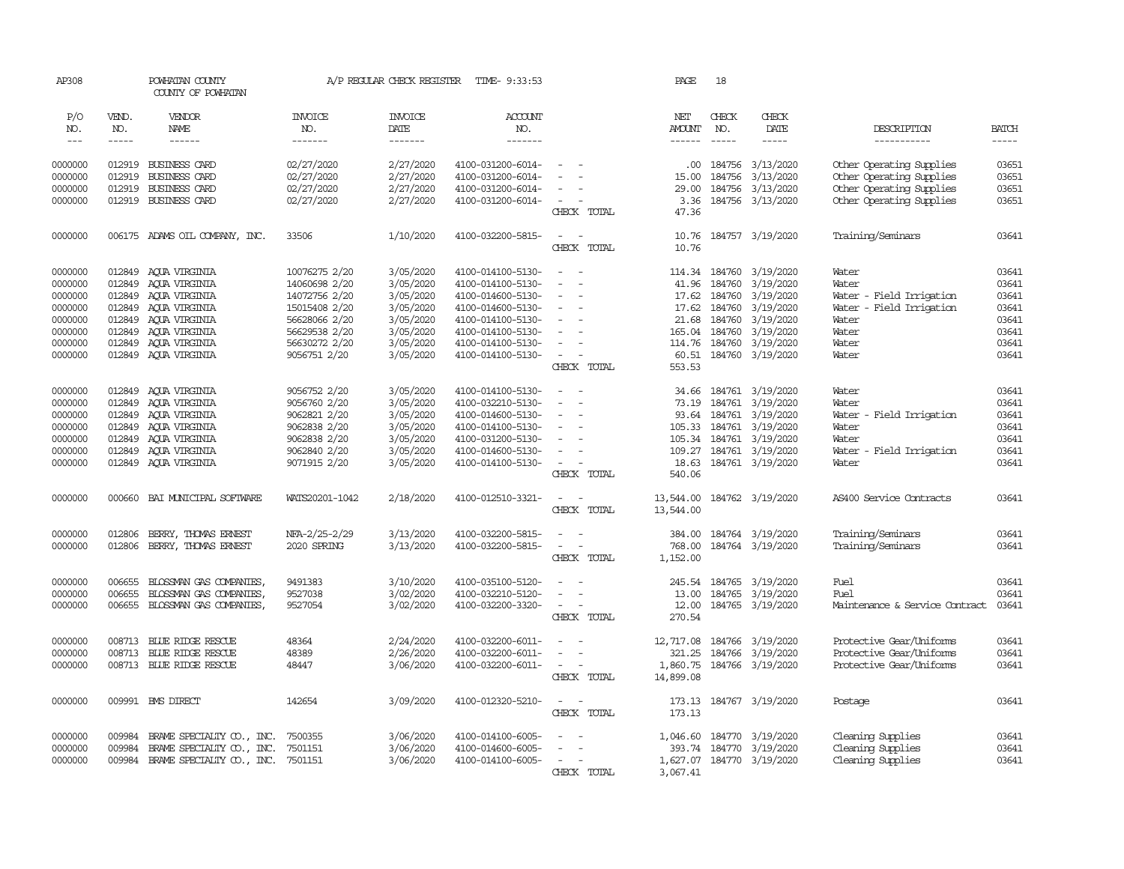| AP308         |              | POWHATAN COUNTY<br>COUNTY OF POWHATAN |                       | A/P REGULAR CHECK REGISTER | TIME- 9:33:53         |                                    | PAGE                 | 18            |                           |                                |              |
|---------------|--------------|---------------------------------------|-----------------------|----------------------------|-----------------------|------------------------------------|----------------------|---------------|---------------------------|--------------------------------|--------------|
| P/O<br>NO.    | VEND.<br>NO. | VENDOR<br>NAME                        | <b>INVOICE</b><br>NO. | <b>INVOICE</b><br>DATE     | <b>ACCOUNT</b><br>NO. |                                    | NET<br><b>AMOUNT</b> | CHECK<br>NO.  | CHECK<br>DATE             | DESCRIPTION                    | <b>BATCH</b> |
| $\frac{1}{2}$ | $- - - - -$  | $- - - - - -$                         | -------               | -------                    | -------               |                                    |                      | $- - - - -$   | -----                     | -----------                    | $- - - - -$  |
| 0000000       |              | 012919 BUSINESS CARD                  | 02/27/2020            | 2/27/2020                  | 4100-031200-6014-     | $\equiv$                           | .00                  | 184756        | 3/13/2020                 | Other Operating Supplies       | 03651        |
| 0000000       | 012919       | <b>BUSINESS CARD</b>                  | 02/27/2020            | 2/27/2020                  | 4100-031200-6014-     |                                    | 15.00                | 184756        | 3/13/2020                 | Other Operating Supplies       | 03651        |
| 0000000       | 012919       | BUSINESS CARD                         | 02/27/2020            | 2/27/2020                  | 4100-031200-6014-     | $\equiv$                           | 29.00                | 184756        | 3/13/2020                 | Other Operating Supplies       | 03651        |
| 0000000       |              | 012919 BUSINESS CARD                  | 02/27/2020            | 2/27/2020                  | 4100-031200-6014-     | $\sim$                             | 3.36                 |               | 184756 3/13/2020          | Other Operating Supplies       | 03651        |
|               |              |                                       |                       |                            |                       | CHECK TOTAL                        | 47.36                |               |                           |                                |              |
| 0000000       |              | 006175 ADAMS OIL COMPANY, INC.        | 33506                 | 1/10/2020                  | 4100-032200-5815-     | $\sim$<br>$\sim$                   | 10.76                |               | 184757 3/19/2020          | Training/Seminars              | 03641        |
|               |              |                                       |                       |                            |                       | CHECK TOTAL                        | 10.76                |               |                           |                                |              |
| 0000000       | 012849       | AQUA VIRGINIA                         | 10076275 2/20         | 3/05/2020                  | 4100-014100-5130-     | $\sim$                             | 114.34               | 184760        | 3/19/2020                 | Water                          | 03641        |
| 0000000       | 012849       | ACUA VIRGINIA                         | 14060698 2/20         | 3/05/2020                  | 4100-014100-5130-     |                                    | 41.96                | 184760        | 3/19/2020                 | Water                          | 03641        |
| 0000000       | 012849       | AQUA VIRGINIA                         | 14072756 2/20         | 3/05/2020                  | 4100-014600-5130-     |                                    |                      | 17.62 184760  | 3/19/2020                 | Water - Field Irrigation       | 03641        |
| 0000000       | 012849       | AQUA VIRGINIA                         | 15015408 2/20         | 3/05/2020                  | 4100-014600-5130-     | $\sim$                             |                      | 17.62 184760  | 3/19/2020                 | Water - Field Irrigation       | 03641        |
| 0000000       | 012849       | AOUA VIRGINIA                         | 56628066 2/20         | 3/05/2020                  | 4100-014100-5130-     |                                    | 21.68                | 184760        | 3/19/2020                 | Water                          | 03641        |
| 0000000       | 012849       | AQUA VIRGINIA                         | 56629538 2/20         | 3/05/2020                  | 4100-014100-5130-     | $\equiv$                           | 165.04               | 184760        | 3/19/2020                 | Water                          | 03641        |
| 0000000       | 012849       | AQUA VIRGINIA                         | 56630272 2/20         | 3/05/2020                  | 4100-014100-5130-     | $\equiv$                           |                      | 114.76 184760 | 3/19/2020                 | Water                          | 03641        |
| 0000000       |              | 012849 AQUA VIRGINIA                  | 9056751 2/20          | 3/05/2020                  | 4100-014100-5130-     | $\sim$                             |                      |               | 60.51 184760 3/19/2020    | Water                          | 03641        |
|               |              |                                       |                       |                            |                       | CHECK TOTAL                        | 553.53               |               |                           |                                |              |
| 0000000       | 012849       | AOUA VIRGINIA                         | 9056752 2/20          | 3/05/2020                  | 4100-014100-5130-     | $\equiv$                           | 34.66                |               | 184761 3/19/2020          | Water                          | 03641        |
| 0000000       | 012849       | AQUA VIRGINIA                         | 9056760 2/20          | 3/05/2020                  | 4100-032210-5130-     | $\sim$<br>$\overline{\phantom{a}}$ | 73.19                | 184761        | 3/19/2020                 | Water                          | 03641        |
| 0000000       | 012849       | AQUA VIRGINIA                         | 9062821 2/20          | 3/05/2020                  | 4100-014600-5130-     | $\equiv$                           |                      | 93.64 184761  | 3/19/2020                 | Water - Field Irrigation       | 03641        |
| 0000000       | 012849       | AOUA VIRGINIA                         | 9062838 2/20          | 3/05/2020                  | 4100-014100-5130-     | $\equiv$                           |                      | 105.33 184761 | 3/19/2020                 | Water                          | 03641        |
| 0000000       | 012849       | AQUA VIRGINIA                         | 9062838 2/20          | 3/05/2020                  | 4100-031200-5130-     |                                    |                      | 105.34 184761 | 3/19/2020                 | Water                          | 03641        |
| 0000000       | 012849       | AQUA VIRGINIA                         | 9062840 2/20          | 3/05/2020                  | 4100-014600-5130-     | $\sim$                             |                      | 109.27 184761 | 3/19/2020                 | Water - Field Irrigation       | 03641        |
| 0000000       | 012849       | AQUA VIRGINIA                         | 9071915 2/20          | 3/05/2020                  | 4100-014100-5130-     | $\overline{\phantom{a}}$           | 18.63                |               | 184761 3/19/2020          | Water                          | 03641        |
|               |              |                                       |                       |                            |                       | CHECK TOTAL                        | 540.06               |               |                           |                                |              |
| 0000000       | 000660       | BAI MUNICIPAL SOFTWARE                | WATS20201-1042        | 2/18/2020                  | 4100-012510-3321-     | $\overline{\phantom{a}}$<br>$\sim$ | 13,544.00            |               | 184762 3/19/2020          | AS400 Service Contracts        | 03641        |
|               |              |                                       |                       |                            |                       | CHECK TOTAL                        | 13,544.00            |               |                           |                                |              |
| 0000000       | 012806       | BERRY, THOMAS ERNEST                  | NFA-2/25-2/29         | 3/13/2020                  | 4100-032200-5815-     | $\equiv$                           | 384.00               |               | 184764 3/19/2020          | Training/Seminars              | 03641        |
| 0000000       | 012806       | BERRY, THOMAS ERNEST                  | 2020 SPRING           | 3/13/2020                  | 4100-032200-5815-     | $\overline{\phantom{a}}$<br>$\sim$ | 768,00               |               | 184764 3/19/2020          | Training/Seminars              | 03641        |
|               |              |                                       |                       |                            |                       | CHECK TOTAL                        | 1,152.00             |               |                           |                                |              |
| 0000000       | 006655       | BLOSSMAN GAS COMPANIES                | 9491383               | 3/10/2020                  | 4100-035100-5120-     | $\overline{\phantom{a}}$<br>$\sim$ | 245.54               |               | 184765 3/19/2020          | Fuel                           | 03641        |
| 0000000       | 006655       | BLOSSMAN GAS COMPANIES,               | 9527038               | 3/02/2020                  | 4100-032210-5120-     | $\equiv$<br>$\overline{a}$         | 13.00                | 184765        | 3/19/2020                 | Fuel                           | 03641        |
| 0000000       | 006655       | BLOSSMAN GAS COMPANIES,               | 9527054               | 3/02/2020                  | 4100-032200-3320-     | $\overline{\phantom{a}}$           | 12.00                |               | 184765 3/19/2020          | Maintenance & Service Contract | 03641        |
|               |              |                                       |                       |                            |                       | CHECK TOTAL                        | 270.54               |               |                           |                                |              |
| 0000000       |              | 008713 BLUE RIDGE RESCUE              | 48364                 | 2/24/2020                  | 4100-032200-6011-     |                                    | 12,717.08            |               | 184766 3/19/2020          | Protective Gear/Uniforms       | 03641        |
| 0000000       | 008713       | BLUE RIDGE RESCUE                     | 48389                 | 2/26/2020                  | 4100-032200-6011-     |                                    | 321.25               | 184766        | 3/19/2020                 | Protective Gear/Uniforms       | 03641        |
| 0000000       |              | 008713 BLUE RIDGE RESCUE              | 48447                 | 3/06/2020                  | 4100-032200-6011-     | $\sim$                             | 1,860.75             |               | 184766 3/19/2020          | Protective Gear/Uniforms       | 03641        |
|               |              |                                       |                       |                            |                       | CHECK TOTAL                        | 14,899.08            |               |                           |                                |              |
| 0000000       |              | 009991 BMS DIRECT                     | 142654                | 3/09/2020                  | 4100-012320-5210-     | $\sim$                             | 173.13               |               | 184767 3/19/2020          | Postage                        | 03641        |
|               |              |                                       |                       |                            |                       | CHECK TOTAL                        | 173.13               |               |                           |                                |              |
| 0000000       | 009984       | BRAME SPECIALITY CO., INC.            | 7500355               | 3/06/2020                  | 4100-014100-6005-     |                                    | 1,046.60             |               | 184770 3/19/2020          | Cleaning Supplies              | 03641        |
| 0000000       | 009984       | BRAME SPECIALITY CO., INC.            | 7501151               | 3/06/2020                  | 4100-014600-6005-     |                                    | 393.74               | 184770        | 3/19/2020                 | Cleaning Supplies              | 03641        |
| 0000000       | 009984       | BRAME SPECIALTY CO., INC. 7501151     |                       | 3/06/2020                  | 4100-014100-6005-     |                                    |                      |               | 1,627.07 184770 3/19/2020 | Cleaning Supplies              | 03641        |
|               |              |                                       |                       |                            |                       | CHECK TOTAL                        | 3,067.41             |               |                           |                                |              |
|               |              |                                       |                       |                            |                       |                                    |                      |               |                           |                                |              |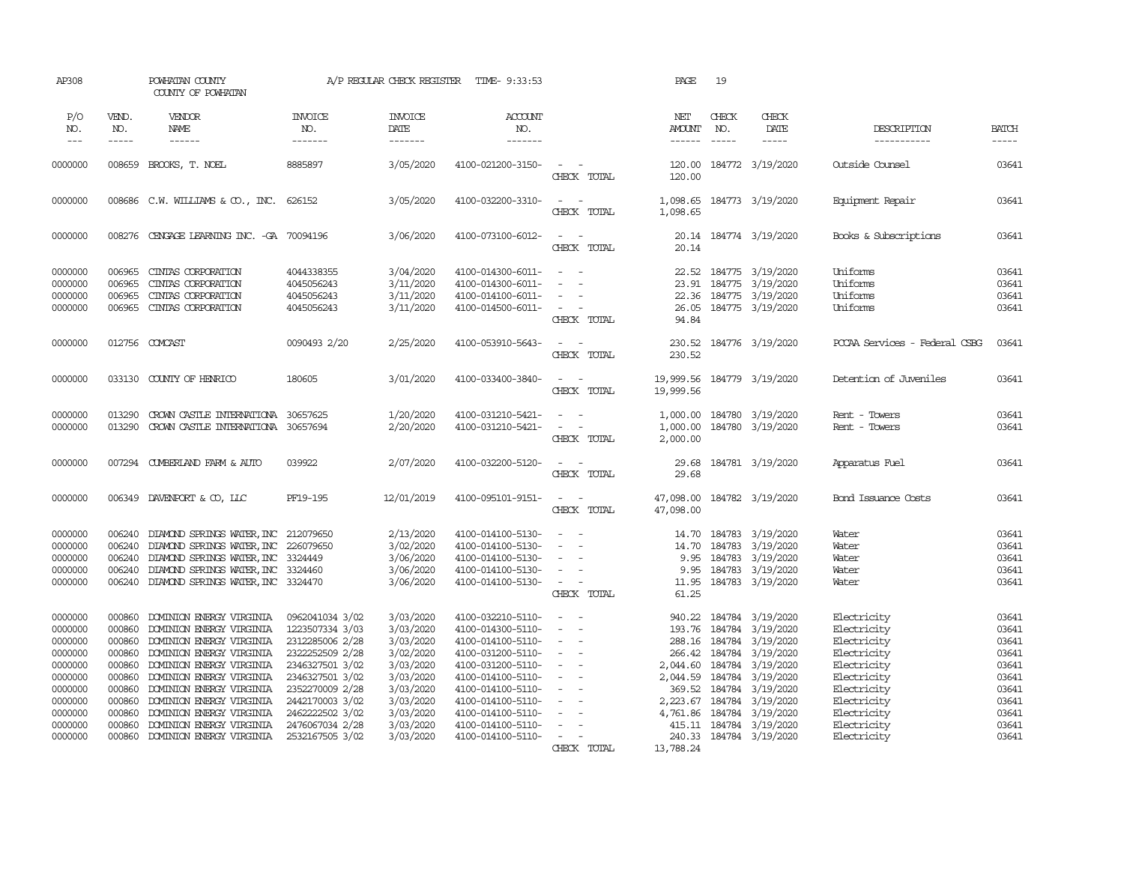| AP308                                                                                                                 |                                                                                                            | POWHATAN COUNTY<br>COUNTY OF POWHATAN                                                                                                                                                                                                                                                                            |                                                                                                                                                                                                               | A/P REGULAR CHECK REGISTER                                                                                                                  | TIME- 9:33:53                                                                                                                                                                                                                       |                                                                                                                                                     | PAGE                                                                      | 19                         |                                                                                                                                                                                                                                                          |                                                                                                                                                                   |                                                                                                 |
|-----------------------------------------------------------------------------------------------------------------------|------------------------------------------------------------------------------------------------------------|------------------------------------------------------------------------------------------------------------------------------------------------------------------------------------------------------------------------------------------------------------------------------------------------------------------|---------------------------------------------------------------------------------------------------------------------------------------------------------------------------------------------------------------|---------------------------------------------------------------------------------------------------------------------------------------------|-------------------------------------------------------------------------------------------------------------------------------------------------------------------------------------------------------------------------------------|-----------------------------------------------------------------------------------------------------------------------------------------------------|---------------------------------------------------------------------------|----------------------------|----------------------------------------------------------------------------------------------------------------------------------------------------------------------------------------------------------------------------------------------------------|-------------------------------------------------------------------------------------------------------------------------------------------------------------------|-------------------------------------------------------------------------------------------------|
| P/O<br>NO.<br>$\frac{1}{2}$                                                                                           | VEND.<br>NO.<br>$- - - - -$                                                                                | VENDOR<br>NAME<br>$- - - - - -$                                                                                                                                                                                                                                                                                  | <b>INVOICE</b><br>NO.<br>-------                                                                                                                                                                              | <b>INVOICE</b><br>DATE<br>-------                                                                                                           | ACCOUNT<br>NO.<br>-------                                                                                                                                                                                                           |                                                                                                                                                     | NET<br>AMOUNT<br>------                                                   | CHECK<br>NO.               | CHECK<br>DATE<br>$- - - - -$                                                                                                                                                                                                                             | DESCRIPTION<br>-----------                                                                                                                                        | <b>BATCH</b><br>$- - - - -$                                                                     |
| 0000000                                                                                                               | 008659                                                                                                     | BROOKS, T. NOEL                                                                                                                                                                                                                                                                                                  | 8885897                                                                                                                                                                                                       | 3/05/2020                                                                                                                                   | 4100-021200-3150-                                                                                                                                                                                                                   | CHECK TOTAL                                                                                                                                         | 120.00<br>120.00                                                          |                            | 184772 3/19/2020                                                                                                                                                                                                                                         | Outside Counsel                                                                                                                                                   | 03641                                                                                           |
| 0000000                                                                                                               |                                                                                                            | 008686 C.W. WILLIAMS & CO., INC.                                                                                                                                                                                                                                                                                 | 626152                                                                                                                                                                                                        | 3/05/2020                                                                                                                                   | 4100-032200-3310-                                                                                                                                                                                                                   | $\overline{\phantom{a}}$<br>CHECK TOTAL                                                                                                             | 1,098.65<br>1,098.65                                                      |                            | 184773 3/19/2020                                                                                                                                                                                                                                         | Equipment Repair                                                                                                                                                  | 03641                                                                                           |
| 0000000                                                                                                               | 008276                                                                                                     | CENGAGE LEARNING INC. -GA 70094196                                                                                                                                                                                                                                                                               |                                                                                                                                                                                                               | 3/06/2020                                                                                                                                   | 4100-073100-6012-                                                                                                                                                                                                                   | $\sim$<br>$\sim$<br>CHECK TOTAL                                                                                                                     | 20.14<br>20.14                                                            |                            | 184774 3/19/2020                                                                                                                                                                                                                                         | Books & Subscriptions                                                                                                                                             | 03641                                                                                           |
| 0000000<br>0000000<br>0000000<br>0000000                                                                              | 006965<br>006965<br>006965<br>006965                                                                       | CINIAS CORPORATION<br>CINIAS CORPORATION<br>CINIAS CORPORATION<br>CINIAS CORPORATION                                                                                                                                                                                                                             | 4044338355<br>4045056243<br>4045056243<br>4045056243                                                                                                                                                          | 3/04/2020<br>3/11/2020<br>3/11/2020<br>3/11/2020                                                                                            | 4100-014300-6011-<br>4100-014300-6011-<br>4100-014100-6011-<br>4100-014500-6011-                                                                                                                                                    | $\sim$<br>$\sim$<br>$\sim$<br>$\sim$<br>CHECK TOTAL                                                                                                 | 23.91<br>94.84                                                            | 184775                     | 22.52 184775 3/19/2020<br>3/19/2020<br>22.36 184775 3/19/2020<br>26.05 184775 3/19/2020                                                                                                                                                                  | Uniforms<br>Uniforms<br>Uniforms<br>Uniforms                                                                                                                      | 03641<br>03641<br>03641<br>03641                                                                |
| 0000000                                                                                                               |                                                                                                            | 012756 COMCAST                                                                                                                                                                                                                                                                                                   | 0090493 2/20                                                                                                                                                                                                  | 2/25/2020                                                                                                                                   | 4100-053910-5643-                                                                                                                                                                                                                   | $\sim$<br>$\sim$<br>CHECK TOTAL                                                                                                                     | 230.52                                                                    |                            | 230.52 184776 3/19/2020                                                                                                                                                                                                                                  | POCAA Services - Federal CSBG                                                                                                                                     | 03641                                                                                           |
| 0000000                                                                                                               |                                                                                                            | 033130 COUNTY OF HENRICO                                                                                                                                                                                                                                                                                         | 180605                                                                                                                                                                                                        | 3/01/2020                                                                                                                                   | 4100-033400-3840-                                                                                                                                                                                                                   | $\sim$ $ -$<br>CHECK TOTAL                                                                                                                          | 19,999.56                                                                 |                            | 19,999.56 184779 3/19/2020                                                                                                                                                                                                                               | Detention of Juveniles                                                                                                                                            | 03641                                                                                           |
| 0000000<br>0000000                                                                                                    | 013290<br>013290                                                                                           | CROWN CASTLE INTERNATIONA<br>CROWN CASTLE INTERNATIONA 30657694                                                                                                                                                                                                                                                  | 30657625                                                                                                                                                                                                      | 1/20/2020<br>2/20/2020                                                                                                                      | 4100-031210-5421-<br>4100-031210-5421-                                                                                                                                                                                              | $\sim$<br>$\sim$<br>$\sim$<br>CHECK TOTAL                                                                                                           | 1,000.00<br>1,000.00<br>2,000.00                                          |                            | 184780 3/19/2020<br>184780 3/19/2020                                                                                                                                                                                                                     | Rent - Towers<br>Rent - Towers                                                                                                                                    | 03641<br>03641                                                                                  |
| 0000000                                                                                                               |                                                                                                            | 007294 CUMBERLAND FARM & AUTO                                                                                                                                                                                                                                                                                    | 039922                                                                                                                                                                                                        | 2/07/2020                                                                                                                                   | 4100-032200-5120-                                                                                                                                                                                                                   | $\sim$<br>$\sim$<br>CHECK TOTAL                                                                                                                     | 29.68<br>29.68                                                            |                            | 184781 3/19/2020                                                                                                                                                                                                                                         | Apparatus Fuel                                                                                                                                                    | 03641                                                                                           |
| 0000000                                                                                                               | 006349                                                                                                     | DAVENPORT & CO, LLC                                                                                                                                                                                                                                                                                              | PF19-195                                                                                                                                                                                                      | 12/01/2019                                                                                                                                  | 4100-095101-9151-                                                                                                                                                                                                                   | $\sim$<br>$\sim$<br>CHECK TOTAL                                                                                                                     | 47,098.00<br>47,098.00                                                    |                            | 184782 3/19/2020                                                                                                                                                                                                                                         | Bond Issuance Costs                                                                                                                                               | 03641                                                                                           |
| 0000000<br>0000000<br>0000000<br>0000000<br>0000000                                                                   | 006240<br>006240<br>006240<br>006240<br>006240                                                             | DIAMOND SPRINGS WATER, INC 212079650<br>DIAMOND SPRINGS WATER, INC 226079650<br>DIAMOND SPRINGS WATER, INC<br>DIAMOND SPRINGS WATER, INC 3324460<br>DIAMOND SPRINGS WATER, INC 3324470                                                                                                                           | 3324449                                                                                                                                                                                                       | 2/13/2020<br>3/02/2020<br>3/06/2020<br>3/06/2020<br>3/06/2020                                                                               | 4100-014100-5130-<br>4100-014100-5130-<br>4100-014100-5130-<br>4100-014100-5130-<br>4100-014100-5130-                                                                                                                               | $\sim$<br>$\sim$<br>$\overline{\phantom{a}}$<br>$\overline{\phantom{a}}$<br>$\sim$<br>$\sim$<br>CHECK TOTAL                                         | 14.70<br>14.70<br>9.95<br>9.95<br>11.95<br>61.25                          | 184783<br>184783<br>184783 | 184783 3/19/2020<br>3/19/2020<br>3/19/2020<br>3/19/2020<br>184783 3/19/2020                                                                                                                                                                              | Water<br>Water<br>Water<br>Water<br>Water                                                                                                                         | 03641<br>03641<br>03641<br>03641<br>03641                                                       |
| 0000000<br>0000000<br>0000000<br>0000000<br>0000000<br>0000000<br>0000000<br>0000000<br>0000000<br>0000000<br>0000000 | 000860<br>000860<br>000860<br>000860<br>000860<br>000860<br>000860<br>000860<br>000860<br>000860<br>000860 | DOMINION ENERGY VIRGINIA<br>DOMINION ENERGY VIRGINIA<br>DOMINION ENERGY VIRGINIA<br>DOMINION ENERGY VIRGINIA<br>DOMINION ENERGY VIRGINIA<br>DOMINION ENERGY VIRGINIA<br>DOMINION ENERGY VIRGINIA<br>DOMINION ENERGY VIRGINIA<br>DOMINION ENERGY VIRGINIA<br>DOMINION ENERGY VIRGINIA<br>DOMINION ENERGY VIRGINIA | 0962041034 3/02<br>1223507334 3/03<br>2312285006 2/28<br>2322252509 2/28<br>2346327501 3/02<br>2346327501 3/02<br>2352270009 2/28<br>2442170003 3/02<br>2462222502 3/02<br>2476067034 2/28<br>2532167505 3/02 | 3/03/2020<br>3/03/2020<br>3/03/2020<br>3/02/2020<br>3/03/2020<br>3/03/2020<br>3/03/2020<br>3/03/2020<br>3/03/2020<br>3/03/2020<br>3/03/2020 | 4100-032210-5110-<br>4100-014300-5110-<br>4100-014100-5110-<br>4100-031200-5110-<br>4100-031200-5110-<br>4100-014100-5110-<br>4100-014100-5110-<br>4100-014100-5110-<br>4100-014100-5110-<br>4100-014100-5110-<br>4100-014100-5110- | $\sim$<br>$\sim$<br>$\blacksquare$<br>$\overline{\phantom{a}}$<br>$\sim$<br>$\equiv$<br>$\sim$<br>$\overline{\phantom{a}}$<br>$\sim$<br>CHECK TOTAL | 940.22<br>193.76<br>288.16<br>2,044.60<br>2,044.59<br>369.52<br>13,788.24 | 184784                     | 184784 3/19/2020<br>184784 3/19/2020<br>184784 3/19/2020<br>266.42 184784 3/19/2020<br>184784 3/19/2020<br>3/19/2020<br>184784 3/19/2020<br>2,223.67 184784 3/19/2020<br>4,761.86 184784 3/19/2020<br>415.11 184784 3/19/2020<br>240.33 184784 3/19/2020 | Electricity<br>Electricity<br>Electricity<br>Electricity<br>Electricity<br>Electricity<br>Electricity<br>Electricity<br>Electricity<br>Electricity<br>Electricity | 03641<br>03641<br>03641<br>03641<br>03641<br>03641<br>03641<br>03641<br>03641<br>03641<br>03641 |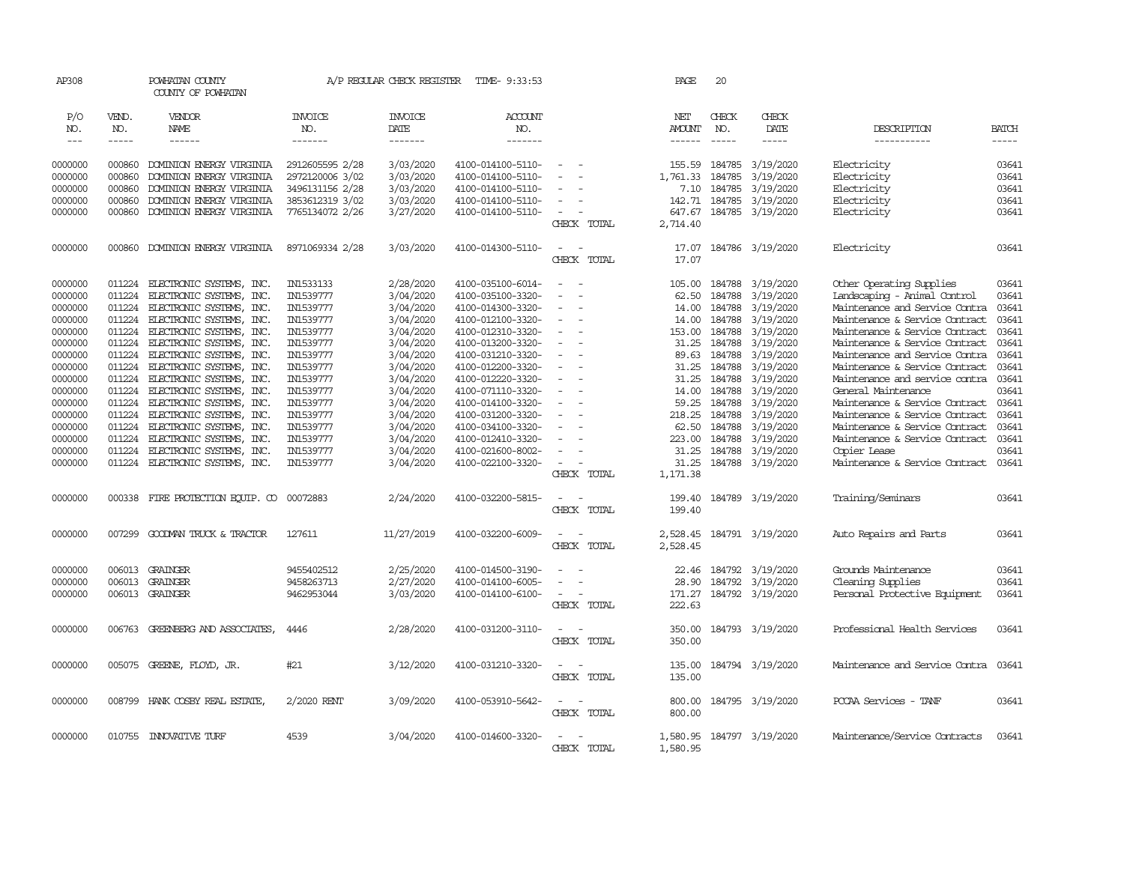| AP308      |              | POWHATAN COUNTY<br>COUNTY OF POWHATAN |                       | A/P REGULAR CHECK REGISTER | TIME- 9:33:53         |                                    |             | PAGE          | 20            |                  |                                |               |
|------------|--------------|---------------------------------------|-----------------------|----------------------------|-----------------------|------------------------------------|-------------|---------------|---------------|------------------|--------------------------------|---------------|
| P/O<br>NO. | VEND.<br>NO. | VENDOR<br>NAME                        | <b>INVOICE</b><br>NO. | <b>INVOICE</b><br>DATE     | <b>ACCOUNT</b><br>NO. |                                    |             | NET<br>AMOUNT | CHECK<br>NO.  | CHECK<br>DATE    | DESCRIPTION                    | <b>BATCH</b>  |
| $---$      | -----        | ------                                | -------               | -------                    | -------               |                                    |             | ------        | $\frac{1}{2}$ | -----            | -----------                    | $\frac{1}{2}$ |
| 0000000    | 000860       | DOMINION ENERGY VIRGINIA              | 2912605595 2/28       | 3/03/2020                  | 4100-014100-5110-     |                                    |             | 155.59        | 184785        | 3/19/2020        | Electricity                    | 03641         |
| 0000000    | 000860       | DOMINION ENERGY VIRGINIA              | 2972120006 3/02       | 3/03/2020                  | 4100-014100-5110-     |                                    |             | 1,761.33      | 184785        | 3/19/2020        | Electricity                    | 03641         |
| 0000000    | 000860       | DOMINION ENERGY VIRGINIA              | 3496131156 2/28       | 3/03/2020                  | 4100-014100-5110-     |                                    |             | 7.10          | 184785        | 3/19/2020        | Electricity                    | 03641         |
| 0000000    | 000860       | DOMINION ENERGY VIRGINIA              | 3853612319 3/02       | 3/03/2020                  | 4100-014100-5110-     |                                    |             | 142.71        | 184785        | 3/19/2020        | Electricity                    | 03641         |
| 0000000    | 000860       | DOMINION ENERGY VIRGINIA              | 7765134072 2/26       | 3/27/2020                  | 4100-014100-5110-     | $\sim$                             |             | 647.67        | 184785        | 3/19/2020        | Electricity                    | 03641         |
|            |              |                                       |                       |                            |                       |                                    | CHECK TOTAL | 2,714.40      |               |                  |                                |               |
|            |              |                                       |                       |                            |                       |                                    |             |               |               |                  |                                |               |
| 0000000    |              | 000860 DOMINION ENERGY VIRGINIA       | 8971069334 2/28       | 3/03/2020                  | 4100-014300-5110-     | $\sim$<br>$\overline{\phantom{a}}$ |             | 17.07         |               | 184786 3/19/2020 | Electricity                    | 03641         |
|            |              |                                       |                       |                            |                       |                                    | CHECK TOTAL | 17.07         |               |                  |                                |               |
| 0000000    | 011224       | ELECTRONIC SYSTEMS, INC.              | IN1533133             | 2/28/2020                  | 4100-035100-6014-     | $\sim$                             |             | 105.00        | 184788        | 3/19/2020        | Other Operating Supplies       | 03641         |
| 0000000    | 011224       | ELECTRONIC SYSTEMS, INC.              | IN1539777             | 3/04/2020                  | 4100-035100-3320-     |                                    |             | 62.50         | 184788        | 3/19/2020        | Landscaping - Animal Control   | 03641         |
|            |              |                                       |                       |                            |                       | $\sim$                             |             |               |               |                  |                                |               |
| 0000000    | 011224       | ELECTRONIC SYSTEMS, INC.              | IN1539777             | 3/04/2020                  | 4100-014300-3320-     |                                    |             | 14.00         | 184788        | 3/19/2020        | Maintenance and Service Contra | 03641         |
| 0000000    | 011224       | ELECTRONIC SYSTEMS, INC.              | IN1539777             | 3/04/2020                  | 4100-012100-3320-     | $\equiv$<br>$\equiv$               |             | 14.00         | 184788        | 3/19/2020        | Maintenance & Service Contract | 03641         |
| 0000000    | 011224       | ELECTRONIC SYSTEMS, INC.              | IN1539777             | 3/04/2020                  | 4100-012310-3320-     |                                    |             | 153.00        | 184788        | 3/19/2020        | Maintenance & Service Contract | 03641         |
| 0000000    | 011224       | ELECTRONIC SYSTEMS, INC.              | IN1539777             | 3/04/2020                  | 4100-013200-3320-     | $\equiv$                           |             | 31.25         | 184788        | 3/19/2020        | Maintenance & Service Contract | 03641         |
| 0000000    | 011224       | ELECTRONIC SYSTEMS, INC.              | IN1539777             | 3/04/2020                  | 4100-031210-3320-     |                                    |             | 89.63         | 184788        | 3/19/2020        | Maintenance and Service Contra | 03641         |
| 0000000    | 011224       | ELECTRONIC SYSTEMS, INC.              | IN1539777             | 3/04/2020                  | 4100-012200-3320-     |                                    |             | 31.25         | 184788        | 3/19/2020        | Maintenance & Service Contract | 03641         |
| 0000000    | 011224       | ELECTRONIC SYSTEMS, INC.              | IN1539777             | 3/04/2020                  | 4100-012220-3320-     |                                    |             | 31.25         | 184788        | 3/19/2020        | Maintenance and service contra | 03641         |
| 0000000    | 011224       | ELECTRONIC SYSTEMS, INC.              | IN1539777             | 3/04/2020                  | 4100-071110-3320-     | $\equiv$                           |             | 14.00         | 184788        | 3/19/2020        | General Maintenance            | 03641         |
| 0000000    | 011224       | ELECTRONIC SYSTEMS, INC.              | IN1539777             | 3/04/2020                  | 4100-014100-3320-     |                                    |             | 59.25         | 184788        | 3/19/2020        | Maintenance & Service Contract | 03641         |
| 0000000    | 011224       | ELECTRONIC SYSTEMS, INC.              | IN1539777             | 3/04/2020                  | 4100-031200-3320-     |                                    |             | 218.25        | 184788        | 3/19/2020        | Maintenance & Service Contract | 03641         |
| 0000000    | 011224       | ELECTRONIC SYSTEMS, INC.              | IN1539777             | 3/04/2020                  | 4100-034100-3320-     | $\equiv$                           |             | 62.50         | 184788        | 3/19/2020        | Maintenance & Service Contract | 03641         |
| 0000000    | 011224       | ELECTRONIC SYSTEMS, INC.              | IN1539777             | 3/04/2020                  | 4100-012410-3320-     |                                    |             | 223.00        | 184788        | 3/19/2020        | Maintenance & Service Contract | 03641         |
| 0000000    | 011224       | ELECTRONIC SYSTEMS, INC.              | IN1539777             | 3/04/2020                  | 4100-021600-8002-     |                                    |             | 31.25         | 184788        | 3/19/2020        | Copier Lease                   | 03641         |
| 0000000    | 011224       | ELECTRONIC SYSTEMS, INC.              | IN1539777             | 3/04/2020                  | 4100-022100-3320-     |                                    |             | 31.25         |               | 184788 3/19/2020 | Maintenance & Service Contract | 03641         |
|            |              |                                       |                       |                            |                       |                                    | CHECK TOTAL | 1,171.38      |               |                  |                                |               |
| 0000000    | 000338       | FIRE PROTECTION EQUIP. CO             | 00072883              | 2/24/2020                  | 4100-032200-5815-     | $\sim$                             |             | 199.40        |               | 184789 3/19/2020 | Training/Seminars              | 03641         |
|            |              |                                       |                       |                            |                       |                                    | CHECK TOTAL | 199.40        |               |                  |                                |               |
|            |              |                                       |                       |                            |                       |                                    |             |               |               |                  |                                |               |
| 0000000    | 007299       | GOODMAN TRUCK & TRACTOR               | 127611                | 11/27/2019                 | 4100-032200-6009-     |                                    |             | 2,528.45      |               | 184791 3/19/2020 | Auto Repairs and Parts         | 03641         |
|            |              |                                       |                       |                            |                       |                                    | CHECK TOTAL | 2,528.45      |               |                  |                                |               |
|            |              |                                       |                       |                            |                       |                                    |             |               |               |                  |                                |               |
| 0000000    | 006013       | GRAINGER                              | 9455402512            | 2/25/2020                  | 4100-014500-3190-     |                                    |             | 22.46         | 184792        | 3/19/2020        | Grounds Maintenance            | 03641         |
| 0000000    | 006013       | GRAINGER                              | 9458263713            | 2/27/2020                  | 4100-014100-6005-     | $\equiv$                           |             | 28.90         | 184792        | 3/19/2020        | Cleaning Supplies              | 03641         |
| 0000000    | 006013       | GRAINGER                              | 9462953044            | 3/03/2020                  | 4100-014100-6100-     | $\sim$                             |             | 171.27        | 184792        | 3/19/2020        | Personal Protective Equipment  | 03641         |
|            |              |                                       |                       |                            |                       |                                    | CHECK TOTAL | 222.63        |               |                  |                                |               |
| 0000000    |              | 006763 GREENBERG AND ASSOCIATES,      | 4446                  | 2/28/2020                  | 4100-031200-3110-     | $\sim$<br>$\sim$                   |             | 350.00        |               | 184793 3/19/2020 | Professional Health Services   | 03641         |
|            |              |                                       |                       |                            |                       |                                    | CHECK TOTAL | 350.00        |               |                  |                                |               |
|            |              |                                       |                       |                            |                       |                                    |             |               |               |                  |                                |               |
| 0000000    |              | 005075 GREENE, FLOYD, JR.             | #21                   | 3/12/2020                  | 4100-031210-3320-     | $\sim$<br>- -                      |             | 135.00        |               | 184794 3/19/2020 | Maintenance and Service Contra | 03641         |
|            |              |                                       |                       |                            |                       |                                    | CHECK TOTAL | 135.00        |               |                  |                                |               |
|            |              |                                       |                       |                            |                       |                                    |             |               |               |                  |                                |               |
| 0000000    |              | 008799 HANK COSBY REAL ESTATE         | 2/2020 RENT           | 3/09/2020                  | 4100-053910-5642-     | $\sim$<br>$\sim$                   |             | 800.00        |               | 184795 3/19/2020 | PCCAA Services - TANF          | 03641         |
|            |              |                                       |                       |                            |                       |                                    | CHECK TOTAL | 800.00        |               |                  |                                |               |
| 0000000    |              | 010755 INNOVATIVE TURF                |                       |                            | 4100-014600-3320-     |                                    |             |               |               |                  |                                | 03641         |
|            |              |                                       | 4539                  | 3/04/2020                  |                       |                                    | CHECK TOTAL | 1,580.95      |               | 184797 3/19/2020 | Maintenance/Service Contracts  |               |
|            |              |                                       |                       |                            |                       |                                    |             | 1,580.95      |               |                  |                                |               |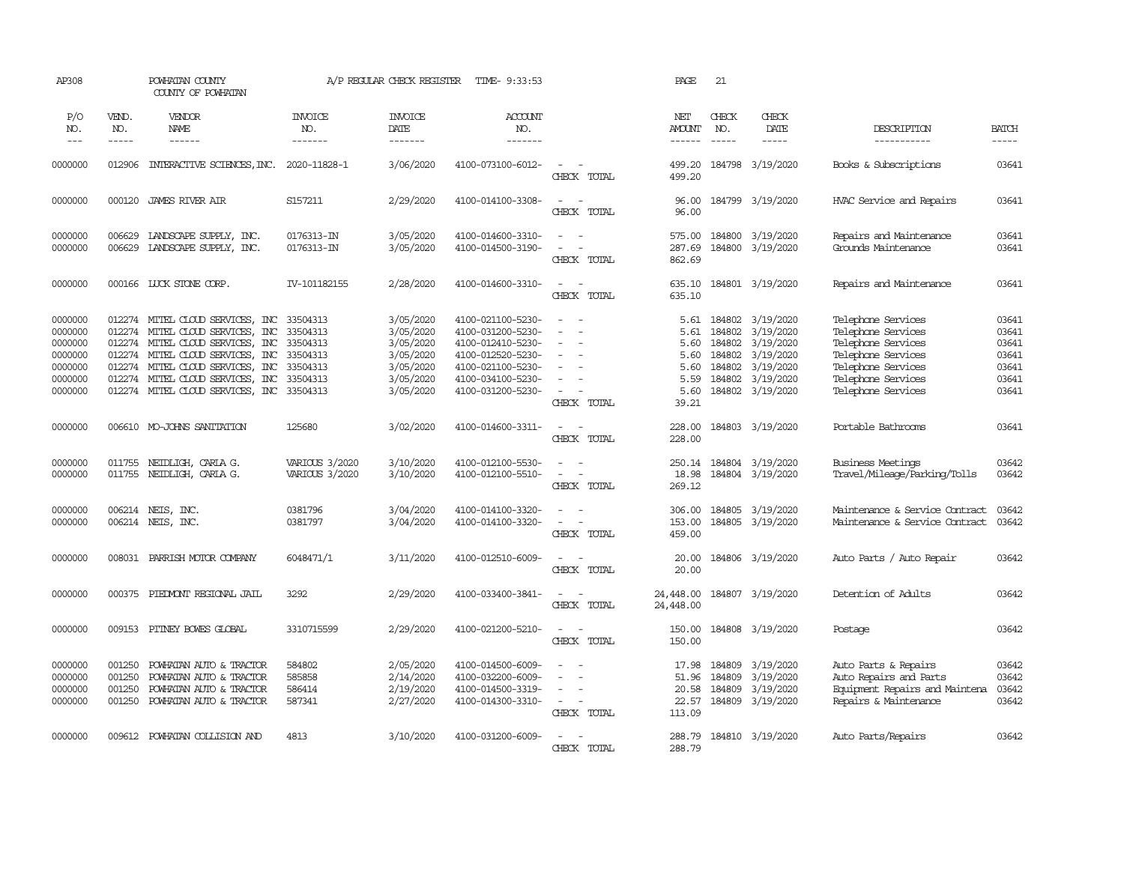| AP308                                                                     |                                      | POWHATAN COUNTY<br>COUNTY OF POWHATAN                                                                                                                                                                                                                             |                                                                      | A/P REGULAR CHECK REGISTER                                                              | TIME- 9:33:53                                                                                                                                   |                                                                                                                             | PAGE                                                          | 21                                                                                                                                                                                                                                                                                                                                                                                                                                                                     |                                                                                                                                                                                                                                                                                                                                                                                                                                                                                                      |                                                                                                                                                        |                                                             |
|---------------------------------------------------------------------------|--------------------------------------|-------------------------------------------------------------------------------------------------------------------------------------------------------------------------------------------------------------------------------------------------------------------|----------------------------------------------------------------------|-----------------------------------------------------------------------------------------|-------------------------------------------------------------------------------------------------------------------------------------------------|-----------------------------------------------------------------------------------------------------------------------------|---------------------------------------------------------------|------------------------------------------------------------------------------------------------------------------------------------------------------------------------------------------------------------------------------------------------------------------------------------------------------------------------------------------------------------------------------------------------------------------------------------------------------------------------|------------------------------------------------------------------------------------------------------------------------------------------------------------------------------------------------------------------------------------------------------------------------------------------------------------------------------------------------------------------------------------------------------------------------------------------------------------------------------------------------------|--------------------------------------------------------------------------------------------------------------------------------------------------------|-------------------------------------------------------------|
| P/O<br>NO.<br>$  -$                                                       | VEND.<br>NO.<br>-----                | VENDOR<br>NAME<br>------                                                                                                                                                                                                                                          | <b>INVOICE</b><br>NO.<br>-------                                     | <b>INVOICE</b><br>DATE<br>-------                                                       | <b>ACCOUNT</b><br>NO.<br>-------                                                                                                                |                                                                                                                             | NET<br>AMOUNT<br>------                                       | CHECK<br>NO.<br>$\begin{tabular}{ccccc} \multicolumn{2}{c }{\multicolumn{2}{c }{\multicolumn{2}{c }{\multicolumn{2}{c}}{\hspace{-2.2cm}}}} \multicolumn{2}{c }{\multicolumn{2}{c }{\hspace{-2.2cm}}\hline} \multicolumn{2}{c }{\hspace{-2.2cm}} \multicolumn{2}{c }{\hspace{-2.2cm}}\hline} \multicolumn{2}{c }{\hspace{-2.2cm}} \multicolumn{2}{c }{\hspace{-2.2cm}}\hline} \multicolumn{2}{c }{\hspace{-2.2cm}} \multicolumn{2}{c }{\hspace{-2.2cm}}\hline} \multic$ | CHECK<br>DATE<br>$\begin{tabular}{ccccc} \multicolumn{2}{c}{} & \multicolumn{2}{c}{} & \multicolumn{2}{c}{} & \multicolumn{2}{c}{} & \multicolumn{2}{c}{} & \multicolumn{2}{c}{} & \multicolumn{2}{c}{} & \multicolumn{2}{c}{} & \multicolumn{2}{c}{} & \multicolumn{2}{c}{} & \multicolumn{2}{c}{} & \multicolumn{2}{c}{} & \multicolumn{2}{c}{} & \multicolumn{2}{c}{} & \multicolumn{2}{c}{} & \multicolumn{2}{c}{} & \multicolumn{2}{c}{} & \multicolumn{2}{c}{} & \multicolumn{2}{c}{} & \mult$ | DESCRIPTION<br>__________                                                                                                                              | <b>BATCH</b><br>-----                                       |
| 0000000                                                                   | 012906                               | INTERACTIVE SCIENCES, INC. 2020-11828-1                                                                                                                                                                                                                           |                                                                      | 3/06/2020                                                                               | 4100-073100-6012-                                                                                                                               | $ -$<br>CHECK TOTAL                                                                                                         | 499.20<br>499.20                                              |                                                                                                                                                                                                                                                                                                                                                                                                                                                                        | 184798 3/19/2020                                                                                                                                                                                                                                                                                                                                                                                                                                                                                     | Books & Subscriptions                                                                                                                                  | 03641                                                       |
| 0000000                                                                   | 000120                               | JAMES RIVER AIR                                                                                                                                                                                                                                                   | S157211                                                              | 2/29/2020                                                                               | 4100-014100-3308-                                                                                                                               | $\sim$<br>$\sim$<br>CHECK TOTAL                                                                                             | 96.00<br>96.00                                                |                                                                                                                                                                                                                                                                                                                                                                                                                                                                        | 184799 3/19/2020                                                                                                                                                                                                                                                                                                                                                                                                                                                                                     | HVAC Service and Repairs                                                                                                                               | 03641                                                       |
| 0000000<br>0000000                                                        |                                      | 006629 LANDSCAPE SUPPLY, INC.<br>006629 LANDSCAPE SUPPLY, INC.                                                                                                                                                                                                    | 0176313-IN<br>0176313-IN                                             | 3/05/2020<br>3/05/2020                                                                  | 4100-014600-3310-<br>4100-014500-3190-                                                                                                          | $\sim$<br>$\sim$<br>CHECK TOTAL                                                                                             | 575.00<br>287.69<br>862.69                                    | 184800                                                                                                                                                                                                                                                                                                                                                                                                                                                                 | 3/19/2020<br>184800 3/19/2020                                                                                                                                                                                                                                                                                                                                                                                                                                                                        | Repairs and Maintenance<br>Grounds Maintenance                                                                                                         | 03641<br>03641                                              |
| 0000000                                                                   |                                      | 000166 LUCK STONE CORP.                                                                                                                                                                                                                                           | IV-101182155                                                         | 2/28/2020                                                                               | 4100-014600-3310-                                                                                                                               | $\sim$ $\sim$<br>CHECK TOTAL                                                                                                | 635.10<br>635.10                                              |                                                                                                                                                                                                                                                                                                                                                                                                                                                                        | 184801 3/19/2020                                                                                                                                                                                                                                                                                                                                                                                                                                                                                     | Repairs and Maintenance                                                                                                                                | 03641                                                       |
| 0000000<br>0000000<br>0000000<br>0000000<br>0000000<br>0000000<br>0000000 |                                      | 012274 MITEL CLOUD SERVICES, INC<br>012274 MITEL CLOUD SERVICES, INC<br>012274 MITEL CLOUD SERVICES, INC<br>012274 MITEL CLOUD SERVICES, INC<br>012274 MITEL CLOUD SERVICES, INC<br>012274 MITEL CLOUD SERVICES, INC<br>012274 MITEL CLOUD SERVICES, INC 33504313 | 33504313<br>33504313<br>33504313<br>33504313<br>33504313<br>33504313 | 3/05/2020<br>3/05/2020<br>3/05/2020<br>3/05/2020<br>3/05/2020<br>3/05/2020<br>3/05/2020 | 4100-021100-5230-<br>4100-031200-5230-<br>4100-012410-5230-<br>4100-012520-5230-<br>4100-021100-5230-<br>4100-034100-5230-<br>4100-031200-5230- | $\overline{\phantom{a}}$<br>$\sim$<br>$\sim$<br>$\equiv$<br>$\overline{\phantom{a}}$<br>$\sim$ $-$<br>$\sim$<br>CHECK TOTAL | 5.61<br>5.61<br>5.60<br>5.60<br>5.60<br>5.59<br>5.60<br>39.21 | 184802<br>184802<br>184802<br>184802<br>184802<br>184802                                                                                                                                                                                                                                                                                                                                                                                                               | 3/19/2020<br>3/19/2020<br>3/19/2020<br>3/19/2020<br>3/19/2020<br>3/19/2020<br>184802 3/19/2020                                                                                                                                                                                                                                                                                                                                                                                                       | Telephone Services<br>Telephone Services<br>Telephone Services<br>Telephone Services<br>Telephone Services<br>Telephone Services<br>Telephone Services | 03641<br>03641<br>03641<br>03641<br>03641<br>03641<br>03641 |
| 0000000                                                                   |                                      | 006610 MO-JOHNS SANITATION                                                                                                                                                                                                                                        | 125680                                                               | 3/02/2020                                                                               | 4100-014600-3311-                                                                                                                               | $\sim$<br>$\sim$<br>CHECK TOTAL                                                                                             | 228.00<br>228.00                                              |                                                                                                                                                                                                                                                                                                                                                                                                                                                                        | 184803 3/19/2020                                                                                                                                                                                                                                                                                                                                                                                                                                                                                     | Portable Bathrooms                                                                                                                                     | 03641                                                       |
| 0000000<br>0000000                                                        |                                      | 011755 NEIDLIGH, CARLA G.<br>011755 NEIDLIGH, CARLA G.                                                                                                                                                                                                            | VARIOUS 3/2020<br>VARIOUS 3/2020                                     | 3/10/2020<br>3/10/2020                                                                  | 4100-012100-5530-<br>4100-012100-5510-                                                                                                          | CHECK TOTAL                                                                                                                 | 250.14<br>18.98<br>269.12                                     |                                                                                                                                                                                                                                                                                                                                                                                                                                                                        | 184804 3/19/2020<br>184804 3/19/2020                                                                                                                                                                                                                                                                                                                                                                                                                                                                 | Business Meetings<br>Travel/Mileage/Parking/Tolls                                                                                                      | 03642<br>03642                                              |
| 0000000<br>0000000                                                        |                                      | 006214 NEIS, INC.<br>006214 NEIS, INC.                                                                                                                                                                                                                            | 0381796<br>0381797                                                   | 3/04/2020<br>3/04/2020                                                                  | 4100-014100-3320-<br>4100-014100-3320-                                                                                                          | $\overline{\phantom{a}}$<br>$\sim$<br>$\sim$ $ \sim$<br>CHECK TOTAL                                                         | 306.00<br>153.00<br>459.00                                    |                                                                                                                                                                                                                                                                                                                                                                                                                                                                        | 184805 3/19/2020<br>184805 3/19/2020                                                                                                                                                                                                                                                                                                                                                                                                                                                                 | Maintenance & Service Contract<br>Maintenance & Service Contract                                                                                       | 03642<br>03642                                              |
| 0000000                                                                   | 008031                               | PARRISH MOTOR COMPANY                                                                                                                                                                                                                                             | 6048471/1                                                            | 3/11/2020                                                                               | 4100-012510-6009-                                                                                                                               | $\sim$<br>$\sim$<br>CHECK TOTAL                                                                                             | 20.00<br>20.00                                                |                                                                                                                                                                                                                                                                                                                                                                                                                                                                        | 184806 3/19/2020                                                                                                                                                                                                                                                                                                                                                                                                                                                                                     | Auto Parts / Auto Repair                                                                                                                               | 03642                                                       |
| 0000000                                                                   | 000375                               | PIEDMONT REGIONAL JAIL                                                                                                                                                                                                                                            | 3292                                                                 | 2/29/2020                                                                               | 4100-033400-3841-                                                                                                                               | $\sim$<br>$\sim$<br>CHECK TOTAL                                                                                             | 24,448.00<br>24,448.00                                        |                                                                                                                                                                                                                                                                                                                                                                                                                                                                        | 184807 3/19/2020                                                                                                                                                                                                                                                                                                                                                                                                                                                                                     | Detention of Adults                                                                                                                                    | 03642                                                       |
| 0000000                                                                   |                                      | 009153 PITNEY BOWES GLOBAL                                                                                                                                                                                                                                        | 3310715599                                                           | 2/29/2020                                                                               | 4100-021200-5210-                                                                                                                               | $\sim$ $\sim$<br>CHECK TOTAL                                                                                                | 150.00<br>150.00                                              |                                                                                                                                                                                                                                                                                                                                                                                                                                                                        | 184808 3/19/2020                                                                                                                                                                                                                                                                                                                                                                                                                                                                                     | Postage                                                                                                                                                | 03642                                                       |
| 0000000<br>0000000<br>0000000<br>0000000                                  | 001250<br>001250<br>001250<br>001250 | POWHATAN AUTO & TRACTOR<br>POWHATAN AUTO & TRACTOR<br>POWHATAN AUTO & TRACTOR<br>POWHATAN AUTO & TRACTOR                                                                                                                                                          | 584802<br>585858<br>586414<br>587341                                 | 2/05/2020<br>2/14/2020<br>2/19/2020<br>2/27/2020                                        | 4100-014500-6009-<br>4100-032200-6009-<br>4100-014500-3319-<br>4100-014300-3310-                                                                | $\overline{\phantom{a}}$<br>$\sim$<br>$\sim$<br>$\sim$<br>$\sim$ $ -$<br>CHECK TOTAL                                        | 17.98<br>51.96<br>20.58<br>113.09                             | 184809<br>184809<br>184809                                                                                                                                                                                                                                                                                                                                                                                                                                             | 3/19/2020<br>3/19/2020<br>3/19/2020<br>22.57 184809 3/19/2020                                                                                                                                                                                                                                                                                                                                                                                                                                        | Auto Parts & Repairs<br>Auto Repairs and Parts<br>Equipment Repairs and Maintena<br>Repairs & Maintenance                                              | 03642<br>03642<br>03642<br>03642                            |
| 0000000                                                                   |                                      | 009612 POWHATAN COLLISION AND                                                                                                                                                                                                                                     | 4813                                                                 | 3/10/2020                                                                               | 4100-031200-6009-                                                                                                                               | $\sim$<br>. —<br>CHECK TOTAL                                                                                                | 288.79<br>288.79                                              |                                                                                                                                                                                                                                                                                                                                                                                                                                                                        | 184810 3/19/2020                                                                                                                                                                                                                                                                                                                                                                                                                                                                                     | Auto Parts/Repairs                                                                                                                                     | 03642                                                       |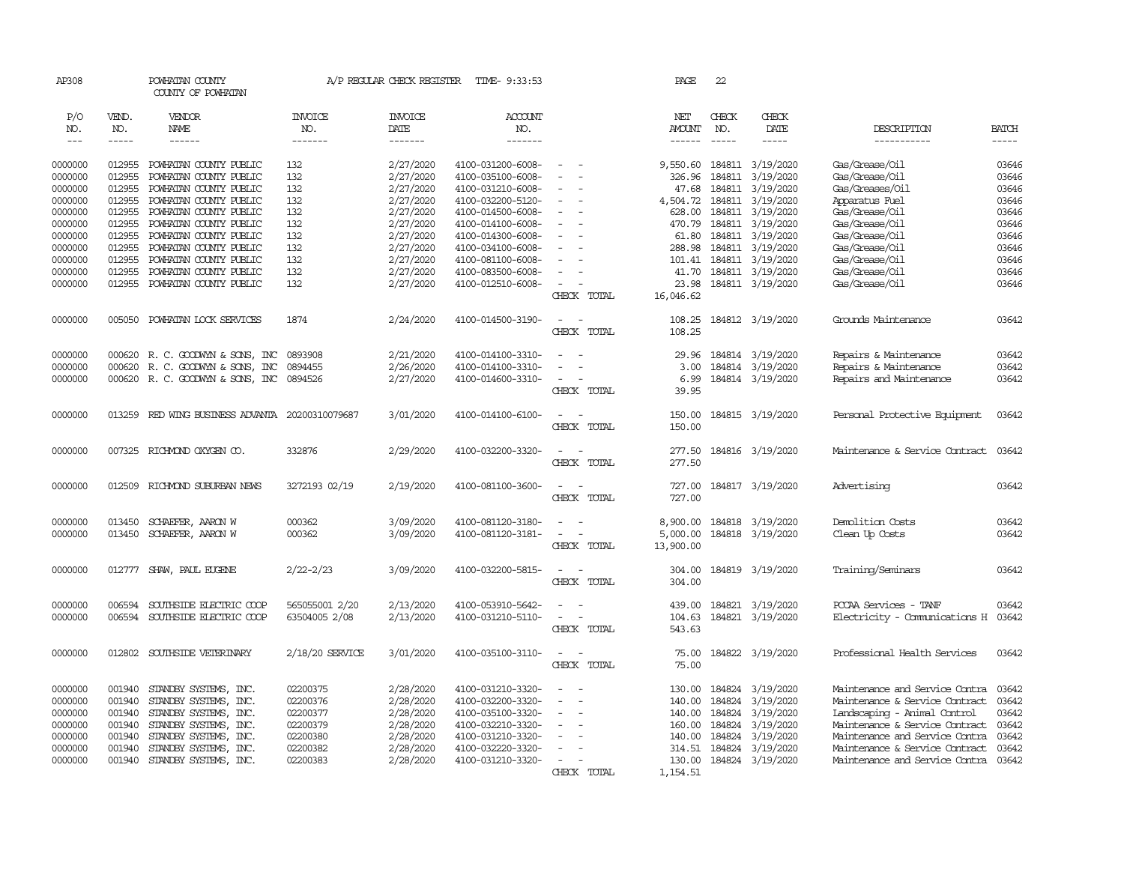| AP308               |              | POWHATAN COUNTY<br>COUNTY OF POWHATAN                                                                                                                                                                                                                                                                                                                                                                                                                                                  |                       | A/P REGULAR CHECK REGISTER | TIME- 9:33:53         |                                    | PAGE          | 22           |                           |                                      |              |
|---------------------|--------------|----------------------------------------------------------------------------------------------------------------------------------------------------------------------------------------------------------------------------------------------------------------------------------------------------------------------------------------------------------------------------------------------------------------------------------------------------------------------------------------|-----------------------|----------------------------|-----------------------|------------------------------------|---------------|--------------|---------------------------|--------------------------------------|--------------|
| P/O<br>NO.          | VEND.<br>NO. | VENDOR<br>NAME                                                                                                                                                                                                                                                                                                                                                                                                                                                                         | <b>INVOICE</b><br>NO. | <b>INVOICE</b><br>DATE     | <b>ACCOUNT</b><br>NO. |                                    | NET<br>AMOUNT | CHECK<br>NO. | CHECK<br>DATE             | DESCRIPTION                          | <b>BATCH</b> |
| $\qquad \qquad - -$ | -----        | $\begin{array}{cccccccccc} \multicolumn{2}{c}{} & \multicolumn{2}{c}{} & \multicolumn{2}{c}{} & \multicolumn{2}{c}{} & \multicolumn{2}{c}{} & \multicolumn{2}{c}{} & \multicolumn{2}{c}{} & \multicolumn{2}{c}{} & \multicolumn{2}{c}{} & \multicolumn{2}{c}{} & \multicolumn{2}{c}{} & \multicolumn{2}{c}{} & \multicolumn{2}{c}{} & \multicolumn{2}{c}{} & \multicolumn{2}{c}{} & \multicolumn{2}{c}{} & \multicolumn{2}{c}{} & \multicolumn{2}{c}{} & \multicolumn{2}{c}{} & \mult$ | -------               | -------                    | -------               |                                    | ------        | $- - - - -$  | -----                     | -----------                          | -----        |
| 0000000             | 012955       | POWHATAN COUNTY PUBLIC                                                                                                                                                                                                                                                                                                                                                                                                                                                                 | 132                   | 2/27/2020                  | 4100-031200-6008-     |                                    |               |              | 9,550.60 184811 3/19/2020 | Gas/Grease/Oil                       | 03646        |
| 0000000             | 012955       | POWHATAN COUNTY PUBLIC                                                                                                                                                                                                                                                                                                                                                                                                                                                                 | 132                   | 2/27/2020                  | 4100-035100-6008-     |                                    | 326.96        |              | 184811 3/19/2020          | Gas/Grease/Oil                       | 03646        |
| 0000000             | 012955       | POWHATAN COUNTY PUBLIC                                                                                                                                                                                                                                                                                                                                                                                                                                                                 | 132                   | 2/27/2020                  | 4100-031210-6008-     |                                    | 47.68         |              | 184811 3/19/2020          | Gas/Greases/Oil                      | 03646        |
| 0000000             | 012955       | POWHATAN COUNTY PUBLIC                                                                                                                                                                                                                                                                                                                                                                                                                                                                 | 132                   | 2/27/2020                  | 4100-032200-5120-     |                                    | 4,504.72      |              | 184811 3/19/2020          | Apparatus Fuel                       | 03646        |
| 0000000             | 012955       | POWHATAN COUNTY PUBLIC                                                                                                                                                                                                                                                                                                                                                                                                                                                                 | 132                   | 2/27/2020                  | 4100-014500-6008-     | $\equiv$                           | 628.00        |              | 184811 3/19/2020          | Gas/Grease/Oil                       | 03646        |
| 0000000             | 012955       | POWHATAN COUNTY PUBLIC                                                                                                                                                                                                                                                                                                                                                                                                                                                                 | 132                   | 2/27/2020                  | 4100-014100-6008-     |                                    | 470.79        |              | 184811 3/19/2020          | Gas/Grease/Oil                       | 03646        |
| 0000000             | 012955       | POWHATAN COUNTY PUBLIC                                                                                                                                                                                                                                                                                                                                                                                                                                                                 | 132                   | 2/27/2020                  | 4100-014300-6008-     |                                    | 61.80         |              | 184811 3/19/2020          | Gas/Grease/Oil                       | 03646        |
| 0000000             | 012955       | POWHATAN COUNTY PUBLIC                                                                                                                                                                                                                                                                                                                                                                                                                                                                 | 132                   | 2/27/2020                  | 4100-034100-6008-     |                                    | 288.98        |              | 184811 3/19/2020          | Gas/Grease/Oil                       | 03646        |
| 0000000             | 012955       | POWHATAN COUNTY PUBLIC                                                                                                                                                                                                                                                                                                                                                                                                                                                                 | 132                   | 2/27/2020                  | 4100-081100-6008-     |                                    | 101.41        |              | 184811 3/19/2020          | Gas/Grease/Oil                       | 03646        |
| 0000000             | 012955       | POWHATAN COUNTY PUBLIC                                                                                                                                                                                                                                                                                                                                                                                                                                                                 | 132                   | 2/27/2020                  | 4100-083500-6008-     |                                    | 41.70         |              | 184811 3/19/2020          | Gas/Grease/Oil                       | 03646        |
| 0000000             | 012955       | POWHATAN COUNTY PUBLIC                                                                                                                                                                                                                                                                                                                                                                                                                                                                 | 132                   | 2/27/2020                  | 4100-012510-6008-     |                                    | 23.98         |              | 184811 3/19/2020          | Gas/Grease/Oil                       | 03646        |
|                     |              |                                                                                                                                                                                                                                                                                                                                                                                                                                                                                        |                       |                            |                       | CHECK TOTAL                        | 16,046.62     |              |                           |                                      |              |
|                     |              |                                                                                                                                                                                                                                                                                                                                                                                                                                                                                        |                       |                            |                       |                                    |               |              |                           |                                      |              |
| 0000000             | 005050       | POWHATAN LOCK SERVICES                                                                                                                                                                                                                                                                                                                                                                                                                                                                 | 1874                  | 2/24/2020                  | 4100-014500-3190-     | $\sim$                             | 108.25        |              | 184812 3/19/2020          | Grounds Maintenance                  | 03642        |
|                     |              |                                                                                                                                                                                                                                                                                                                                                                                                                                                                                        |                       |                            |                       | CHECK TOTAL                        | 108.25        |              |                           |                                      |              |
|                     |              |                                                                                                                                                                                                                                                                                                                                                                                                                                                                                        |                       |                            |                       |                                    |               |              |                           |                                      |              |
| 0000000             |              | 000620 R. C. GOODWYN & SONS, INC                                                                                                                                                                                                                                                                                                                                                                                                                                                       | 0893908               | 2/21/2020                  | 4100-014100-3310-     |                                    | 29.96         |              | 184814 3/19/2020          | Repairs & Maintenance                | 03642        |
| 0000000             | 000620       | R. C. GOODWIN & SONS, INC                                                                                                                                                                                                                                                                                                                                                                                                                                                              | 0894455               | 2/26/2020                  | 4100-014100-3310-     |                                    | 3.00          |              | 184814 3/19/2020          | Repairs & Maintenance                | 03642        |
| 0000000             |              | 000620 R. C. GOODWYN & SONS, INC                                                                                                                                                                                                                                                                                                                                                                                                                                                       | 0894526               | 2/27/2020                  | 4100-014600-3310-     |                                    | 6.99          |              | 184814 3/19/2020          | Repairs and Maintenance              | 03642        |
|                     |              |                                                                                                                                                                                                                                                                                                                                                                                                                                                                                        |                       |                            |                       | CHECK TOTAL                        | 39.95         |              |                           |                                      |              |
| 0000000             | 013259       | RED WING BUSINESS ADVANTA 20200310079687                                                                                                                                                                                                                                                                                                                                                                                                                                               |                       | 3/01/2020                  | 4100-014100-6100-     | $\sim$<br>$\sim$                   | 150.00        |              | 184815 3/19/2020          | Personal Protective Equipment        | 03642        |
|                     |              |                                                                                                                                                                                                                                                                                                                                                                                                                                                                                        |                       |                            |                       | CHECK TOTAL                        | 150.00        |              |                           |                                      |              |
|                     |              |                                                                                                                                                                                                                                                                                                                                                                                                                                                                                        |                       |                            |                       |                                    |               |              |                           |                                      |              |
| 0000000             |              | 007325 RICHMOND OXYGEN CO.                                                                                                                                                                                                                                                                                                                                                                                                                                                             | 332876                | 2/29/2020                  | 4100-032200-3320-     |                                    | 277.50        |              | 184816 3/19/2020          | Maintenance & Service Contract 03642 |              |
|                     |              |                                                                                                                                                                                                                                                                                                                                                                                                                                                                                        |                       |                            |                       | CHECK TOTAL                        | 277.50        |              |                           |                                      |              |
| 0000000             | 012509       | RICHMOND SUBURBAN NEWS                                                                                                                                                                                                                                                                                                                                                                                                                                                                 | 3272193 02/19         | 2/19/2020                  | 4100-081100-3600-     | $\sim$                             | 727.00        |              | 184817 3/19/2020          | Advertising                          | 03642        |
|                     |              |                                                                                                                                                                                                                                                                                                                                                                                                                                                                                        |                       |                            |                       | CHECK TOTAL                        | 727.00        |              |                           |                                      |              |
|                     |              |                                                                                                                                                                                                                                                                                                                                                                                                                                                                                        |                       |                            |                       |                                    |               |              |                           |                                      |              |
| 0000000             | 013450       | SCHAEFER, AARON W                                                                                                                                                                                                                                                                                                                                                                                                                                                                      | 000362                | 3/09/2020                  | 4100-081120-3180-     | $\overline{\phantom{a}}$           | 8,900.00      |              | 184818 3/19/2020          | Demolition Costs                     | 03642        |
| 0000000             | 013450       | SCHAEFER, AARON W                                                                                                                                                                                                                                                                                                                                                                                                                                                                      | 000362                | 3/09/2020                  | 4100-081120-3181-     | $\equiv$                           | 5,000.00      |              | 184818 3/19/2020          | Clean Up Costs                       | 03642        |
|                     |              |                                                                                                                                                                                                                                                                                                                                                                                                                                                                                        |                       |                            |                       | CHECK TOTAL                        | 13,900.00     |              |                           |                                      |              |
|                     |              |                                                                                                                                                                                                                                                                                                                                                                                                                                                                                        |                       |                            |                       | $\sim$                             |               |              |                           |                                      |              |
| 0000000             |              | 012777 SHAW, PAUL EUGENE                                                                                                                                                                                                                                                                                                                                                                                                                                                               | 2/22-2/23             | 3/09/2020                  | 4100-032200-5815-     |                                    | 304.00        |              | 184819 3/19/2020          | Training/Seminars                    | 03642        |
|                     |              |                                                                                                                                                                                                                                                                                                                                                                                                                                                                                        |                       |                            |                       | CHECK TOTAL                        | 304.00        |              |                           |                                      |              |
| 0000000             | 006594       | SOUTHSIDE ELECTRIC COOP                                                                                                                                                                                                                                                                                                                                                                                                                                                                | 565055001 2/20        | 2/13/2020                  | 4100-053910-5642-     | $\sim$                             | 439.00        |              | 184821 3/19/2020          | PCCAA Services - TANF                | 03642        |
| 0000000             | 006594       | SOUTHSIDE ELECTRIC COOP                                                                                                                                                                                                                                                                                                                                                                                                                                                                | 63504005 2/08         | 2/13/2020                  | 4100-031210-5110-     | $\sim$                             | 104.63        |              | 184821 3/19/2020          | Electricity - Comunications H        | 03642        |
|                     |              |                                                                                                                                                                                                                                                                                                                                                                                                                                                                                        |                       |                            |                       | CHECK TOTAL                        | 543.63        |              |                           |                                      |              |
|                     |              |                                                                                                                                                                                                                                                                                                                                                                                                                                                                                        |                       |                            |                       |                                    |               |              |                           |                                      |              |
| 0000000             |              | 012802 SOUTHSIDE VETERINARY                                                                                                                                                                                                                                                                                                                                                                                                                                                            | 2/18/20 SERVICE       | 3/01/2020                  | 4100-035100-3110-     | $\overline{\phantom{a}}$<br>$\sim$ | 75.00         |              | 184822 3/19/2020          | Professional Health Services         | 03642        |
|                     |              |                                                                                                                                                                                                                                                                                                                                                                                                                                                                                        |                       |                            |                       | CHECK TOTAL                        | 75.00         |              |                           |                                      |              |
| 0000000             | 001940       | STANDBY SYSTEMS, INC.                                                                                                                                                                                                                                                                                                                                                                                                                                                                  | 02200375              | 2/28/2020                  | 4100-031210-3320-     | $\sim$                             |               |              | 130.00 184824 3/19/2020   | Maintenance and Service Contra 03642 |              |
| 0000000             | 001940       | STANDBY SYSTEMS, INC.                                                                                                                                                                                                                                                                                                                                                                                                                                                                  | 02200376              | 2/28/2020                  | 4100-032200-3320-     |                                    | 140.00        |              | 184824 3/19/2020          | Maintenance & Service Contract       | 03642        |
| 0000000             | 001940       | STANDBY SYSTEMS, INC.                                                                                                                                                                                                                                                                                                                                                                                                                                                                  | 02200377              | 2/28/2020                  | 4100-035100-3320-     |                                    |               |              | 140.00 184824 3/19/2020   | Landscaping - Animal Control         | 03642        |
| 0000000             | 001940       | STANDBY SYSTEMS, INC.                                                                                                                                                                                                                                                                                                                                                                                                                                                                  | 02200379              | 2/28/2020                  | 4100-032210-3320-     |                                    | 160.00        |              | 184824 3/19/2020          | Maintenance & Service Contract       | 03642        |
| 0000000             | 001940       | STANDBY SYSTEMS, INC.                                                                                                                                                                                                                                                                                                                                                                                                                                                                  | 02200380              | 2/28/2020                  | 4100-031210-3320-     | $\sim$                             |               |              | 140.00 184824 3/19/2020   | Maintenance and Service Contra       | 03642        |
| 0000000             | 001940       | STANDBY SYSTEMS, INC.                                                                                                                                                                                                                                                                                                                                                                                                                                                                  | 02200382              | 2/28/2020                  | 4100-032220-3320-     |                                    |               |              | 314.51 184824 3/19/2020   | Maintenance & Service Contract       | 03642        |
| 0000000             | 001940       | STANDBY SYSTEMS, INC.                                                                                                                                                                                                                                                                                                                                                                                                                                                                  | 02200383              | 2/28/2020                  | 4100-031210-3320-     | $\sim$                             |               |              | 130.00 184824 3/19/2020   | Maintenance and Service Contra 03642 |              |
|                     |              |                                                                                                                                                                                                                                                                                                                                                                                                                                                                                        |                       |                            |                       | CHECK TOTAL                        | 1,154.51      |              |                           |                                      |              |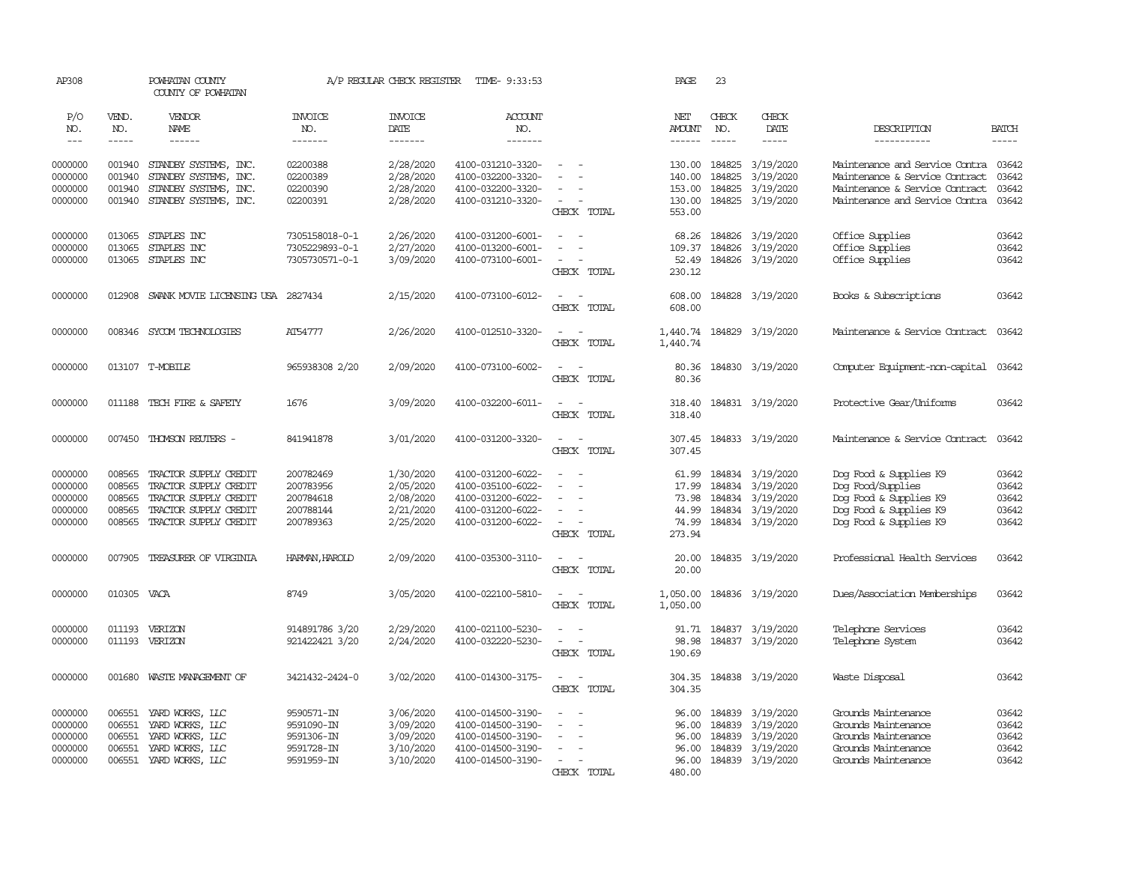| AP308                                               |                                                | POWHATAN COUNTY<br>COUNTY OF POWHATAN                                                                                     |                                                                    | A/P REGULAR CHECK REGISTER                                    | TIME- 9:33:53                                                                                         |                                                                                  | PAGE                                                | 23                                   |                                                                                    |                                                                                                                                            |                                           |
|-----------------------------------------------------|------------------------------------------------|---------------------------------------------------------------------------------------------------------------------------|--------------------------------------------------------------------|---------------------------------------------------------------|-------------------------------------------------------------------------------------------------------|----------------------------------------------------------------------------------|-----------------------------------------------------|--------------------------------------|------------------------------------------------------------------------------------|--------------------------------------------------------------------------------------------------------------------------------------------|-------------------------------------------|
| P/O<br>NO.                                          | VEND.<br>NO.                                   | VENDOR<br>NAME                                                                                                            | <b>INVOICE</b><br>NO.                                              | <b>INVOICE</b><br>DATE                                        | <b>ACCOUNT</b><br>NO.                                                                                 |                                                                                  | NET<br>AMOUNT                                       | CHECK<br>NO.                         | CHECK<br>DATE                                                                      | DESCRIPTION                                                                                                                                | <b>BATCH</b>                              |
| $---$                                               | -----                                          |                                                                                                                           | -------                                                            | --------                                                      | -------                                                                                               |                                                                                  | $- - - - - -$                                       | $\frac{1}{2}$                        | -----                                                                              | -----------                                                                                                                                | $\frac{1}{2}$                             |
| 0000000<br>0000000<br>0000000<br>0000000            | 001940<br>001940<br>001940<br>001940           | STANDBY SYSTEMS, INC.<br>STANDBY SYSTEMS, INC.<br>STANDBY SYSTEMS, INC.<br>STANDBY SYSTEMS, INC.                          | 02200388<br>02200389<br>02200390<br>02200391                       | 2/28/2020<br>2/28/2020<br>2/28/2020<br>2/28/2020              | 4100-031210-3320-<br>4100-032200-3320-<br>4100-032200-3320-<br>4100-031210-3320-                      | $\sim$<br>CHECK TOTAL                                                            | 130.00<br>140.00<br>153.00<br>130.00<br>553.00      | 184825<br>184825<br>184825           | 3/19/2020<br>3/19/2020<br>3/19/2020<br>184825 3/19/2020                            | Maintenance and Service Contra 03642<br>Maintenance & Service Contract<br>Maintenance & Service Contract<br>Maintenance and Service Contra | 03642<br>03642<br>03642                   |
| 0000000<br>0000000<br>0000000                       | 013065<br>013065<br>013065                     | STAPLES INC<br>STAPLES INC<br>STAPLES INC                                                                                 | 7305158018-0-1<br>7305229893-0-1<br>7305730571-0-1                 | 2/26/2020<br>2/27/2020<br>3/09/2020                           | 4100-031200-6001-<br>4100-013200-6001-<br>4100-073100-6001-                                           | $\equiv$<br>$\equiv$<br>$\overline{\phantom{a}}$<br>$\equiv$<br>CHECK TOTAL      | 68.26<br>109.37<br>52.49<br>230.12                  | 184826<br>184826<br>184826           | 3/19/2020<br>3/19/2020<br>3/19/2020                                                | Office Supplies<br>Office Supplies<br>Office Supplies                                                                                      | 03642<br>03642<br>03642                   |
| 0000000                                             | 012908                                         | SWANK MOVIE LICENSING USA 2827434                                                                                         |                                                                    | 2/15/2020                                                     | 4100-073100-6012-                                                                                     | $\overline{\phantom{a}}$<br>$\sim$<br>CHECK TOTAL                                | 608.00<br>608,00                                    |                                      | 184828 3/19/2020                                                                   | Books & Subscriptions                                                                                                                      | 03642                                     |
| 0000000                                             |                                                | 008346 SYCOM TECHNOLOGIES                                                                                                 | AT54777                                                            | 2/26/2020                                                     | 4100-012510-3320-                                                                                     | $\sim$<br>$\sim$<br>CHECK TOTAL                                                  | 1,440.74<br>1,440.74                                |                                      | 184829 3/19/2020                                                                   | Maintenance & Service Contract                                                                                                             | 03642                                     |
| 0000000                                             |                                                | 013107 T-MOBILE                                                                                                           | 965938308 2/20                                                     | 2/09/2020                                                     | 4100-073100-6002-                                                                                     | $\sim$<br>$\sim$<br>CHECK TOTAL                                                  | 80.36<br>80.36                                      |                                      | 184830 3/19/2020                                                                   | Computer Equipment-non-capital                                                                                                             | 03642                                     |
| 0000000                                             |                                                | 011188 TECH FIRE & SAFETY                                                                                                 | 1676                                                               | 3/09/2020                                                     | 4100-032200-6011-                                                                                     | $\sim$<br>$\sim$<br>CHECK TOTAL                                                  | 318.40<br>318.40                                    |                                      | 184831 3/19/2020                                                                   | Protective Gear/Uniforms                                                                                                                   | 03642                                     |
| 0000000                                             | 007450                                         | THOMSON REUTERS -                                                                                                         | 841941878                                                          | 3/01/2020                                                     | 4100-031200-3320-                                                                                     | $\sim$<br>$\sim$<br>CHECK TOTAL                                                  | 307.45<br>307.45                                    |                                      | 184833 3/19/2020                                                                   | Maintenance & Service Contract                                                                                                             | 03642                                     |
| 0000000<br>0000000<br>0000000<br>0000000<br>0000000 | 008565<br>008565<br>008565<br>008565<br>008565 | TRACTOR SUPPLY CREDIT<br>TRACTOR SUPPLY CREDIT<br>TRACTOR SUPPLY CREDIT<br>TRACTOR SUPPLY CREDIT<br>TRACTOR SUPPLY CREDIT | 200782469<br>200783956<br>200784618<br>200788144<br>200789363      | 1/30/2020<br>2/05/2020<br>2/08/2020<br>2/21/2020<br>2/25/2020 | 4100-031200-6022-<br>4100-035100-6022-<br>4100-031200-6022-<br>4100-031200-6022-<br>4100-031200-6022- | $\equiv$<br>$\equiv$<br>$\sim$<br>$\sim$<br>CHECK TOTAL                          | 61.99<br>17.99<br>73.98<br>44.99<br>74.99<br>273.94 | 184834<br>184834                     | 184834 3/19/2020<br>3/19/2020<br>3/19/2020<br>184834 3/19/2020<br>184834 3/19/2020 | Dog Food & Supplies K9<br>Dog Food/Supplies<br>Dog Food & Supplies K9<br>Dog Food & Supplies K9<br>Dog Food & Supplies K9                  | 03642<br>03642<br>03642<br>03642<br>03642 |
| 0000000                                             | 007905                                         | TREASURER OF VIRGINIA                                                                                                     | HARMAN, HAROLD                                                     | 2/09/2020                                                     | 4100-035300-3110-                                                                                     | $\sim$<br>$\sim$<br>CHECK TOTAL                                                  | 20.00<br>20.00                                      |                                      | 184835 3/19/2020                                                                   | Professional Health Services                                                                                                               | 03642                                     |
| 0000000                                             | 010305 VACA                                    |                                                                                                                           | 8749                                                               | 3/05/2020                                                     | 4100-022100-5810-                                                                                     | $\overline{\phantom{a}}$<br>$\sim$<br>CHECK TOTAL                                | 1,050.00<br>1,050.00                                |                                      | 184836 3/19/2020                                                                   | Dues/Association Memberships                                                                                                               | 03642                                     |
| 0000000<br>0000000                                  | 011193                                         | VERIZON<br>011193 VERIZON                                                                                                 | 914891786 3/20<br>921422421 3/20                                   | 2/29/2020<br>2/24/2020                                        | 4100-021100-5230-<br>4100-032220-5230-                                                                | $\sim$<br>$\overline{\phantom{a}}$<br>CHECK TOTAL                                | 91.71<br>98.98<br>190.69                            |                                      | 184837 3/19/2020<br>184837 3/19/2020                                               | Telephone Services<br>Telephone System                                                                                                     | 03642<br>03642                            |
| 0000000                                             | 001680                                         | WASTE MANAGEMENT OF                                                                                                       | 3421432-2424-0                                                     | 3/02/2020                                                     | 4100-014300-3175-                                                                                     | $\overline{\phantom{a}}$<br>$\sim$<br>CHECK TOTAL                                | 304.35<br>304.35                                    |                                      | 184838 3/19/2020                                                                   | Waste Disposal                                                                                                                             | 03642                                     |
| 0000000<br>0000000<br>0000000<br>0000000<br>0000000 | 006551<br>006551<br>006551<br>006551           | YARD WORKS, LLC<br>YARD WORKS, LLC<br>YARD WORKS, LLC<br>YARD WORKS, LLC<br>006551 YARD WORKS, LLC                        | 9590571-IN<br>9591090-IN<br>9591306-IN<br>9591728-IN<br>9591959-IN | 3/06/2020<br>3/09/2020<br>3/09/2020<br>3/10/2020<br>3/10/2020 | 4100-014500-3190-<br>4100-014500-3190-<br>4100-014500-3190-<br>4100-014500-3190-<br>4100-014500-3190- | $\equiv$<br>$\blacksquare$<br>$\equiv$<br>$\sim$<br><b>CHECK</b><br><b>TOTAL</b> | 96.00<br>96.00<br>96.00<br>96.00<br>96.00<br>480.00 | 184839<br>184839<br>184839<br>184839 | 3/19/2020<br>3/19/2020<br>3/19/2020<br>3/19/2020<br>184839 3/19/2020               | Grounds Maintenance<br>Grounds Maintenance<br>Grounds Maintenance<br>Grounds Maintenance<br>Grounds Maintenance                            | 03642<br>03642<br>03642<br>03642<br>03642 |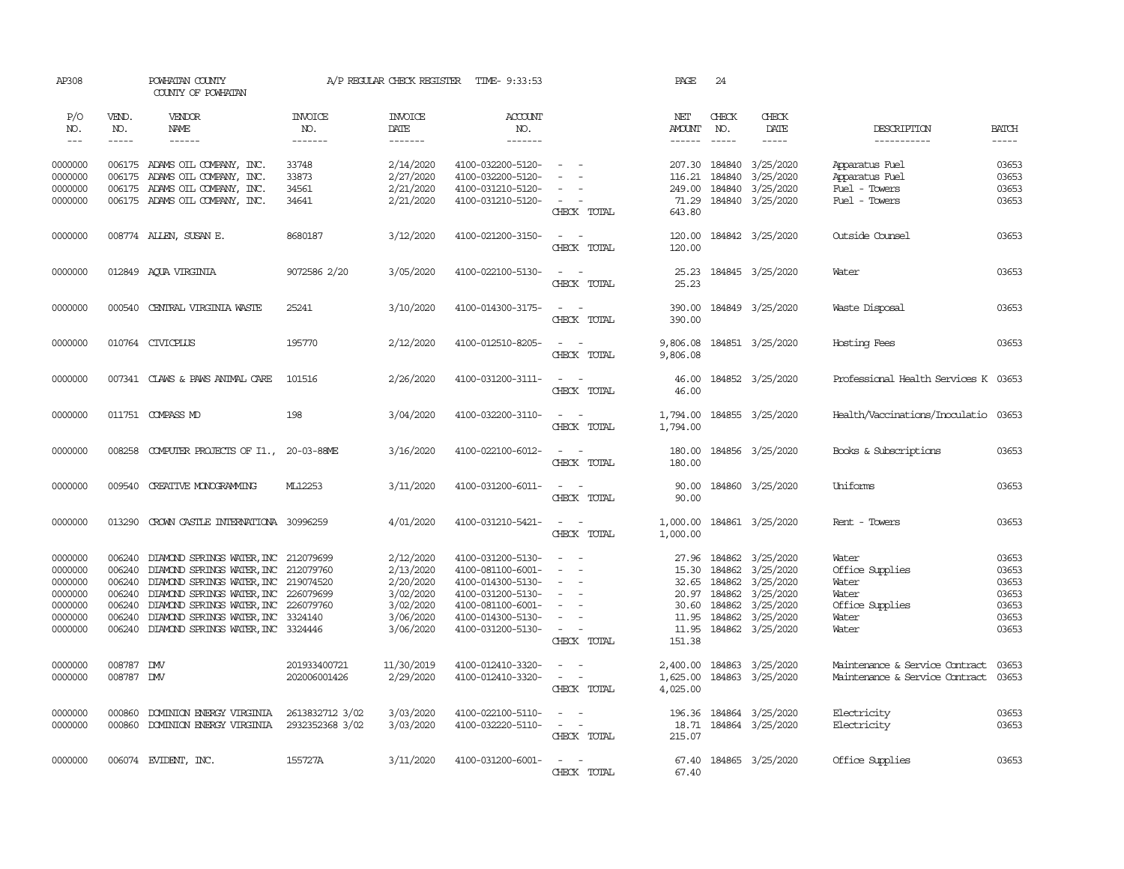| AP308                                                                     |                                      | POWHATAN COUNTY<br>COUNTY OF POWHATAN                                                                                                                                                                                                                                                                 |                                    |                                                                                         | A/P REGULAR CHECK REGISTER TIME- 9:33:53                                                                                                        |                                                                                                     | PAGE                                                                                                                                                                                                                                                                                                                                                                                                                    | 24                                                                                                                                                                                                                                                                |                                                                                                                                                                              |                                                                                 |                                                             |
|---------------------------------------------------------------------------|--------------------------------------|-------------------------------------------------------------------------------------------------------------------------------------------------------------------------------------------------------------------------------------------------------------------------------------------------------|------------------------------------|-----------------------------------------------------------------------------------------|-------------------------------------------------------------------------------------------------------------------------------------------------|-----------------------------------------------------------------------------------------------------|-------------------------------------------------------------------------------------------------------------------------------------------------------------------------------------------------------------------------------------------------------------------------------------------------------------------------------------------------------------------------------------------------------------------------|-------------------------------------------------------------------------------------------------------------------------------------------------------------------------------------------------------------------------------------------------------------------|------------------------------------------------------------------------------------------------------------------------------------------------------------------------------|---------------------------------------------------------------------------------|-------------------------------------------------------------|
| P/O<br>NO.                                                                | VEND.<br>NO.                         | VENDOR<br>NAME                                                                                                                                                                                                                                                                                        | <b>INVOICE</b><br>NO.              | <b>INVOICE</b><br>DATE                                                                  | ACCOUNT<br>NO.                                                                                                                                  |                                                                                                     | NET<br>AMOUNT                                                                                                                                                                                                                                                                                                                                                                                                           | CHECK<br>NO.                                                                                                                                                                                                                                                      | CHECK<br>DATE                                                                                                                                                                | DESCRIPTION                                                                     | <b>BATCH</b>                                                |
| $  -$                                                                     | -----                                | $\begin{array}{cccccccccc} \dots & \dots & \dots & \dots & \dots \end{array}$                                                                                                                                                                                                                         | -------                            | -------                                                                                 | -------                                                                                                                                         |                                                                                                     | $\begin{tabular}{ccccc} \multicolumn{2}{c }{\multicolumn{2}{c }{\multicolumn{2}{c }{\multicolumn{2}{c}}}{\multicolumn{2}{c }{\multicolumn{2}{c}}}\end{tabular} \end{tabular} \begin{tabular}{c c }{\multicolumn{2}{c }{\multicolumn{2}{c }{\multicolumn{2}{c}}}{\multicolumn{2}{c }{\multicolumn{2}{c}}}{\multicolumn{2}{c }{\multicolumn{2}{c}}}{\multicolumn{2}{c }{\multicolumn{2}{c}}}{\end{tabular} \end{tabular}$ | $\begin{tabular}{ccccc} \multicolumn{2}{c }{\multicolumn{2}{c }{\multicolumn{2}{c }{\multicolumn{2}{c}}}{\multicolumn{2}{c }{\multicolumn{2}{c}}}{\multicolumn{2}{c }{\multicolumn{2}{c}}}{\multicolumn{2}{c }{\multicolumn{2}{c}}}{\end{tabular}} \end{tabular}$ | -----                                                                                                                                                                        | -----------                                                                     | $\cdots$                                                    |
| 0000000<br>0000000                                                        |                                      | 006175 ADAMS OIL COMPANY, INC.<br>006175 ADAMS OIL COMPANY, INC.                                                                                                                                                                                                                                      | 33748<br>33873                     | 2/14/2020<br>2/27/2020                                                                  | 4100-032200-5120-<br>4100-032200-5120-                                                                                                          | $\sim$ $ \sim$<br>$\overline{\phantom{a}}$                                                          | 116.21                                                                                                                                                                                                                                                                                                                                                                                                                  | 184840                                                                                                                                                                                                                                                            | 207.30 184840 3/25/2020<br>3/25/2020                                                                                                                                         | Apparatus Fuel<br>Apparatus Fuel                                                | 03653<br>03653                                              |
| 0000000                                                                   |                                      | 006175 ADAMS OIL COMPANY, INC.                                                                                                                                                                                                                                                                        | 34561                              | 2/21/2020                                                                               | 4100-031210-5120-                                                                                                                               | $\sim$                                                                                              | 249.00                                                                                                                                                                                                                                                                                                                                                                                                                  |                                                                                                                                                                                                                                                                   | 184840 3/25/2020                                                                                                                                                             | Fuel - Towers                                                                   | 03653                                                       |
| 0000000                                                                   |                                      | 006175 ADAMS OIL COMPANY, INC.                                                                                                                                                                                                                                                                        | 34641                              | 2/21/2020                                                                               | 4100-031210-5120-                                                                                                                               | $\sim$ $\sim$<br>CHECK TOTAL                                                                        | 643.80                                                                                                                                                                                                                                                                                                                                                                                                                  |                                                                                                                                                                                                                                                                   | 71.29 184840 3/25/2020                                                                                                                                                       | Fuel - Towers                                                                   | 03653                                                       |
| 0000000                                                                   |                                      | 008774 ALLEN, SUSAN E.                                                                                                                                                                                                                                                                                | 8680187                            | 3/12/2020                                                                               | 4100-021200-3150-                                                                                                                               | $\sim$ $ \sim$<br>CHECK TOTAL                                                                       | 120.00<br>120.00                                                                                                                                                                                                                                                                                                                                                                                                        |                                                                                                                                                                                                                                                                   | 184842 3/25/2020                                                                                                                                                             | Outside Counsel                                                                 | 03653                                                       |
| 0000000                                                                   |                                      | 012849 AQUA VIRGINIA                                                                                                                                                                                                                                                                                  | 9072586 2/20                       | 3/05/2020                                                                               | 4100-022100-5130-                                                                                                                               | $\sim$<br>CHECK TOTAL                                                                               | 25.23<br>25.23                                                                                                                                                                                                                                                                                                                                                                                                          |                                                                                                                                                                                                                                                                   | 184845 3/25/2020                                                                                                                                                             | Water                                                                           | 03653                                                       |
| 0000000                                                                   |                                      | 000540 CENTRAL VIRGINIA WASTE                                                                                                                                                                                                                                                                         | 25241                              | 3/10/2020                                                                               | 4100-014300-3175-                                                                                                                               | $\sim$ $ -$<br>CHECK TOTAL                                                                          | 390.00<br>390.00                                                                                                                                                                                                                                                                                                                                                                                                        |                                                                                                                                                                                                                                                                   | 184849 3/25/2020                                                                                                                                                             | Waste Disposal                                                                  | 03653                                                       |
| 0000000                                                                   |                                      | 010764 CIVICPLUS                                                                                                                                                                                                                                                                                      | 195770                             | 2/12/2020                                                                               | 4100-012510-8205-                                                                                                                               | $\sim$ $ -$<br>CHECK TOTAL                                                                          | 9,806.08<br>9,806.08                                                                                                                                                                                                                                                                                                                                                                                                    |                                                                                                                                                                                                                                                                   | 184851 3/25/2020                                                                                                                                                             | Hosting Fees                                                                    | 03653                                                       |
| 0000000                                                                   |                                      | 007341 CLAWS & PAWS ANIMAL CARE                                                                                                                                                                                                                                                                       | 101516                             | 2/26/2020                                                                               | 4100-031200-3111-                                                                                                                               | $\sim$ $ \sim$ $-$<br>CHECK TOTAL                                                                   | 46.00<br>46.00                                                                                                                                                                                                                                                                                                                                                                                                          |                                                                                                                                                                                                                                                                   | 184852 3/25/2020                                                                                                                                                             | Professional Health Services K 03653                                            |                                                             |
| 0000000                                                                   |                                      | 011751 COMPASS MD                                                                                                                                                                                                                                                                                     | 198                                | 3/04/2020                                                                               | 4100-032200-3110-                                                                                                                               | $\sim$ $ -$<br>CHECK TOTAL                                                                          | 1,794.00<br>1,794.00                                                                                                                                                                                                                                                                                                                                                                                                    |                                                                                                                                                                                                                                                                   | 184855 3/25/2020                                                                                                                                                             | Health/Vaccinations/Inoculatio 03653                                            |                                                             |
| 0000000                                                                   |                                      | 008258 COMPUTER PROJECTS OF I1., 20-03-88ME                                                                                                                                                                                                                                                           |                                    | 3/16/2020                                                                               | 4100-022100-6012-                                                                                                                               | $\sim$ $ \sim$<br>CHECK TOTAL                                                                       | 180.00<br>180.00                                                                                                                                                                                                                                                                                                                                                                                                        |                                                                                                                                                                                                                                                                   | 184856 3/25/2020                                                                                                                                                             | Books & Subscriptions                                                           | 03653                                                       |
| 0000000                                                                   | 009540                               | CREATIVE MONOGRAMMING                                                                                                                                                                                                                                                                                 | ML12253                            | 3/11/2020                                                                               | 4100-031200-6011-                                                                                                                               | $\sim$<br>$\sim$<br>CHECK TOTAL                                                                     | 90.00<br>90.00                                                                                                                                                                                                                                                                                                                                                                                                          |                                                                                                                                                                                                                                                                   | 184860 3/25/2020                                                                                                                                                             | Uniforms                                                                        | 03653                                                       |
| 0000000                                                                   | 013290                               | CROWN CASTLE INTERNATIONA 30996259                                                                                                                                                                                                                                                                    |                                    | 4/01/2020                                                                               | 4100-031210-5421-                                                                                                                               | $\sim$ $ -$<br>CHECK TOTAL                                                                          | 1,000.00                                                                                                                                                                                                                                                                                                                                                                                                                |                                                                                                                                                                                                                                                                   | 1,000.00 184861 3/25/2020                                                                                                                                                    | Rent - Towers                                                                   | 03653                                                       |
| 0000000<br>0000000<br>0000000<br>0000000<br>0000000<br>0000000<br>0000000 | 006240<br>006240<br>006240<br>006240 | 006240 DIAMOND SPRINGS WATER, INC 212079699<br>006240 DIAMOND SPRINGS WATER, INC 212079760<br>DIAMOND SPRINGS WATER, INC 219074520<br>DIAMOND SPRINGS WATER, INC 226079699<br>DIAMOND SPRINGS WATER, INC 226079760<br>DIAMOND SPRINGS WATER, INC 3324140<br>006240 DIAMOND SPRINGS WATER, INC 3324446 |                                    | 2/12/2020<br>2/13/2020<br>2/20/2020<br>3/02/2020<br>3/02/2020<br>3/06/2020<br>3/06/2020 | 4100-031200-5130-<br>4100-081100-6001-<br>4100-014300-5130-<br>4100-031200-5130-<br>4100-081100-6001-<br>4100-014300-5130-<br>4100-031200-5130- | $\sim$ $ \sim$<br>$ -$<br>$\sim$<br>$\sim$<br>$\sim$<br>$\sim$<br>$\sim$ $ \sim$ $-$<br>CHECK TOTAL | 11.95<br>151.38                                                                                                                                                                                                                                                                                                                                                                                                         |                                                                                                                                                                                                                                                                   | 27.96 184862 3/25/2020<br>15.30 184862 3/25/2020<br>32.65 184862 3/25/2020<br>20.97 184862 3/25/2020<br>30.60 184862 3/25/2020<br>184862 3/25/2020<br>11.95 184862 3/25/2020 | Water<br>Office Supplies<br>Water<br>Water<br>Office Supplies<br>Water<br>Water | 03653<br>03653<br>03653<br>03653<br>03653<br>03653<br>03653 |
| 0000000<br>0000000                                                        | 008787 DW<br>008787 DMV              |                                                                                                                                                                                                                                                                                                       | 201933400721<br>202006001426       | 11/30/2019<br>2/29/2020                                                                 | 4100-012410-3320-<br>4100-012410-3320-                                                                                                          | $\sim$ $\sim$<br>$\sim$ $ \sim$<br>CHECK TOTAL                                                      | 4,025.00                                                                                                                                                                                                                                                                                                                                                                                                                |                                                                                                                                                                                                                                                                   | 2,400.00 184863 3/25/2020<br>1,625.00 184863 3/25/2020                                                                                                                       | Maintenance & Service Contract<br>Maintenance & Service Contract 03653          | 03653                                                       |
| 0000000<br>0000000                                                        | 000860                               | DOMINION ENERGY VIRGINIA<br>000860 DOMINION ENERGY VIRGINIA                                                                                                                                                                                                                                           | 2613832712 3/02<br>2932352368 3/02 | 3/03/2020<br>3/03/2020                                                                  | 4100-022100-5110-<br>4100-032220-5110-                                                                                                          | $\sim$ $ \sim$<br>$\sim$ $ \sim$ $-$<br>CHECK TOTAL                                                 | 215.07                                                                                                                                                                                                                                                                                                                                                                                                                  |                                                                                                                                                                                                                                                                   | 196.36 184864 3/25/2020<br>18.71 184864 3/25/2020                                                                                                                            | Electricity<br>Electricity                                                      | 03653<br>03653                                              |
| 0000000                                                                   |                                      | 006074 EVIDENT, INC.                                                                                                                                                                                                                                                                                  | 155727A                            | 3/11/2020                                                                               | 4100-031200-6001-                                                                                                                               | $\sim$ $\sim$<br>CHECK TOTAL                                                                        | 67.40                                                                                                                                                                                                                                                                                                                                                                                                                   |                                                                                                                                                                                                                                                                   | 67.40 184865 3/25/2020                                                                                                                                                       | Office Supplies                                                                 | 03653                                                       |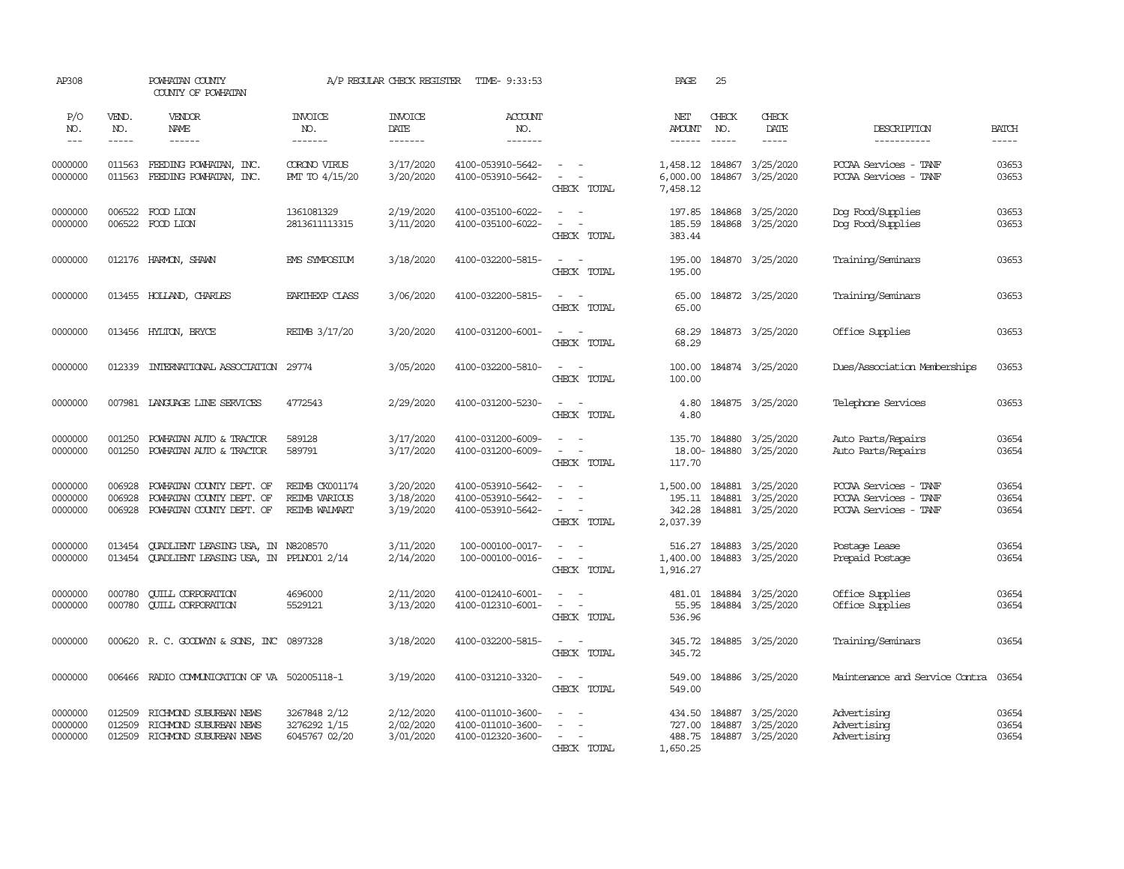| AP308                         |                             | POWHATAN COUNTY<br>COUNTY OF POWHATAN                                               |                                                         | A/P REGULAR CHECK REGISTER          | TIME- 9:33:53                                               |                                                                                                                                                                            | PAGE                                   | 25                          |                                                                 |                                                                         |                             |
|-------------------------------|-----------------------------|-------------------------------------------------------------------------------------|---------------------------------------------------------|-------------------------------------|-------------------------------------------------------------|----------------------------------------------------------------------------------------------------------------------------------------------------------------------------|----------------------------------------|-----------------------------|-----------------------------------------------------------------|-------------------------------------------------------------------------|-----------------------------|
| P/O<br>NO.<br>$---$           | VEND.<br>NO.<br>$- - - - -$ | VENDOR<br>NAME<br>$- - - - - -$                                                     | <b>INVOICE</b><br>NO.<br>-------                        | <b>INVOICE</b><br>DATE<br>-------   | <b>ACCOUNT</b><br>NO.<br>-------                            |                                                                                                                                                                            | NET<br><b>AMOUNT</b><br>------         | CHECK<br>NO.<br>$- - - - -$ | CHECK<br>DATE<br>$- - - - -$                                    | DESCRIPTION<br>-----------                                              | <b>BATCH</b><br>$- - - - -$ |
| 0000000<br>0000000            | 011563<br>011563            | FEEDING POWHATAN, INC.<br>FEEDING POWHATAN, INC.                                    | CORONO VIRUS<br>PMT TO 4/15/20                          | 3/17/2020<br>3/20/2020              | 4100-053910-5642-<br>4100-053910-5642-                      | $\frac{1}{2} \left( \frac{1}{2} \right) \left( \frac{1}{2} \right) = \frac{1}{2} \left( \frac{1}{2} \right)$<br>$\omega_{\rm{max}}$ and $\omega_{\rm{max}}$<br>CHECK TOTAL | 6,000.00<br>7,458.12                   |                             | 1,458.12 184867 3/25/2020<br>184867 3/25/2020                   | PCCAA Services - TANF<br>PCCAA Services - TANF                          | 03653<br>03653              |
| 0000000<br>0000000            | 006522                      | FOOD LION<br>006522 FOOD LION                                                       | 1361081329<br>2813611113315                             | 2/19/2020<br>3/11/2020              | 4100-035100-6022-<br>4100-035100-6022-                      | $\sim$<br>$\sim$ $\sim$<br>CHECK TOTAL                                                                                                                                     | 197.85<br>185.59<br>383.44             |                             | 184868 3/25/2020<br>184868 3/25/2020                            | Dog Food/Supplies<br>Dog Food/Supplies                                  | 03653<br>03653              |
| 0000000                       |                             | 012176 HARMON, SHAWN                                                                | <b>EMS SYMPOSIUM</b>                                    | 3/18/2020                           | 4100-032200-5815-                                           | $\frac{1}{2} \left( \frac{1}{2} \right) \left( \frac{1}{2} \right) = \frac{1}{2} \left( \frac{1}{2} \right)$<br>CHECK TOTAL                                                | 195.00<br>195.00                       |                             | 184870 3/25/2020                                                | Training/Seminars                                                       | 03653                       |
| 0000000                       |                             | 013455 HOLLAND, CHARLES                                                             | <b>EARTHEXP CLASS</b>                                   | 3/06/2020                           | 4100-032200-5815-                                           | $\frac{1}{2} \left( \frac{1}{2} \right) \left( \frac{1}{2} \right) = \frac{1}{2} \left( \frac{1}{2} \right)$<br>CHECK TOTAL                                                | 65.00<br>65.00                         |                             | 184872 3/25/2020                                                | Training/Seminars                                                       | 03653                       |
| 0000000                       |                             | 013456 HYLTON, BRYCE                                                                | REIMB 3/17/20                                           | 3/20/2020                           | 4100-031200-6001-                                           | $\frac{1}{2} \left( \frac{1}{2} \right) \left( \frac{1}{2} \right) = \frac{1}{2} \left( \frac{1}{2} \right)$<br>CHECK TOTAL                                                | 68.29<br>68.29                         |                             | 184873 3/25/2020                                                | Office Supplies                                                         | 03653                       |
| 0000000                       | 012339                      | INTERNATIONAL ASSOCIATION 29774                                                     |                                                         | 3/05/2020                           | 4100-032200-5810-                                           | $\sim$<br>$\sim$<br>CHECK TOTAL                                                                                                                                            | 100.00<br>100.00                       |                             | 184874 3/25/2020                                                | Dues/Association Memberships                                            | 03653                       |
| 0000000                       |                             | 007981 LANGUAGE LINE SERVICES                                                       | 4772543                                                 | 2/29/2020                           | 4100-031200-5230-                                           | $\overline{\phantom{a}}$<br>$\sim$<br>CHECK TOTAL                                                                                                                          | 4.80<br>4.80                           |                             | 184875 3/25/2020                                                | Telephone Services                                                      | 03653                       |
| 0000000<br>0000000            | 001250<br>001250            | POWHATAN AUTO & TRACTOR<br>POWHATAN AUTO & TRACTOR                                  | 589128<br>589791                                        | 3/17/2020<br>3/17/2020              | 4100-031200-6009-<br>4100-031200-6009-                      | $\sim$<br>$\sim$<br>$\sim$ $  -$<br>CHECK TOTAL                                                                                                                            | 117.70                                 |                             | 135.70 184880 3/25/2020<br>18.00-184880 3/25/2020               | Auto Parts/Repairs<br>Auto Parts/Repairs                                | 03654<br>03654              |
| 0000000<br>0000000<br>0000000 | 006928<br>006928<br>006928  | POWHATAN COUNTY DEPT. OF<br>POWHATAN COUNTY DEPT. OF<br>POWHATAN COUNTY DEPT. OF    | REIMB CK001174<br>REIMB VARIOUS<br><b>REIMB WALMART</b> | 3/20/2020<br>3/18/2020<br>3/19/2020 | 4100-053910-5642-<br>4100-053910-5642-<br>4100-053910-5642- | $\sim$<br>$\sim$<br>CHECK TOTAL                                                                                                                                            | 1,500.00<br>342.28<br>2,037.39         |                             | 184881 3/25/2020<br>195.11 184881 3/25/2020<br>184881 3/25/2020 | PCCAA Services - TANF<br>PCCAA Services - TANF<br>PCCAA Services - TANF | 03654<br>03654<br>03654     |
| 0000000<br>0000000            | 013454<br>013454            | <b>QUADLIENT LEASING USA, IN N8208570</b><br>QUADLIENT LEASING USA, IN PPINC01 2/14 |                                                         | 3/11/2020<br>2/14/2020              | 100-000100-0017-<br>100-000100-0016-                        | $\omega_{\rm{max}}$ and $\omega_{\rm{max}}$<br>$\sim$<br>$\sim$<br>CHECK TOTAL                                                                                             | 516.27<br>1,400.00<br>1,916.27         |                             | 184883 3/25/2020<br>184883 3/25/2020                            | Postage Lease<br>Prepaid Postage                                        | 03654<br>03654              |
| 0000000<br>0000000            | 000780<br>000780            | <b>QUILL CORPORATION</b><br><b>QUILL CORPORATION</b>                                | 4696000<br>5529121                                      | 2/11/2020<br>3/13/2020              | 4100-012410-6001-<br>4100-012310-6001-                      | $\overline{\phantom{a}}$<br>$\sim$<br>$\sim$<br>CHECK TOTAL                                                                                                                | 481.01<br>55.95<br>536.96              |                             | 184884 3/25/2020<br>184884 3/25/2020                            | Office Supplies<br>Office Supplies                                      | 03654<br>03654              |
| 0000000                       |                             | 000620 R. C. GOODWYN & SONS, INC                                                    | 0897328                                                 | 3/18/2020                           | 4100-032200-5815-                                           | $\sim$<br>$\sim$<br>CHECK TOTAL                                                                                                                                            | 345.72<br>345.72                       |                             | 184885 3/25/2020                                                | Training/Seminars                                                       | 03654                       |
| 0000000                       | 006466                      | RADIO COMMUNICATION OF VA 502005118-1                                               |                                                         | 3/19/2020                           | 4100-031210-3320-                                           | $\overline{\phantom{a}}$<br>$\sim$<br>CHECK TOTAL                                                                                                                          | 549.00<br>549.00                       |                             | 184886 3/25/2020                                                | Maintenance and Service Contra                                          | 03654                       |
| 0000000<br>0000000<br>0000000 | 012509<br>012509<br>012509  | RICHMOND SUBURBAN NEWS<br>RICHMOND SUBURBAN NEWS<br>RICHMOND SUBURBAN NEWS          | 3267848 2/12<br>3276292 1/15<br>6045767 02/20           | 2/12/2020<br>2/02/2020<br>3/01/2020 | 4100-011010-3600-<br>4100-011010-3600-<br>4100-012320-3600- | CHECK TOTAL                                                                                                                                                                | 434.50<br>727.00<br>488.75<br>1,650.25 |                             | 184887 3/25/2020<br>184887 3/25/2020<br>184887 3/25/2020        | Advertising<br>Advertising<br>Advertising                               | 03654<br>03654<br>03654     |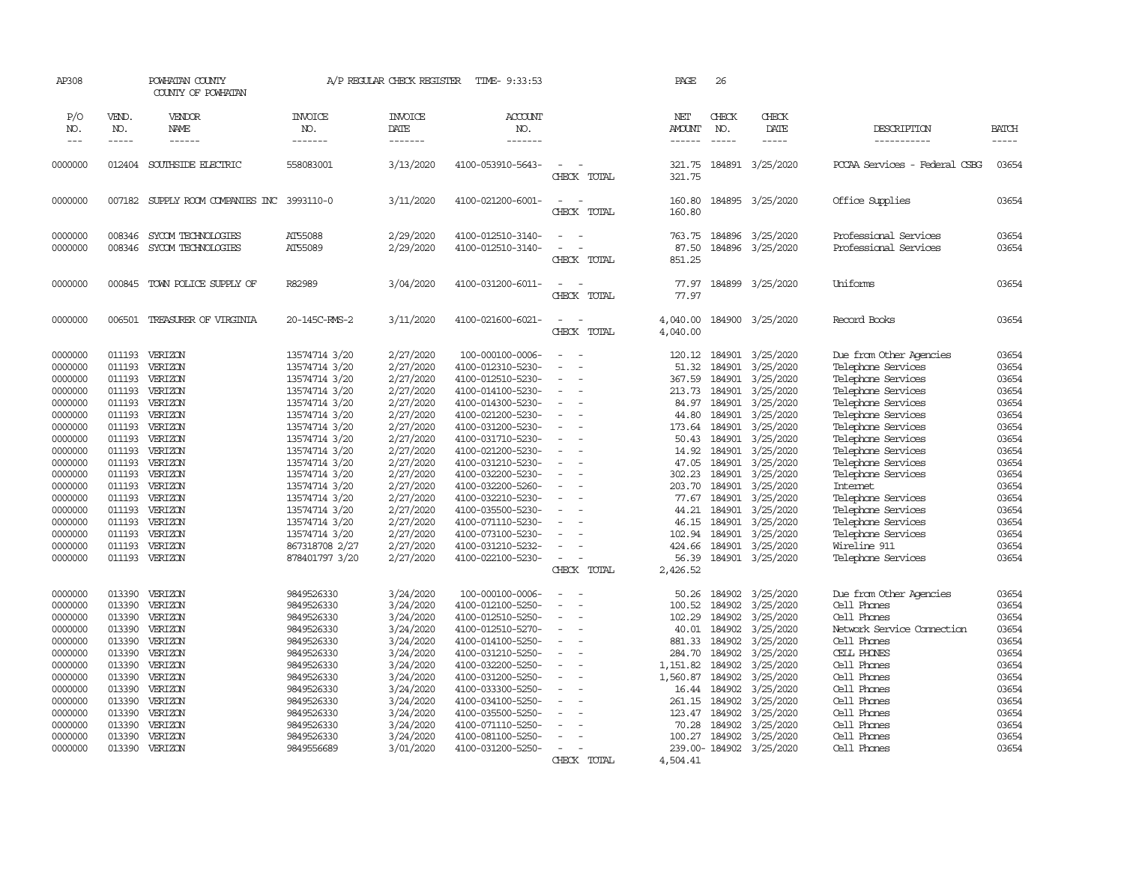| AP308                                                                                                                                                                                              |                                                                                                                                                                                  | POWHATAN COUNTY<br>COUNTY OF POWHATAN                                                                                                                                                              |                                                                                                                                                                                                                                                                                                                  | A/P REGULAR CHECK REGISTER                                                                                                                                                                                                             | TIME- 9:33:53                                                                                                                                                                                                                                                                                                                                                                         |                                                                                                                                                  | PAGE                                                                                                                                                                   | 26                                                                                                                             |                                                                                                                                                                                                                                                                           |                                                                                                                                                                                                                                                                                                                                                                                               |                                                                                                                                                                |
|----------------------------------------------------------------------------------------------------------------------------------------------------------------------------------------------------|----------------------------------------------------------------------------------------------------------------------------------------------------------------------------------|----------------------------------------------------------------------------------------------------------------------------------------------------------------------------------------------------|------------------------------------------------------------------------------------------------------------------------------------------------------------------------------------------------------------------------------------------------------------------------------------------------------------------|----------------------------------------------------------------------------------------------------------------------------------------------------------------------------------------------------------------------------------------|---------------------------------------------------------------------------------------------------------------------------------------------------------------------------------------------------------------------------------------------------------------------------------------------------------------------------------------------------------------------------------------|--------------------------------------------------------------------------------------------------------------------------------------------------|------------------------------------------------------------------------------------------------------------------------------------------------------------------------|--------------------------------------------------------------------------------------------------------------------------------|---------------------------------------------------------------------------------------------------------------------------------------------------------------------------------------------------------------------------------------------------------------------------|-----------------------------------------------------------------------------------------------------------------------------------------------------------------------------------------------------------------------------------------------------------------------------------------------------------------------------------------------------------------------------------------------|----------------------------------------------------------------------------------------------------------------------------------------------------------------|
| P/O<br>NO.<br>$---$                                                                                                                                                                                | VEND.<br>NO.<br>-----                                                                                                                                                            | VENDOR<br>NAME<br>$- - - - - -$                                                                                                                                                                    | <b>INVOICE</b><br>NO.<br>-------                                                                                                                                                                                                                                                                                 | <b>INVOICE</b><br>DATE<br>-------                                                                                                                                                                                                      | ACCOUNT<br>NO.<br>-------                                                                                                                                                                                                                                                                                                                                                             |                                                                                                                                                  | NET<br><b>AMOUNT</b><br>------                                                                                                                                         | CHECK<br>NO.<br>$\frac{1}{2}$                                                                                                  | CHECK<br>DATE<br>-----                                                                                                                                                                                                                                                    | DESCRIPTION<br>-----------                                                                                                                                                                                                                                                                                                                                                                    | <b>BATCH</b><br>$- - - - -$                                                                                                                                    |
| 0000000                                                                                                                                                                                            |                                                                                                                                                                                  | 012404 SOUTHSIDE ELECTRIC                                                                                                                                                                          | 558083001                                                                                                                                                                                                                                                                                                        | 3/13/2020                                                                                                                                                                                                                              | 4100-053910-5643-                                                                                                                                                                                                                                                                                                                                                                     | $\overline{\phantom{a}}$<br>CHECK TOTAL                                                                                                          | 321.75<br>321.75                                                                                                                                                       |                                                                                                                                | 184891 3/25/2020                                                                                                                                                                                                                                                          | PCCAA Services - Federal CSBG                                                                                                                                                                                                                                                                                                                                                                 | 03654                                                                                                                                                          |
| 0000000                                                                                                                                                                                            |                                                                                                                                                                                  | 007182 SUPPLY ROOM COMPANIES INC 3993110-0                                                                                                                                                         |                                                                                                                                                                                                                                                                                                                  | 3/11/2020                                                                                                                                                                                                                              | 4100-021200-6001-                                                                                                                                                                                                                                                                                                                                                                     | $\sim$<br>$\sim$<br>CHECK TOTAL                                                                                                                  | 160.80<br>160.80                                                                                                                                                       |                                                                                                                                | 184895 3/25/2020                                                                                                                                                                                                                                                          | Office Supplies                                                                                                                                                                                                                                                                                                                                                                               | 03654                                                                                                                                                          |
| 0000000<br>0000000                                                                                                                                                                                 | 008346<br>008346                                                                                                                                                                 | SYCOM TECHNOLOGIES<br>SYCOM TECHNOLOGIES                                                                                                                                                           | AT55088<br>AT55089                                                                                                                                                                                                                                                                                               | 2/29/2020<br>2/29/2020                                                                                                                                                                                                                 | 4100-012510-3140-<br>4100-012510-3140-                                                                                                                                                                                                                                                                                                                                                | $\sim$<br>$\sim$<br>CHECK TOTAL                                                                                                                  | 763.75<br>87.50<br>851.25                                                                                                                                              |                                                                                                                                | 184896 3/25/2020<br>184896 3/25/2020                                                                                                                                                                                                                                      | Professional Services<br>Professional Services                                                                                                                                                                                                                                                                                                                                                | 03654<br>03654                                                                                                                                                 |
| 0000000                                                                                                                                                                                            |                                                                                                                                                                                  | 000845 TOWN POLICE SUPPLY OF                                                                                                                                                                       | R82989                                                                                                                                                                                                                                                                                                           | 3/04/2020                                                                                                                                                                                                                              | 4100-031200-6011-                                                                                                                                                                                                                                                                                                                                                                     | $\equiv$<br>CHECK TOTAL                                                                                                                          | 77.97<br>77.97                                                                                                                                                         |                                                                                                                                | 184899 3/25/2020                                                                                                                                                                                                                                                          | Uniforms                                                                                                                                                                                                                                                                                                                                                                                      | 03654                                                                                                                                                          |
| 0000000                                                                                                                                                                                            | 006501                                                                                                                                                                           | TREASURER OF VIRGINIA                                                                                                                                                                              | 20-145C-RMS-2                                                                                                                                                                                                                                                                                                    | 3/11/2020                                                                                                                                                                                                                              | 4100-021600-6021-                                                                                                                                                                                                                                                                                                                                                                     | $\overline{\phantom{a}}$<br>$\sim$<br>CHECK TOTAL                                                                                                | 4,040.00<br>4,040.00                                                                                                                                                   |                                                                                                                                | 184900 3/25/2020                                                                                                                                                                                                                                                          | Record Books                                                                                                                                                                                                                                                                                                                                                                                  | 03654                                                                                                                                                          |
| 0000000<br>0000000<br>0000000<br>0000000<br>0000000<br>0000000<br>0000000<br>0000000<br>0000000<br>0000000<br>0000000<br>0000000<br>0000000<br>0000000<br>0000000<br>0000000<br>0000000<br>0000000 | 011193<br>011193<br>011193<br>011193<br>011193<br>011193<br>011193<br>011193<br>011193<br>011193<br>011193<br>011193<br>011193<br>011193<br>011193<br>011193<br>011193<br>011193 | VERIZON<br>VERIZON<br>VERIZON<br>VERIZON<br>VERIZON<br>VERIZON<br>VERIZON<br>VERIZON<br>VERIZON<br>VERIZON<br>VERIZON<br>VERIZON<br>VERIZON<br>VERIZON<br>VERIZON<br>VERIZON<br>VERIZON<br>VERIZON | 13574714 3/20<br>13574714 3/20<br>13574714 3/20<br>13574714 3/20<br>13574714 3/20<br>13574714 3/20<br>13574714 3/20<br>13574714 3/20<br>13574714 3/20<br>13574714 3/20<br>13574714 3/20<br>13574714 3/20<br>13574714 3/20<br>13574714 3/20<br>13574714 3/20<br>13574714 3/20<br>867318708 2/27<br>878401797 3/20 | 2/27/2020<br>2/27/2020<br>2/27/2020<br>2/27/2020<br>2/27/2020<br>2/27/2020<br>2/27/2020<br>2/27/2020<br>2/27/2020<br>2/27/2020<br>2/27/2020<br>2/27/2020<br>2/27/2020<br>2/27/2020<br>2/27/2020<br>2/27/2020<br>2/27/2020<br>2/27/2020 | 100-000100-0006-<br>4100-012310-5230-<br>4100-012510-5230-<br>4100-014100-5230-<br>4100-014300-5230-<br>4100-021200-5230-<br>4100-031200-5230-<br>4100-031710-5230-<br>4100-021200-5230-<br>4100-031210-5230-<br>4100-032200-5230-<br>4100-032200-5260-<br>4100-032210-5230-<br>4100-035500-5230-<br>4100-071110-5230-<br>4100-073100-5230-<br>4100-031210-5232-<br>4100-022100-5230- | $\sim$<br>$\equiv$<br>$\sim$<br>$\sim$<br>$\sim$<br>$\equiv$<br>$\sim$<br>$\sim$<br>$\sim$<br>$\equiv$<br>$\equiv$<br>$\overline{a}$<br>$\equiv$ | 120.12<br>51.32<br>367.59<br>213.73<br>84.97<br>44.80<br>173.64<br>50.43<br>14.92<br>47.05<br>302.23<br>203.70<br>77.67<br>44.21<br>46.15<br>102.94<br>424.66<br>56.39 | 184901<br>184901<br>184901<br>184901<br>184901<br>184901<br>184901<br>184901<br>184901<br>184901<br>184901<br>184901<br>184901 | 184901 3/25/2020<br>3/25/2020<br>3/25/2020<br>3/25/2020<br>3/25/2020<br>3/25/2020<br>3/25/2020<br>3/25/2020<br>184901 3/25/2020<br>3/25/2020<br>3/25/2020<br>3/25/2020<br>3/25/2020<br>3/25/2020<br>3/25/2020<br>184901 3/25/2020<br>184901 3/25/2020<br>184901 3/25/2020 | Due from Other Agencies<br>Telephone Services<br>Telephone Services<br>Telephone Services<br>Telephone Services<br>Telephone Services<br>Telephone Services<br>Telephone Services<br>Telephone Services<br>Telephone Services<br>Telephone Services<br>Internet<br>Telephone Services<br>Telephone Services<br>Telephone Services<br>Telephone Services<br>Wireline 911<br>Telephone Services | 03654<br>03654<br>03654<br>03654<br>03654<br>03654<br>03654<br>03654<br>03654<br>03654<br>03654<br>03654<br>03654<br>03654<br>03654<br>03654<br>03654<br>03654 |
| 0000000<br>0000000<br>0000000<br>0000000<br>0000000<br>0000000<br>0000000<br>0000000<br>0000000<br>0000000<br>0000000<br>0000000<br>0000000<br>0000000                                             | 013390<br>013390<br>013390<br>013390<br>013390<br>013390<br>013390<br>013390<br>013390<br>013390<br>013390<br>013390<br>013390                                                   | VERIZON<br>VERIZON<br>VERIZON<br>VERIZON<br>VERIZON<br>VERIZON<br>VERIZON<br>VERIZON<br>VERIZON<br>VERIZON<br>VERIZON<br>VERIZON<br>VERIZON<br>013390 VERIZON                                      | 9849526330<br>9849526330<br>9849526330<br>9849526330<br>9849526330<br>9849526330<br>9849526330<br>9849526330<br>9849526330<br>9849526330<br>9849526330<br>9849526330<br>9849526330<br>9849556689                                                                                                                 | 3/24/2020<br>3/24/2020<br>3/24/2020<br>3/24/2020<br>3/24/2020<br>3/24/2020<br>3/24/2020<br>3/24/2020<br>3/24/2020<br>3/24/2020<br>3/24/2020<br>3/24/2020<br>3/24/2020<br>3/01/2020                                                     | 100-000100-0006-<br>4100-012100-5250-<br>4100-012510-5250-<br>4100-012510-5270-<br>4100-014100-5250-<br>4100-031210-5250-<br>4100-032200-5250-<br>4100-031200-5250-<br>4100-033300-5250-<br>4100-034100-5250-<br>4100-035500-5250-<br>4100-071110-5250-<br>4100-081100-5250-<br>4100-031200-5250-                                                                                     | CHECK TOTAL<br>$\equiv$<br>$\sim$<br>$\equiv$<br>$\equiv$<br>$\sim$<br>$\equiv$                                                                  | 2,426.52<br>50.26<br>100.52<br>102.29<br>40.01<br>881.33<br>284.70<br>1,151.82<br>1,560.87<br>16.44<br>261.15<br>123.47<br>70.28<br>100.27                             | 184902<br>184902<br>184902<br>184902<br>184902<br>184902<br>184902<br>184902<br>184902<br>184902<br>184902<br>184902<br>184902 | 3/25/2020<br>3/25/2020<br>3/25/2020<br>3/25/2020<br>3/25/2020<br>3/25/2020<br>3/25/2020<br>3/25/2020<br>3/25/2020<br>3/25/2020<br>3/25/2020<br>3/25/2020<br>3/25/2020<br>239.00-184902 3/25/2020                                                                          | Due from Other Agencies<br>Cell Phones<br>Cell Phones<br>Network Service Connection<br>Cell Phones<br>CELL PHONES<br>Cell Phones<br>Cell Phones<br>Cell Phones<br>Cell Phones<br>Cell Phones<br>Cell Phones<br>Cell Phones<br>Cell Phones                                                                                                                                                     | 03654<br>03654<br>03654<br>03654<br>03654<br>03654<br>03654<br>03654<br>03654<br>03654<br>03654<br>03654<br>03654<br>03654                                     |
|                                                                                                                                                                                                    |                                                                                                                                                                                  |                                                                                                                                                                                                    |                                                                                                                                                                                                                                                                                                                  |                                                                                                                                                                                                                                        |                                                                                                                                                                                                                                                                                                                                                                                       | CHECK TOTAL                                                                                                                                      | 4,504.41                                                                                                                                                               |                                                                                                                                |                                                                                                                                                                                                                                                                           |                                                                                                                                                                                                                                                                                                                                                                                               |                                                                                                                                                                |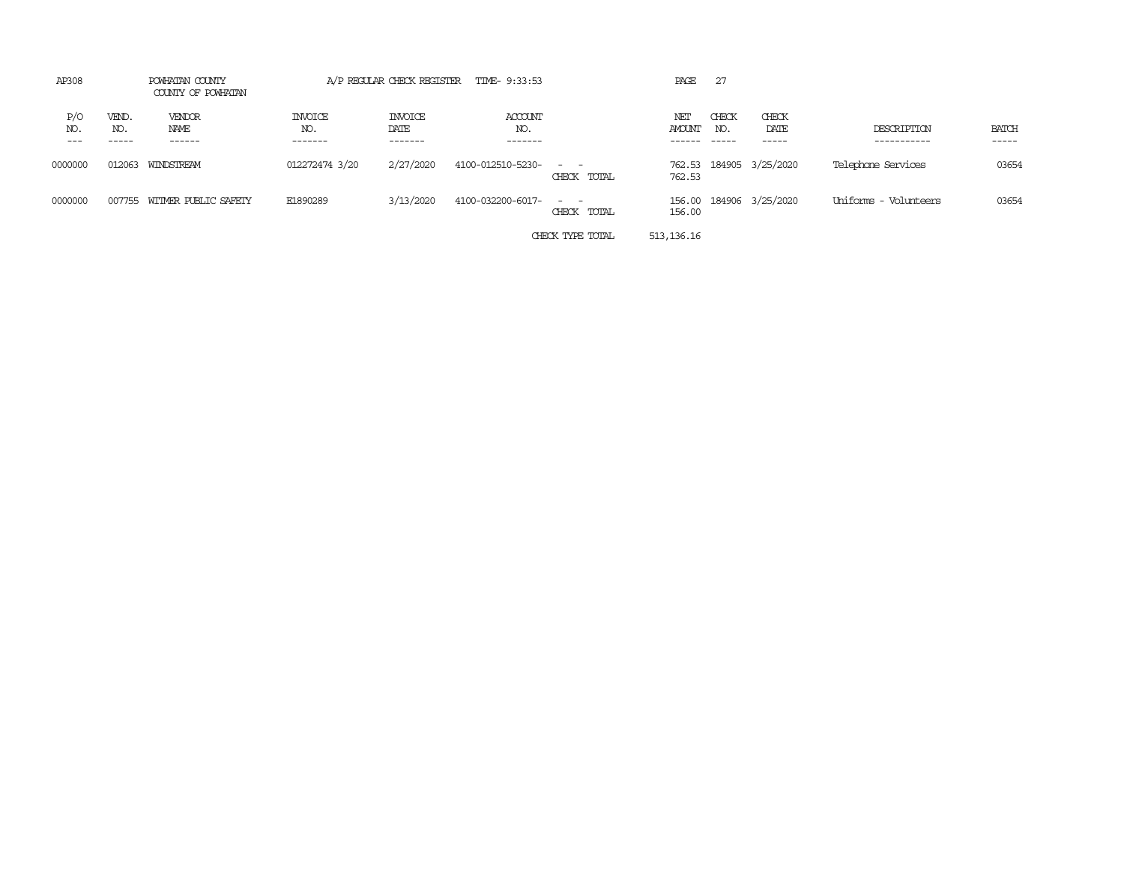| AP308               |                       | POWHATAN COUNTY<br>COUNTY OF POWHATAN |                                  |                                   | A/P REGULAR CHECK REGISTER TIME- 9:33:53 |                                                                                                                                          | PAGE             | 27                     |                        |                            |                       |
|---------------------|-----------------------|---------------------------------------|----------------------------------|-----------------------------------|------------------------------------------|------------------------------------------------------------------------------------------------------------------------------------------|------------------|------------------------|------------------------|----------------------------|-----------------------|
| P/O<br>NO.<br>$---$ | VEND.<br>NO.<br>----- | VENDOR<br>NAME<br>------              | <b>INVOICE</b><br>NO.<br>------- | <b>INVOICE</b><br>DATE<br>------- | ACCOUNT<br>NO.<br>-------                |                                                                                                                                          | NET<br>AMOUNT    | CHECK<br>NO.<br>------ | CHECK<br>DATE<br>----- | DESCRIPTION<br>----------- | <b>BATCH</b><br>----- |
| 0000000             | 012063                | WINDSTREAM                            | 012272474 3/20                   | 2/27/2020                         | 4100-012510-5230-                        | $\frac{1}{2} \left( \frac{1}{2} \right) \left( \frac{1}{2} \right) \left( \frac{1}{2} \right) \left( \frac{1}{2} \right)$<br>CHECK TOTAL | 762.53<br>762.53 |                        | 184905 3/25/2020       | Telephone Services         | 03654                 |
| 0000000             | 007755                | WITMER PUBLIC SAFETY                  | E1890289                         | 3/13/2020                         | 4100-032200-6017-                        | $ -$<br>CHECK TOTAL                                                                                                                      | 156.00<br>156.00 |                        | 184906 3/25/2020       | Uniforms - Volunteers      | 03654                 |
|                     |                       |                                       |                                  |                                   |                                          | CHECK TYPE TOTAL                                                                                                                         | 513, 136.16      |                        |                        |                            |                       |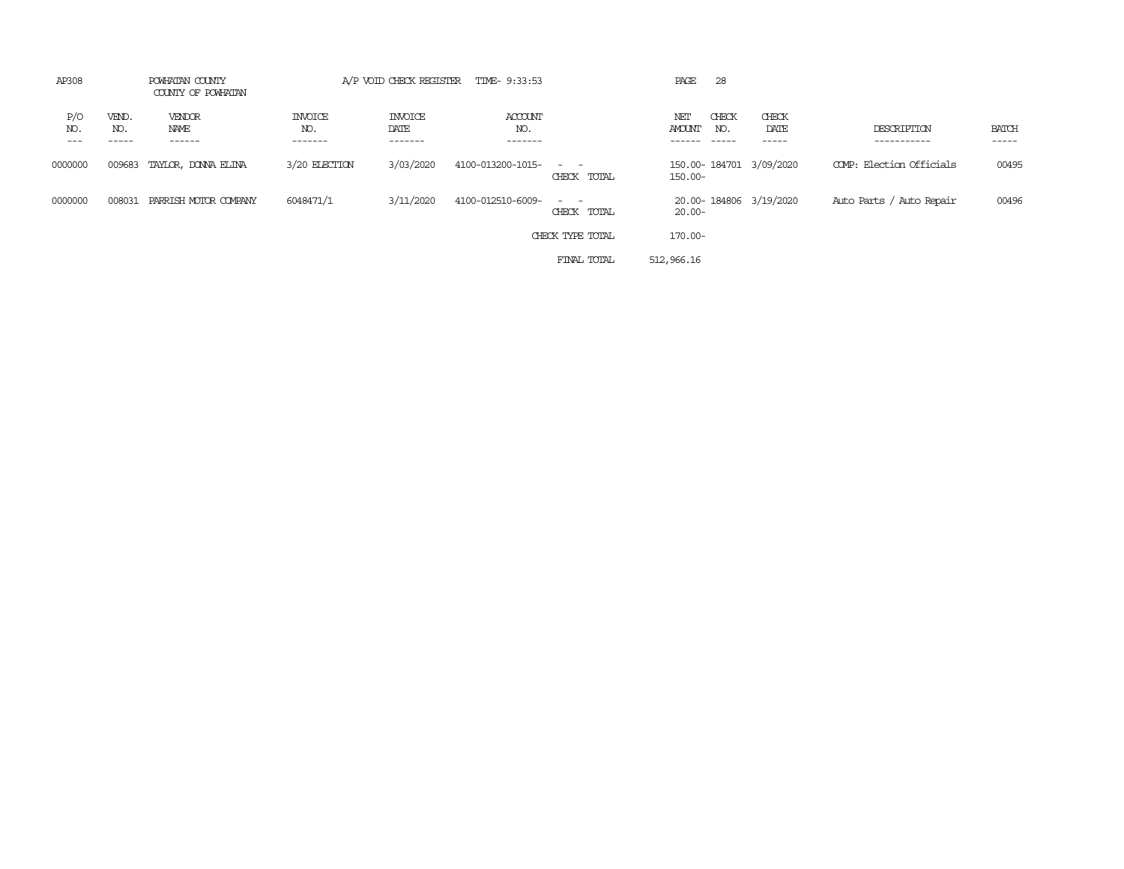| AP308               |                       | POWHATAN COUNTY<br>COUNTY OF POWHATAN |                                  |                                   | A/P VOID CHECK REGISTER TIME- 9:33:53 |                            | PAGE<br>28                                             |                         |                            |                             |
|---------------------|-----------------------|---------------------------------------|----------------------------------|-----------------------------------|---------------------------------------|----------------------------|--------------------------------------------------------|-------------------------|----------------------------|-----------------------------|
| P/O<br>NO.<br>$---$ | VEND.<br>NO.<br>----- | VENDOR<br>NAME<br>------              | <b>INVOICE</b><br>NO.<br>------- | <b>INVOICE</b><br>DATE<br>------- | ACCOUNT<br>NO.<br>-------             |                            | CHECK<br>NET<br>AMOUNT<br>NO.<br>$- - - - -$<br>------ | CHECK<br>DATE<br>------ | DESCRIPTION<br>----------- | <b>BATCH</b><br>$- - - - -$ |
| 0000000             | 009683                | TAYLOR, DONNA ELINA                   | 3/20 ELECTION                    | 3/03/2020                         | 4100-013200-1015-                     | $\sim$ $ -$<br>CHECK TOTAL | 150.00-184701 3/09/2020<br>$150.00 -$                  |                         | COMP: Election Officials   | 00495                       |
| 0000000             | 008031                | PARRISH MOTOR COMPANY                 | 6048471/1                        | 3/11/2020                         | 4100-012510-6009-                     | $\sim$ $ -$<br>CHECK TOTAL | 20.00-184806 3/19/2020<br>$20.00 -$                    |                         | Auto Parts / Auto Repair   | 00496                       |
|                     |                       |                                       |                                  |                                   |                                       | CHECK TYPE TOTAL           | $170.00 -$                                             |                         |                            |                             |
|                     |                       |                                       |                                  |                                   |                                       | FINAL TOTAL                | 512,966.16                                             |                         |                            |                             |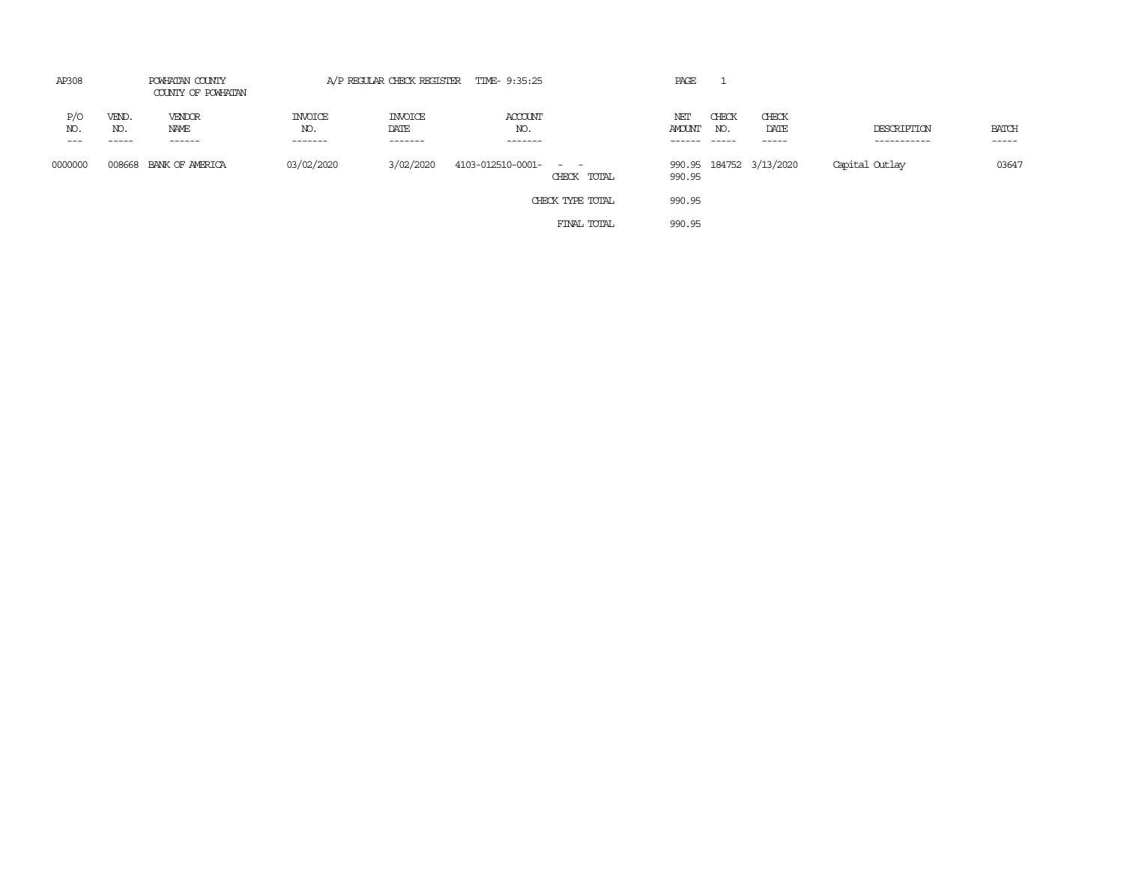| AP308              | POWHATAN COUNTY<br>COUNTY OF POWHATAN |                           | A/P REGULAR CHECK REGISTER TIME- 9:35:25 |                                    |                           |                                                                                                                                          | PAGE                    |                        |                         |                            |                                      |
|--------------------|---------------------------------------|---------------------------|------------------------------------------|------------------------------------|---------------------------|------------------------------------------------------------------------------------------------------------------------------------------|-------------------------|------------------------|-------------------------|----------------------------|--------------------------------------|
| P/O<br>NO.<br>$--$ | VEND.<br>NO.<br>------                | VENDOR<br>NAME<br>------- | <b>INVOICE</b><br>NO.<br>--------        | <b>INVOICE</b><br>DATE<br>-------- | ACCOUNT<br>NO.<br>------- |                                                                                                                                          | NET<br>AMOUNT<br>------ | CHECK<br>NO.<br>------ | CHECK<br>DATE           | DESCRIPTION<br>----------- | <b>BATCH</b><br>$\cdots\cdots\cdots$ |
| 0000000            | 008668                                | BANK OF AMERICA           | 03/02/2020                               | 3/02/2020                          | 4103-012510-0001-         | $\frac{1}{2} \left( \frac{1}{2} \right) \left( \frac{1}{2} \right) \left( \frac{1}{2} \right) \left( \frac{1}{2} \right)$<br>CHECK TOTAL | 990.95                  |                        | 990.95 184752 3/13/2020 | Capital Outlay             | 03647                                |
|                    |                                       |                           |                                          |                                    |                           | CHECK TYPE TOTAL                                                                                                                         | 990.95                  |                        |                         |                            |                                      |
|                    |                                       |                           |                                          |                                    |                           | FINAL TOTAL                                                                                                                              | 990.95                  |                        |                         |                            |                                      |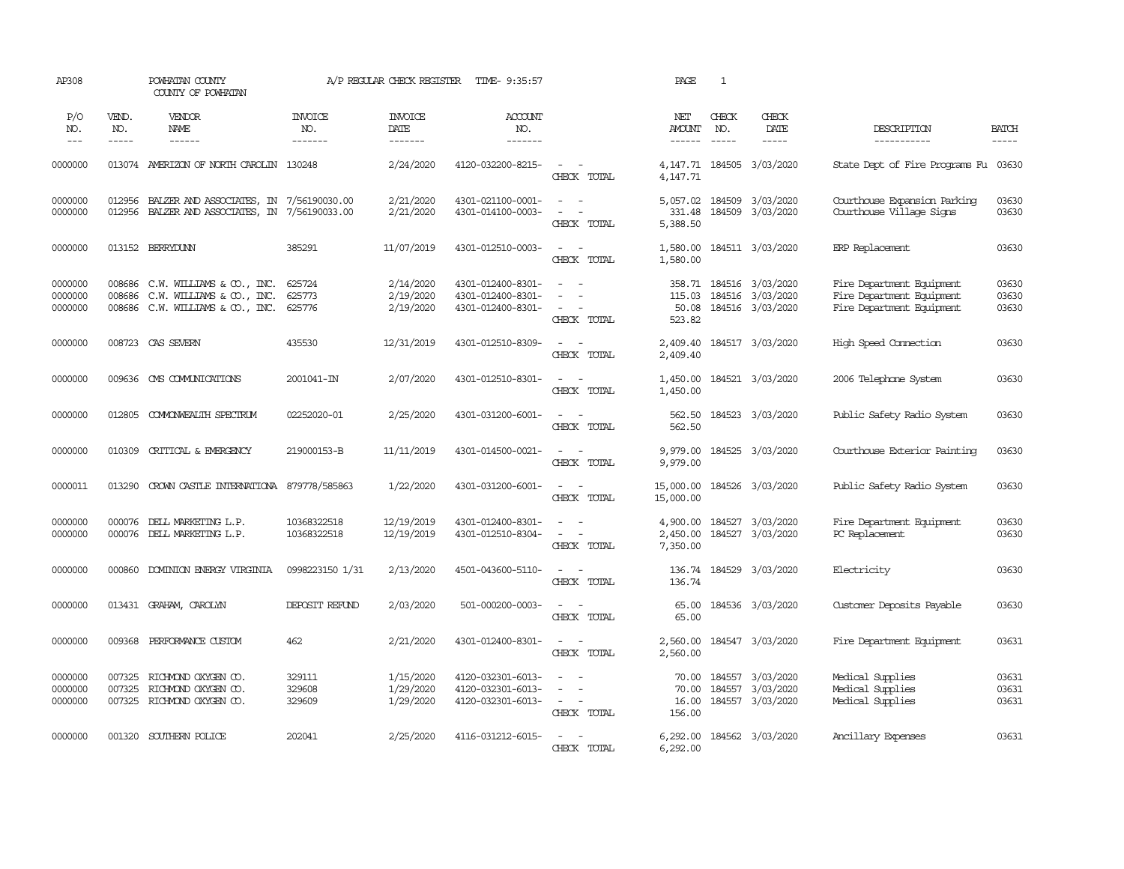| AP308                         |                            | POWHATAN COUNTY<br>COUNTY OF POWHATAN                                                   |                                  | A/P REGULAR CHECK REGISTER          | TIME- 9:35:57                                               |                                                | PAGE                             | 1                                                                                                                                                                                                                                                                                                                                                                                                                                                                                          |                                                                 |                                                                                     |                             |
|-------------------------------|----------------------------|-----------------------------------------------------------------------------------------|----------------------------------|-------------------------------------|-------------------------------------------------------------|------------------------------------------------|----------------------------------|--------------------------------------------------------------------------------------------------------------------------------------------------------------------------------------------------------------------------------------------------------------------------------------------------------------------------------------------------------------------------------------------------------------------------------------------------------------------------------------------|-----------------------------------------------------------------|-------------------------------------------------------------------------------------|-----------------------------|
| P/O<br>NO.<br>$---$           | VEND.<br>NO.<br>-----      | VENDOR<br>NAME                                                                          | <b>INVOICE</b><br>NO.<br>------- | <b>INVOICE</b><br>DATE<br>-------   | <b>ACCOUNT</b><br>NO.<br>-------                            |                                                | NET<br><b>AMOUNT</b><br>------   | CHECK<br>NO.<br>$\frac{1}{2} \left( \frac{1}{2} \right) \left( \frac{1}{2} \right) \left( \frac{1}{2} \right) \left( \frac{1}{2} \right) \left( \frac{1}{2} \right) \left( \frac{1}{2} \right) \left( \frac{1}{2} \right) \left( \frac{1}{2} \right) \left( \frac{1}{2} \right) \left( \frac{1}{2} \right) \left( \frac{1}{2} \right) \left( \frac{1}{2} \right) \left( \frac{1}{2} \right) \left( \frac{1}{2} \right) \left( \frac{1}{2} \right) \left( \frac{1}{2} \right) \left( \frac$ | CHECK<br>DATE<br>-----                                          | DESCRIPTION<br>-----------                                                          | <b>BATCH</b><br>$- - - - -$ |
| 0000000                       |                            | 013074 AMERIZON OF NORTH CAROLIN 130248                                                 |                                  | 2/24/2020                           | 4120-032200-8215-                                           | $\sim$ $\sim$<br>CHECK TOTAL                   | 4,147.71                         |                                                                                                                                                                                                                                                                                                                                                                                                                                                                                            | 4, 147, 71 184505 3/03/2020                                     | State Dept of Fire Programs Fu 03630                                                |                             |
| 0000000<br>0000000            | 012956<br>012956           | BALZER AND ASSOCIATES, IN 7/56190030.00<br>BALZER AND ASSOCIATES, IN 7/56190033.00      |                                  | 2/21/2020<br>2/21/2020              | 4301-021100-0001-<br>4301-014100-0003-                      | $\sim$ $ -$<br>$\sim$<br>$\sim$<br>CHECK TOTAL | 331.48<br>5,388.50               |                                                                                                                                                                                                                                                                                                                                                                                                                                                                                            | 5,057.02 184509 3/03/2020<br>184509 3/03/2020                   | Courthouse Expansion Parking<br>Courthouse Village Signs                            | 03630<br>03630              |
| 0000000                       |                            | 013152 BERRYDUNN                                                                        | 385291                           | 11/07/2019                          | 4301-012510-0003-                                           | $\sim$<br>$\sim$<br>CHECK TOTAL                | 1,580.00<br>1,580.00             |                                                                                                                                                                                                                                                                                                                                                                                                                                                                                            | 184511 3/03/2020                                                | ERP Replacement                                                                     | 03630                       |
| 0000000<br>0000000<br>0000000 | 008686<br>008686<br>008686 | $C.W. WILLIANS & O.$ , INC.<br>$C.W. WILLIANS & O.$ , INC.<br>C.W. WILLIAMS & CO., INC. | 625724<br>625773<br>625776       | 2/14/2020<br>2/19/2020<br>2/19/2020 | 4301-012400-8301-<br>4301-012400-8301-<br>4301-012400-8301- | $\sim$<br>$\sim$<br>$\sim$ $ -$<br>CHECK TOTAL | 115.03<br>50.08<br>523.82        |                                                                                                                                                                                                                                                                                                                                                                                                                                                                                            | 358.71 184516 3/03/2020<br>184516 3/03/2020<br>184516 3/03/2020 | Fire Department Equipment<br>Fire Department Equipment<br>Fire Department Equipment | 03630<br>03630<br>03630     |
| 0000000                       |                            | 008723 CAS SEVERN                                                                       | 435530                           | 12/31/2019                          | 4301-012510-8309-                                           | $\sim$ $ \sim$<br>CHECK TOTAL                  | 2,409.40<br>2,409.40             |                                                                                                                                                                                                                                                                                                                                                                                                                                                                                            | 184517 3/03/2020                                                | High Speed Connection                                                               | 03630                       |
| 0000000                       | 009636                     | CMS COMMUNICATIONS                                                                      | 2001041-IN                       | 2/07/2020                           | 4301-012510-8301-                                           | $\sim$ $ -$<br>CHECK TOTAL                     | 1,450.00<br>1,450.00             |                                                                                                                                                                                                                                                                                                                                                                                                                                                                                            | 184521 3/03/2020                                                | 2006 Telephone System                                                               | 03630                       |
| 0000000                       | 012805                     | COMMONWEALTH SPECTRUM                                                                   | 02252020-01                      | 2/25/2020                           | 4301-031200-6001-                                           | $\sim$ $ -$<br>CHECK TOTAL                     | 562.50<br>562.50                 |                                                                                                                                                                                                                                                                                                                                                                                                                                                                                            | 184523 3/03/2020                                                | Public Safety Radio System                                                          | 03630                       |
| 0000000                       | 010309                     | CRITICAL & EMERGENCY                                                                    | 219000153-B                      | 11/11/2019                          | 4301-014500-0021-                                           | $\sim$<br>$\sim$ $-$<br>CHECK TOTAL            | 9,979.00<br>9,979.00             |                                                                                                                                                                                                                                                                                                                                                                                                                                                                                            | 184525 3/03/2020                                                | Courthouse Exterior Painting                                                        | 03630                       |
| 0000011                       | 013290                     | CROWN CASTLE INTERNATIONA 879778/585863                                                 |                                  | 1/22/2020                           | 4301-031200-6001-                                           | $\sim$<br>$\sim$<br>CHECK TOTAL                | 15,000.00<br>15,000.00           |                                                                                                                                                                                                                                                                                                                                                                                                                                                                                            | 184526 3/03/2020                                                | Public Safety Radio System                                                          | 03630                       |
| 0000000<br>0000000            | 000076<br>000076           | DELL MARKETING L.P.<br>DELL MARKETING L.P.                                              | 10368322518<br>10368322518       | 12/19/2019<br>12/19/2019            | 4301-012400-8301-<br>4301-012510-8304-                      | $\sim$<br>$\sim$<br>$\sim$<br>CHECK TOTAL      | 4,900.00<br>2,450.00<br>7,350.00 |                                                                                                                                                                                                                                                                                                                                                                                                                                                                                            | 184527 3/03/2020<br>184527 3/03/2020                            | Fire Department Equipment<br>PC Replacement                                         | 03630<br>03630              |
| 0000000                       | 000860                     | DOMINION ENERGY VIRGINIA                                                                | 0998223150 1/31                  | 2/13/2020                           | 4501-043600-5110-                                           | $\sim$<br>$\sim$<br>CHECK TOTAL                | 136.74<br>136.74                 |                                                                                                                                                                                                                                                                                                                                                                                                                                                                                            | 184529 3/03/2020                                                | Electricity                                                                         | 03630                       |
| 0000000                       |                            | 013431 GRAHAM, CAROLYN                                                                  | DEPOSIT REFUND                   | 2/03/2020                           | 501-000200-0003-                                            | $\sim$<br>$\sim$<br>CHECK TOTAL                | 65.00<br>65.00                   |                                                                                                                                                                                                                                                                                                                                                                                                                                                                                            | 184536 3/03/2020                                                | Customer Deposits Payable                                                           | 03630                       |
| 0000000                       | 009368                     | PERFORMANCE CUSTOM                                                                      | 462                              | 2/21/2020                           | 4301-012400-8301-                                           | $\sim$<br>$\sim$<br>CHECK TOTAL                | 2,560.00<br>2,560.00             |                                                                                                                                                                                                                                                                                                                                                                                                                                                                                            | 184547 3/03/2020                                                | Fire Department Equipment                                                           | 03631                       |
| 0000000<br>0000000<br>0000000 | 007325<br>007325<br>007325 | RICHMOND OXYGEN CO.<br>RICHMOND OXYGEN CO.<br>RICHMOND OXYGEN CO.                       | 329111<br>329608<br>329609       | 1/15/2020<br>1/29/2020<br>1/29/2020 | 4120-032301-6013-<br>4120-032301-6013-<br>4120-032301-6013- | $\sim$<br>$\sim$<br>$\equiv$<br>CHECK TOTAL    | 70.00<br>16.00<br>156.00         | 184557                                                                                                                                                                                                                                                                                                                                                                                                                                                                                     | 70.00 184557 3/03/2020<br>3/03/2020<br>184557 3/03/2020         | Medical Supplies<br>Medical Supplies<br>Medical Supplies                            | 03631<br>03631<br>03631     |
| 0000000                       | 001320                     | SOUTHERN POLICE                                                                         | 202041                           | 2/25/2020                           | 4116-031212-6015-                                           | $\sim$<br>$\sim$<br>CHECK TOTAL                | 6,292.00<br>6,292.00             |                                                                                                                                                                                                                                                                                                                                                                                                                                                                                            | 184562 3/03/2020                                                | Ancillary Expenses                                                                  | 03631                       |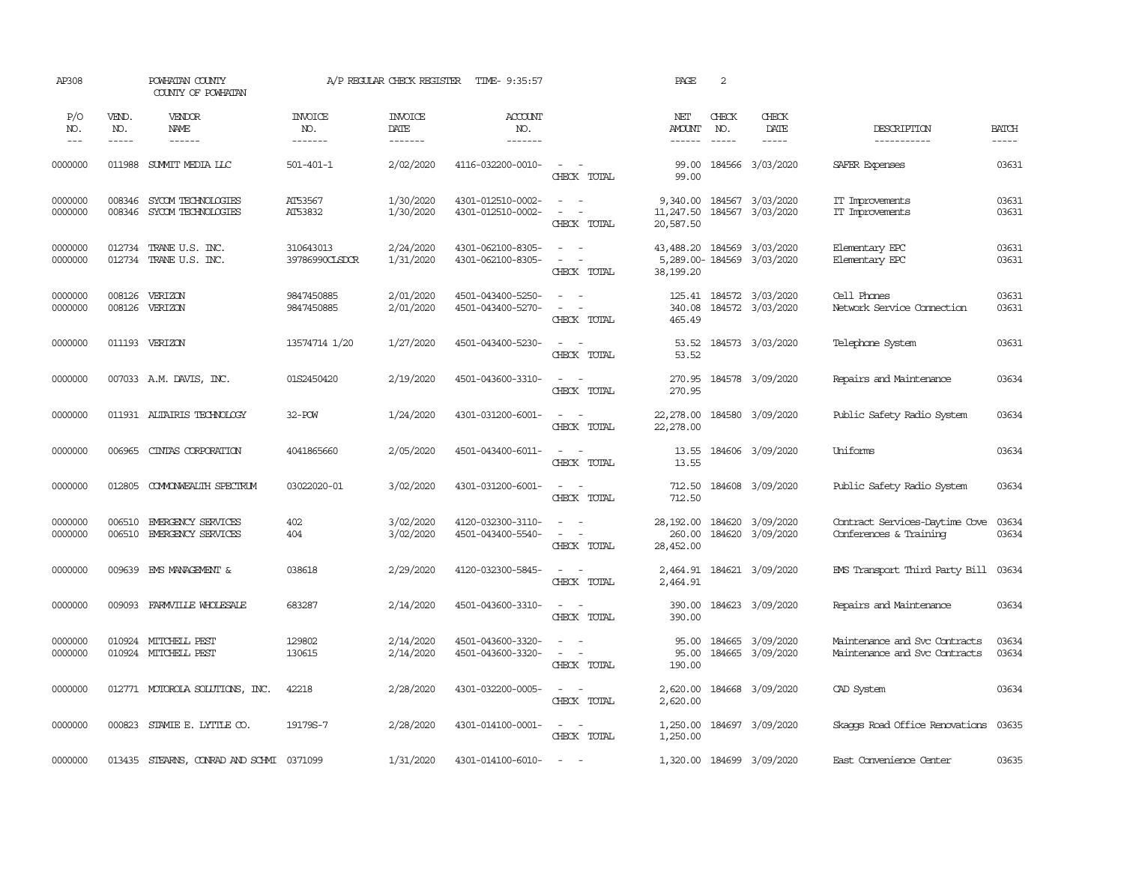| AP308               |                       | POWHATAN COUNTY<br>COUNTY OF POWHATAN           |                                  | A/P REGULAR CHECK REGISTER        | TIME- 9:35:57                          |                                                                                                                             | PAGE                             | 2                           |                                                         |                                                                |                             |
|---------------------|-----------------------|-------------------------------------------------|----------------------------------|-----------------------------------|----------------------------------------|-----------------------------------------------------------------------------------------------------------------------------|----------------------------------|-----------------------------|---------------------------------------------------------|----------------------------------------------------------------|-----------------------------|
| P/O<br>NO.<br>$---$ | VEND.<br>NO.<br>----- | <b>VENDOR</b><br><b>NAME</b><br>$- - - - - -$   | <b>INVOICE</b><br>NO.<br>------- | <b>INVOICE</b><br>DATE<br>------- | <b>ACCOUNT</b><br>NO.<br>--------      |                                                                                                                             | NET<br><b>AMOUNT</b><br>------   | CHECK<br>NO.<br>$- - - - -$ | CHECK<br>DATE<br>$- - - - -$                            | DESCRIPTION<br>-----------                                     | <b>BATCH</b><br>$- - - - -$ |
| 0000000             | 011988                | SUMIT MEDIA LLC                                 | $501 - 401 - 1$                  | 2/02/2020                         | 4116-032200-0010-                      | $\sim$ $\sim$<br>CHECK TOTAL                                                                                                | 99.00<br>99.00                   |                             | 184566 3/03/2020                                        | SAFER Expenses                                                 | 03631                       |
| 0000000<br>0000000  | 008346<br>008346      | SYCOM TECHNOLOGIES<br>SYCOM TECHNOLOGIES        | AT53567<br>AT53832               | 1/30/2020<br>1/30/2020            | 4301-012510-0002-<br>4301-012510-0002- | $\sim$ 10 $\sim$ 10 $\sim$<br>$\equiv$<br>$\overline{\phantom{a}}$<br>CHECK TOTAL                                           | 11,247.50<br>20,587.50           |                             | 9,340.00 184567 3/03/2020<br>184567 3/03/2020           | IT Improvements<br>IT Improvements                             | 03631<br>03631              |
| 0000000<br>0000000  | 012734<br>012734      | TRANE U.S. INC.<br>TRANE U.S. INC.              | 310643013<br>39786990CLSDCR      | 2/24/2020<br>1/31/2020            | 4301-062100-8305-<br>4301-062100-8305- | $\overline{\phantom{a}}$<br>$\sim$<br>$\sim$<br>CHECK TOTAL                                                                 | 38,199.20                        |                             | 43,488.20 184569 3/03/2020<br>5,289.00-184569 3/03/2020 | Elementary EPC<br>Elementary EPC                               | 03631<br>03631              |
| 0000000<br>0000000  |                       | 008126 VERIZON<br>008126 VERIZON                | 9847450885<br>9847450885         | 2/01/2020<br>2/01/2020            | 4501-043400-5250-<br>4501-043400-5270- | $\sim$ $ \sim$<br>$\overline{\phantom{a}}$<br>$\sim$<br>CHECK TOTAL                                                         | 340.08<br>465.49                 |                             | 125.41 184572 3/03/2020<br>184572 3/03/2020             | Cell Phones<br>Network Service Connection                      | 03631<br>03631              |
| 0000000             |                       | 011193 VERIZON                                  | 13574714 1/20                    | 1/27/2020                         | 4501-043400-5230-                      | $\sim$ $\sim$<br>CHECK TOTAL                                                                                                | 53.52<br>53.52                   |                             | 184573 3/03/2020                                        | Telephone System                                               | 03631                       |
| 0000000             |                       | 007033 A.M. DAVIS, INC.                         | 01S2450420                       | 2/19/2020                         | 4501-043600-3310-                      | $\overline{\phantom{a}}$<br>$\sim$<br>CHECK TOTAL                                                                           | 270.95<br>270.95                 |                             | 184578 3/09/2020                                        | Repairs and Maintenance                                        | 03634                       |
| 0000000             |                       | 011931 ALTAIRIS TECHNOLOGY                      | $32 - POW$                       | 1/24/2020                         | 4301-031200-6001-                      | $\sim$<br>CHECK TOTAL                                                                                                       | 22,278.00<br>22,278.00           |                             | 184580 3/09/2020                                        | Public Safety Radio System                                     | 03634                       |
| 0000000             | 006965                | CINTAS CORPORATION                              | 4041865660                       | 2/05/2020                         | 4501-043400-6011-                      | $\sim$ $ \sim$<br>CHECK TOTAL                                                                                               | 13.55<br>13.55                   |                             | 184606 3/09/2020                                        | Uniforms                                                       | 03634                       |
| 0000000             | 012805                | COMONWEALTH SPECTRUM                            | 03022020-01                      | 3/02/2020                         | 4301-031200-6001-                      | $\sim$ $-$<br>CHECK TOTAL                                                                                                   | 712.50<br>712.50                 |                             | 184608 3/09/2020                                        | Public Safety Radio System                                     | 03634                       |
| 0000000<br>0000000  | 006510                | EMERGENCY SERVICES<br>006510 EMERGENCY SERVICES | 402<br>404                       | 3/02/2020<br>3/02/2020            | 4120-032300-3110-<br>4501-043400-5540- | $\sim$<br>$\sim$<br>$\omega_{\rm{max}}$ and $\omega_{\rm{max}}$<br>CHECK TOTAL                                              | 28,192.00<br>260.00<br>28,452.00 |                             | 184620 3/09/2020<br>184620 3/09/2020                    | Contract Services-Daytime Cove<br>Conferences & Training       | 03634<br>03634              |
| 0000000             |                       | 009639 EMS MANAGEMENT &                         | 038618                           | 2/29/2020                         | 4120-032300-5845-                      | $\sim$ $ \sim$<br>CHECK TOTAL                                                                                               | 2,464.91                         |                             | 2,464.91 184621 3/09/2020                               | EMS Transport Third Party Bill                                 | 03634                       |
| 0000000             | 009093                | FARMVILLE WHOLESALE                             | 683287                           | 2/14/2020                         | 4501-043600-3310-                      | $\sim$ $\sim$<br>CHECK TOTAL                                                                                                | 390.00                           |                             | 390.00 184623 3/09/2020                                 | Repairs and Maintenance                                        | 03634                       |
| 0000000<br>0000000  | 010924                | MITCHELL PEST<br>010924 MITCHELL PEST           | 129802<br>130615                 | 2/14/2020<br>2/14/2020            | 4501-043600-3320-<br>4501-043600-3320- | $\equiv$<br>$\overline{\phantom{a}}$<br>$\overline{\phantom{a}}$<br>CHECK TOTAL                                             | 95.00<br>95.00<br>190.00         |                             | 184665 3/09/2020<br>184665 3/09/2020                    | Maintenance and Svc Contracts<br>Maintenance and Svc Contracts | 03634<br>03634              |
| 0000000             |                       | 012771 MOTOROLA SOLUTIONS, INC.                 | 42218                            | 2/28/2020                         | 4301-032200-0005-                      | $\frac{1}{2} \left( \frac{1}{2} \right) \left( \frac{1}{2} \right) = \frac{1}{2} \left( \frac{1}{2} \right)$<br>CHECK TOTAL | 2,620.00<br>2,620.00             |                             | 184668 3/09/2020                                        | CAD System                                                     | 03634                       |
| 0000000             | 000823                | STAMIE E. LYTTLE CO.                            | 19179S-7                         | 2/28/2020                         | 4301-014100-0001-                      | $\sim$ $ \sim$<br>CHECK TOTAL                                                                                               | 1,250.00                         |                             | 1,250.00 184697 3/09/2020                               | Skaops Road Office Renovations                                 | 03635                       |
| 0000000             |                       | 013435 STEARNS, CONRAD AND SCHMI 0371099        |                                  | 1/31/2020                         | 4301-014100-6010-                      | $\sim$<br>$\sim$                                                                                                            |                                  |                             | 1,320.00 184699 3/09/2020                               | East Convenience Center                                        | 03635                       |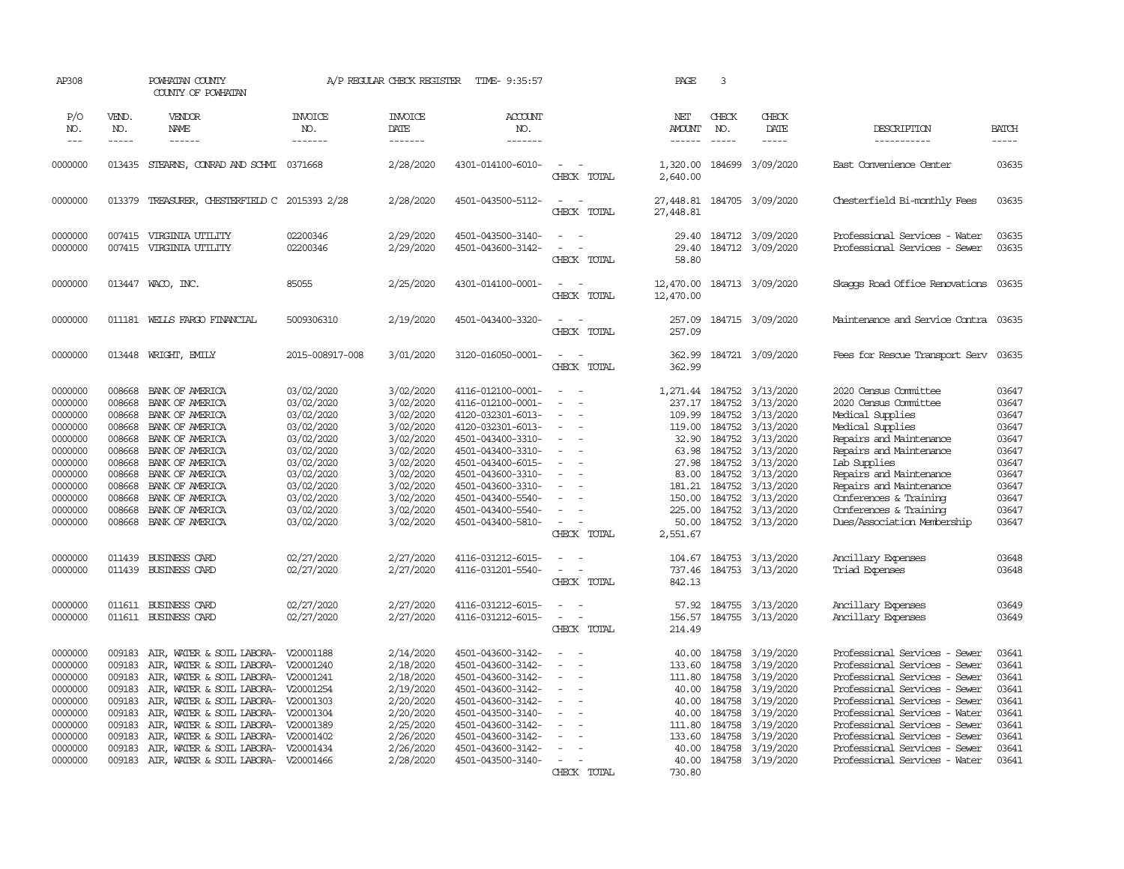| AP308                                                                                                                                                  |                                                                                                                                          | POWHATAN COUNTY<br>COUNTY OF POWHATAN                                                                                                                                                                                                                                                                                                                                                                     |                                                                                                                                                                                                  | A/P REGULAR CHECK REGISTER                                                                                                                                                         | TIME- 9:35:57                                                                                                                                                                                                                                                                                      |                                                                                                                                                                                                                                              | PAGE                                                                                                                                  | $\overline{3}$                                                                                          |                                                                                                                                                                                                                         |                                                                                                                                                                                                                                                                                                                                               |                                                                                                                            |
|--------------------------------------------------------------------------------------------------------------------------------------------------------|------------------------------------------------------------------------------------------------------------------------------------------|-----------------------------------------------------------------------------------------------------------------------------------------------------------------------------------------------------------------------------------------------------------------------------------------------------------------------------------------------------------------------------------------------------------|--------------------------------------------------------------------------------------------------------------------------------------------------------------------------------------------------|------------------------------------------------------------------------------------------------------------------------------------------------------------------------------------|----------------------------------------------------------------------------------------------------------------------------------------------------------------------------------------------------------------------------------------------------------------------------------------------------|----------------------------------------------------------------------------------------------------------------------------------------------------------------------------------------------------------------------------------------------|---------------------------------------------------------------------------------------------------------------------------------------|---------------------------------------------------------------------------------------------------------|-------------------------------------------------------------------------------------------------------------------------------------------------------------------------------------------------------------------------|-----------------------------------------------------------------------------------------------------------------------------------------------------------------------------------------------------------------------------------------------------------------------------------------------------------------------------------------------|----------------------------------------------------------------------------------------------------------------------------|
| P/O<br>NO.                                                                                                                                             | VEND.<br>NO.                                                                                                                             | VENDOR<br>NAME                                                                                                                                                                                                                                                                                                                                                                                            | <b>INVOICE</b><br>NO.                                                                                                                                                                            | <b>INVOICE</b><br>DATE                                                                                                                                                             | ACCOUNT<br>NO.                                                                                                                                                                                                                                                                                     |                                                                                                                                                                                                                                              | NET<br><b>AMOUNT</b>                                                                                                                  | CHECK<br>NO.                                                                                            | <b>CHECK</b><br>DATE                                                                                                                                                                                                    | DESCRIPTION                                                                                                                                                                                                                                                                                                                                   | <b>BATCH</b>                                                                                                               |
| $---$                                                                                                                                                  | -----                                                                                                                                    |                                                                                                                                                                                                                                                                                                                                                                                                           | -------                                                                                                                                                                                          | $- - - - - - -$                                                                                                                                                                    | -------                                                                                                                                                                                                                                                                                            |                                                                                                                                                                                                                                              | $- - - - - -$                                                                                                                         | $\frac{1}{2}$                                                                                           | $- - - - -$                                                                                                                                                                                                             | -----------                                                                                                                                                                                                                                                                                                                                   | -----                                                                                                                      |
| 0000000                                                                                                                                                | 013435                                                                                                                                   | STEARNS, CONRAD AND SCHMI 0371668                                                                                                                                                                                                                                                                                                                                                                         |                                                                                                                                                                                                  | 2/28/2020                                                                                                                                                                          | 4301-014100-6010-                                                                                                                                                                                                                                                                                  | $\sim$<br>$\sim$<br>CHECK TOTAL                                                                                                                                                                                                              | 1,320.00<br>2,640.00                                                                                                                  |                                                                                                         | 184699 3/09/2020                                                                                                                                                                                                        | East Convenience Center                                                                                                                                                                                                                                                                                                                       | 03635                                                                                                                      |
| 0000000                                                                                                                                                | 013379                                                                                                                                   | TREASURER, CHESTERFIELD C 2015393 2/28                                                                                                                                                                                                                                                                                                                                                                    |                                                                                                                                                                                                  | 2/28/2020                                                                                                                                                                          | 4501-043500-5112-                                                                                                                                                                                                                                                                                  | $\sim$<br>$\sim$<br>CHECK TOTAL                                                                                                                                                                                                              | 27,448.81<br>27,448.81                                                                                                                |                                                                                                         | 184705 3/09/2020                                                                                                                                                                                                        | Chesterfield Bi-monthly Fees                                                                                                                                                                                                                                                                                                                  | 03635                                                                                                                      |
| 0000000<br>0000000                                                                                                                                     | 007415<br>007415                                                                                                                         | VIRGINIA UTILITY<br>VIRGINIA UTILITY                                                                                                                                                                                                                                                                                                                                                                      | 02200346<br>02200346                                                                                                                                                                             | 2/29/2020<br>2/29/2020                                                                                                                                                             | 4501-043500-3140-<br>4501-043600-3142-                                                                                                                                                                                                                                                             | $\sim$<br>$\overline{\phantom{a}}$<br>$\overline{\phantom{a}}$<br>CHECK TOTAL                                                                                                                                                                | 29.40<br>29.40<br>58.80                                                                                                               |                                                                                                         | 184712 3/09/2020<br>184712 3/09/2020                                                                                                                                                                                    | Professional Services - Water<br>Professional Services - Sewer                                                                                                                                                                                                                                                                                | 03635<br>03635                                                                                                             |
| 0000000                                                                                                                                                | 013447                                                                                                                                   | WACO, INC.                                                                                                                                                                                                                                                                                                                                                                                                | 85055                                                                                                                                                                                            | 2/25/2020                                                                                                                                                                          | 4301-014100-0001-                                                                                                                                                                                                                                                                                  | $\sim$<br>$\sim$<br>CHECK TOTAL                                                                                                                                                                                                              | 12,470.00<br>12,470.00                                                                                                                |                                                                                                         | 184713 3/09/2020                                                                                                                                                                                                        | Skaops Road Office Renovations 03635                                                                                                                                                                                                                                                                                                          |                                                                                                                            |
| 0000000                                                                                                                                                |                                                                                                                                          | 011181 WELLS FARGO FINANCIAL                                                                                                                                                                                                                                                                                                                                                                              | 5009306310                                                                                                                                                                                       | 2/19/2020                                                                                                                                                                          | 4501-043400-3320-                                                                                                                                                                                                                                                                                  | $\equiv$<br>CHECK TOTAL                                                                                                                                                                                                                      | 257.09<br>257.09                                                                                                                      |                                                                                                         | 184715 3/09/2020                                                                                                                                                                                                        | Maintenance and Service Contra 03635                                                                                                                                                                                                                                                                                                          |                                                                                                                            |
| 0000000                                                                                                                                                | 013448                                                                                                                                   | WRIGHT, EMILY                                                                                                                                                                                                                                                                                                                                                                                             | 2015-008917-008                                                                                                                                                                                  | 3/01/2020                                                                                                                                                                          | 3120-016050-0001-                                                                                                                                                                                                                                                                                  | $\sim$<br>$\sim$<br>CHECK TOTAL                                                                                                                                                                                                              | 362.99<br>362.99                                                                                                                      |                                                                                                         | 184721 3/09/2020                                                                                                                                                                                                        | Fees for Rescue Transport Serv                                                                                                                                                                                                                                                                                                                | 03635                                                                                                                      |
| 0000000<br>0000000<br>0000000<br>0000000<br>0000000<br>0000000<br>0000000<br>0000000<br>0000000<br>0000000<br>0000000<br>0000000<br>0000000<br>0000000 | 008668<br>008668<br>008668<br>008668<br>008668<br>008668<br>008668<br>008668<br>008668<br>008668<br>008668<br>008668<br>011439<br>011439 | BANK OF AMERICA<br>BANK OF AMERICA<br>BANK OF AMERICA<br>BANK OF AMERICA<br>BANK OF AMERICA<br>BANK OF AMERICA<br>BANK OF AMERICA<br>BANK OF AMERICA<br>BANK OF AMERICA<br>BANK OF AMERICA<br>BANK OF AMERICA<br>BANK OF AMERICA<br><b>BUSINESS CARD</b><br>BUSINESS CARD                                                                                                                                 | 03/02/2020<br>03/02/2020<br>03/02/2020<br>03/02/2020<br>03/02/2020<br>03/02/2020<br>03/02/2020<br>03/02/2020<br>03/02/2020<br>03/02/2020<br>03/02/2020<br>03/02/2020<br>02/27/2020<br>02/27/2020 | 3/02/2020<br>3/02/2020<br>3/02/2020<br>3/02/2020<br>3/02/2020<br>3/02/2020<br>3/02/2020<br>3/02/2020<br>3/02/2020<br>3/02/2020<br>3/02/2020<br>3/02/2020<br>2/27/2020<br>2/27/2020 | 4116-012100-0001-<br>4116-012100-0001-<br>4120-032301-6013-<br>4120-032301-6013-<br>4501-043400-3310-<br>4501-043400-3310-<br>4501-043400-6015-<br>4501-043600-3310-<br>4501-043600-3310-<br>4501-043400-5540-<br>4501-043400-5540-<br>4501-043400-5810-<br>4116-031212-6015-<br>4116-031201-5540- | $\sim$<br>$\sim$<br>$\sim$<br>$\overline{\phantom{a}}$<br>$\sim$<br>$\sim$<br>$\equiv$<br>$\sim$<br>$\sim$<br>$\equiv$<br>$\sim$<br>$\sim$<br>$\overline{\phantom{a}}$<br>CHECK TOTAL<br>$\overline{\phantom{a}}$<br>$\equiv$<br>CHECK TOTAL | 237.17<br>109.99<br>119.00<br>32.90<br>63.98<br>27.98<br>83.00<br>150.00<br>225.00<br>50.00<br>2,551.67<br>104.67<br>737.46<br>842.13 | 184752<br>184752<br>184752<br>184752<br>184752<br>184752<br>184752<br>181.21 184752<br>184752<br>184752 | 1,271.44 184752 3/13/2020<br>3/13/2020<br>3/13/2020<br>3/13/2020<br>3/13/2020<br>3/13/2020<br>3/13/2020<br>3/13/2020<br>3/13/2020<br>3/13/2020<br>3/13/2020<br>184752 3/13/2020<br>184753 3/13/2020<br>184753 3/13/2020 | 2020 Census Committee<br>2020 Census Committee<br>Medical Supplies<br>Medical Supplies<br>Repairs and Maintenance<br>Repairs and Maintenance<br>Lab Supplies<br>Repairs and Maintenance<br>Repairs and Maintenance<br>Conferences & Training<br>Conferences & Training<br>Dues/Association Membership<br>Ancillary Expenses<br>Triad Expenses | 03647<br>03647<br>03647<br>03647<br>03647<br>03647<br>03647<br>03647<br>03647<br>03647<br>03647<br>03647<br>03648<br>03648 |
| 0000000<br>0000000                                                                                                                                     |                                                                                                                                          | 011611 BUSINESS CARD<br>011611 BUSINESS CARD                                                                                                                                                                                                                                                                                                                                                              | 02/27/2020<br>02/27/2020                                                                                                                                                                         | 2/27/2020<br>2/27/2020                                                                                                                                                             | 4116-031212-6015-<br>4116-031212-6015-                                                                                                                                                                                                                                                             | $\sim$<br>$\sim$<br>CHECK TOTAL                                                                                                                                                                                                              | 57.92<br>156.57<br>214.49                                                                                                             | 184755                                                                                                  | 3/13/2020<br>184755 3/13/2020                                                                                                                                                                                           | Ancillary Expenses<br>Ancillary Expenses                                                                                                                                                                                                                                                                                                      | 03649<br>03649                                                                                                             |
| 0000000<br>0000000<br>0000000<br>0000000<br>0000000<br>0000000<br>0000000<br>0000000<br>0000000<br>0000000                                             | 009183<br>009183<br>009183<br>009183<br>009183<br>009183<br>009183<br>009183<br>009183                                                   | AIR, WATER & SOIL LABORA- V20001188<br>AIR, WATER & SOIL LABORA- V20001240<br>AIR, WATER & SOIL LABORA- V20001241<br>AIR, WATER & SOIL LABORA- V20001254<br>AIR, WATER & SOIL LABORA- V20001303<br>AIR, WATER & SOIL LABORA- V20001304<br>AIR, WATER & SOIL LABORA- V20001389<br>AIR, WATER & SOIL LABORA- V20001402<br>AIR, WATER & SOIL LABORA- V20001434<br>009183 AIR, WATER & SOIL LABORA- V20001466 |                                                                                                                                                                                                  | 2/14/2020<br>2/18/2020<br>2/18/2020<br>2/19/2020<br>2/20/2020<br>2/20/2020<br>2/25/2020<br>2/26/2020<br>2/26/2020<br>2/28/2020                                                     | 4501-043600-3142-<br>4501-043600-3142-<br>4501-043600-3142-<br>4501-043600-3142-<br>4501-043600-3142-<br>4501-043500-3140-<br>4501-043600-3142-<br>4501-043600-3142-<br>4501-043600-3142-<br>4501-043500-3140-                                                                                     | $\equiv$<br>$\equiv$<br>$\equiv$<br>$\equiv$<br>$\sim$<br>CHECK TOTAL                                                                                                                                                                        | 40.00<br>133.60<br>111.80<br>40.00<br>40.00<br>40.00<br>111.80<br>133.60<br>40.00<br>40.00<br>730.80                                  | 184758<br>184758<br>184758<br>184758<br>184758<br>184758<br>184758<br>184758<br>184758                  | 3/19/2020<br>3/19/2020<br>3/19/2020<br>3/19/2020<br>3/19/2020<br>3/19/2020<br>3/19/2020<br>3/19/2020<br>3/19/2020<br>184758 3/19/2020                                                                                   | Professional Services - Sewer<br>Professional Services - Sewer<br>Professional Services - Sewer<br>Professional Services - Sewer<br>Professional Services - Sewer<br>Professional Services - Water<br>Professional Services - Sewer<br>Professional Services - Sewer<br>Professional Services - Sewer<br>Professional Services - Water        | 03641<br>03641<br>03641<br>03641<br>03641<br>03641<br>03641<br>03641<br>03641<br>03641                                     |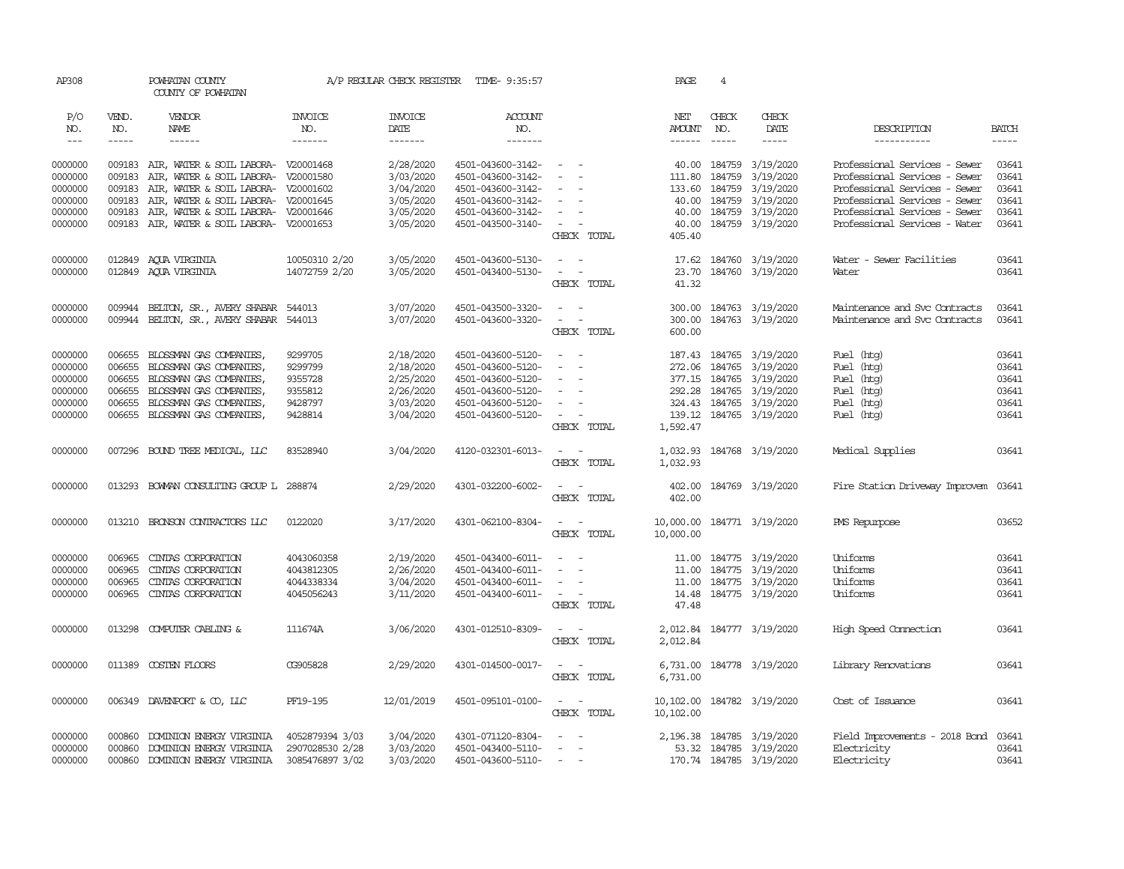| AP308         |             | POWHATAN COUNTY<br>COUNTY OF POWHATAN      |                 | A/P REGULAR CHECK REGISTER | TIME- 9:35:57     |                                                                                                              | PAGE          | $\overline{4}$ |                            |                                |              |
|---------------|-------------|--------------------------------------------|-----------------|----------------------------|-------------------|--------------------------------------------------------------------------------------------------------------|---------------|----------------|----------------------------|--------------------------------|--------------|
|               |             |                                            |                 |                            |                   |                                                                                                              |               |                |                            |                                |              |
| P/O           | VEND.       | VENDOR                                     | <b>INVOICE</b>  | <b>INVOICE</b>             | <b>ACCOUNT</b>    |                                                                                                              | NET           | CHECK          | CHECK                      |                                |              |
| NO.           | NO.         | NAME                                       | NO.             | DATE                       | NO.               |                                                                                                              | AMOUNT        | NO.            | DATE                       | DESCRIPTION                    | <b>BATCH</b> |
| $\frac{1}{2}$ | $- - - - -$ | $- - - - - -$                              | -------         | $- - - - - - -$            | $- - - - - - -$   |                                                                                                              | $- - - - - -$ | $\cdots$       |                            | -----------                    | $- - - - -$  |
| 0000000       |             | 009183 AIR, WATER & SOIL LABORA- V20001468 |                 | 2/28/2020                  | 4501-043600-3142- | $\sim$                                                                                                       |               | 40.00 184759   | 3/19/2020                  | Professional Services - Sewer  | 03641        |
| 0000000       | 009183      | AIR, WATER & SOIL LABORA- V20001580        |                 | 3/03/2020                  | 4501-043600-3142- | $\sim$                                                                                                       | 111.80        | 184759         | 3/19/2020                  | Professional Services - Sewer  | 03641        |
| 0000000       | 009183      | AIR, WATER & SOIL LABORA- V20001602        |                 | 3/04/2020                  | 4501-043600-3142- |                                                                                                              | 133.60        | 184759         | 3/19/2020                  | Professional Services - Sewer  | 03641        |
| 0000000       | 009183      | AIR, WATER & SOIL LABORA- V20001645        |                 | 3/05/2020                  | 4501-043600-3142- | $\sim$                                                                                                       | 40.00         | 184759         | 3/19/2020                  | Professional Services - Sewer  | 03641        |
| 0000000       | 009183      | AIR, WATER & SOIL LABORA- V20001646        |                 | 3/05/2020                  | 4501-043600-3142- | $\overline{\phantom{a}}$                                                                                     | 40.00         | 184759         | 3/19/2020                  | Professional Services - Sewer  | 03641        |
| 0000000       |             | 009183 AIR, WATER & SOIL LABORA- V20001653 |                 | 3/05/2020                  | 4501-043500-3140- | $\frac{1}{2} \left( \frac{1}{2} \right) \left( \frac{1}{2} \right) = \frac{1}{2} \left( \frac{1}{2} \right)$ | 40.00         |                | 184759 3/19/2020           | Professional Services - Water  | 03641        |
|               |             |                                            |                 |                            |                   | CHECK TOTAL                                                                                                  | 405.40        |                |                            |                                |              |
| 0000000       |             | 012849 AQUA VIRGINIA                       | 10050310 2/20   | 3/05/2020                  | 4501-043600-5130- | $\sim$<br>$\sim$                                                                                             | 17.62         |                | 184760 3/19/2020           | Water - Sewer Facilities       | 03641        |
| 0000000       |             | 012849 ACUA VIRGINIA                       | 14072759 2/20   | 3/05/2020                  | 4501-043400-5130- | $\sim$ $ \sim$                                                                                               | 23.70         |                | 184760 3/19/2020           | Water                          | 03641        |
|               |             |                                            |                 |                            |                   | CHECK TOTAL                                                                                                  | 41.32         |                |                            |                                |              |
| 0000000       | 009944      | BELTON, SR., AVERY SHABAR                  | 544013          | 3/07/2020                  | 4501-043500-3320- | $\sim$<br>$\sim$                                                                                             |               |                | 300.00 184763 3/19/2020    | Maintenance and Svc Contracts  | 03641        |
| 0000000       |             | 009944 BELTON, SR., AVERY SHABAR           | 544013          | 3/07/2020                  | 4501-043600-3320- | $\sim$<br>$\sim$                                                                                             | 300.00        |                | 184763 3/19/2020           | Maintenance and Svc Contracts  | 03641        |
|               |             |                                            |                 |                            |                   | CHECK TOTAL                                                                                                  | 600.00        |                |                            |                                |              |
| 0000000       | 006655      | BLOSSMAN GAS COMPANIES,                    | 9299705         | 2/18/2020                  | 4501-043600-5120- | $\sim$                                                                                                       |               |                | 187.43 184765 3/19/2020    | Fuel (htg)                     | 03641        |
| 0000000       | 006655      | BLOSSMAN GAS COMPANIES,                    | 9299799         | 2/18/2020                  | 4501-043600-5120- | $\sim$<br>$\sim$                                                                                             |               | 272.06 184765  | 3/19/2020                  | Fuel (htg)                     | 03641        |
| 0000000       | 006655      | BLOSSMAN GAS COMPANIES,                    | 9355728         | 2/25/2020                  | 4501-043600-5120- | $\overline{\phantom{a}}$                                                                                     | 377.15        | 184765         | 3/19/2020                  | Fuel (htg)                     | 03641        |
| 0000000       | 006655      | BLOSSMAN GAS COMPANIES,                    | 9355812         | 2/26/2020                  | 4501-043600-5120- | $\sim$                                                                                                       | 292.28        | 184765         | 3/19/2020                  | Fuel (htg)                     | 03641        |
| 0000000       | 006655      | BLOSSMAN GAS COMPANIES,                    | 9428797         | 3/03/2020                  | 4501-043600-5120- | $\sim$                                                                                                       |               |                | 324.43 184765 3/19/2020    | Fuel (htg)                     | 03641        |
| 0000000       | 006655      | BLOSSMAN GAS COMPANIES,                    | 9428814         | 3/04/2020                  | 4501-043600-5120- | $\sim$                                                                                                       | 139.12        |                | 184765 3/19/2020           | Fuel (htg)                     | 03641        |
|               |             |                                            |                 |                            |                   | CHECK TOTAL                                                                                                  | 1,592.47      |                |                            |                                |              |
| 0000000       |             | 007296 BOUND TREE MEDICAL, LLC             | 83528940        | 3/04/2020                  | 4120-032301-6013- | $\sim$ $ \sim$                                                                                               | 1,032.93      |                | 184768 3/19/2020           | Medical Supplies               | 03641        |
|               |             |                                            |                 |                            |                   | CHECK TOTAL                                                                                                  | 1,032.93      |                |                            |                                |              |
| 0000000       |             | 013293 BOWAN CONSULTING GROUP L 288874     |                 | 2/29/2020                  | 4301-032200-6002- | $\sim$ $ -$                                                                                                  |               |                | 402.00 184769 3/19/2020    | Fire Station Driveway Improvem | 03641        |
|               |             |                                            |                 |                            |                   | CHECK TOTAL                                                                                                  | 402.00        |                |                            |                                |              |
| 0000000       |             | 013210 BRONSON CONTRACTORS LLC             | 0122020         | 3/17/2020                  | 4301-062100-8304- | $\sim$ $ -$                                                                                                  |               |                | 10,000.00 184771 3/19/2020 | PMS Repurpose                  | 03652        |
|               |             |                                            |                 |                            |                   | CHECK TOTAL                                                                                                  | 10,000.00     |                |                            |                                |              |
| 0000000       | 006965      | CINIAS CORPORATION                         | 4043060358      | 2/19/2020                  | 4501-043400-6011- | $\equiv$                                                                                                     | 11.00         |                | 184775 3/19/2020           | Uniforms                       | 03641        |
| 0000000       | 006965      | CINIAS CORPORATION                         | 4043812305      | 2/26/2020                  | 4501-043400-6011- | $\sim$ $ \sim$                                                                                               |               |                | 11.00 184775 3/19/2020     | Uniforms                       | 03641        |
| 0000000       | 006965      | CINIAS CORPORATION                         | 4044338334      | 3/04/2020                  | 4501-043400-6011- | $\sim$                                                                                                       | 11.00         |                | 184775 3/19/2020           | Uniforms                       | 03641        |
| 0000000       | 006965      | CINIAS CORPORATION                         | 4045056243      | 3/11/2020                  | 4501-043400-6011- | $\sim$ $ -$                                                                                                  | 14.48         |                | 184775 3/19/2020           | Uniforms                       | 03641        |
|               |             |                                            |                 |                            |                   | CHECK TOTAL                                                                                                  | 47.48         |                |                            |                                |              |
| 0000000       | 013298      | COMPUTER CABLING &                         | 111674A         | 3/06/2020                  | 4301-012510-8309- | $\frac{1}{2} \left( \frac{1}{2} \right) \left( \frac{1}{2} \right) = \frac{1}{2} \left( \frac{1}{2} \right)$ | 2,012.84      |                | 184777 3/19/2020           | High Speed Connection          | 03641        |
|               |             |                                            |                 |                            |                   | CHECK TOTAL                                                                                                  | 2,012.84      |                |                            |                                |              |
| 0000000       | 011389      | COSTEN FLOORS                              | CG905828        | 2/29/2020                  | 4301-014500-0017- | $\sim$<br>$\sim$                                                                                             | 6,731.00      |                | 184778 3/19/2020           | Library Renovations            | 03641        |
|               |             |                                            |                 |                            |                   | CHECK TOTAL                                                                                                  | 6,731.00      |                |                            |                                |              |
| 0000000       |             | 006349 DAVENPORT & CO, LLC                 | PF19-195        | 12/01/2019                 | 4501-095101-0100- | $\overline{a}$<br>$\sim$                                                                                     | 10,102.00     |                | 184782 3/19/2020           | Cost of Issuance               | 03641        |
|               |             |                                            |                 |                            |                   | CHECK TOTAL                                                                                                  | 10,102.00     |                |                            |                                |              |
| 0000000       | 000860      | DOMINION ENERGY VIRGINIA                   | 4052879394 3/03 | 3/04/2020                  | 4301-071120-8304- | $\overline{\phantom{a}}$<br>$\sim$                                                                           | 2,196.38      |                | 184785 3/19/2020           | Field Improvements - 2018 Bond | 03641        |
| 0000000       | 000860      | DOMINION ENERGY VIRGINIA                   | 2907028530 2/28 | 3/03/2020                  | 4501-043400-5110- | $\overline{\phantom{a}}$                                                                                     | 53.32         |                | 184785 3/19/2020           | Electricity                    | 03641        |
| 0000000       | 000860      | DOMINION ENERGY VIRGINIA                   | 3085476897 3/02 | 3/03/2020                  | 4501-043600-5110- | $\sim$                                                                                                       |               |                | 170.74 184785 3/19/2020    | Electricity                    | 03641        |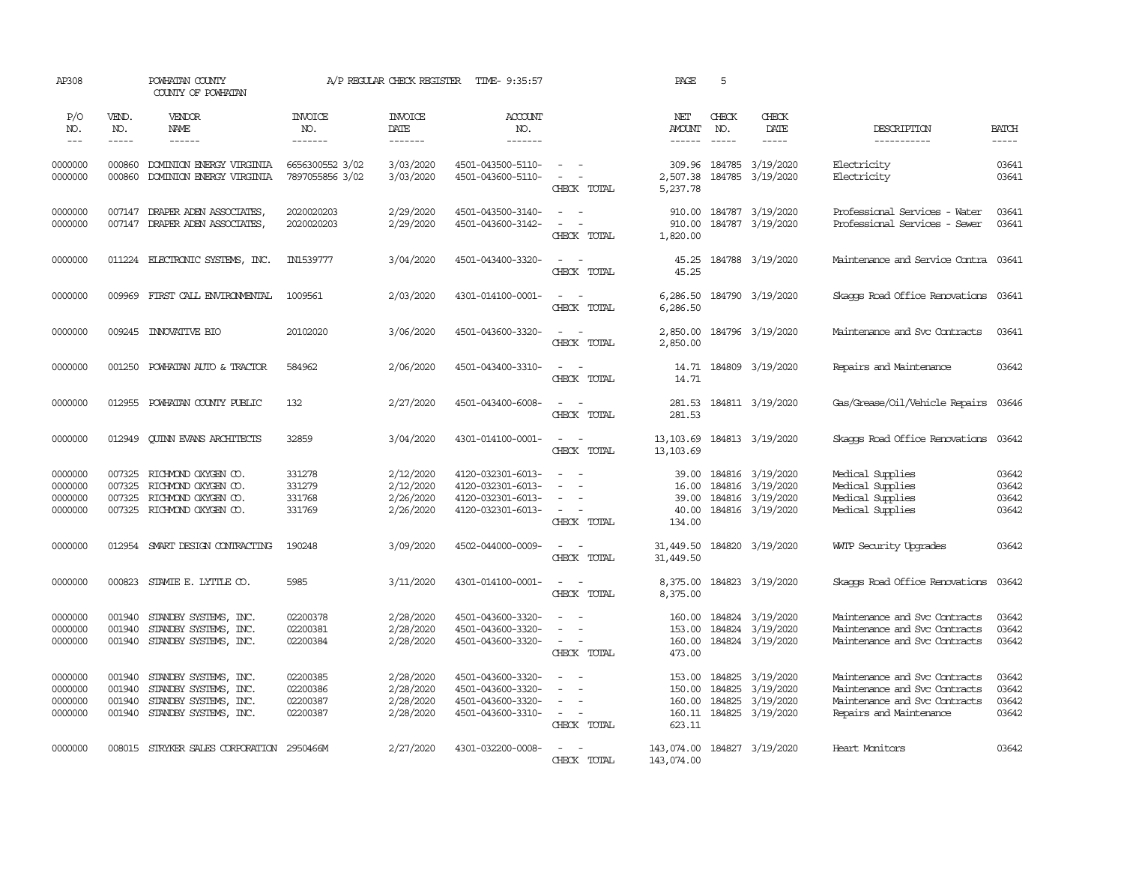| AP308                                    |                                      | POWHATAN COUNTY<br>COUNTY OF POWHATAN                                                            |                                              | A/P REGULAR CHECK REGISTER                       | TIME- 9:35:57                                                                    |                                                                                         | PAGE                                           | 5                             |                                                                              |                                                                                                                            |                                  |
|------------------------------------------|--------------------------------------|--------------------------------------------------------------------------------------------------|----------------------------------------------|--------------------------------------------------|----------------------------------------------------------------------------------|-----------------------------------------------------------------------------------------|------------------------------------------------|-------------------------------|------------------------------------------------------------------------------|----------------------------------------------------------------------------------------------------------------------------|----------------------------------|
| P/O<br>NO.<br>$---$                      | VEND.<br>NO.<br>-----                | VENDOR<br>NAME<br>$- - - - - -$                                                                  | <b>INVOICE</b><br>NO.<br>-------             | <b>INVOICE</b><br>DATE<br>-------                | <b>ACCOUNT</b><br>NO.<br>-------                                                 |                                                                                         | NET<br><b>AMOUNT</b><br>$- - - - - -$          | CHECK<br>NO.<br>$\frac{1}{2}$ | CHECK<br>DATE<br>$- - - - -$                                                 | DESCRIPTION<br>-----------                                                                                                 | <b>BATCH</b><br>$- - - - -$      |
| 0000000<br>0000000                       | 000860<br>000860                     | DOMINION ENERGY VIRGINIA<br>DOMINION ENERGY VIRGINIA                                             | 6656300552 3/02<br>7897055856 3/02           | 3/03/2020<br>3/03/2020                           | 4501-043500-5110-<br>4501-043600-5110-                                           | $\sim$<br>$\overline{\phantom{a}}$<br>$\overline{\phantom{a}}$<br>CHECK TOTAL           | 309.96<br>2,507.38<br>5,237.78                 | 184785                        | 184785 3/19/2020<br>3/19/2020                                                | Electricity<br>Electricity                                                                                                 | 03641<br>03641                   |
| 0000000<br>0000000                       | 007147<br>007147                     | DRAPER ADEN ASSOCIATES,<br>DRAPER ADEN ASSOCIATES,                                               | 2020020203<br>2020020203                     | 2/29/2020<br>2/29/2020                           | 4501-043500-3140-<br>4501-043600-3142-                                           | $\equiv$<br>$\sim$<br>$\sim$<br>CHECK TOTAL                                             | 910.00<br>910.00<br>1,820.00                   |                               | 184787 3/19/2020<br>184787 3/19/2020                                         | Professional Services - Water<br>Professional Services - Sewer                                                             | 03641<br>03641                   |
| 0000000                                  |                                      | 011224 ELECTRONIC SYSTEMS, INC.                                                                  | IN1539777                                    | 3/04/2020                                        | 4501-043400-3320-                                                                | $\overline{\phantom{a}}$<br>$\sim$<br>CHECK TOTAL                                       | 45.25<br>45.25                                 |                               | 184788 3/19/2020                                                             | Maintenance and Service Contra 03641                                                                                       |                                  |
| 0000000                                  | 009969                               | FIRST CALL ENVIRONENTAL                                                                          | 1009561                                      | 2/03/2020                                        | 4301-014100-0001-                                                                | $\sim$<br>$\sim$<br>CHECK TOTAL                                                         | 6,286.50<br>6,286.50                           |                               | 184790 3/19/2020                                                             | Skaops Road Office Renovations 03641                                                                                       |                                  |
| 0000000                                  |                                      | 009245 INNOVATIVE BIO                                                                            | 20102020                                     | 3/06/2020                                        | 4501-043600-3320-                                                                | $\omega_{\rm{max}}$ and $\omega_{\rm{max}}$<br>CHECK TOTAL                              | 2,850.00<br>2,850.00                           |                               | 184796 3/19/2020                                                             | Maintenance and Svc Contracts                                                                                              | 03641                            |
| 0000000                                  | 001250                               | POWHATAN AUTO & TRACTOR                                                                          | 584962                                       | 2/06/2020                                        | 4501-043400-3310-                                                                | $\sim$<br>$\overline{\phantom{a}}$<br>CHECK TOTAL                                       | 14.71                                          |                               | 14.71 184809 3/19/2020                                                       | Repairs and Maintenance                                                                                                    | 03642                            |
| 0000000                                  | 012955                               | POWHATAN COUNTY PUBLIC                                                                           | 132                                          | 2/27/2020                                        | 4501-043400-6008-                                                                | $\sim$ $\sim$<br>CHECK TOTAL                                                            | 281.53<br>281.53                               |                               | 184811 3/19/2020                                                             | Gas/Grease/Oil/Vehicle Repairs                                                                                             | 03646                            |
| 0000000                                  | 012949                               | <b>CUINN EVANS ARCHITECTS</b>                                                                    | 32859                                        | 3/04/2020                                        | 4301-014100-0001-                                                                | $\sim$ 100 $\sim$<br>CHECK TOTAL                                                        | 13, 103.69<br>13, 103.69                       |                               | 184813 3/19/2020                                                             | Skaops Road Office Renovations                                                                                             | 03642                            |
| 0000000<br>0000000<br>0000000<br>0000000 | 007325<br>007325<br>007325           | 007325 RICHMOND OXYGEN CO.<br>RICHMOND OXYGEN CO.<br>RICHMOND OXYGEN CO.<br>RICHMOND OXYGEN CO.  | 331278<br>331279<br>331768<br>331769         | 2/12/2020<br>2/12/2020<br>2/26/2020<br>2/26/2020 | 4120-032301-6013-<br>4120-032301-6013-<br>4120-032301-6013-<br>4120-032301-6013- | $\sim$<br>$\sim$ $\sim$<br>CHECK TOTAL                                                  | 39.00<br>16.00<br>39.00<br>40.00<br>134.00     |                               | 184816 3/19/2020<br>184816 3/19/2020<br>184816 3/19/2020<br>184816 3/19/2020 | Medical Supplies<br>Medical Supplies<br>Medical Supplies<br>Medical Supplies                                               | 03642<br>03642<br>03642<br>03642 |
| 0000000                                  |                                      | 012954 SMART DESIGN CONTRACTING                                                                  | 190248                                       | 3/09/2020                                        | 4502-044000-0009-                                                                | $\sim$<br>CHECK TOTAL                                                                   | 31,449.50<br>31,449.50                         |                               | 184820 3/19/2020                                                             | WITP Security Upgrades                                                                                                     | 03642                            |
| 0000000                                  |                                      | 000823 STAMIE E. LYTTLE CO.                                                                      | 5985                                         | 3/11/2020                                        | 4301-014100-0001-                                                                | $\sim$ $\sim$<br>CHECK TOTAL                                                            | 8,375.00<br>8,375.00                           |                               | 184823 3/19/2020                                                             | Skaggs Road Office Renovations                                                                                             | 03642                            |
| 0000000<br>0000000<br>0000000            | 001940<br>001940<br>001940           | STANDBY SYSTEMS, INC.<br>STANDBY SYSTEMS, INC.<br>STANDBY SYSTEMS, INC.                          | 02200378<br>02200381<br>02200384             | 2/28/2020<br>2/28/2020<br>2/28/2020              | 4501-043600-3320-<br>4501-043600-3320-<br>4501-043600-3320-                      | $\blacksquare$<br>$\overline{\phantom{a}}$<br>$\sim$<br>$\sim$<br>$\sim$<br>CHECK TOTAL | 160.00<br>153.00<br>160.00<br>473.00           | 184824                        | 184824 3/19/2020<br>3/19/2020<br>184824 3/19/2020                            | Maintenance and Svc Contracts<br>Maintenance and Svc Contracts<br>Maintenance and Svc Contracts                            | 03642<br>03642<br>03642          |
| 0000000<br>0000000<br>0000000<br>0000000 | 001940<br>001940<br>001940<br>001940 | STANDBY SYSTEMS, INC.<br>STANDBY SYSTEMS, INC.<br>STANDBY SYSTEMS, INC.<br>STANDBY SYSTEMS, INC. | 02200385<br>02200386<br>02200387<br>02200387 | 2/28/2020<br>2/28/2020<br>2/28/2020<br>2/28/2020 | 4501-043600-3320-<br>4501-043600-3320-<br>4501-043600-3320-<br>4501-043600-3310- | $\sim$<br>$\equiv$<br>$\sim$<br>$\overline{\phantom{a}}$<br>CHECK TOTAL                 | 153.00<br>150.00<br>160.00<br>160.11<br>623.11 | 184825<br>184825<br>184825    | 3/19/2020<br>3/19/2020<br>3/19/2020<br>184825 3/19/2020                      | Maintenance and Svc Contracts<br>Maintenance and Svc Contracts<br>Maintenance and Svc Contracts<br>Repairs and Maintenance | 03642<br>03642<br>03642<br>03642 |
| 0000000                                  |                                      | 008015 STRYKER SALES CORPORATION 2950466M                                                        |                                              | 2/27/2020                                        | 4301-032200-0008-                                                                | $\sim$<br>$\sim$<br>CHECK TOTAL                                                         | 143,074.00 184827 3/19/2020<br>143,074.00      |                               |                                                                              | Heart Monitors                                                                                                             | 03642                            |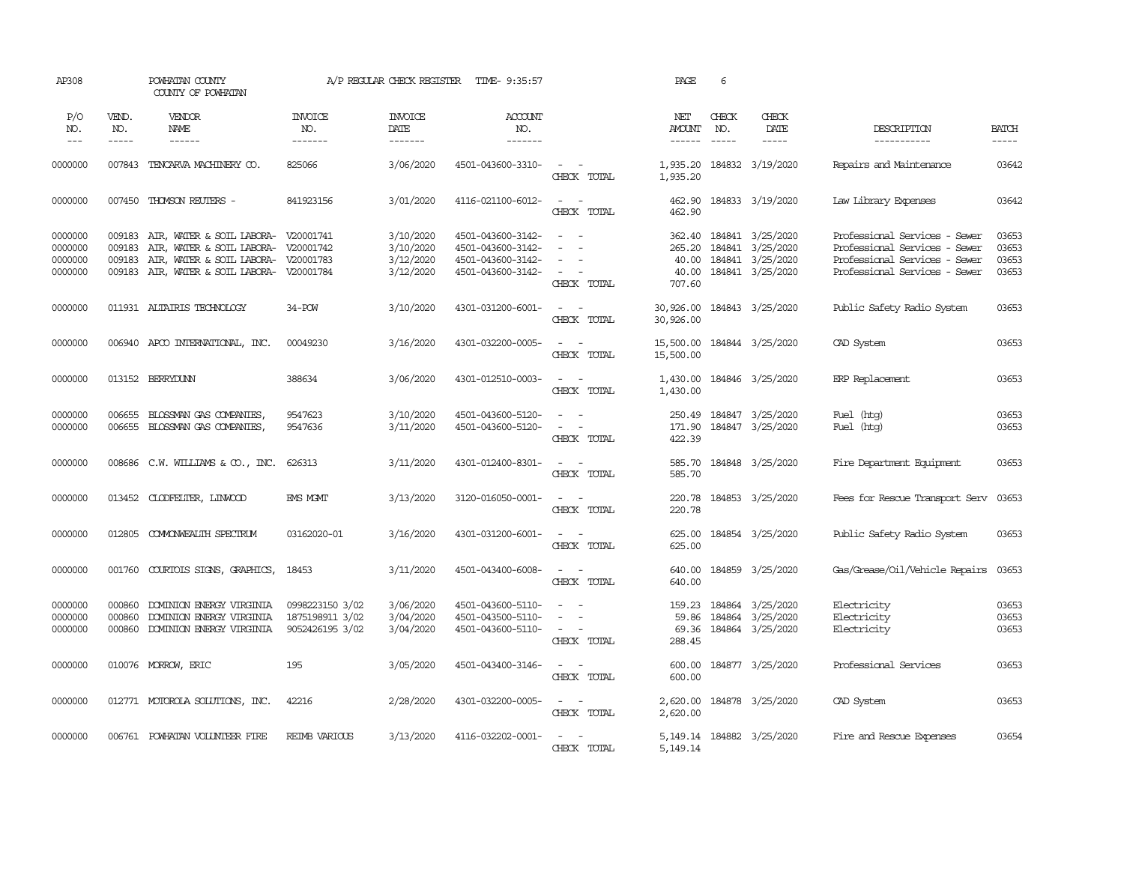| AP308                                    |                                      | POWHATAN COUNTY<br>COUNTY OF POWHATAN                                                                                                                    |                                                       | A/P REGULAR CHECK REGISTER                       | TIME- 9:35:57                                                                    |                                                          | PAGE                                         | 6            |                                                                              |                                                                                                                                  |                                  |
|------------------------------------------|--------------------------------------|----------------------------------------------------------------------------------------------------------------------------------------------------------|-------------------------------------------------------|--------------------------------------------------|----------------------------------------------------------------------------------|----------------------------------------------------------|----------------------------------------------|--------------|------------------------------------------------------------------------------|----------------------------------------------------------------------------------------------------------------------------------|----------------------------------|
| P/O<br>NO.<br>$---$                      | VEND.<br>NO.<br>$- - - - -$          | VENDOR<br>NAME<br>$- - - - - -$                                                                                                                          | <b>INVOICE</b><br>NO.<br>-------                      | INVOICE<br>DATE<br>-------                       | ACCOUNT<br>NO.<br>-------                                                        |                                                          | NET<br><b>AMOUNT</b><br>------               | CHECK<br>NO. | CHECK<br>DATE<br>$- - - - -$                                                 | DESCRIPTION<br>-----------                                                                                                       | <b>BATCH</b><br>$- - - - -$      |
| 0000000                                  | 007843                               | TENCARVA MACHINERY CO.                                                                                                                                   | 825066                                                | 3/06/2020                                        | 4501-043600-3310-                                                                | $\overline{\phantom{a}}$<br>CHECK TOTAL                  | 1,935.20<br>1,935.20                         |              | 184832 3/19/2020                                                             | Repairs and Maintenance                                                                                                          | 03642                            |
| 0000000                                  | 007450                               | THOMSON REUTERS -                                                                                                                                        | 841923156                                             | 3/01/2020                                        | 4116-021100-6012-                                                                | $\sim$<br>$\sim$<br>CHECK TOTAL                          | 462.90<br>462.90                             |              | 184833 3/19/2020                                                             | Law Library Expenses                                                                                                             | 03642                            |
| 0000000<br>0000000<br>0000000<br>0000000 | 009183<br>009183<br>009183<br>009183 | AIR, WATER & SOIL LABORA- V20001741<br>AIR, WATER & SOIL LABORA- V20001742<br>AIR, WATER & SOIL LABORA- V20001783<br>AIR, WATER & SOIL LABORA- V20001784 |                                                       | 3/10/2020<br>3/10/2020<br>3/12/2020<br>3/12/2020 | 4501-043600-3142-<br>4501-043600-3142-<br>4501-043600-3142-<br>4501-043600-3142- | $\sim$<br>$\sim$<br>$\sim$<br>CHECK TOTAL                | 362.40<br>265.20<br>40.00<br>40.00<br>707.60 |              | 184841 3/25/2020<br>184841 3/25/2020<br>184841 3/25/2020<br>184841 3/25/2020 | Professional Services - Sewer<br>Professional Services - Sewer<br>Professional Services - Sewer<br>Professional Services - Sewer | 03653<br>03653<br>03653<br>03653 |
| 0000000                                  |                                      | 011931 ALTAIRIS TECHNOLOGY                                                                                                                               | 34-POW                                                | 3/10/2020                                        | 4301-031200-6001-                                                                | $\sim$ $ -$<br>CHECK TOTAL                               | 30,926.00<br>30,926.00                       |              | 184843 3/25/2020                                                             | Public Safety Radio System                                                                                                       | 03653                            |
| 0000000                                  |                                      | 006940 APCO INTERNATIONAL, INC.                                                                                                                          | 00049230                                              | 3/16/2020                                        | 4301-032200-0005-                                                                | $\sim$<br>$\sim$<br>CHECK TOTAL                          | 15,500.00<br>15,500.00                       |              | 184844 3/25/2020                                                             | CAD System                                                                                                                       | 03653                            |
| 0000000                                  |                                      | 013152 BERRYDUNN                                                                                                                                         | 388634                                                | 3/06/2020                                        | 4301-012510-0003-                                                                | $\sim$ $ -$<br>CHECK TOTAL                               | 1,430.00                                     |              | 1,430.00 184846 3/25/2020                                                    | ERP Replacement                                                                                                                  | 03653                            |
| 0000000<br>0000000                       | 006655<br>006655                     | BLOSSMAN GAS COMPANIES,<br>BLOSSMAN GAS COMPANIES,                                                                                                       | 9547623<br>9547636                                    | 3/10/2020<br>3/11/2020                           | 4501-043600-5120-<br>4501-043600-5120-                                           | $\sim$ $\sim$<br>$\sim$<br>$\overline{a}$<br>CHECK TOTAL | 250.49<br>171.90<br>422.39                   |              | 184847 3/25/2020<br>184847 3/25/2020                                         | Fuel (htg)<br>Fuel (htg)                                                                                                         | 03653<br>03653                   |
| 0000000                                  |                                      | 008686 C.W. WILLIAMS & CO., INC.                                                                                                                         | 626313                                                | 3/11/2020                                        | 4301-012400-8301-                                                                | $\sim$ $-$<br>$\sim$<br>CHECK TOTAL                      | 585.70<br>585.70                             |              | 184848 3/25/2020                                                             | Fire Department Equipment                                                                                                        | 03653                            |
| 0000000                                  |                                      | 013452 CLODFELTER, LINWOOD                                                                                                                               | EMS MGMT                                              | 3/13/2020                                        | 3120-016050-0001-                                                                | $\sim$<br>$\sim$<br>CHECK TOTAL                          | 220.78<br>220.78                             |              | 184853 3/25/2020                                                             | Fees for Rescue Transport Serv                                                                                                   | 03653                            |
| 0000000                                  | 012805                               | COMONWEALTH SPECTRUM                                                                                                                                     | 03162020-01                                           | 3/16/2020                                        | 4301-031200-6001-                                                                | $\sim$ 100 $\sim$<br>CHECK TOTAL                         | 625.00<br>625.00                             |              | 184854 3/25/2020                                                             | Public Safety Radio System                                                                                                       | 03653                            |
| 0000000                                  | 001760                               | COURTOIS SIGNS, GRAPHICS,                                                                                                                                | 18453                                                 | 3/11/2020                                        | 4501-043400-6008-                                                                | $\sim$<br>$\sim$<br>CHECK TOTAL                          | 640.00<br>640.00                             |              | 184859 3/25/2020                                                             | Gas/Grease/Oil/Vehicle Repairs                                                                                                   | 03653                            |
| 0000000<br>0000000<br>0000000            | 000860<br>000860<br>000860           | DOMINION ENERGY VIRGINIA<br>DOMINION ENERGY VIRGINIA<br>DOMINION ENERGY VIRGINIA                                                                         | 0998223150 3/02<br>1875198911 3/02<br>9052426195 3/02 | 3/06/2020<br>3/04/2020<br>3/04/2020              | 4501-043600-5110-<br>4501-043500-5110-<br>4501-043600-5110-                      | $\blacksquare$<br>$\sim$<br>CHECK TOTAL                  | 159.23<br>59.86<br>69.36<br>288.45           | 184864       | 184864 3/25/2020<br>3/25/2020<br>184864 3/25/2020                            | Electricity<br>Electricity<br>Electricity                                                                                        | 03653<br>03653<br>03653          |
| 0000000                                  |                                      | 010076 MORROW, ERIC                                                                                                                                      | 195                                                   | 3/05/2020                                        | 4501-043400-3146-                                                                | $\sim$ $ -$<br>CHECK TOTAL                               | 600.00<br>600.00                             |              | 184877 3/25/2020                                                             | Professional Services                                                                                                            | 03653                            |
| 0000000                                  |                                      | 012771 MOTOROLA SOLUTIONS, INC.                                                                                                                          | 42216                                                 | 2/28/2020                                        | 4301-032200-0005-                                                                | $\sim$ $ -$<br>CHECK TOTAL                               | 2,620.00<br>2,620.00                         |              | 184878 3/25/2020                                                             | CAD System                                                                                                                       | 03653                            |
| 0000000                                  |                                      | 006761 POWHATAN VOLUNTEER FIRE                                                                                                                           | <b>REIMB VARIOUS</b>                                  | 3/13/2020                                        | 4116-032202-0001-                                                                | $\sim$<br>$\sim$<br>CHECK TOTAL                          | 5,149.14                                     |              | 5, 149.14 184882 3/25/2020                                                   | Fire and Rescue Expenses                                                                                                         | 03654                            |